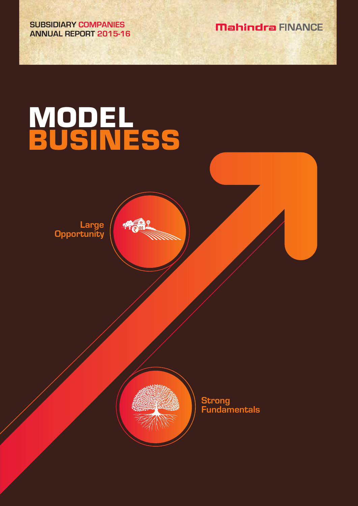**SUBSIDIARY COMPANIES ANNUAL REPORT 2015-16**

**Mahindra FINANCE** 

# **BUSINESS MODEL**

₹

**Large Opportunity**



**Strong Fundamentals**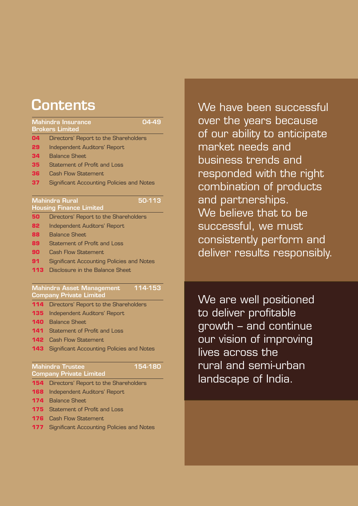|    | <b>Mahindra Insurance</b><br><b>Brokers Limited</b> | 04-49  |
|----|-----------------------------------------------------|--------|
| 04 | Directors' Report to the Shareholders               |        |
| 29 | Independent Auditors' Report                        |        |
| 34 | Balance Sheet.                                      |        |
| 35 | Statement of Profit and Loss                        |        |
| 36 | Cash Flow Statement                                 |        |
| 37 | Significant Accounting Policies and Notes           |        |
|    |                                                     |        |
|    | <b>Mahindra Rural</b>                               | 50-113 |

Mahindra Rural Housing Finance Limited **50** Directors' Report to the Shareholders

- **82** Independent Auditors' Report
- **88** Balance Sheet
- **89** Statement of Profit and Loss
- **90** Cash Flow Statement
- **91** Significant Accounting Policies and Notes
- **113** Disclosure in the Balance Sheet

Mahindra Asset Management Company Private Limited 114-153

- **114** Directors' Report to the Shareholders
- **135** Independent Auditors' Report
- **140** Balance Sheet
- **141** Statement of Profit and Loss
- **142** Cash Flow Statement
- **143** Significant Accounting Policies and Notes

#### Mahindra Trustee Company Private Limited 154-180

- **154** Directors' Report to the Shareholders
- **168** Independent Auditors' Report
- **174** Balance Sheet
- **175** Statement of Profit and Loss
- **176** Cash Flow Statement
- **177** Significant Accounting Policies and Notes

**Contents** We have been successful over the years because of our ability to anticipate market needs and business trends and responded with the right combination of products and partnerships. We believe that to be successful, we must consistently perform and deliver results responsibly.

> We are well positioned to deliver profitable growth – and continue our vision of improving lives across the rural and semi-urban landscape of India.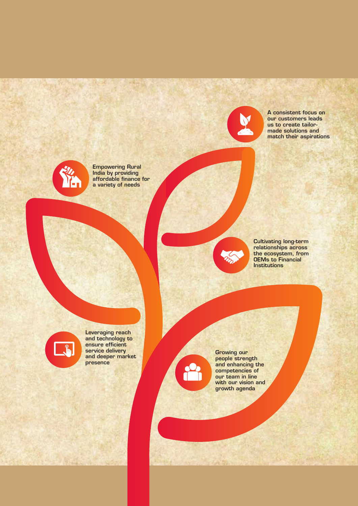

A consistent focus on our customers leads us to create tailormade solutions and match their aspirations



Empowering Rural India by providing affordable finance for a variety of needs



Cultivating long-term relationships across the ecosystem, from OEMs to Financial **Institutions** 



Leveraging reach and technology to ensure efficient service delivery and deeper market presence



Growing our people strength and enhancing the competencies of our team in line with our vision and growth agenda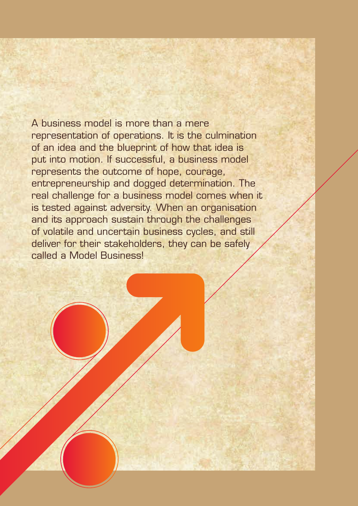A business model is more than a mere representation of operations. It is the culmination of an idea and the blueprint of how that idea is put into motion. If successful, a business model represents the outcome of hope, courage, entrepreneurship and dogged determination. The real challenge for a business model comes when it is tested against adversity. When an organisation and its approach sustain through the challenges of volatile and uncertain business cycles, and still deliver for their stakeholders, they can be safely called a Model Business!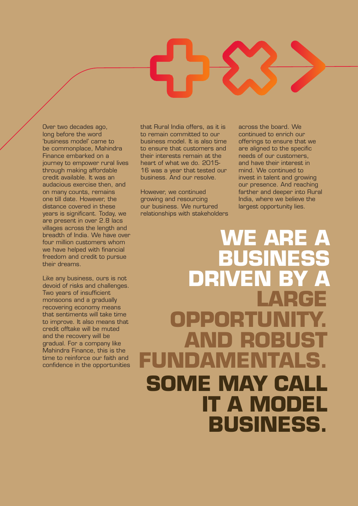Over two decades ago, long before the word 'business model' came to be commonplace, Mahindra Finance embarked on a journey to empower rural lives through making affordable credit available. It was an audacious exercise then, and on many counts, remains one till date. However, the distance covered in these years is significant. Today, we are present in over 2.8 lacs villages across the length and breadth of India. We have over four million customers whom we have helped with financial freedom and credit to pursue their dreams.

Like any business, ours is not devoid of risks and challenges. Two years of insufficient monsoons and a gradually recovering economy means that sentiments will take time to improve. It also means that credit offtake will be muted and the recovery will be gradual. For a company like Mahindra Finance, this is the time to reinforce our faith and confidence in the opportunities that Rural India offers, as it is to remain committed to our business model. It is also time to ensure that customers and their interests remain at the heart of what we do. 2015- 16 was a year that tested our business. And our resolve.

However, we continued growing and resourcing our business. We nurtured relationships with stakeholders across the board. We continued to enrich our offerings to ensure that we are aligned to the specific needs of our customers, and have their interest in mind. We continued to invest in talent and growing our presence. And reaching farther and deeper into Rural India, where we believe the largest opportunity lies.

**LARGE OPPORTUNITY. AND ROBUST FUNDAMENTALS.**  SOME MAY CA **IT A MODEL BUSINESS. WE ARE A BUSINESS DRIVEN BY A**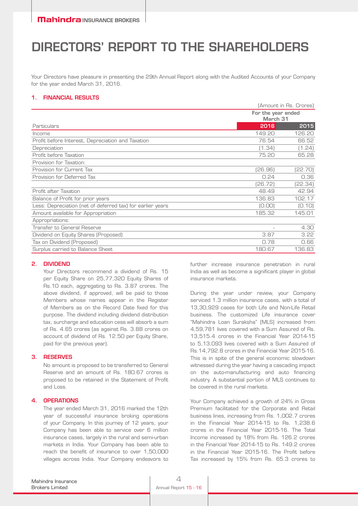### DIRECTORS' REPORT TO THE SHAREHOLDERS

Your Directors have pleasure in presenting the 29th Annual Report along with the Audited Accounts of your Company for the year ended March 31, 2016.

#### 1. FINANCIAL RESULTS

|                                                            |                    | (Amount in Rs. Crores) |
|------------------------------------------------------------|--------------------|------------------------|
|                                                            | For the year ended |                        |
|                                                            | March 31           |                        |
| Particulars                                                | 2016               | 2015                   |
| Income                                                     | 149.20             | 126.20                 |
| Profit before Interest, Depreciation and Taxation          | 76.54              | 66.52                  |
| Depreciation                                               | (1.34)             | (1.24)                 |
| Profit before Taxation                                     | 75.20              | 65.28                  |
| Provision for Taxation:                                    |                    |                        |
| Provision for Current Tax                                  | [26.96]            | [22.70]                |
| Provision for Deferred Tax                                 | 0.24               | 0.36                   |
|                                                            | [26.72]            | [22.34]                |
| Profit after Taxation                                      | 48.49              | 42.94                  |
| Balance of Profit for prior years                          | 136.83             | 102.17                 |
| Less: Depreciation (net of deferred tax) for earlier years | [0.00]             | [0.10]                 |
| Amount available for Appropriation                         | 185.32             | 145.01                 |
| Appropriations:                                            |                    |                        |
| <b>Transfer to General Reserve</b>                         |                    | 4.30                   |
| Dividend on Equity Shares (Proposed)                       | 3.87               | 3.22                   |
| Tax on Dividend (Proposed)                                 | 0.78               | 0.66                   |
| Surplus carried to Balance Sheet                           | 180.67             | 136.83                 |

#### 2. DIVIDEND

Your Directors recommend a dividend of Rs. 15 per Equity Share on 25,77,320 Equity Shares of Rs.10 each, aggregating to Rs. 3.87 crores. The above dividend, if approved, will be paid to those Members whose names appear in the Register of Members as on the Record Date fixed for this purpose. The dividend including dividend distribution tax, surcharge and education cess will absorb a sum of Rs. 4.65 crores (as against Rs. 3.88 crores on account of dividend of Rs. 12.50 per Equity Share, paid for the previous year).

#### 3. RESERVES

No amount is proposed to be transferred to General Reserve and an amount of Rs. 180.67 crores is proposed to be retained in the Statement of Profit and Loss.

#### 4. OPERATIONS

The year ended March 31, 2016 marked the 12th year of successful insurance broking operations of your Company. In this journey of 12 years, your Company has been able to service over 6 million insurance cases, largely in the rural and semi-urban markets in India. Your Company has been able to reach the benefit of insurance to over 1,50,000 villages across India. Your Company endeavors to

further increase insurance penetration in rural India as well as become a significant player in global insurance markets.

During the year under review, your Company serviced 1.3 million insurance cases, with a total of 13,30,929 cases for both Life and Non-Life Retail business. The customized Life insurance cover "Mahindra Loan Suraksha" (MLS) increased from 4,59,781 lives covered with a Sum Assured of Rs. 13,515.4 crores in the Financial Year 2014-15 to 5,13,093 lives covered with a Sum Assured of Rs.14,792.8 crores in the Financial Year 2015-16. This is in spite of the general economic slowdown witnessed during the year having a cascading impact on the auto-manufacturing and auto financing industry. A substantial portion of MLS continues to be covered in the rural markets.

Your Company achieved a growth of 24% in Gross Premium facilitated for the Corporate and Retail business lines, increasing from Rs. 1,002.7 crores in the Financial Year 2014-15 to Rs. 1,238.6 crores in the Financial Year 2015-16. The Total Income increased by 18% from Rs. 126.2 crores in the Financial Year 2014-15 to Rs. 149.2 crores in the Financial Year 2015-16. The Profit before Tax increased by 15% from Rs. 65.3 crores to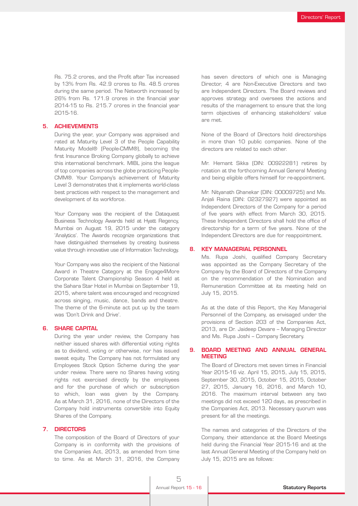Rs. 75.2 crores, and the Profit after Tax increased by 13% from Rs. 42.9 crores to Rs. 48.5 crores during the same period. The Networth increased by 26% from Rs. 171.9 crores in the financial year 2014-15 to Rs. 215.7 crores in the financial year 2015-16.

#### 5. ACHIEVEMENTS

During the year, your Company was appraised and rated at Maturity Level 3 of the People Capability Maturity Model® (People-CMM®), becoming the first Insurance Broking Company globally to achieve this international benchmark. MIBL joins the league of top companies across the globe practicing People-CMM®. Your Company's achievement of Maturity Level 3 demonstrates that it implements world-class best practices with respect to the management and development of its workforce.

Your Company was the recipient of the Dataquest Business Technology Awards held at Hyatt Regency, Mumbai on August 19, 2015 under the category 'Analytics'. The Awards recognize organizations that have distinguished themselves by creating business value through innovative use of Information Technology.

Your Company was also the recipient of the National Award in Theatre Category at the Engage4More Corporate Talent Championship Season 4 held at the Sahara Star Hotel in Mumbai on September 19, 2015, where talent was encouraged and recognized across singing, music, dance, bands and theatre. The theme of the 6-minute act put up by the team was 'Don't Drink and Drive'.

#### 6. SHARE CAPITAL

During the year under review, the Company has neither issued shares with differential voting rights as to dividend, voting or otherwise, nor has issued sweat equity. The Company has not formulated any Employees Stock Option Scheme during the year under review. There were no Shares having voting rights not exercised directly by the employees and for the purchase of which or subscription to which, loan was given by the Company. As at March 31, 2016, none of the Directors of the Company hold instruments convertible into Equity Shares of the Company.

#### 7. DIRECTORS

The composition of the Board of Directors of your Company is in conformity with the provisions of the Companies Act, 2013, as amended from time to time. As at March 31, 2016, the Company has seven directors of which one is Managing Director, 4 are Non-Executive Directors and two are Independent Directors. The Board reviews and approves strategy and oversees the actions and results of the management to ensure that the long term objectives of enhancing stakeholders' value are met.

None of the Board of Directors hold directorships in more than 10 public companies. None of the directors are related to each other.

Mr. Hemant Sikka (DIN: 00922281) retires by rotation at the forthcoming Annual General Meeting and being eligible offers himself for re-appointment.

Mr. Nityanath Ghanekar (DIN: 00009725) and Ms. Anjali Raina (DIN: 02327927) were appointed as Independent Directors of the Company for a period of five years with effect from March 30, 2015. These Independent Directors shall hold the office of directorship for a term of five years. None of the Independent Directors are due for reappointment.

#### 8. KEY MANAGERIAL PERSONNEL

Ms. Rupa Joshi, qualified Company Secretary was appointed as the Company Secretary of the Company by the Board of Directors of the Company on the recommendation of the Nomination and Remuneration Committee at its meeting held on July 15, 2015.

As at the date of this Report, the Key Managerial Personnel of the Company, as envisaged under the provisions of Section 203 of the Companies Act, 2013, are Dr. Jaideep Devare – Managing Director and Ms. Rupa Joshi – Company Secretary.

#### 9. BOARD MEETING AND ANNUAL GENERAL MEETING

The Board of Directors met seven times in Financial Year 2015-16 viz. April 15, 2015, July 15, 2015, September 30, 2015, October 15, 2015, October 27, 2015, January 16, 2016, and March 10, 2016. The maximum interval between any two meetings did not exceed 120 days, as prescribed in the Companies Act, 2013. Necessary quorum was present for all the meetings.

The names and categories of the Directors of the Company, their attendance at the Board Meetings held during the Financial Year 2015-16 and at the last Annual General Meeting of the Company held on July 15, 2015 are as follows: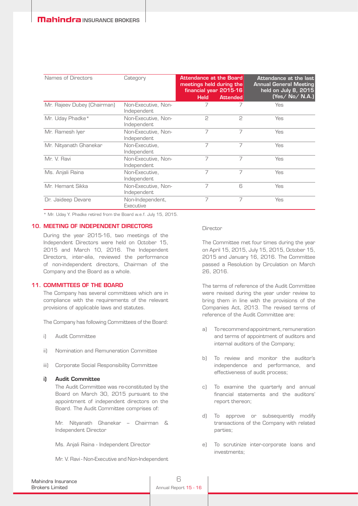| Names of Directors          | Category                           | Attendance at the Board<br>meetings held during the | financial year 2015-16 | Attendance at the last<br><b>Annual General Meeting</b><br>held on July 8, 2015<br>(Yes/No/N.A.) |
|-----------------------------|------------------------------------|-----------------------------------------------------|------------------------|--------------------------------------------------------------------------------------------------|
|                             |                                    | <b>Held</b>                                         | Attended               |                                                                                                  |
| Mr. Rajeev Dubey (Chairman) | Non-Executive, Non-<br>Independent | 7                                                   |                        | Yes                                                                                              |
| Mr. Uday Phadke*            | Non-Executive, Non-<br>Independent | $\triangleright$                                    | $\triangleright$       | Yes                                                                                              |
| Mr. Ramesh Iyer             | Non-Executive, Non-<br>Independent | 7                                                   | 7                      | Yes                                                                                              |
| Mr. Nityanath Ghanekar      | Non-Executive,<br>Independent      | 7                                                   | 7                      | Yes                                                                                              |
| Mr. V. Ravi                 | Non-Executive, Non-<br>Independent | 7                                                   | $\overline{7}$         | Yes                                                                                              |
| Ms. Anjali Raina            | Non-Executive.<br>Independent      | 7                                                   | 7                      | Yes                                                                                              |
| Mr. Hemant Sikka            | Non-Executive, Non-<br>Independent | 7                                                   | 6                      | Yes                                                                                              |
| Dr. Jaideep Devare          | Non-Independent,<br>Executive      | 7                                                   | 7                      | Yes                                                                                              |

\* Mr. Uday Y. Phadke retired from the Board w.e.f. July 15, 2015.

#### 10. MEETING OF INDEPENDENT DIRECTORS

During the year 2015-16, two meetings of the Independent Directors were held on October 15, 2015 and March 10, 2016. The Independent Directors, inter-alia, reviewed the performance of non-independent directors, Chairman of the Company and the Board as a whole.

#### 11. COMMITTEES OF THE BOARD

The Company has several committees which are in compliance with the requirements of the relevant provisions of applicable laws and statutes.

The Company has following Committees of the Board:

- i) Audit Committee
- ii) Nomination and Remuneration Committee
- iii) Corporate Social Responsibility Committee

#### i) Audit Committee

The Audit Committee was re-constituted by the Board on March 30, 2015 pursuant to the appointment of independent directors on the Board. The Audit Committee comprises of:

Mr. Nityanath Ghanekar – Chairman & Independent Director

Ms. Anjali Raina - Independent Director

Mr. V. Ravi - Non-Executive and Non-Independent

#### Director

The Committee met four times during the year on April 15, 2015, July 15, 2015, October 15, 2015 and January 16, 2016. The Committee passed a Resolution by Circulation on March 26, 2016.

The terms of reference of the Audit Committee were revised during the year under review to bring them in line with the provisions of the Companies Act, 2013. The revised terms of reference of the Audit Committee are:

- a) To recommend appointment, remuneration and terms of appointment of auditors and internal auditors of the Company;
- b) To review and monitor the auditor's independence and performance, and effectiveness of audit process;
- c) To examine the quarterly and annual financial statements and the auditors' report thereon;
- d) To approve or subsequently modify transactions of the Company with related parties;
- e) To scrutinize inter-corporate loans and investments;

| Mahindra Insurance |                       |
|--------------------|-----------------------|
| Brokers Limited    | Annual Report 15 - 16 |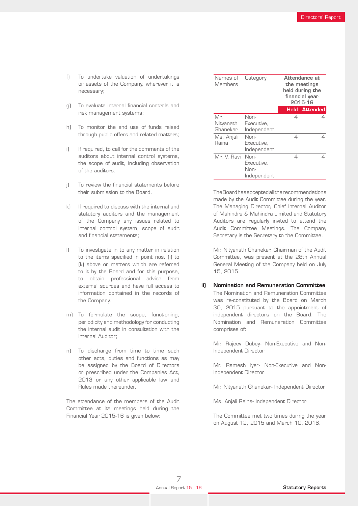- f) To undertake valuation of undertakings or assets of the Company, wherever it is necessary;
- g) To evaluate internal financial controls and risk management systems;
- h) To monitor the end use of funds raised through public offers and related matters;
- i) If required, to call for the comments of the auditors about internal control systems, the scope of audit, including observation of the auditors.
- j) To review the financial statements before their submission to the Board.
- k) If required to discuss with the internal and statutory auditors and the management of the Company any issues related to internal control system, scope of audit and financial statements;
- l) To investigate in to any matter in relation to the items specified in point nos. (i) to (k) above or matters which are referred to it by the Board and for this purpose, to obtain professional advice from external sources and have full access to information contained in the records of the Company.
- m) To formulate the scope, functioning, periodicity and methodology for conducting the internal audit in consultation with the Internal Auditor;
- n) To discharge from time to time such other acts, duties and functions as may be assigned by the Board of Directors or prescribed under the Companies Act, 2013 or any other applicable law and Rules made thereunder.

The attendance of the members of the Audit Committee at its meetings held during the Financial Year 2015-16 is given below:

| Names of<br><b>Members</b>   | Category                                  |   | Attendance at<br>the meetings<br>held during the<br>financial year<br>2015-16 |
|------------------------------|-------------------------------------------|---|-------------------------------------------------------------------------------|
|                              |                                           |   | <b>Held Attended</b>                                                          |
| Mr.<br>Nityanath<br>Ghanekar | Non-<br>Executive,<br>Independent         | 4 | 4                                                                             |
| Ms. Anjali<br>Raina          | Non-<br>Executive,<br>Independent         | 4 | Δ                                                                             |
| Mr. V. Ravi                  | Non-<br>Executive,<br>Non-<br>Independent | 4 |                                                                               |

The Board has accepted all the recommendations made by the Audit Committee during the year. The Managing Director, Chief Internal Auditor of Mahindra & Mahindra Limited and Statutory Auditors are regularly invited to attend the Audit Committee Meetings. The Company Secretary is the Secretary to the Committee.

Mr. Nityanath Ghanekar, Chairman of the Audit Committee, was present at the 28th Annual General Meeting of the Company held on July 15, 2015.

ii) Nomination and Remuneration Committee The Nomination and Remuneration Committee was re-constituted by the Board on March 30, 2015 pursuant to the appointment of independent directors on the Board. The Nomination and Remuneration Committee comprises of:

Mr. Rajeev Dubey- Non-Executive and Non-Independent Director

Mr. Ramesh Iyer- Non-Executive and Non-Independent Director

Mr. Nityanath Ghanekar- Independent Director

Ms. Anjali Raina- Independent Director

The Committee met two times during the year on August 12, 2015 and March 10, 2016.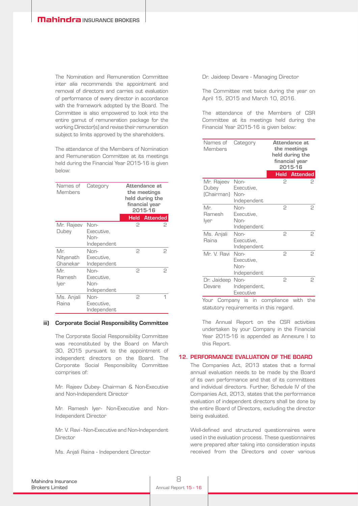The Nomination and Remuneration Committee inter alia recommends the appointment and removal of directors and carries out evaluation of performance of every director in accordance with the framework adopted by the Board. The Committee is also empowered to look into the entire gamut of remuneration package for the working Director(s) and revise their remuneration subject to limits approved by the shareholders.

The attendance of the Members of Nomination and Remuneration Committee at its meetings held during the Financial Year 2015-16 is given below:

| Names of<br>Members          | Category                                  |   | Attendance at<br>the meetings<br>held during the<br>financial year<br>2015-16 |
|------------------------------|-------------------------------------------|---|-------------------------------------------------------------------------------|
|                              |                                           |   | <b>Held Attended</b>                                                          |
| Mr. Rajeev<br>Dubey          | Non-<br>Executive,<br>Non-<br>Independent | P | 2                                                                             |
| Mr.<br>Nityanath<br>Ghanekar | Non-<br>Executive,<br>Independent         | 2 | 2                                                                             |
| Mr.<br>Ramesh<br>lyer        | Non-<br>Executive,<br>Non-<br>Independent | 2 | 2                                                                             |
| Ms. Anjali<br>Raina          | Non-<br>Executive,<br>Independent         | 2 |                                                                               |

#### iii) Corporate Social Responsibility Committee

The Corporate Social Responsibility Committee was reconstituted by the Board on March 30, 2015 pursuant to the appointment of independent directors on the Board. The Corporate Social Responsibility Committee comprises of:

Mr. Rajeev Dubey- Chairman & Non-Executive and Non-Independent Director

Mr. Ramesh Iyer- Non-Executive and Non-Independent Director

Mr. V. Ravi - Non-Executive and Non-Independent Director

Ms. Anjali Raina - Independent Director

Dr. Jaideep Devare - Managing Director

The Committee met twice during the year on April 15, 2015 and March 10, 2016.

The attendance of the Members of CSR Committee at its meetings held during the Financial Year 2015-16 is given below:

| Names of<br><b>Members</b>        | Category                                  |   | Attendance at<br>the meetings<br>held during the<br>financial year<br>2015-16 |
|-----------------------------------|-------------------------------------------|---|-------------------------------------------------------------------------------|
|                                   |                                           |   | <b>Held Attended</b>                                                          |
| Mr. Rajeev<br>Dubey<br>(Chairman) | Non-<br>Executive,<br>Non-<br>Independent | P | 2                                                                             |
| Mr.<br>Ramesh<br><i>lyer</i>      | Non-<br>Executive,<br>Non-<br>Independent | 2 | 2                                                                             |
| Ms. Anjali<br>Raina               | Non-<br>Executive,<br>Independent         | 2 | P                                                                             |
| Mr. V. Ravi                       | Non-<br>Executive,<br>Non-<br>Independent | 2 | 2                                                                             |
| Dr. Jaideep<br>Devare             | Non-<br>Independent,<br>Executive         | 2 | P                                                                             |

Your Company is in compliance with the statutory requirements in this regard.

The Annual Report on the CSR activities undertaken by your Company in the Financial Year 2015-16 is appended as Annexure I to this Report.

#### 12. PERFORMANCE EVALUATION OF THE BOARD

The Companies Act, 2013 states that a formal annual evaluation needs to be made by the Board of its own performance and that of its committees and individual directors. Further, Schedule IV of the Companies Act, 2013, states that the performance evaluation of independent directors shall be done by the entire Board of Directors, excluding the director being evaluated.

Well-defined and structured questionnaires were used in the evaluation process. These questionnaires were prepared after taking into consideration inputs received from the Directors and cover various

| Mahindra Insurance |             |
|--------------------|-------------|
| Brokers Limited    | Annual Repo |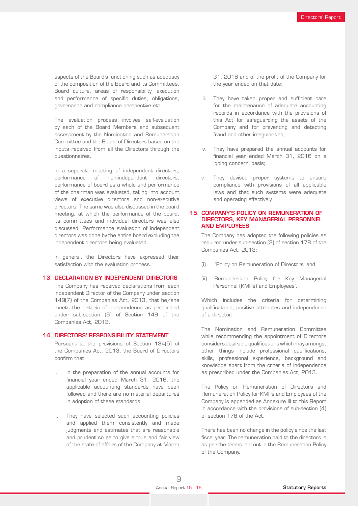aspects of the Board's functioning such as adequacy of the composition of the Board and its Committees, Board culture, areas of responsibility, execution and performance of specific duties, obligations, governance and compliance perspective etc.

The evaluation process involves self-evaluation by each of the Board Members and subsequent assessment by the Nomination and Remuneration Committee and the Board of Directors based on the inputs received from all the Directors through the questionnaires.

In a separate meeting of independent directors, performance of non-independent directors, performance of board as a whole and performance of the chairman was evaluated, taking into account views of executive directors and non-executive directors. The same was also discussed in the board meeting, at which the performance of the board, its committees and individual directors was also discussed. Performance evaluation of independent directors was done by the entire board excluding the independent directors being evaluated.

In general, the Directors have expressed their satisfaction with the evaluation process.

#### 13. DECLARATION BY INDEPENDENT DIRECTORS

The Company has received declarations from each Independent Director of the Company under section 149(7) of the Companies Act, 2013, that he/she meets the criteria of independence as prescribed under sub-section (6) of Section 149 of the Companies Act, 2013.

#### 14. DIRECTORS' RESPONSIBILITY STATEMENT

Pursuant to the provisions of Section 134(5) of the Companies Act, 2013, the Board of Directors confirm that:

- i. In the preparation of the annual accounts for financial year ended March 31, 2016, the applicable accounting standards have been followed and there are no material departures in adoption of these standards;
- ii. They have selected such accounting policies and applied them consistently and made judgments and estimates that are reasonable and prudent so as to give a true and fair view of the state of affairs of the Company at March

31, 2016 and of the profit of the Company for the year ended on that date;

- iii. They have taken proper and sufficient care for the maintenance of adequate accounting records in accordance with the provisions of this Act for safeguarding the assets of the Company and for preventing and detecting fraud and other irregularities;
- iv. They have prepared the annual accounts for financial year ended March 31, 2016 on a 'going concern' basis;
- v. They devised proper systems to ensure compliance with provisions of all applicable laws and that such systems were adequate and operating effectively.

#### 15. COMPANY'S POLICY ON REMUNERATION OF DIRECTORS, KEY MANAGERIAL PERSONNEL AND EMPLOYEES

The Company has adopted the following policies as required under sub-section (3) of section 178 of the Companies Act, 2013:

- (i) 'Policy on Remuneration of Directors' and
- (ii) 'Remuneration Policy for Key Managerial Personnel (KMPs) and Employees'.

Which includes the criteria for determining qualifications, positive attributes and independence of a director.

The Nomination and Remuneration Committee while recommending the appointment of Directors considers desirable qualifications which may amongst other things include professional qualifications, skills, professional experience, background and knowledge apart from the criteria of independence as prescribed under the Companies Act, 2013.

The Policy on Remuneration of Directors and Remuneration Policy for KMPs and Employees of the Company is appended as Annexure III to this Report in accordance with the provisions of sub-section (4) of section 178 of the Act.

There has been no change in the policy since the last fiscal year. The remuneration paid to the directors is as per the terms laid out in the Remuneration Policy of the Company.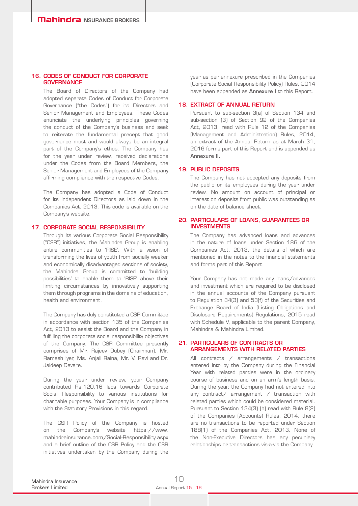#### 16. CODES OF CONDUCT FOR CORPORATE **GOVERNANCE**

The Board of Directors of the Company had adopted separate Codes of Conduct for Corporate Governance ("the Codes") for its Directors and Senior Management and Employees. These Codes enunciate the underlying principles governing the conduct of the Company's business and seek to reiterate the fundamental precept that good governance must and would always be an integral part of the Company's ethos. The Company has for the year under review, received declarations under the Codes from the Board Members, the Senior Management and Employees of the Company affirming compliance with the respective Codes.

The Company has adopted a Code of Conduct for its Independent Directors as laid down in the Companies Act, 2013. This code is available on the Company's website.

#### 17. CORPORATE SOCIAL RESPONSIBILITY

Through its various Corporate Social Responsibility ("CSR") initiatives, the Mahindra Group is enabling entire communities to 'RISE'. With a vision of transforming the lives of youth from socially weaker and economically disadvantaged sections of society, the Mahindra Group is committed to 'building possibilities' to enable them to 'RISE' above their limiting circumstances by innovatively supporting them through programs in the domains of education, health and environment.

The Company has duly constituted a CSR Committee in accordance with section 135 of the Companies Act, 2013 to assist the Board and the Company in fulfilling the corporate social responsibility objectives of the Company. The CSR Committee presently comprises of Mr. Rajeev Dubey (Chairman), Mr. Ramesh Iyer, Ms. Anjali Raina, Mr. V. Ravi and Dr. Jaideep Devare.

During the year under review, your Company contributed Rs.120.16 lacs towards Corporate Social Responsibility to various institutions for charitable purposes. Your Company is in compliance with the Statutory Provisions in this regard.

The CSR Policy of the Company is hosted on the Company's website https://www. mahindrainsurance.com/Social-Responsibility.aspx and a brief outline of the CSR Policy and the CSR initiatives undertaken by the Company during the

year as per annexure prescribed in the Companies (Corporate Social Responsibility Policy) Rules, 2014 have been appended as **Annexure I** to this Report.

#### 18. EXTRACT OF ANNUAL RETURN

Pursuant to sub-section 3(a) of Section 134 and sub-section (3) of Section 92 of the Companies Act, 2013, read with Rule 12 of the Companies (Management and Administration) Rules, 2014, an extract of the Annual Return as at March 31, 2016 forms part of this Report and is appended as Annexure II.

#### 19. PUBLIC DEPOSITS

The Company has not accepted any deposits from the public or its employees during the year under review. No amount on account of principal or interest on deposits from public was outstanding as on the date of balance sheet.

#### 20. PARTICULARS OF LOANS, GUARANTEES OR INVESTMENTS

The Company has advanced loans and advances in the nature of loans under Section 186 of the Companies Act, 2013, the details of which are mentioned in the notes to the financial statements and forms part of this Report.

Your Company has not made any loans/advances and investment which are required to be disclosed in the annual accounts of the Company pursuant to Regulation 34(3) and 53(f) of the Securities and Exchange Board of India (Listing Obligations and Disclosure Requirements) Regulations, 2015 read with Schedule V, applicable to the parent Company, Mahindra & Mahindra Limited.

#### 21. PARTICULARS OF CONTRACTS OR ARRANGEMENTS WITH RELATED PARTIES

All contracts / arrangements / transactions entered into by the Company during the Financial Year with related parties were in the ordinary course of business and on an arm's length basis. During the year, the Company had not entered into any contract/ arrangement / transaction with related parties which could be considered material. Pursuant to Section 134(3) (h) read with Rule 8(2) of the Companies (Accounts) Rules, 2014, there are no transactions to be reported under Section 188(1) of the Companies Act, 2013. None of the Non-Executive Directors has any pecuniary relationships or transactions vis-à-vis the Company.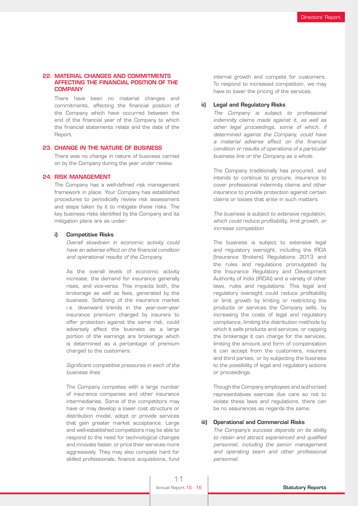#### 22. MATERIAL CHANGES AND COMMITMENTS AFFECTING THE FINANCIAL POSITION OF THE **COMPANY**

There have been no material changes and commitments, affecting the financial position of the Company which have occurred between the end of the financial year of the Company to which the financial statements relate and the date of the Report.

#### 23. CHANGE IN THE NATURE OF BUSINESS

There was no change in nature of business carried on by the Company during the year under review.

#### 24. RISK MANAGEMENT

The Company has a well-defined risk management framework in place. Your Company has established procedures to periodically review risk assessment and steps taken by it to mitigate these risks. The key business risks identified by the Company and its mitigation plans are as under:

#### i) Competitive Risks

*Overall slowdown in economic activity could have an adverse effect on the financial condition and operational results of the Company.*

As the overall levels of economic activity increase, the demand for insurance generally rises, and vice-versa. This impacts both, the brokerage as well as fees, generated by the business. Softening of the insurance market i.e. downward trends in the year-over-year insurance premium charged by insurers to offer protection against the same risk, could adversely affect the business as a large portion of the earnings are brokerage which is determined as a percentage of premium charged to the customers.

#### *Significant competitive pressures in each of the business lines*

The Company competes with a large number of insurance companies and other insurance intermediaries. Some of the competitors may have or may develop a lower cost structure or distribution model, adopt or provide services that gain greater market acceptance. Large and well-established competitors may be able to respond to the need for technological changes and innovate faster, or price their services more aggressively. They may also compete hard for skilled professionals, finance acquisitions, fund

internal growth and compete for customers. To respond to increased competition, we may have to lower the pricing of the services.

#### ii) Legal and Regulatory Risks

*The Company is subject to professional indemnity claims made against it, as well as other legal proceedings, some of which, if determined against the Company, could have a material adverse effect on the financial condition or results of operations of a particular business line or the Company as a whole.*

The Company traditionally has procured, and intends to continue to procure, insurance to cover professional indemnity claims and other insurance to provide protection against certain claims or losses that arise in such matters.

*The business is subject to extensive regulation, which could reduce profitability, limit growth, or increase competition*

The business is subject to extensive legal and regulatory oversight, including the IRDA (Insurance Brokers) Regulations 2013 and the rules and regulations promulgated by the Insurance Regulatory and Development Authority of India (IRDAI) and a variety of other laws, rules and regulations. This legal and regulatory oversight could reduce profitability or limit growth by limiting or restricting the products or services the Company sells, by increasing the costs of legal and regulatory compliance, limiting the distribution methods by which it sells products and services, or capping the brokerage it can charge for the services, limiting the amount and form of compensation it can accept from the customers, insurers and third parties, or by subjecting the business to the possibility of legal and regulatory actions or proceedings.

Though the Company employees and authorized representatives exercise due care so not to violate these laws and regulations, there can be no assurances as regards the same.

#### iii) Operational and Commercial Risks

*The Company's success depends on its ability to retain and attract experienced and qualified personnel, including the senior management and operating team and other professional personnel.*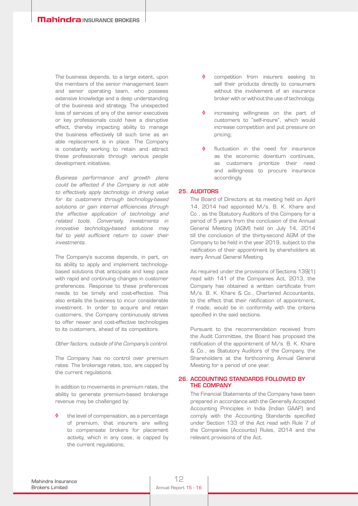The business depends, to a large extent, upon the members of the senior management team and senior operating team, who possess extensive knowledge and a deep understanding of the business and strategy. The unexpected loss of services of any of the senior executives or key professionals could have a disruptive effect, thereby impacting ability to manage the business effectively till such time as an able replacement is in place. The Company is constantly working to retain and attract these professionals through various people development initiatives.

*Business performance and growth plans could be affected if the Company is not able to effectively apply technology in driving value for its customers through technology-based solutions or gain internal efficiencies through the effective application of technology and related tools. Conversely, investments in innovative technology-based solutions may*  fail to yield sufficient return to cover their *investments.*

The Company's success depends, in part, on its ability to apply and implement technologybased solutions that anticipate and keep pace with rapid and continuing changes in customer preferences. Response to these preferences needs to be timely and cost-effective. This also entails the business to incur considerable investment. In order to acquire and retain customers, the Company continuously strives to offer newer and cost-effective technologies to its customers, ahead of its competitors.

#### *Other factors, outside of the Company's control.*

The Company has no control over premium rates. The brokerage rates, too, are capped by the current regulations.

In addition to movements in premium rates, the ability to generate premium-based brokerage revenue may be challenged by:

 $\triangle$ the level of compensation, as a percentage of premium, that insurers are willing to compensate brokers for placement activity, which in any case, is capped by the current regulations;

- $\hat{\mathbf{e}}$ competition from insurers seeking to sell their products directly to consumers without the involvement of an insurance broker with or without the use of technology.
- A increasing willingness on the part of customers to "self-insure", which would increase competition and put pressure on pricing;
- fluctuation in the need for insurance as the economic downturn continues, as customers prioritize their need and willingness to procure insurance accordingly.

#### 25. AUDITORS

The Board of Directors at its meeting held on April 14, 2014 had appointed M/s. B. K. Khare and Co., as the Statutory Auditors of the Company for a period of 5 years from the conclusion of the Annual General Meeting (AGM) held on July 14, 2014 till the conclusion of the thirty-second AGM of the Company to be held in the year 2019, subject to the ratification of their appointment by shareholders at every Annual General Meeting.

As required under the provisions of Sections 139(1) read with 141 of the Companies Act, 2013, the Company has obtained a written certificate from M/s. B. K. Khare & Co., Chartered Accountants, to the effect that their ratification of appointment, if made, would be in conformity with the criteria specified in the said sections.

Pursuant to the recommendation received from the Audit Committee, the Board has proposed the ratification of the appointment of M/s. B. K. Khare & Co., as Statutory Auditors of the Company, the Shareholders at the forthcoming Annual General Meeting for a period of one year.

#### 26. ACCOUNTING STANDARDS FOLLOWED BY THE COMPANY

The Financial Statements of the Company have been prepared in accordance with the Generally Accepted Accounting Principles in India (Indian GAAP) and comply with the Accounting Standards specified under Section 133 of the Act read with Rule 7 of the Companies (Accounts) Rules, 2014 and the relevant provisions of the Act.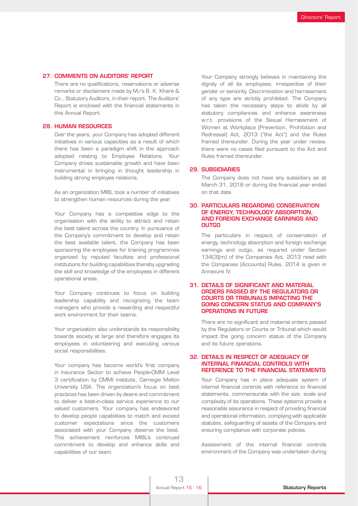#### 27. COMMENTS ON AUDITORS' REPORT

There are no qualifications, reservations or adverse remarks or disclaimers made by M/s B. K. Khare & Co., Statutory Auditors, in their report. The Auditors' Report is enclosed with the financial statements in this Annual Report.

#### 28. HUMAN RESOURCES

Over the years, your Company has adopted different initiatives in various capacities as a result of which there has been a paradigm shift in the approach adopted relating to Employee Relations. Your Company drives sustainable growth and have been instrumental in bringing in thought leadership in building strong employee relations.

As an organization MIBL took a number of initiatives to strengthen human resources during the year.

Your Company has a competitive edge to the organisation with the ability to attract and retain the best talent across the country. In pursuance of the Company's commitment to develop and retain the best available talent, the Company has been sponsoring the employees for training programmes organized by reputed faculties and professional institutions for building capabilities thereby upgrading the skill and knowledge of the employees in different operational areas.

Your Company continues to focus on building leadership capability and recognizing the team managers who provide a rewarding and respectful work environment for their teams.

Your organization also understands its responsibility towards society at large and therefore engages its employees in volunteering and executing various social responsibilities.

Your company has become world's first company in Insurance Sector to achieve People-CMM Level 3 certification by CMMI institute, Carnegie Mellon University USA. The organization's focus on best practices has been driven by desire and commitment to deliver a best-in-class service experience to our valued customers. Your company has endeavored to develop people capabilities to match and exceed customer expectations since the customers associated with your Company deserve the best. This achievement reinforces MIBL's continued commitment to develop and enhance skills and capabilities of our team.

Your Company strongly believes in maintaining the dignity of all its employees, irrespective of their gender or seniority. Discrimination and harrassment of any type are strictly prohibited. The Company has taken the necessary steps to abide by all statutory compliances and enhance awareness w.r.t. provisions of the Sexual Harrassment of Women at Workplace (Prevention, Prohibition and Redressal) Act, 2013 ("the Act") and the Rules framed thereunder. During the year under review, there were no cases filed pursuant to the Act and Rules framed thereunder.

#### 29. SUBSIDIARIES

The Company does not have any subsidiary as at March 31, 2016 or during the financial year ended on that date.

#### 30. PARTICULARS REGARDING CONSERVATION OF ENERGY, TECHNOLOGY ABSORPTION, AND FOREIGN EXCHANGE EARNINGS AND OUTGO

The particulars in respect of conservation of energy, technology absorption and foreign exchange earnings and outgo, as required under Section 134(3)(m) of the Companies Act, 2013 read with the Companies (Accounts) Rules, 2014 is given in Annexure IV.

#### 31. DETAILS OF SIGNIFICANT AND MATERIAL ORDERS PASSED BY THE REGULATORS OR COURTS OR TRIBUNALS IMPACTING THE GOING CONCERN STATUS AND COMPANY'S OPERATIONS IN FUTURE

There are no significant and material orders passed by the Regulators or Courts or Tribunal which would impact the going concern status of the Company and its future operations.

#### 32. DETAILS IN RESPECT OF ADEQUACY OF INTERNAL FINANCIAL CONTROLS WITH REFERENCE TO THE FINANCIAL STATEMENTS

Your Company has in place adequate system of internal financial controls with reference to financial statements, commensurate with the size, scale and complexity of its operations. These systems provide a reasonable assurance in respect of providing financial and operational information, complying with applicable statutes, safeguarding of assets of the Company and ensuring compliance with corporate policies.

Assessment of the internal financial controls environment of the Company was undertaken during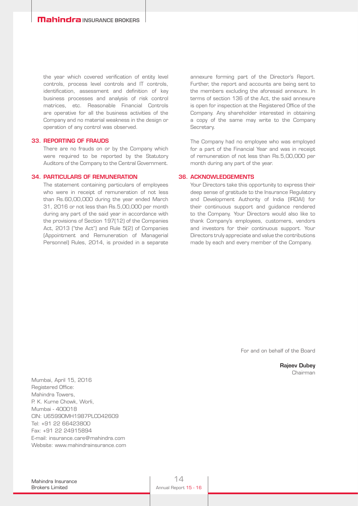the year which covered verification of entity level controls, process level controls and IT controls, identification, assessment and definition of key business processes and analysis of risk control matrices, etc. Reasonable Financial Controls are operative for all the business activities of the Company and no material weakness in the design or operation of any control was observed.

#### 33. REPORTING OF FRAUDS

There are no frauds on or by the Company which were required to be reported by the Statutory Auditors of the Company to the Central Government.

#### 34. PARTICULARS OF REMUNERATION

The statement containing particulars of employees who were in receipt of remuneration of not less than Rs.60,00,000 during the year ended March 31, 2016 or not less than Rs.5,00,000 per month during any part of the said year in accordance with the provisions of Section 197(12) of the Companies Act, 2013 ("the Act") and Rule 5(2) of Companies (Appointment and Remuneration of Managerial Personnel) Rules, 2014, is provided in a separate

annexure forming part of the Director's Report. Further, the report and accounts are being sent to the members excluding the aforesaid annexure. In terms of section 136 of the Act, the said annexure is open for inspection at the Registered Office of the Company. Any shareholder interested in obtaining a copy of the same may write to the Company Secretary.

The Company had no employee who was employed for a part of the Financial Year and was in receipt of remuneration of not less than Rs.5,00,000 per month during any part of the year.

#### 36. ACKNOWLEDGEMENTS

Your Directors take this opportunity to express their deep sense of gratitude to the Insurance Regulatory and Development Authority of India (IRDAI) for their continuous support and guidance rendered to the Company. Your Directors would also like to thank Company's employees, customers, vendors and investors for their continuous support. Your Directors truly appreciate and value the contributions made by each and every member of the Company.

For and on behalf of the Board

Rajeev Dubey Chairman

Mumbai, April 15, 2016 Registered Office: Mahindra Towers, P. K. Kurne Chowk, Worli, Mumbai - 400018 CIN: U65990MH1987PLC042609 Tel: +91 22 66423800 Fax: +91 22 24915894 E-mail: insurance.care@mahindra.com Website: www.mahindrainsurance.com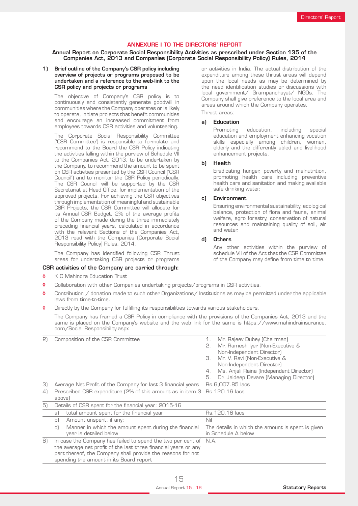#### ANNEXURE I TO THE DIRECTORS' REPORT

Annual Report on Corporate Social Responsibility Activities as prescribed under Section 135 of the Companies Act, 2013 and Companies (Corporate Social Responsibility Policy) Rules, 2014

1) Brief outline of the Company's CSR policy including overview of projects or programs proposed to be undertaken and a reference to the web-link to the CSR policy and projects or programs

The objective of Company's CSR policy is to continuously and consistently generate goodwill in communities where the Company operates or is likely to operate, initiate projects that benefit communities and encourage an increased commitment from employees towards CSR activities and volunteering.

The Corporate Social Responsibility Committee ('CSR Committee') is responsible to formulate and recommend to the Board the CSR Policy indicating the activities falling within the purview of Schedule VII to the Companies Act, 2013, to be undertaken by the Company, to recommend the amount to be spent on CSR activities presented by the CSR Council ('CSR Council') and to monitor the CSR Policy periodically. The CSR Council will be supported by the CSR Secretariat at Head Office, for implementation of the approved projects. For achieving the CSR objectives through implementation of meaningful and sustainable CSR Projects, the CSR Committee will allocate for its Annual CSR Budget, 2% of the average profits of the Company made during the three immediately preceding financial years, calculated in accordance with the relevant Sections of the Companies Act, 2013 read with the Companies (Corporate Social Responsibility Policy) Rules, 2014.

The Company has identified following CSR Thrust areas for undertaking CSR projects or programs

#### CSR activities of the Company are carried through:

- ۵ K C Mahindra Education Trust
- $\Diamond$ Collaboration with other Companies undertaking projects/programs in CSR activities.
	- $\hat{\mathbf{e}}$ Contribution / donation made to such other Organizations/ Institutions as may be permitted under the applicable laws from time-to-time.
	- ۵ Directly by the Company for fulfilling its responsibilities towards various stakeholders.

The Company has framed a CSR Policy in compliance with the provisions of the Companies Act, 2013 and the same is placed on the Company's website and the web link for the same is https://www.mahindrainsurance. com/Social Responsibility.aspx

| Mr. Rajeev Dubey (Chairman)<br>1.                                                                          |  |
|------------------------------------------------------------------------------------------------------------|--|
|                                                                                                            |  |
| Mr. Ramesh Iyer (Non-Executive &<br>2.                                                                     |  |
| Non-Independent Director)                                                                                  |  |
| Mr. V. Ravi (Non-Executive &<br>З.                                                                         |  |
| Non-Independent Director)                                                                                  |  |
| Ms. Anjali Raina (Independent Director)<br>4.                                                              |  |
| Dr. Jaideep Devare (Managing Director)<br>5.                                                               |  |
| Average Net Profit of the Company for last 3 financial years<br>Rs.6,007.85 lacs                           |  |
| Prescribed CSR expenditure (2% of this amount as in item 3 Rs. 120.16 lacs                                 |  |
|                                                                                                            |  |
| Details of CSR spent for the financial year: 2015-16                                                       |  |
| Rs. 120, 16 lacs                                                                                           |  |
| Nil                                                                                                        |  |
| Manner in which the amount spent during the financial<br>The details in which the amount is spent is given |  |
|                                                                                                            |  |
| In case the Company has failed to spend the two per cent of N.A.                                           |  |
| the average net profit of the last three financial years or any                                            |  |
| part thereof, the Company shall provide the reasons for not                                                |  |
|                                                                                                            |  |
| in Schedule A below                                                                                        |  |

or activities in India. The actual distribution of the expenditure among these thrust areas will depend upon the local needs as may be determined by the need identification studies or discussions with local government/ Grampanchayat/ NGOs. The Company shall give preference to the local area and areas around which the Company operates.

Thrust areas:

#### a) Education

Promoting education, including special education and employment enhancing vocation skills especially among children, women, elderly and the differently abled and livelihood enhancement projects.

#### b) Health

Eradicating hunger, poverty and malnutrition, promoting health care including preventive health care and sanitation and making available safe drinking water.

#### c) Environment

Ensuring environmental sustainability, ecological balance, protection of flora and fauna, animal welfare, agro forestry, conservation of natural resources and maintaining quality of soil, air and water.

#### d) Others

Any other activities within the purview of schedule VII of the Act that the CSR Committee of the Company may define from time to time.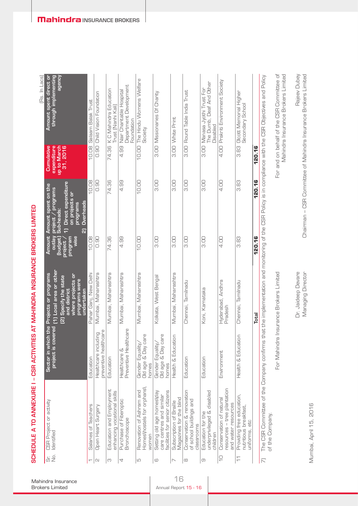SCHEDULE A TO ANNEXURE I - CSR ACTIVITIES AT MAHINDRA INSURANCE BROKERS LIMITED

| ີ້ ສົ <sup>່</sup> ຂຶ້   | CSR Project or activity<br>Identified                                                   | Sector in which the<br>project is covered          | [1] Local area or other<br>Projects or programs<br>where projects or<br>(2) Specify the state<br>programs were<br>and district<br>undertaken | Overheads<br>programs<br>Sub-heads:<br>ລົ<br>Amount<br>wise<br>program<br>outlay<br>(budget)<br>project, | Direct expenditure<br>Amount spent on the<br>project / programs<br>on projects or | 31, 2016<br>Cumulative<br>expenditure<br>up to March                             | through implementing<br>Amount spent direct or<br>agency |
|--------------------------|-----------------------------------------------------------------------------------------|----------------------------------------------------|----------------------------------------------------------------------------------------------------------------------------------------------|----------------------------------------------------------------------------------------------------------|-----------------------------------------------------------------------------------|----------------------------------------------------------------------------------|----------------------------------------------------------|
| $\overline{\phantom{0}}$ | Salaries of Teachers                                                                    | Education                                          | Pahar Ganj, New Delhi                                                                                                                        | 10.08                                                                                                    | 10.08                                                                             | Salaam Balak Trust<br>10.08                                                      |                                                          |
| CU                       | Open Heart Surgery                                                                      | ncare<br>Healthcare including<br>preventive health | Mumbai, Maharashtra                                                                                                                          | 0.90                                                                                                     | 8<br>0.90                                                                         | O.90 Child Vision Foundation                                                     |                                                          |
| m                        | Education and Employment<br>enhancing vocational skills                                 | Education                                          | Mumbai, Maharashtra                                                                                                                          | 74.36                                                                                                    | 74.36                                                                             | K C Mahindra Education<br>Trust (Nanhi Kali)<br>74.36                            |                                                          |
| 4                        | Purchase of Fiberoptii<br>Bronchoscope                                                  | Healthcare &<br>Preventive Healthcare              | Mumbai, Maharashtra                                                                                                                          | 4.99                                                                                                     | 4.99                                                                              | Department Development<br>Nair Charitable Hospital<br>Foundation<br>4.99         |                                                          |
| LŊ                       | Homes\hostels for orphans\<br>Renovation of Ashram and<br>womer                         | Old age & Day care<br>Gender Equality/<br>homes    | Mumbai, Maharashtra                                                                                                                          | 10.00                                                                                                    | 10.00                                                                             | The Hindu Womens Welfare<br>Society<br>10.00                                     |                                                          |
| $\odot$                  | facilities for senior citizens<br>Setting old age homes\day<br>care centres and similar | Gender Equality/<br>Old age & Day care<br>homes    | Kolkata, West Bengal                                                                                                                         | $\frac{1}{3}$                                                                                            | $\frac{1}{3}$                                                                     | 3.00 Missionaries Of Charity                                                     |                                                          |
| $\overline{\phantom{1}}$ | Magazines for the blind<br>Subscription of Braille                                      | ion<br>Health & Educat                             | Mumbai, Maharashtra                                                                                                                          | $\frac{0}{3}$                                                                                            | $\frac{1}{3}$                                                                     | 3.00 White Print                                                                 |                                                          |
| $\infty$                 | Conservation & renovation<br>of school buildings and<br>classrooms                      | Education                                          | Chennai, Tamilnadu                                                                                                                           | 3.00                                                                                                     | $\frac{1}{3}$                                                                     | 3.00 Round Table India Trust                                                     |                                                          |
| $\sigma$                 | Education for the<br>underprivileged & disabled<br>children                             | Education                                          | Koni, Karnataka                                                                                                                              | 3.00                                                                                                     | 3.00                                                                              | The Dumb, Deaf And Other<br>Manasa Jyothi Trust For<br>Disabled<br>$\frac{1}{3}$ |                                                          |
| $\cup$                   | resources - tree plantation<br>Conservation of natural<br>and water resources           | Environment                                        | Hyderabad, Andhra<br>Pradesh                                                                                                                 | 4.00                                                                                                     | 4.00                                                                              | Prakriti Environment Society<br>4.00                                             |                                                          |
| $\overline{\phantom{0}}$ | Providing free education,<br>nutritious breakfast,<br>uniforms, etc                     | Ξ<br>Educati<br>Health &                           | Chennai, Tamilnadu                                                                                                                           | 3.83                                                                                                     | 3.83                                                                              | Olcott Memorial Higher<br>Secondary School<br>3.83                               |                                                          |
|                          |                                                                                         |                                                    | Total                                                                                                                                        | 120.16                                                                                                   | 120.16                                                                            | 120.16                                                                           |                                                          |

Managing Director Chairman – CSR Committee of Mahindra Insurance Brokers Limited Dr. Jaideep Devare<br>Managing Director Mumbai, April 15, 2016 Mumbai, April 15, 2016

Dr. Jaideep Devare Rajeev Dubey

Rajeev Dubey<br>Chairman - CSR Committee of Mahindra Insurance Brokers Limited

Annual Report 15 - 16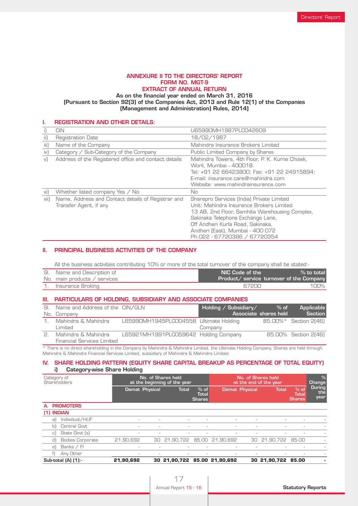#### ANNEXURE II TO THE DIRECTORS' REPORT FORM NO. MGT-9 EXTRACT OF ANNUAL RETURN

As on the financial year ended on March 31, 2016 [Pursuant to Section 92(3) of the Companies Act, 2013 and Rule 12(1) of the Companies (Management and Administration) Rules, 2014]

#### I. REGISTRATION AND OTHER DETAILS:

| i)   | CIN                                                                          | U65990MH1987PLC042609                                                                                                                                                                                                                                                                 |
|------|------------------------------------------------------------------------------|---------------------------------------------------------------------------------------------------------------------------------------------------------------------------------------------------------------------------------------------------------------------------------------|
| ii)  | <b>Registration Date</b>                                                     | 18/02/1987                                                                                                                                                                                                                                                                            |
| iii) | Name of the Company                                                          | Mahindra Insurance Brokers Limited                                                                                                                                                                                                                                                    |
| iv)  | Category / Sub-Category of the Company                                       | Public Limited Company by Shares                                                                                                                                                                                                                                                      |
| V    | Address of the Registered office and contact details                         | Mahindra Towers, 4th Floor, P. K. Kurne Chowk,<br>Worli, Mumbai - 400018.<br>Tel: +91 22 66423800; Fax: +91 22 24915894;<br>E-mail: insurance.care@mahindra.com<br>Website: www.mahindrainsurance.com                                                                                 |
| vi)  | Whether listed company Yes / No                                              | No                                                                                                                                                                                                                                                                                    |
| vii) | Name, Address and Contact details of Registrar and<br>Transfer Agent, if any | Sharepro Services (India) Private Limited<br>Unit: Mahindra Insurance Brokers Limited<br>13 AB, 2nd Floor, Samhita Warehousing Complex,<br>Sakinaka Telephone Exchange Lane,<br>Off Andheri Kurla Road, Sakinaka.<br>Andheri (East), Mumbai - 400 072<br>Ph.022 - 67720386 / 67720354 |

#### II. PRINCIPAL BUSINESS ACTIVITIES OF THE COMPANY

All the business activities contributing 10% or more of the total turnover of the company shall be stated:-

| SI. Name and Description of  | NIC Code of the | $%$ to total                             |
|------------------------------|-----------------|------------------------------------------|
| No. main products / services |                 | Product/ service turnover of the Company |
| 1. Insurance Broking         | 67200           | 100%                                     |

#### III. PARTICULARS OF HOLDING, SUBSIDIARY AND ASSOCIATE COMPANIES

|   | SI. Name and Address of the CIN/GLN<br>No. Company       |                                        | Holding / Subsidiary/ | $%$ of<br>Associate shares held | Applicable<br><b>Section</b> |
|---|----------------------------------------------------------|----------------------------------------|-----------------------|---------------------------------|------------------------------|
|   | 1. Mahindra & Mahindra<br>Limited                        | L65990MH1945PLC004558 Ultimate Holding | Company               |                                 | 85.00%* Section 2(46)        |
| 2 | Mahindra & Mahindra<br><b>Financial Services Limited</b> | L65921MH1991PLCO59642 Holding Company  |                       |                                 | 85.00% Section 2(46)         |

\* There is no direct shareholding in the Company by Mahindra & Mahindra Limited, the Ultimate Holding Company. Shares are held through Mahindra & Mahindra Financial Services Limited, subsidiary of Mahindra & Mahindra Limited.

#### IV. SHARE HOLDING PATTERN (EQUITY SHARE CAPITAL BREAKUP AS PERCENTAGE OF TOTAL EQUITY) i) Category-wise Share Holding

| Category of<br>Shareholders   | No. of Shares held<br>at the beginning of the year |                       |                              | No. of Shares held<br>at the end of the year |  |                          |                    | $\frac{0}{2}$<br><b>Change</b>          |                        |
|-------------------------------|----------------------------------------------------|-----------------------|------------------------------|----------------------------------------------|--|--------------------------|--------------------|-----------------------------------------|------------------------|
|                               |                                                    | <b>Demat Physical</b> | <b>Total</b>                 | $%$ of<br>Total<br><b>Shares</b>             |  | <b>Demat Physical</b>    | <b>Total</b>       | $%$ of<br><b>Total</b><br><b>Shares</b> | During,<br>the<br>year |
| <b>PROMOTERS</b><br>А.        |                                                    |                       |                              |                                              |  |                          |                    |                                         |                        |
| $(1)$ INDIAN                  |                                                    |                       |                              |                                              |  |                          |                    |                                         |                        |
| Individual/HUF<br>al          | $\overline{\phantom{a}}$                           |                       | $\overline{\phantom{a}}$     |                                              |  | $\overline{\phantom{a}}$ |                    |                                         |                        |
| Central Govt<br>bì            | $\overline{\phantom{0}}$                           |                       | $\overline{\phantom{a}}$     |                                              |  |                          |                    |                                         |                        |
| State Govt (s)<br>c)          | $\overline{\phantom{0}}$                           |                       |                              |                                              |  |                          |                    |                                         |                        |
| <b>Bodies Corporate</b><br>d) | 21.90.692                                          | 30                    | 21.90.722 85.00 21.90.692    |                                              |  |                          | 30 21.90.722 85.00 |                                         |                        |
| Banks $/$ Fl<br>e)            | $\overline{\phantom{a}}$                           |                       |                              |                                              |  |                          |                    |                                         |                        |
| Any Other                     |                                                    |                       |                              |                                              |  |                          |                    |                                         |                        |
| Sub-total $(A)$ $(1)$ :-      | 21,90,692                                          |                       | 30 21,90,722 85.00 21,90,692 |                                              |  |                          | 30 21,90,722 85.00 |                                         |                        |

Annual Report 15 - 16 17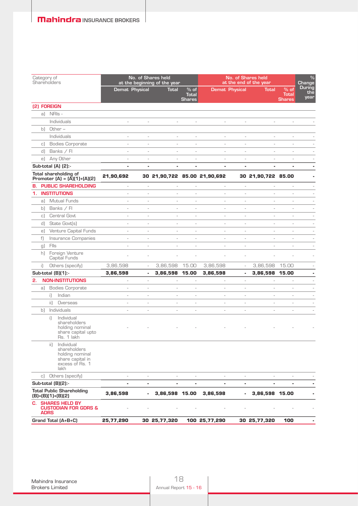|    |    | Category of<br>Shareholders                                                                         |                          |                          | No. of Shares held<br>at the beginning of the year |                                  |                          |                              | No. of Shares held<br>at the end of the year |                                         | $\frac{9}{6}$<br>Change      |
|----|----|-----------------------------------------------------------------------------------------------------|--------------------------|--------------------------|----------------------------------------------------|----------------------------------|--------------------------|------------------------------|----------------------------------------------|-----------------------------------------|------------------------------|
|    |    |                                                                                                     | <b>Demat Physical</b>    |                          | <b>Total</b>                                       | $%$ of<br>Total<br><b>Shares</b> |                          | <b>Demat Physical</b>        | <b>Total</b>                                 | $%$ of<br><b>Total</b><br><b>Shares</b> | <b>During</b><br>the<br>year |
|    |    | (2) FOREIGN                                                                                         |                          |                          |                                                    |                                  |                          |                              |                                              |                                         |                              |
|    |    | a) NRIs-                                                                                            |                          |                          |                                                    |                                  |                          |                              |                                              |                                         |                              |
|    |    | Individuals                                                                                         | $\overline{a}$           |                          |                                                    | ÷,                               |                          | $\overline{a}$               |                                              |                                         |                              |
|    | b) | Other -                                                                                             |                          |                          |                                                    |                                  |                          |                              |                                              |                                         |                              |
|    |    | Individuals                                                                                         | $\overline{\phantom{a}}$ | $\overline{\phantom{0}}$ | ÷                                                  | $\qquad \qquad$                  | $\overline{\phantom{0}}$ | $\qquad \qquad -$            | $\overline{\phantom{a}}$                     | $\overline{a}$                          |                              |
|    | C) | <b>Bodies Corporate</b>                                                                             | $\qquad \qquad -$        | $\qquad \qquad -$        | $\qquad \qquad -$                                  | $\overline{\phantom{a}}$         | $\overline{\phantom{0}}$ | $\overline{\phantom{a}}$     | $\overline{\phantom{a}}$                     | $\overline{\phantom{m}}$                |                              |
|    | d) | Banks / Fl                                                                                          | $\overline{\phantom{a}}$ | $\overline{\phantom{a}}$ | $\overline{\phantom{a}}$                           | $\overline{\phantom{a}}$         | $\overline{\phantom{a}}$ | $\overline{\phantom{a}}$     | $\overline{\phantom{a}}$                     | $\overline{\phantom{a}}$                |                              |
|    | e) | Any Other                                                                                           | $\overline{a}$           | $\overline{\phantom{a}}$ | $\overline{\phantom{a}}$                           | $\overline{\phantom{a}}$         | $\overline{\phantom{a}}$ | $\overline{\phantom{a}}$     | $\overline{a}$                               | $\overline{\phantom{a}}$                |                              |
|    |    | Sub-total (A) (2):-                                                                                 | $\blacksquare$           | $\blacksquare$           | $\blacksquare$                                     | $\blacksquare$                   | $\blacksquare$           | $\blacksquare$               | $\blacksquare$                               | $\blacksquare$                          |                              |
|    |    | Total shareholding of<br>Promoter $(A) = (\bar{A})(1)+(A)(2)$                                       | 21,90,692                |                          | 30 21,90,722 85.00 21,90,692                       |                                  |                          |                              | 30 21,90,722 85.00                           |                                         |                              |
|    |    | <b>B. PUBLIC SHAREHOLDING</b>                                                                       | $\overline{\phantom{a}}$ | $\overline{a}$           | $\overline{a}$                                     | $\overline{\phantom{a}}$         | $\overline{a}$           | $\overline{\phantom{a}}$     | $\overline{a}$                               | $\overline{a}$                          |                              |
| 1. |    | <b>INSTITUTIONS</b>                                                                                 | $\overline{a}$           | $\overline{a}$           | $\overline{a}$                                     | $\overline{a}$                   | $\overline{a}$           | $\overline{\phantom{a}}$     | L.                                           | $\overline{a}$                          |                              |
|    | al | Mutual Funds                                                                                        | $\overline{\phantom{a}}$ | ÷                        |                                                    | i.                               |                          |                              |                                              | ÷                                       |                              |
|    | b) | Banks / Fl                                                                                          | $\overline{\phantom{a}}$ | $\overline{\phantom{0}}$ | $\overline{\phantom{a}}$                           | $\overline{\phantom{a}}$         | $\overline{a}$           | $\overline{\phantom{a}}$     | $\overline{\phantom{a}}$                     | $\overline{a}$                          |                              |
|    | c) | Central Govt                                                                                        | $\overline{\phantom{a}}$ | $\overline{\phantom{0}}$ | $\frac{1}{2}$                                      | $\overline{\phantom{a}}$         | $\overline{\phantom{m}}$ | ÷                            | $\overline{\phantom{m}}$                     | $\overline{\phantom{0}}$                |                              |
|    | d) | State Govt(s)                                                                                       | $\overline{\phantom{a}}$ | $\overline{\phantom{0}}$ | $\overline{\phantom{a}}$                           | $\overline{\phantom{a}}$         | $\overline{\phantom{m}}$ | $\overline{\phantom{a}}$     | $\overline{\phantom{a}}$                     | $\overline{\phantom{0}}$                |                              |
|    | e) | Venture Capital Funds                                                                               | $\overline{\phantom{a}}$ | $\overline{\phantom{a}}$ | $\overline{\phantom{a}}$                           | $\overline{\phantom{a}}$         | $\overline{a}$           | $\overline{\phantom{a}}$     | $\overline{\phantom{a}}$                     | $\overline{\phantom{0}}$                |                              |
|    | f) | Insurance Companies                                                                                 | $\overline{\phantom{a}}$ | $\overline{\phantom{0}}$ | $\overline{a}$                                     | $\overline{\phantom{a}}$         | $\overline{a}$           | $\overline{a}$               | $\overline{\phantom{a}}$                     | $\overline{a}$                          |                              |
|    | g) | Flls                                                                                                | $\overline{\phantom{a}}$ | $\overline{a}$           | $\overline{a}$                                     | $\overline{\phantom{a}}$         | $\overline{a}$           | $\overline{\phantom{a}}$     | ÷                                            | $\overline{a}$                          |                              |
|    | h) | Foreign Venture<br>Capital Funds                                                                    | $\overline{a}$           | $\overline{\phantom{a}}$ | $\frac{1}{2}$                                      | $\overline{\phantom{a}}$         | $\overline{a}$           | $\frac{1}{2}$                | ÷,                                           | L,                                      |                              |
|    | i) | Others (specify)                                                                                    | 3,86,598                 | $\sim$                   | 3,86,598                                           | 15.00                            | 3,86,598                 | $\overline{\phantom{a}}$     | 3,86,598                                     | 15.00                                   |                              |
|    |    | Sub-total (B)(1):-                                                                                  | 3,86,598                 | $\blacksquare$           | 3,86,598                                           | 15.00                            | 3,86,598                 | $\qquad \qquad \blacksquare$ | 3,86,598                                     | 15.00                                   |                              |
| 2. |    | <b>NON-INSTITUTIONS</b>                                                                             | $\overline{\phantom{a}}$ | $\overline{\phantom{a}}$ | ÷                                                  | ÷,                               | $\overline{a}$           | $\overline{\phantom{a}}$     |                                              | i,                                      |                              |
|    | a) | <b>Bodies Corporate</b>                                                                             | $\overline{\phantom{a}}$ | $\overline{\phantom{a}}$ | $\overline{\phantom{a}}$                           | $\overline{\phantom{a}}$         | $\overline{\phantom{0}}$ | $\frac{1}{2}$                | ÷,                                           | $\overline{\phantom{m}}$                |                              |
|    |    | i)<br>Indian                                                                                        | $\overline{\phantom{a}}$ | $\overline{\phantom{a}}$ | $\overline{\phantom{a}}$                           | $\overline{\phantom{a}}$         | $\overline{\phantom{a}}$ | $\frac{1}{2}$                | $\overline{\phantom{m}}$                     | $\overline{\phantom{a}}$                |                              |
|    |    | ii)<br>Overseas                                                                                     | $\overline{\phantom{a}}$ | $\overline{\phantom{a}}$ | $\overline{\phantom{a}}$                           | $\overline{\phantom{a}}$         | $\overline{\phantom{a}}$ | $\overline{a}$               | $\overline{a}$                               | ÷                                       |                              |
|    | b  | Individuals<br>Individual                                                                           | $\overline{\phantom{a}}$ | $\overline{\phantom{a}}$ | $\overline{\phantom{a}}$                           | $\overline{\phantom{a}}$         | $\overline{a}$           | $\overline{a}$               | $\overline{a}$                               | ÷                                       |                              |
|    |    | i)<br>shareholders<br>holding nominal<br>share capital upto<br>Rs. 1 lakh                           |                          |                          |                                                    |                                  |                          |                              |                                              |                                         |                              |
|    |    | Individual<br>ii)<br>shareholders<br>holding nominal<br>share capital in<br>excess of Rs. 1<br>lakh |                          |                          |                                                    |                                  |                          |                              |                                              |                                         |                              |
|    | c) | Others (specify)                                                                                    |                          |                          |                                                    |                                  |                          |                              |                                              |                                         |                              |
|    |    | $Sub$ -total $(B)(2)$ :-                                                                            |                          | $\blacksquare$           |                                                    |                                  |                          |                              |                                              |                                         |                              |
|    |    | <b>Total Public Shareholding</b><br>$(B)=(B)(1)+(B)(2)$                                             | 3,86,598                 | $\blacksquare$           | 3,86,598 15.00                                     |                                  | 3,86,598                 | ٠                            | 3,86,598 15.00                               |                                         |                              |
|    |    | <b>C. SHARES HELD BY</b><br><b>CUSTODIAN FOR GDRS &amp;</b><br><b>ADRS</b>                          |                          |                          |                                                    |                                  |                          |                              |                                              |                                         |                              |
|    |    | Grand Total (A+B+C)                                                                                 | 25,77,290                |                          | 30 25,77,320                                       |                                  | 100 25,77,290            |                              | 30 25,77,320                                 | 100                                     |                              |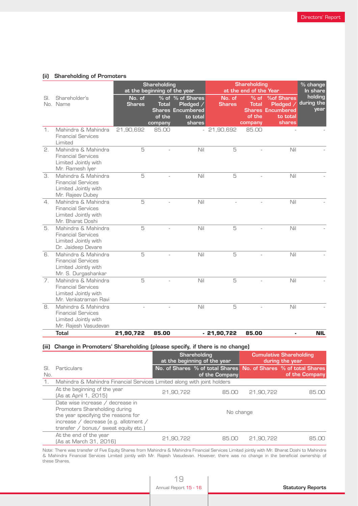#### (ii) Shareholding of Promoters

|                |                                                                                                  | <b>Shareholding</b><br>at the beginning of the year |                                   |                                                                                 | <b>Shareholding</b>     | at the end of the Year                      | % change<br>In share                                                             |                               |
|----------------|--------------------------------------------------------------------------------------------------|-----------------------------------------------------|-----------------------------------|---------------------------------------------------------------------------------|-------------------------|---------------------------------------------|----------------------------------------------------------------------------------|-------------------------------|
| SI.            | Shareholder's<br>No. Name                                                                        | No. of<br><b>Shares</b>                             | <b>Total</b><br>of the<br>company | % of % of Shares<br>Pledged /<br><b>Shares Encumbered</b><br>to total<br>shares | No. of<br><b>Shares</b> | $%$ of<br><b>Total</b><br>of the<br>company | <b>%of Shares</b><br>Pledged /<br><b>Shares Encumbered</b><br>to total<br>shares | holding<br>during the<br>year |
| $\mathbf{1}$ . | Mahindra & Mahindra<br><b>Financial Services</b><br>Limited                                      | 21,90,692                                           | 85.00                             | $\sim$                                                                          | 21,90,692               | 85.00                                       |                                                                                  |                               |
| 2.             | Mahindra & Mahindra<br><b>Financial Services</b><br>Limited Jointly with<br>Mr. Ramesh Iyer      | 5                                                   | $\overline{a}$                    | Nil                                                                             | 5                       |                                             | Nil                                                                              |                               |
| З.             | Mahindra & Mahindra<br><b>Financial Services</b><br>Limited Jointly with<br>Mr. Rajeev Dubey     | 5                                                   |                                   | Nil                                                                             | 5                       |                                             | Nil                                                                              |                               |
| 4.             | Mahindra & Mahindra<br><b>Financial Services</b><br>Limited Jointly with<br>Mr. Bharat Doshi     | 5                                                   |                                   | Nil                                                                             |                         |                                             | Nil                                                                              |                               |
| 5.             | Mahindra & Mahindra<br><b>Financial Services</b><br>Limited Jointly with<br>Dr. Jaideep Devare   | 5                                                   |                                   | Nil                                                                             | 5                       |                                             | Nil                                                                              |                               |
| 6.             | Mahindra & Mahindra<br><b>Financial Services</b><br>Limited Jointly with<br>Mr. S. Durgashankar  | 5                                                   |                                   | Nil                                                                             | 5                       |                                             | Nil                                                                              |                               |
| 7.             | Mahindra & Mahindra<br><b>Financial Services</b><br>Limited Jointly with<br>Mr. Venkatraman Ravi | 5                                                   |                                   | Nil                                                                             | 5                       |                                             | Nil                                                                              |                               |
| 8.             | Mahindra & Mahindra<br><b>Financial Services</b><br>Limited Jointly with<br>Mr. Rajesh Vasudevan |                                                     |                                   | Nil                                                                             | 5                       |                                             | Nil                                                                              |                               |
|                | <b>Total</b>                                                                                     | 21,90,722                                           | 85.00                             |                                                                                 | $-21,90,722$            | 85.00                                       | ٠                                                                                | <b>NIL</b>                    |

(iii) Change in Promoters' Shareholding (please specify, if there is no change)

|            |                                                                                                                                                                                                |           | <b>Shareholding</b><br>at the beginning of the year                               | <b>Cumulative Shareholding</b><br>during the year |                |  |
|------------|------------------------------------------------------------------------------------------------------------------------------------------------------------------------------------------------|-----------|-----------------------------------------------------------------------------------|---------------------------------------------------|----------------|--|
| SI.<br>No. | Particulars                                                                                                                                                                                    |           | No. of Shares % of total Shares No. of Shares % of total Shares<br>of the Company |                                                   | of the Company |  |
| 1.         | Mahindra & Mahindra Financial Services Limited along with joint holders                                                                                                                        |           |                                                                                   |                                                   |                |  |
|            | At the beginning of the year<br>(As at April 1, 2015)                                                                                                                                          | 21,90,722 | 85.00                                                                             | 21.90.722                                         | 85.00          |  |
|            | Date wise increase / decrease in<br>Promoters Shareholding during<br>the year specifying the reasons for<br>increase / decrease [e.g. allotment /<br>transfer $/$ bonus $/$ sweat equity etc.) |           | No change                                                                         |                                                   |                |  |
|            | At the end of the year<br>(As at March 31, 2016)                                                                                                                                               | 21.90.722 | 85.00                                                                             | 21,90,722                                         | 85.00          |  |

Note: There was transfer of Five Equity Shares from Mahindra & Mahindra Financial Services Limited jointly with Mr. Bharat Doshi to Mahindra & Mahindra Financial Services Limited jointly with Mr. Rajesh Vasudevan. However, there was no change in the beneficial ownership of these Shares.

#### Annual Report 15 - 16 19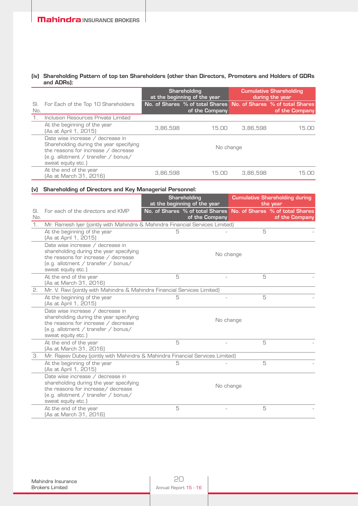#### (iv) Shareholding Pattern of top ten Shareholders (other than Directors, Promoters and Holders of GDRs and ADRs):

|            |                                                                                                                                                                                   |          | <b>Shareholding</b><br>at the beginning of the year                               | <b>Cumulative Shareholding</b><br>during the year |                |
|------------|-----------------------------------------------------------------------------------------------------------------------------------------------------------------------------------|----------|-----------------------------------------------------------------------------------|---------------------------------------------------|----------------|
| SI.<br>No. | For Each of the Top 10 Shareholders                                                                                                                                               |          | No. of Shares % of total Shares No. of Shares % of total Shares<br>of the Company |                                                   | of the Company |
|            | Inclusion Resources Private Limited                                                                                                                                               |          |                                                                                   |                                                   |                |
|            | At the beginning of the year<br>(As at April 1, 2015)                                                                                                                             | 3.86.598 | 15.00                                                                             | 3.86.598                                          | 15.00          |
|            | Date wise increase / decrease in<br>Shareholding during the year specifying<br>the reasons for increase $/$ decrease<br>(e.g. allotment / transfer / bonus/<br>sweat equity etc.) |          | No change                                                                         |                                                   |                |
|            | At the end of the year<br>(As at March 31, 2016)                                                                                                                                  | 3.86.598 | 15.00                                                                             | 3.86.598                                          | 15.00          |

#### (v) Shareholding of Directors and Key Managerial Personnel:

|            |                                                                                                                                                                                        |   | <b>Shareholding</b><br>at the beginning of the year                               |   | <b>Cumulative Shareholding during</b><br>the year |
|------------|----------------------------------------------------------------------------------------------------------------------------------------------------------------------------------------|---|-----------------------------------------------------------------------------------|---|---------------------------------------------------|
| SI.<br>No. | For each of the directors and KMP                                                                                                                                                      |   | No. of Shares % of total Shares No. of Shares % of total Shares<br>of the Company |   | of the Company                                    |
| 1.         | Mr. Ramesh Iyer (jointly with Mahindra & Mahindra Financial Services Limited)                                                                                                          |   |                                                                                   |   |                                                   |
|            | At the beginning of the year<br>(As at April 1, 2015)                                                                                                                                  | 5 |                                                                                   | 5 |                                                   |
|            | Date wise increase / decrease in<br>shareholding during the year specifying<br>the reasons for increase $\prime$ decrease<br>(e.g. allotment / transfer / bonus/<br>sweat equity etc.) |   | No change                                                                         |   |                                                   |
|            | At the end of the year<br>(As at March 31, 2016)                                                                                                                                       | 5 |                                                                                   | 5 |                                                   |
| 2.         | Mr. V. Ravi (jointly with Mahindra & Mahindra Financial Services Limited)                                                                                                              |   |                                                                                   |   |                                                   |
|            | At the beginning of the year<br>(As at April 1, 2015)                                                                                                                                  | 5 |                                                                                   | 5 |                                                   |
|            | Date wise increase / decrease in<br>shareholding during the year specifying<br>the reasons for increase / decrease<br>(e.g. allotment / transfer / bonus/<br>sweat equity etc.)        |   | No change                                                                         |   |                                                   |
|            | At the end of the year<br>(As at March 31, 2016)                                                                                                                                       | 5 |                                                                                   | 5 |                                                   |
| З.         | Mr. Rajeev Dubey (jointly with Mahindra & Mahindra Financial Services Limited)                                                                                                         |   |                                                                                   |   |                                                   |
|            | At the beginning of the year<br>(As at April 1, 2015)                                                                                                                                  | 5 |                                                                                   | 5 |                                                   |
|            | Date wise increase / decrease in<br>shareholding during the year specifying<br>the reasons for increase/ decrease<br>(e.g. allotment / transfer / bonus/<br>sweat equity etc.)         |   | No change                                                                         |   |                                                   |
|            | At the end of the year<br>(As at March 31, 2016)                                                                                                                                       | 5 |                                                                                   | 5 |                                                   |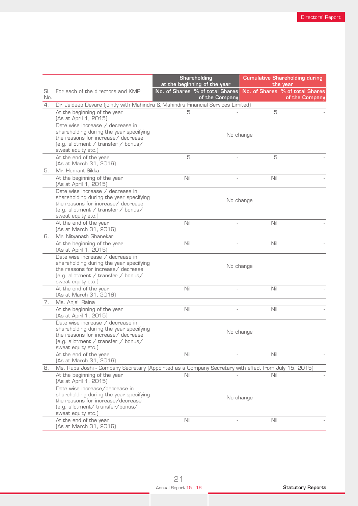|            |                                                                                                                                                                                | <b>Shareholding</b><br>at the beginning of the year |                | <b>Cumulative Shareholding during</b><br>the year |                                                                                   |
|------------|--------------------------------------------------------------------------------------------------------------------------------------------------------------------------------|-----------------------------------------------------|----------------|---------------------------------------------------|-----------------------------------------------------------------------------------|
| SI.<br>No. | For each of the directors and KMP                                                                                                                                              |                                                     | of the Company |                                                   | No. of Shares % of total Shares No. of Shares % of total Shares<br>of the Company |
| 4.         | Dr. Jaideep Devare (jointly with Mahindra & Mahindra Financial Services Limited)                                                                                               |                                                     |                |                                                   |                                                                                   |
|            | At the beginning of the year<br>(As at April 1, 2015)                                                                                                                          | 5                                                   |                | 5                                                 |                                                                                   |
|            | Date wise increase / decrease in<br>shareholding during the year specifying<br>the reasons for increase/ decrease<br>(e.g. allotment / transfer / bonus/<br>sweat equity etc.) |                                                     | No change      |                                                   |                                                                                   |
|            | At the end of the year<br>(As at March 31, 2016)                                                                                                                               | 5                                                   |                | 5                                                 |                                                                                   |
| 5.         | Mr. Hemant Sikka                                                                                                                                                               |                                                     |                |                                                   |                                                                                   |
|            | At the beginning of the year<br>(As at April 1, 2015)                                                                                                                          | Nil                                                 |                | Nil                                               |                                                                                   |
|            | Date wise increase / decrease in<br>shareholding during the year specifying<br>the reasons for increase/ decrease<br>(e.g. allotment / transfer / bonus/<br>sweat equity etc.) |                                                     | No change      |                                                   |                                                                                   |
|            | At the end of the year<br>(As at March 31, 2016)                                                                                                                               | Nil                                                 | L,             | Nil                                               |                                                                                   |
| 6.         | Mr. Nityanath Ghanekar                                                                                                                                                         |                                                     |                |                                                   |                                                                                   |
|            | At the beginning of the year<br>(As at April 1, 2015)                                                                                                                          | Nil                                                 |                | Nil                                               |                                                                                   |
|            | Date wise increase / decrease in<br>shareholding during the year specifying<br>the reasons for increase/ decrease<br>(e.g. allotment / transfer / bonus/<br>sweat equity etc.) |                                                     | No change      |                                                   |                                                                                   |
|            | At the end of the year<br>(As at March 31, 2016)                                                                                                                               | Nil                                                 |                | Nil                                               |                                                                                   |
| 7.         | Ms. Anjali Raina                                                                                                                                                               |                                                     |                |                                                   |                                                                                   |
|            | At the beginning of the year<br>(As at April 1, 2015)                                                                                                                          | Nil                                                 |                | Nil                                               |                                                                                   |
|            | Date wise increase / decrease in<br>shareholding during the year specifying<br>the reasons for increase/ decrease<br>(e.g. allotment / transfer / bonus/<br>sweat equity etc.) |                                                     | No change      |                                                   |                                                                                   |
|            | At the end of the year<br>(As at March 31, 2016)                                                                                                                               | Nil                                                 |                | Nil                                               |                                                                                   |
| 8.         | Ms. Rupa Joshi - Company Secretary (Appointed as a Company Secretary with effect from July 15, 2015)                                                                           |                                                     |                |                                                   |                                                                                   |
|            | At the beginning of the year<br>(As at April 1, 2015)                                                                                                                          | Nil                                                 |                | Nil                                               |                                                                                   |
|            | Date wise increase/decrease in<br>shareholding during the year specifying<br>the reasons for increase/decrease<br>(e.g. allotment/ transfer/bonus/<br>sweat equity etc.)       |                                                     | No change      |                                                   |                                                                                   |
|            | At the end of the year<br>(As at March 31, 2016)                                                                                                                               | Nil                                                 |                | Nil                                               |                                                                                   |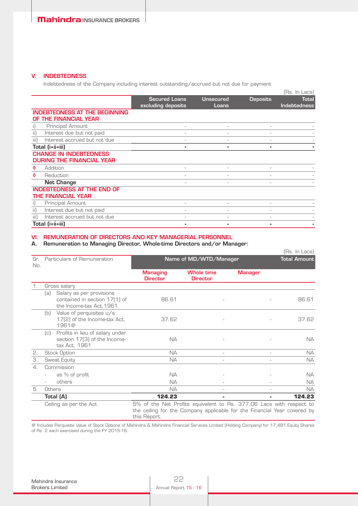#### V. INDEBTEDNESS

Indebtedness of the Company including interest outstanding/accrued but not due for payment

|      |                                                               |                                            |                           |                 | (Rs. In Lacs)                |
|------|---------------------------------------------------------------|--------------------------------------------|---------------------------|-----------------|------------------------------|
|      |                                                               | <b>Secured Loans</b><br>excluding deposits | <b>Unsecured</b><br>Loans | <b>Deposits</b> | <b>Total</b><br>Indebtedness |
|      | <b>INDEBTEDNESS AT THE BEGINNING</b><br>OF THE FINANCIAL YEAR |                                            |                           |                 |                              |
| i)   | Principal Amount                                              | $\overline{\phantom{0}}$                   |                           |                 |                              |
| ii)  | Interest due but not paid                                     | -                                          | $\overline{\phantom{a}}$  |                 |                              |
| iii) | Interest accrued but not due                                  | $\overline{\phantom{0}}$                   |                           |                 |                              |
|      | Total (i+ii+iii)                                              | ٠                                          | ۰                         |                 |                              |
|      | <b>CHANGE IN INDEBTEDNESS</b>                                 |                                            |                           |                 |                              |
|      | <b>DURING THE FINANCIAL YEAR</b>                              |                                            |                           |                 |                              |
| ◈    | Addition                                                      |                                            |                           |                 |                              |
| ♦    | Reduction                                                     |                                            |                           |                 |                              |
|      | <b>Net Change</b>                                             |                                            |                           |                 |                              |
|      | <b>INDEBTEDNESS AT THE END OF</b>                             |                                            |                           |                 |                              |
|      | <b>THE FINANCIAL YEAR</b>                                     |                                            |                           |                 |                              |
| i)   | Principal Amount                                              | -                                          |                           |                 |                              |
| ii)  | Interest due but not paid                                     | $\overline{\phantom{0}}$                   |                           |                 |                              |
| iii) | Interest accrued but not due                                  | ۰                                          |                           |                 |                              |
|      | Total (i+ii+iii)                                              | ٠                                          |                           |                 |                              |

#### VI. REMUNERATION OF DIRECTORS AND KEY MANAGERIAL PERSONNEL

A. Remuneration to Managing Director, Whole-time Directors and/or Manager:

|     |                                                                                                       |                                    |                                                                                                                                                 |                | (Rs. In Lacs)       |
|-----|-------------------------------------------------------------------------------------------------------|------------------------------------|-------------------------------------------------------------------------------------------------------------------------------------------------|----------------|---------------------|
| Sr. | Particulars of Remuneration                                                                           |                                    | Name of MD/WTD/Manager                                                                                                                          |                | <b>Total Amount</b> |
| No. |                                                                                                       |                                    |                                                                                                                                                 |                |                     |
|     |                                                                                                       | <b>Managing</b><br><b>Director</b> | <b>Whole time</b><br><b>Director</b>                                                                                                            | <b>Manager</b> |                     |
| 1.  | Gross salary                                                                                          |                                    |                                                                                                                                                 |                |                     |
|     | Salary as per provisions<br>(a)<br>contained in section 17(1) of<br>the Income-tax Act, 1961          | 86.61                              |                                                                                                                                                 |                | 86.61               |
|     | Value of perquisites u/s<br>(b)<br>17(2) of the Income-tax Act,<br>1961@                              | 37.62                              |                                                                                                                                                 |                | 37.62               |
|     | Profits in lieu of salary under<br>$\lceil c \rceil$<br>section 17(3) of the Income-<br>tax Act, 1961 | <b>NA</b>                          |                                                                                                                                                 |                | NA.                 |
| 2.  | <b>Stock Option</b>                                                                                   | <b>NA</b>                          |                                                                                                                                                 |                | <b>NA</b>           |
| З.  | Sweat Equity                                                                                          | <b>NA</b>                          |                                                                                                                                                 |                | <b>NA</b>           |
| 4.  | Commission                                                                                            |                                    |                                                                                                                                                 |                |                     |
|     | as % of profit<br>$\overline{\phantom{a}}$                                                            | <b>NA</b>                          |                                                                                                                                                 |                | NA.                 |
|     | others                                                                                                | <b>NA</b>                          |                                                                                                                                                 |                | <b>NA</b>           |
| 5.  | Others                                                                                                | <b>NA</b>                          |                                                                                                                                                 |                | <b>NA</b>           |
|     | Total (A)                                                                                             | 124.23                             | $\blacksquare$                                                                                                                                  |                | 124.23              |
|     | Ceiling as per the Act                                                                                |                                    | 5% of the Net Profits equivalent to Rs. 377.06 Lacs with respect to<br>the ceiling for the Company applicable for the Financial Year covered by |                |                     |

this Report.

@ Includes Perquisite Value of Stock Options of Mahindra & Mahindra Financial Services Limited (Holding Company) for 17,481 Equity Shares of Rs. 2 each exercised during the FY 2015-16.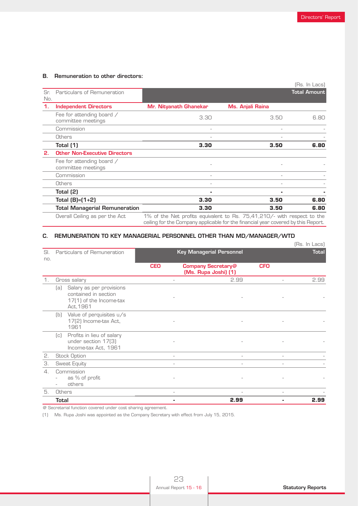#### B. Remuneration to other directors:

|               |                                                 |                                                                         |                          | (Rs. In Lacs)       |
|---------------|-------------------------------------------------|-------------------------------------------------------------------------|--------------------------|---------------------|
| Sr.<br>No.    | Particulars of Remuneration                     |                                                                         |                          | <b>Total Amount</b> |
| $\mathbf 1$ . | <b>Independent Directors</b>                    | Mr. Nityanath Ghanekar                                                  | Ms. Anjali Raina         |                     |
|               | Fee for attending board /<br>committee meetings | 3.30                                                                    | 3.50                     | 6.80                |
|               | Commission                                      | ٠                                                                       | ٠                        |                     |
|               | Others                                          |                                                                         |                          |                     |
|               | Total (1)                                       | 3.30                                                                    | 3.50                     | 6.80                |
| 2.            | <b>Other Non-Executive Directors</b>            |                                                                         |                          |                     |
|               | Fee for attending board /<br>committee meetings | $\overline{\phantom{0}}$                                                |                          |                     |
|               | Commission                                      | $\overline{\phantom{a}}$                                                | $\overline{\phantom{0}}$ |                     |
|               | Others                                          |                                                                         |                          |                     |
|               | Total (2)                                       | ۰                                                                       |                          |                     |
|               | Total $(B)=(1+2)$                               | 3.30                                                                    | 3.50                     | 6.80                |
|               | <b>Total Managerial Remuneration</b>            | 3.30                                                                    | 3.50                     | 6.80                |
|               | Overall Ceiling as per the Act                  | 1% of the Net profits equivalent to Rs. 75,41,210/- with respect to the |                          |                     |

ceiling for the Company applicable for the financial year covered by this Report.

#### C. REMUNERATION TO KEY MANAGERIAL PERSONNEL OTHER THAN MD/MANAGER/WTD

|            |                                                                                                       |            |                                                      |                          | (Rs. In Lacs) |
|------------|-------------------------------------------------------------------------------------------------------|------------|------------------------------------------------------|--------------------------|---------------|
| SI.<br>no. | Particulars of Remuneration                                                                           |            | <b>Key Managerial Personnel</b>                      |                          | <b>Total</b>  |
|            |                                                                                                       | <b>CEO</b> | <b>Company Secretary@</b><br>(Ms. Rupa Joshi) (1)    | <b>CFO</b>               |               |
| 1.         | Gross salary                                                                                          |            | 2.99                                                 |                          | 2.99          |
|            | Salary as per provisions<br>(a)<br>contained in section<br>17(1) of the Income-tax<br>Act, 1961       |            |                                                      |                          |               |
|            | Value of perquisites u/s<br>(b)<br>17(2) Income-tax Act,<br>1961                                      |            |                                                      |                          |               |
|            | Profits in lieu of salary<br>$\left[\mathrm{c}\right]$<br>under section 17(3)<br>Income-tax Act, 1961 |            |                                                      |                          |               |
| 2.         | <b>Stock Option</b>                                                                                   |            | $\overline{\phantom{a}}$<br>$\overline{\phantom{a}}$ | $\overline{\phantom{a}}$ |               |
| З.         | Sweat Equity                                                                                          |            | $\overline{\phantom{a}}$<br>$\overline{\phantom{a}}$ | $\overline{\phantom{a}}$ |               |
| 4.         | Commission<br>as % of profit<br>others                                                                |            |                                                      |                          |               |
| 5.         | Others                                                                                                |            | $\overline{\phantom{a}}$                             | $\overline{\phantom{a}}$ |               |
|            | Total                                                                                                 |            | 2.99                                                 |                          | 2.99          |

@ Secretarial function covered under cost sharing agreement.

(1) Ms. Rupa Joshi was appointed as the Company Secretary with effect from July 15, 2015.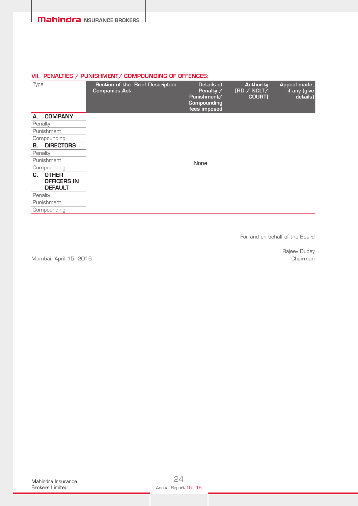I

#### VII. PENALTIES / PUNISHMENT/ COMPOUNDING OF OFFENCES:

| Type        |                                                      | <b>Companies Act</b> | Section of the Brief Description | Details of<br>Penalty /<br>Punishment/<br>Compounding<br>fees imposed | <b>Authority</b><br>[RD / NCLT /<br><b>COURT]</b> | Appeal made,<br>if any (give<br>details) |
|-------------|------------------------------------------------------|----------------------|----------------------------------|-----------------------------------------------------------------------|---------------------------------------------------|------------------------------------------|
| А.          | <b>COMPANY</b>                                       |                      |                                  |                                                                       |                                                   |                                          |
|             | Penalty                                              |                      |                                  |                                                                       |                                                   |                                          |
|             | Punishment                                           |                      |                                  |                                                                       |                                                   |                                          |
|             | Compounding                                          |                      |                                  |                                                                       |                                                   |                                          |
| В.          | <b>DIRECTORS</b>                                     |                      |                                  |                                                                       |                                                   |                                          |
|             | Penalty                                              |                      |                                  |                                                                       |                                                   |                                          |
| Punishment  |                                                      | None                 |                                  |                                                                       |                                                   |                                          |
|             | Compounding                                          |                      |                                  |                                                                       |                                                   |                                          |
| C.          | <b>OTHER</b><br><b>OFFICERS IN</b><br><b>DEFAULT</b> |                      |                                  |                                                                       |                                                   |                                          |
|             | Penalty                                              |                      |                                  |                                                                       |                                                   |                                          |
| Punishment  |                                                      |                      |                                  |                                                                       |                                                   |                                          |
| Compounding |                                                      |                      |                                  |                                                                       |                                                   |                                          |

For and on behalf of the Board

Mumbai, April 15, 2016 **Chairman** 

Rajeev Dubey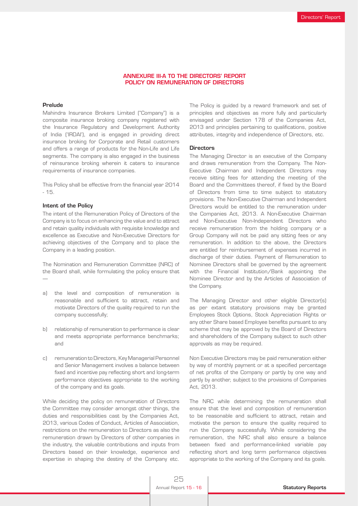#### ANNEXURE III-A TO THE DIRECTORS' REPORT POLICY ON REMUNERATION OF DIRECTORS

#### Prelude

Mahindra Insurance Brokers Limited ("Company") is a composite insurance broking company registered with the Insurance Regulatory and Development Authority of India ('IRDAI'), and is engaged in providing direct insurance broking for Corporate and Retail customers and offers a range of products for the Non-Life and Life segments. The company is also engaged in the business of reinsurance broking wherein it caters to insurance requirements of insurance companies.

This Policy shall be effective from the financial year 2014 - 15.

#### Intent of the Policy

The intent of the Remuneration Policy of Directors of the Company is to focus on enhancing the value and to attract and retain quality individuals with requisite knowledge and excellence as Executive and Non-Executive Directors for achieving objectives of the Company and to place the Company in a leading position.

The Nomination and Remuneration Committee (NRC) of the Board shall, while formulating the policy ensure that —

- a) the level and composition of remuneration is reasonable and sufficient to attract, retain and motivate Directors of the quality required to run the company successfully;
- b) relationship of remuneration to performance is clear and meets appropriate performance benchmarks; and
- c) remuneration to Directors, Key Managerial Personnel and Senior Management involves a balance between fixed and incentive pay reflecting short and long-term performance objectives appropriate to the working of the company and its goals.

While deciding the policy on remuneration of Directors the Committee may consider amongst other things, the duties and responsibilities cast by the Companies Act, 2013, various Codes of Conduct, Articles of Association, restrictions on the remuneration to Directors as also the remuneration drawn by Directors of other companies in the industry, the valuable contributions and inputs from Directors based on their knowledge, experience and expertise in shaping the destiny of the Company etc.

The Policy is guided by a reward framework and set of principles and objectives as more fully and particularly envisaged under Section 178 of the Companies Act, 2013 and principles pertaining to qualifications, positive attributes, integrity and independence of Directors, etc.

#### **Directors**

The Managing Director is an executive of the Company and draws remuneration from the Company. The Non-Executive Chairman and Independent Directors may receive sitting fees for attending the meeting of the Board and the Committees thereof, if fixed by the Board of Directors from time to time subject to statutory provisions. The Non-Executive Chairman and Independent Directors would be entitled to the remuneration under the Companies Act, 2013. A Non-Executive Chairman and Non-Executive Non-Independent Directors who receive remuneration from the holding company or a Group Company will not be paid any sitting fees or any remuneration. In addition to the above, the Directors are entitled for reimbursement of expenses incurred in discharge of their duties. Payment of Remuneration to Nominee Directors shall be governed by the agreement with the Financial Institution/Bank appointing the Nominee Director and by the Articles of Association of the Company.

The Managing Director and other eligible Director(s) as per extant statutory provisions may be granted Employees Stock Options, Stock Appreciation Rights or any other Share based Employee benefits pursuant to any scheme that may be approved by the Board of Directors and shareholders of the Company subject to such other approvals as may be required.

Non Executive Directors may be paid remuneration either by way of monthly payment or at a specified percentage of net profits of the Company or partly by one way and partly by another, subject to the provisions of Companies Act, 2013.

The NRC while determining the remuneration shall ensure that the level and composition of remuneration to be reasonable and sufficient to attract, retain and motivate the person to ensure the quality required to run the Company successfully. While considering the remuneration, the NRC shall also ensure a balance between fixed and performance-linked variable pay reflecting short and long term performance objectives appropriate to the working of the Company and its goals.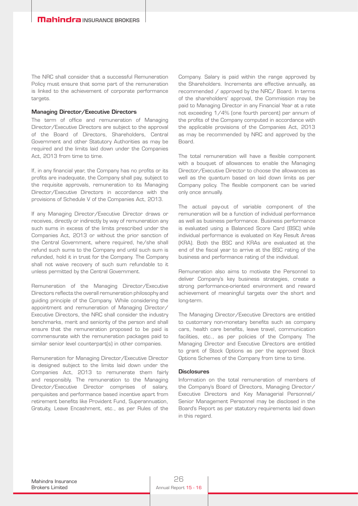The NRC shall consider that a successful Remuneration Policy must ensure that some part of the remuneration is linked to the achievement of corporate performance targets.

#### Managing Director/Executive Directors

The term of office and remuneration of Managing Director/Executive Directors are subject to the approval of the Board of Directors, Shareholders, Central Government and other Statutory Authorities as may be required and the limits laid down under the Companies Act, 2013 from time to time.

If, in any financial year, the Company has no profits or its profits are inadequate, the Company shall pay, subject to the requisite approvals, remuneration to its Managing Director/Executive Directors in accordance with the provisions of Schedule V of the Companies Act, 2013.

If any Managing Director/Executive Director draws or receives, directly or indirectly by way of remuneration any such sums in excess of the limits prescribed under the Companies Act, 2013 or without the prior sanction of the Central Government, where required, he/she shall refund such sums to the Company and until such sum is refunded, hold it in trust for the Company. The Company shall not waive recovery of such sum refundable to it unless permitted by the Central Government.

Remuneration of the Managing Director/Executive Directors reflects the overall remuneration philosophy and guiding principle of the Company. While considering the appointment and remuneration of Managing Director/ Executive Directors, the NRC shall consider the industry benchmarks, merit and seniority of the person and shall ensure that the remuneration proposed to be paid is commensurate with the remuneration packages paid to similar senior level counterpart(s) in other companies.

Remuneration for Managing Director/Executive Director is designed subject to the limits laid down under the Companies Act, 2013 to remunerate them fairly and responsibly. The remuneration to the Managing Director/Executive Director comprises of salary, perquisites and performance based incentive apart from retirement benefits like Provident Fund, Superannuation, Gratuity, Leave Encashment, etc., as per Rules of the

Company. Salary is paid within the range approved by the Shareholders. Increments are effective annually, as recommended / approved by the NRC/ Board. In terms of the shareholders' approval, the Commission may be paid to Managing Director in any Financial Year at a rate not exceeding 1/4% (one fourth percent) per annum of the profits of the Company computed in accordance with the applicable provisions of the Companies Act, 2013 as may be recommended by NRC and approved by the Board.

The total remuneration will have a flexible component with a bouquet of allowances to enable the Managing Director/Executive Director to choose the allowances as well as the quantum based on laid down limits as per Company policy. The flexible component can be varied only once annually.

The actual pay-out of variable component of the remuneration will be a function of individual performance as well as business performance. Business performance is evaluated using a Balanced Score Card (BSC) while individual performance is evaluated on Key Result Areas (KRA). Both the BSC and KRAs are evaluated at the end of the fiscal year to arrive at the BSC rating of the business and performance rating of the individual.

Remuneration also aims to motivate the Personnel to deliver Company's key business strategies, create a strong performance-oriented environment and reward achievement of meaningful targets over the short and long-term.

The Managing Director/Executive Directors are entitled to customary non-monetary benefits such as company cars, health care benefits, leave travel, communication facilities, etc., as per policies of the Company. The Managing Director and Executive Directors are entitled to grant of Stock Options as per the approved Stock Options Schemes of the Company from time to time.

#### **Disclosures**

Information on the total remuneration of members of the Company's Board of Directors, Managing Director/ Executive Directors and Key Managerial Personnel/ Senior Management Personnel may be disclosed in the Board's Report as per statutory requirements laid down in this regard.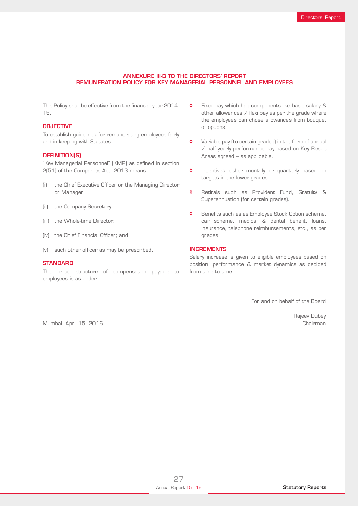#### ANNEXURE III-B TO THE DIRECTORS' REPORT REMUNERATION POLICY FOR KEY MANAGERIAL PERSONNEL AND EMPLOYEES

This Policy shall be effective from the financial year 2014- 15.

#### **OBJECTIVE**

To establish guidelines for remunerating employees fairly and in keeping with Statutes.

#### DEFINITION(S)

"Key Managerial Personnel" (KMP) as defined in section 2(51) of the Companies Act, 2013 means:

- (i) the Chief Executive Officer or the Managing Director or Manager;
- (ii) the Company Secretary;
- (iii) the Whole-time Director;
- (iv) the Chief Financial Officer; and
- (v) such other officer as may be prescribed.

#### **STANDARD**

The broad structure of compensation payable to employees is as under:

- $\hat{\mathbf{\diamond}}$ Fixed pay which has components like basic salary & other allowances / flexi pay as per the grade where the employees can chose allowances from bouquet of options.
- $\hat{\bullet}$ Variable pay (to certain grades) in the form of annual / half yearly performance pay based on Key Result Areas agreed – as applicable.
- $\hat{\mathbf{Q}}$ Incentives either monthly or quarterly based on targets in the lower grades.
- A. Retirals such as Provident Fund, Gratuity & Superannuation (for certain grades).
- ۵ Benefits such as as Employee Stock Option scheme, car scheme, medical & dental benefit, loans, insurance, telephone reimbursements, etc., as per grades.

#### INCREMENTS

Salary increase is given to eligible employees based on position, performance & market dynamics as decided from time to time.

For and on behalf of the Board

Rajeev Dubey

Mumbai, April 15, 2016 **Chairman**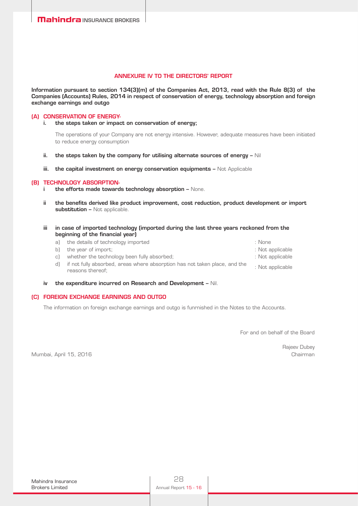#### ANNEXURE IV TO THE DIRECTORS' REPORT

Information pursuant to section 134(3)(m) of the Companies Act, 2013, read with the Rule 8(3) of the Companies (Accounts) Rules, 2014 in respect of conservation of energy, technology absorption and foreign exchange earnings and outgo

#### (A) CONSERVATION OF ENERGY-

i. the steps taken or impact on conservation of energy;

The operations of your Company are not energy intensive. However, adequate measures have been initiated to reduce energy consumption

- ii. the steps taken by the company for utilising alternate sources of energy Nil
- $i$ iii. the capital investment on energy conservation equipments Not Applicable

#### (B) TECHNOLOGY ABSORPTION-

- i the efforts made towards technology absorption None.
- ii the benefits derived like product improvement, cost reduction, product development or import substitution - Not applicable.
- iii in case of imported technology (imported during the last three years reckoned from the beginning of the financial year)

| al | the details of technology imported                                                                | : None           |
|----|---------------------------------------------------------------------------------------------------|------------------|
|    | b) the year of import;                                                                            | : Not applicable |
|    | c) whether the technology been fully absorbed;                                                    | : Not applicable |
|    | d) if not fully absorbed, areas where absorption has not taken place, and the<br>reasons thereof; | : Not applicable |

iv the expenditure incurred on Research and Development – Nil.

#### (C) FOREIGN EXCHANGE EARNINGS AND OUTGO

The information on foreign exchange earnings and outgo is funrnished in the Notes to the Accounts.

For and on behalf of the Board

Rajeev Dubey

Mumbai, April 15, 2016 Chairman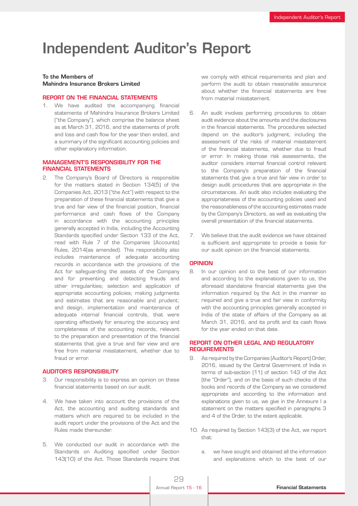### Independent Auditor's Report

#### To the Members of Mahindra Insurance Brokers Limited

#### REPORT ON THE FINANCIAL STATEMENTS

1. We have audited the accompanying financial statements of Mahindra Insurance Brokers Limited ("the Company"), which comprise the balance sheet as at March 31, 2016, and the statements of profit and loss and cash flow for the year then ended, and a summary of the significant accounting policies and other explanatory information.

#### MANAGEMENT'S RESPONSIBILITY FOR THE FINANCIAL STATEMENTS

2. The Company's Board of Directors is responsible for the matters stated in Section 134(5) of the Companies Act, 2013 ("the Act") with respect to the preparation of these financial statements that give a true and fair view of the financial position, financial performance and cash flows of the Company in accordance with the accounting principles generally accepted in India, including the Accounting Standards specified under Section 133 of the Act, read with Rule 7 of the Companies (Accounts) Rules, 2014(as amended). This responsibility also includes maintenance of adequate accounting records in accordance with the provisions of the Act for safeguarding the assets of the Company and for preventing and detecting frauds and other irregularities; selection and application of appropriate accounting policies; making judgments and estimates that are reasonable and prudent; and design, implementation and maintenance of adequate internal financial controls, that were operating effectively for ensuring the accuracy and completeness of the accounting records, relevant to the preparation and presentation of the financial statements that give a true and fair view and are free from material misstatement, whether due to fraud or error.

#### AUDITOR'S RESPONSIBILITY

- 3. Our responsibility is to express an opinion on these financial statements based on our audit.
- 4. We have taken into account the provisions of the Act, the accounting and auditing standards and matters which are required to be included in the audit report under the provisions of the Act and the Rules made thereunder.
- 5. We conducted our audit in accordance with the Standards on Auditing specified under Section 143(10) of the Act. Those Standards require that

we comply with ethical requirements and plan and perform the audit to obtain reasonable assurance about whether the financial statements are free from material misstatement.

- 6. An audit involves performing procedures to obtain audit evidence about the amounts and the disclosures in the financial statements. The procedures selected depend on the auditor's judgment, including the assessment of the risks of material misstatement of the financial statements, whether due to fraud or error. In making those risk assessments, the auditor considers internal financial control relevant to the Company's preparation of the financial statements that give a true and fair view in order to design audit procedures that are appropriate in the circumstances. An audit also includes evaluating the appropriateness of the accounting policies used and the reasonableness of the accounting estimates made by the Company's Directors, as well as evaluating the overall presentation of the financial statements.
- 7. We believe that the audit evidence we have obtained is sufficient and appropriate to provide a basis for our audit opinion on the financial statements.

#### **OPINION**

8. In our opinion and to the best of our information and according to the explanations given to us, the aforesaid standalone financial statements give the information required by the Act in the manner so required and give a true and fair view in conformity with the accounting principles generally accepted in India of the state of affairs of the Company as at March 31, 2016, and its profit and its cash flows for the year ended on that date.

#### REPORT ON OTHER LEGAL AND REGULATORY **REQUIREMENTS**

- 9. As required by the Companies (Auditor's Report) Order, 2016, issued by the Central Government of India in terms of sub-section (11) of section 143 of the Act (the "Order"), and on the basis of such checks of the books and records of the Company as we considered appropriate and according to the information and explanations given to us, we give in the Annexure I a statement on the matters specified in paragraphs 3 and 4 of the Order, to the extent applicable.
- 10. As required by Section 143(3) of the Act, we report that:
	- a. we have sought and obtained all the information and explanations which to the best of our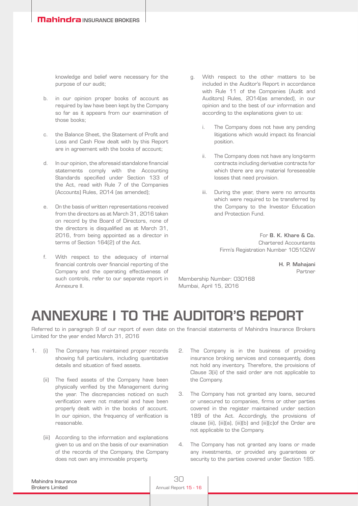knowledge and belief were necessary for the purpose of our audit;

- b. in our opinion proper books of account as required by law have been kept by the Company so far as it appears from our examination of those books;
- c. the Balance Sheet, the Statement of Profit and Loss and Cash Flow dealt with by this Report are in agreement with the books of account;
- d. In our opinion, the aforesaid standalone financial statements comply with the Accounting Standards specified under Section 133 of the Act, read with Rule 7 of the Companies (Accounts) Rules, 2014 (as amended);
- e. On the basis of written representations received from the directors as at March 31, 2016 taken on record by the Board of Directors, none of the directors is disqualified as at March 31, 2016, from being appointed as a director in terms of Section 164(2) of the Act.
- f. With respect to the adequacy of internal financial controls over financial reporting of the Company and the operating effectiveness of such controls, refer to our separate report in Annexure II.
- g. With respect to the other matters to be included in the Auditor's Report in accordance with Rule 11 of the Companies (Audit and Auditors) Rules, 2014(as amended), in our opinion and to the best of our information and according to the explanations given to us:
	- i. The Company does not have any pending litigations which would impact its financial position.
	- ii. The Company does not have any long-term contracts including derivative contracts for which there are any material foreseeable losses that need provision.
	- iii. During the year, there were no amounts which were required to be transferred by the Company to the Investor Education and Protection Fund.

For B. K. Khare & Co. Chartered Accountants Firm's Registration Number 105102W

> H. P. Mahajani Partner

Membership Number: 030168 Mumbai, April 15, 2016

### ANNEXURE I TO THE AUDITOR'S REPORT

Referred to in paragraph 9 of our report of even date on the financial statements of Mahindra Insurance Brokers Limited for the year ended March 31, 2016

- 1. (i) The Company has maintained proper records showing full particulars, including quantitative details and situation of fixed assets.
	- (ii) The fixed assets of the Company have been physically verified by the Management during the year. The discrepancies noticed on such verification were not material and have been properly dealt with in the books of account. In our opinion, the frequency of verification is reasonable.
	- (iii) According to the information and explanations given to us and on the basis of our examination of the records of the Company, the Company does not own any immovable property.
- 2. The Company is in the business of providing insurance broking services and consequently, does not hold any inventory. Therefore, the provisions of Clause 3(ii) of the said order are not applicable to the Company.
- 3. The Company has not granted any loans, secured or unsecured to companies, firms or other parties covered in the register maintained under section 189 of the Act. Accordingly, the provisions of clause (iii), (iii)(a), (iii)(b) and (iii)(c)of the Order are not applicable to the Company.
- 4. The Company has not granted any loans or made any investments, or provided any guarantees or security to the parties covered under Section 185.

| Mahindra Insurance |                       |
|--------------------|-----------------------|
| Brokers Limited    | Annual Report 15 - 16 |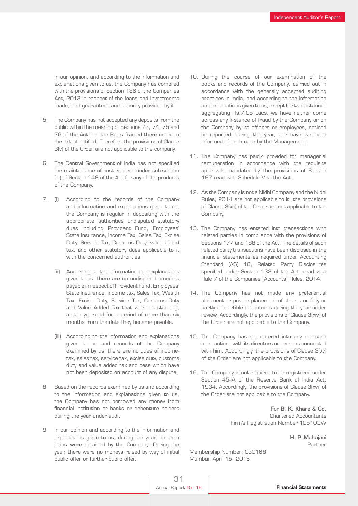In our opinion, and according to the information and explanations given to us, the Company has complied with the provisions of Section 186 of the Companies Act, 2013 in respect of the loans and investments made, and guarantees and security provided by it.

- 5. The Company has not accepted any deposits from the public within the meaning of Sections 73, 74, 75 and 76 of the Act and the Rules framed there under to the extent notified. Therefore the provisions of Clause 3(v) of the Order are not applicable to the company.
- 6. The Central Government of India has not specified the maintenance of cost records under sub-section (1) of Section 148 of the Act for any of the products of the Company.
- 7. (i) According to the records of the Company and information and explanations given to us, the Company is regular in depositing with the appropriate authorities undisputed statutory dues including Provident Fund, Employees' State Insurance, Income Tax, Sales Tax, Excise Duty, Service Tax, Customs Duty, value added tax, and other statutory dues applicable to it with the concerned authorities.
	- (ii) According to the information and explanations given to us, there are no undisputed amounts payable in respect of Provident Fund, Employees' State Insurance, Income tax, Sales Tax, Wealth Tax, Excise Duty, Service Tax, Customs Duty and Value Added Tax that were outstanding, at the year-end for a period of more than six months from the date they became payable.
	- (iii) According to the information and explanations given to us and records of the Company examined by us, there are no dues of incometax, sales tax, service tax, excise duty, customs duty and value added tax and cess which have not been deposited on account of any dispute.
- 8. Based on the records examined by us and according to the information and explanations given to us, the Company has not borrowed any money from financial institution or banks or debenture holders during the year under audit.
- 9. In our opinion and according to the information and explanations given to us, during the year, no term loans were obtained by the Company. During the year, there were no moneys raised by way of initial public offer or further public offer.
- 10. During the course of our examination of the books and records of the Company, carried out in accordance with the generally accepted auditing practices in India, and according to the information and explanations given to us, except for two instances aggregating Rs.7.05 Lacs, we have neither come across any instance of fraud by the Company or on the Company by its officers or employees, noticed or reported during the year, nor have we been informed of such case by the Management.
- 11. The Company has paid/ provided for managerial remuneration in accordance with the requisite approvals mandated by the provisions of Section 197 read with Schedule V to the Act.
- 12. As the Company is not a Nidhi Company and the Nidhi Rules, 2014 are not applicable to it, the provisions of Clause 3(xii) of the Order are not applicable to the Company.
- 13. The Company has entered into transactions with related parties in compliance with the provisions of Sections 177 and 188 of the Act. The details of such related party transactions have been disclosed in the financial statements as required under Accounting Standard (AS) 18, Related Party Disclosures specified under Section 133 of the Act, read with Rule 7 of the Companies (Accounts) Rules, 2014.
- 14. The Company has not made any preferential allotment or private placement of shares or fully or partly convertible debentures during the year under review. Accordingly, the provisions of Clause 3(xiv) of the Order are not applicable to the Company.
- 15. The Company has not entered into any non-cash transactions with its directors or persons connected with him. Accordingly, the provisions of Clause 3(xv) of the Order are not applicable to the Company.
- 16. The Company is not required to be registered under Section 45-IA of the Reserve Bank of India Act, 1934. Accordingly, the provisions of Clause 3(xvi) of the Order are not applicable to the Company.

For B. K. Khare & Co. Chartered Accountants Firm's Registration Number 105102W

> H. P. Mahajani Partner

Membership Number: 030168 Mumbai, April 15, 2016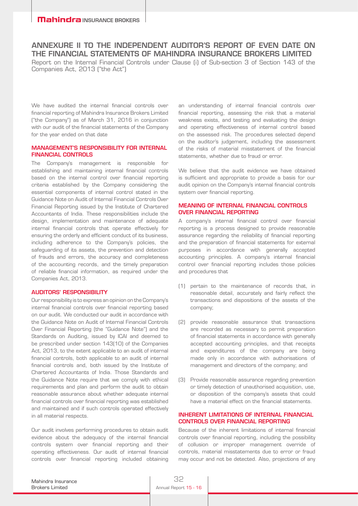### ANNEXURE II TO THE INDEPENDENT AUDITOR'S REPORT OF EVEN DATE ON THE FINANCIAL STATEMENTS OF MAHINDRA INSURANCE BROKERS LIMITED

Report on the Internal Financial Controls under Clause (i) of Sub-section 3 of Section 143 of the Companies Act, 2013 ("the Act")

We have audited the internal financial controls over financial reporting of Mahindra Insurance Brokers Limited ("the Company") as of March 31, 2016 in conjunction with our audit of the financial statements of the Company for the year ended on that date

#### MANAGEMENT'S RESPONSIBILITY FOR INTERNAL FINANCIAL CONTROLS

The Company's management is responsible for establishing and maintaining internal financial controls based on the internal control over financial reporting criteria established by the Company considering the essential components of internal control stated in the Guidance Note on Audit of Internal Financial Controls Over Financial Reporting issued by the Institute of Chartered Accountants of India. These responsibilities include the design, implementation and maintenance of adequate internal financial controls that operate effectively for ensuring the orderly and efficient conduct of its business, including adherence to the Company's policies, the safeguarding of its assets, the prevention and detection of frauds and errors, the accuracy and completeness of the accounting records, and the timely preparation of reliable financial information, as required under the Companies Act, 2013.

#### AUDITORS' RESPONSIBILITY

Our responsibility is to express an opinion on the Company's internal financial controls over financial reporting based on our audit. We conducted our audit in accordance with the Guidance Note on Audit of Internal Financial Controls Over Financial Reporting (the "Guidance Note") and the Standards on Auditing, issued by ICAI and deemed to be prescribed under section 143(10) of the Companies Act, 2013, to the extent applicable to an audit of internal financial controls, both applicable to an audit of internal financial controls and, both issued by the Institute of Chartered Accountants of India. Those Standards and the Guidance Note require that we comply with ethical requirements and plan and perform the audit to obtain reasonable assurance about whether adequate internal financial controls over financial reporting was established and maintained and if such controls operated effectively in all material respects.

Our audit involves performing procedures to obtain audit evidence about the adequacy of the internal financial controls system over financial reporting and their operating effectiveness. Our audit of internal financial controls over financial reporting included obtaining

an understanding of internal financial controls over financial reporting, assessing the risk that a material weakness exists, and testing and evaluating the design and operating effectiveness of internal control based on the assessed risk. The procedures selected depend on the auditor's judgement, including the assessment of the risks of material misstatement of the financial statements, whether due to fraud or error.

We believe that the audit evidence we have obtained is sufficient and appropriate to provide a basis for our audit opinion on the Company's internal financial controls system over financial reporting.

#### MEANING OF INTERNAL FINANCIAL CONTROLS OVER FINANCIAL REPORTING

A company's internal financial control over financial reporting is a process designed to provide reasonable assurance regarding the reliability of financial reporting and the preparation of financial statements for external purposes in accordance with generally accepted accounting principles. A company's internal financial control over financial reporting includes those policies and procedures that

- (1) pertain to the maintenance of records that, in reasonable detail, accurately and fairly reflect the transactions and dispositions of the assets of the company;
- (2) provide reasonable assurance that transactions are recorded as necessary to permit preparation of financial statements in accordance with generally accepted accounting principles, and that receipts and expenditures of the company are being made only in accordance with authorisations of management and directors of the company; and
- (3) Provide reasonable assurance regarding prevention or timely detection of unauthorised acquisition, use, or disposition of the company's assets that could have a material effect on the financial statements.

#### INHERENT LIMITATIONS OF INTERNAL FINANCIAL CONTROLS OVER FINANCIAL REPORTING

Because of the inherent limitations of internal financial controls over financial reporting, including the possibility of collusion or improper management override of controls, material misstatements due to error or fraud may occur and not be detected. Also, projections of any

| Mahindra Insurance |                       |  |
|--------------------|-----------------------|--|
| Brokers Limited    | Annual Report 15 - 16 |  |
|                    |                       |  |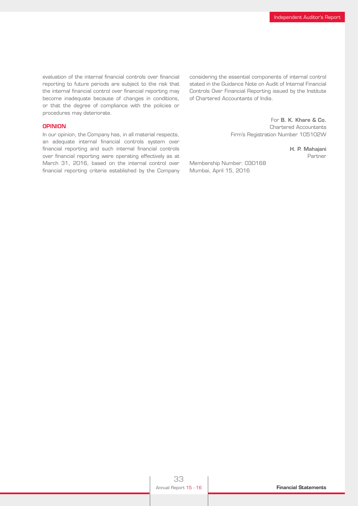evaluation of the internal financial controls over financial reporting to future periods are subject to the risk that the internal financial control over financial reporting may become inadequate because of changes in conditions, or that the degree of compliance with the policies or procedures may deteriorate.

#### **OPINION**

In our opinion, the Company has, in all material respects, an adequate internal financial controls system over financial reporting and such internal financial controls over financial reporting were operating effectively as at March 31, 2016, based on the internal control over financial reporting criteria established by the Company considering the essential components of internal control stated in the Guidance Note on Audit of Internal Financial Controls Over Financial Reporting issued by the Institute of Chartered Accountants of India.

> For B. K. Khare & Co. Chartered Accountants Firm's Registration Number 105102W

> > H. P. Mahajani Partner

Membership Number: 030168 Mumbai, April 15, 2016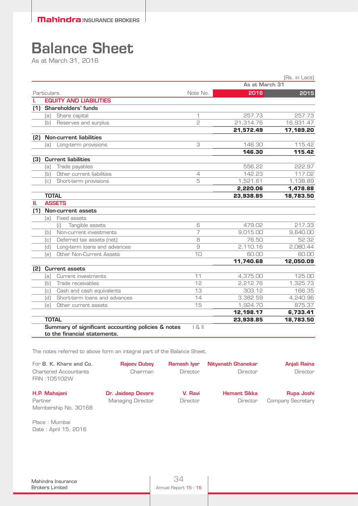## Balance Sheet

As at March 31, 2016

 $\overline{1}$ 

|     |                                                   |              |                | (Rs. in Lacs) |
|-----|---------------------------------------------------|--------------|----------------|---------------|
|     |                                                   |              | As at March 31 |               |
|     | Particulars                                       | Note No.     | 2016           | 2015          |
| L.  | <b>EQUITY AND LIABILITIES</b>                     |              |                |               |
| (1) | Shareholders' funds                               |              |                |               |
|     | Share capital<br>(a)                              | 1            | 257.73         | 257.73        |
|     | (b)<br>Reserves and surplus                       | $\mathsf{P}$ | 21,314.76      | 16,931.47     |
|     |                                                   |              | 21,572.49      | 17,189.20     |
| (2) | <b>Non-current liabilities</b>                    |              |                |               |
|     | Long-term provisions<br>(a)                       | 3            | 146.30         | 115.42        |
|     |                                                   |              | 146.30         | 115.42        |
| (3) | <b>Current liabilities</b>                        |              |                |               |
|     | Trade payables<br>(a)                             |              | 556.22         | 222.97        |
|     | Other current liabilities<br>(b)                  | 4            | 142.23         | 117.02        |
|     | $\lceil c \rceil$<br>Short-term provisions        | 5            | 1,521.61       | 1,138.89      |
|     |                                                   |              | 2,220.06       | 1,478.88      |
|     | <b>TOTAL</b>                                      |              | 23,938.85      | 18,783.50     |
| Ш.  | <b>ASSETS</b>                                     |              |                |               |
| (1) | Non-current assets                                |              |                |               |
|     | Fixed assets<br>[al]                              |              |                |               |
|     | Tangible assets<br>(ii)                           | 6            | 479.02         | 217.33        |
|     | Non-current investments<br>(b)                    | 7            | 9.015.00       | 9,640.00      |
|     | Deferred tax assets (net)<br>[c]                  | 8            | 76.50          | 52.32         |
|     | Long-term loans and advances<br>$\lceil d \rceil$ | 9            | 2.110.16       | 2,080.44      |
|     | Other Non-Current Assets<br>[ <sub>e</sub> ]      | 10           | 60.00          | 60.00         |
|     |                                                   |              | 11,740.68      | 12,050.09     |
| (2) | <b>Current assets</b>                             |              |                |               |
|     | Current investments<br>[a]                        | 11           | 4,375.00       | 125.00        |
|     | Trade receivables<br>(b)                          | 12           | 2,212.76       | 1,325.73      |
|     | Cash and cash equivalents<br>[c]                  | 13           | 303.12         | 166.35        |
|     | Short-term loans and advances<br>[d]              | 14           | 3,382.59       | 4,240.96      |
|     | (e)<br>Other current assets                       | 15           | 1,924.70       | 875.37        |
|     |                                                   |              | 12,198.17      | 6,733.41      |
|     | <b>TOTAL</b>                                      |              | 23,938.85      | 18,783.50     |

The notes referred to above form an integral part of the Balance Sheet.

| For B. K. Khare and Co.                      | <b>Rajeev Dubey</b>      | Ramesh Iver     | Nityanath Ghanekar  | Anjali Raina      |
|----------------------------------------------|--------------------------|-----------------|---------------------|-------------------|
| <b>Chartered Accountants</b><br>FRN: 105102W | Chairman                 | Director        | <b>Director</b>     | Director          |
| H.P. Mahajani                                | Dr. Jaideep Devare       | V. Ravi         | <b>Hemant Sikka</b> | Rupa Joshi        |
| Partner                                      | <b>Managing Director</b> | <b>Director</b> | Director            | Company Secretary |
| Membership No. 30168                         |                          |                 |                     |                   |

Place : Mumbai Date : April 15, 2016

| Mahindra Insurance |                       |  |
|--------------------|-----------------------|--|
| Brokers Limited    | Annual Report 15 - 16 |  |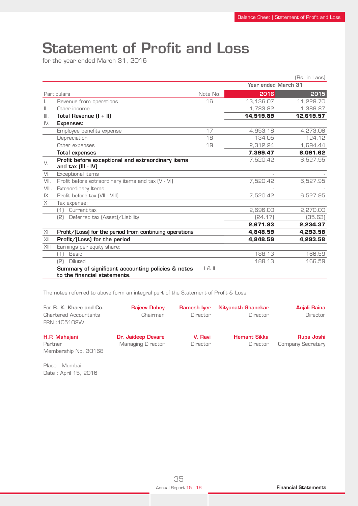## Statement of Profit and Loss

for the year ended March 31, 2016

|                |                                                         |          |                     | (Rs. in Lacs) |
|----------------|---------------------------------------------------------|----------|---------------------|---------------|
|                |                                                         |          | Year ended March 31 |               |
|                | Particulars                                             | Note No. | 2016                | 2015          |
|                | Revenue from operations                                 | 16       | 13,136.07           | 11,229.70     |
| Ⅱ.             | Other income                                            |          | 1,783.82            | 1,389.87      |
| III.           | Total Revenue (I + II)                                  |          | 14,919.89           | 12,619.57     |
| IV.            | Expenses:                                               |          |                     |               |
|                | Employee benefits expense                               | 17       | 4,953.18            | 4,273.06      |
|                | Depreciation                                            | 18       | 134.05              | 124.12        |
|                | Other expenses                                          | 19       | 2.312.24            | 1,694.44      |
|                | <b>Total expenses</b>                                   |          | 7,399.47            | 6,091.62      |
| $\sqrt{ }$     | Profit before exceptional and extraordinary items       |          | 7.520.42            | 6,527.95      |
|                | and tax (III - IV)                                      |          |                     |               |
| VI.            | Exceptional items                                       |          |                     |               |
| VII.           | Profit before extraordinary items and tax (V - VI)      |          | 7,520.42            | 6,527.95      |
| VIII.          | Extraordinary Items                                     |          |                     |               |
| IX.            | Profit before tax (VII - VIII)                          |          | 7,520.42            | 6,527.95      |
| X              | Tax expense:                                            |          |                     |               |
|                | Current tax<br>(1)                                      |          | 2.696.00            | 2,270.00      |
|                | (2)<br>Deferred tax (Asset)/Liability                   |          | [24.17]             | (35.63)       |
|                |                                                         |          | 2.671.83            | 2,234.37      |
| X <sub>l</sub> | Profit/(Loss) for the period from continuing operations |          | 4,848.59            | 4,293.58      |
| XII            | Profit/(Loss) for the period                            |          | 4,848.59            | 4,293.58      |
| XIII           | Earnings per equity share:                              |          |                     |               |
|                | Basic<br>(1)                                            |          | 188.13              | 166.59        |
|                | <b>Diluted</b><br>[2]                                   |          | 188.13              | 166.59        |

The notes referred to above form an integral part of the Statement of Profit & Loss.

| For B. K. Khare and Co.<br><b>Chartered Accountants</b><br>FRN: 105102W | <b>Rajeev Dubey</b><br>Chairman | <b>Ramesh Iver</b><br>Director | <b>Nityanath Ghanekar</b><br>Director | Anjali Raina<br>Director |
|-------------------------------------------------------------------------|---------------------------------|--------------------------------|---------------------------------------|--------------------------|
| H.P. Mahajani                                                           | Dr. Jaideep Devare              | V. Ravi                        | <b>Hemant Sikka</b>                   | Rupa Joshi               |
| Partner<br>Membership No. 30168                                         | <b>Managing Director</b>        | Director                       | Director                              | Company Secretary        |

Place : Mumbai Date : April 15, 2016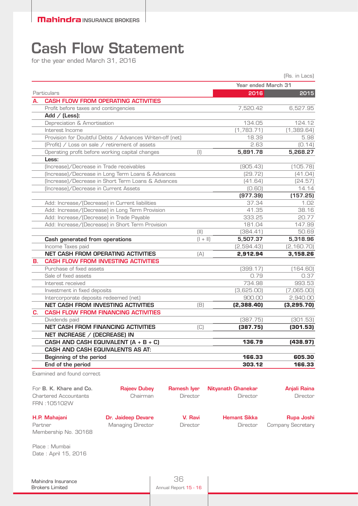# Cash Flow Statement

for the year ended March 31, 2016

|    |                                                               |            |                           | (Rs. in Lacs) |
|----|---------------------------------------------------------------|------------|---------------------------|---------------|
|    |                                                               |            | Year ended March 31       |               |
|    | Particulars                                                   |            | 2016                      | 2015          |
| А. | <b>CASH FLOW FROM OPERATING ACTIVITIES</b>                    |            |                           |               |
|    | Profit before taxes and contingencies                         |            | 7,520.42                  | 6,527.95      |
|    | Add $/$ (Less):                                               |            |                           |               |
|    | Depreciation & Amortisation                                   |            | 134.05                    | 124.12        |
|    | Interest Income                                               |            | (1,783.71)                | (1, 389.64)   |
|    | Provision for Doubtful Debts / Advances Writen-off (net)      |            | 18.39                     | 5.98          |
|    | (Profit) / Loss on sale / retirement of assets                |            | 2.63                      | [0.14]        |
|    | Operating profit before working capital changes               | $[   ]$    | 5,891.78                  | 5,268.27      |
|    | Less:                                                         |            |                           |               |
|    | (Increase)/Decrease in Trade receivables                      |            | (905.43)                  | (105.78)      |
|    | (Increase)/Decrease in Long Term Loans & Advances             |            | [29.72]                   | (41.04)       |
|    | (Increase)/Decrease in Short Term Loans & Advances            |            | [41.64]                   | [24.57]       |
|    | (Increase)/Decrease in Current Assets                         |            | (0.60)                    | 14.14         |
|    |                                                               |            | (977.39)                  | (157.25)      |
|    | Add: Increase/(Decrease) in Current liabilities               |            | 37.34                     | 1.02          |
|    | Add: Increase/(Decrease) in Long Term Provision               |            | 41.35                     | 38.16         |
|    | Add: Increase/(Decrease) in Trade Payable                     |            | 333.25                    | 20.77         |
|    | Add: Increase/(Decrease) in Short Term Provision              |            | 181.04                    | 147.99        |
|    |                                                               | [  ]       | [384.41]                  | 50.69         |
|    | Cash generated from operations                                | $[  +   ]$ | 5,507.37                  | 5,318.96      |
|    | Income Taxes paid                                             |            | [2,594.43]                | [2, 160.70]   |
|    | <b>NET CASH FROM OPERATING ACTIVITIES</b>                     | (A)        | 2,912.94                  | 3,158.26      |
| В. | <b>CASH FLOW FROM INVESTING ACTIVITIES</b>                    |            |                           |               |
|    | Purchase of fixed assets                                      |            | (399.17)                  | (164.60)      |
|    | Sale of fixed assets                                          |            | 0.79                      | 0.37          |
|    | Interest received                                             |            | 734.98                    | 993.53        |
|    | Investment in fixed deposits                                  |            | (3,625.00)                | (7,065.00)    |
|    | Intercorporate deposits redeemed (net)                        |            | 900.00                    | 2,940.00      |
|    | <b>NET CASH FROM INVESTING ACTIVITIES</b>                     | (B)        | (2,388.40)                | (3, 295.70)   |
| C. | <b>CASH FLOW FROM FINANCING ACTIVITIES</b>                    |            |                           |               |
|    | Dividends paid                                                |            | (387.75)                  | [301.53]      |
|    | <b>NET CASH FROM FINANCING ACTIVITIES</b>                     | (C)        | (387.75)                  | (301.53)      |
|    | NET INCREASE / (DECREASE) IN                                  |            |                           |               |
|    | CASH AND CASH EQUIVALENT (A + B + C)                          |            | 136.79                    | (438.97)      |
|    | CASH AND CASH EQUIVALENTS AS AT:                              |            |                           |               |
|    | Beginning of the period                                       |            | 166.33                    | 605.30        |
|    | End of the period                                             |            | 303.12                    | 166.33        |
|    | Examined and found correct                                    |            |                           |               |
|    | For B. K. Khare and Co.<br><b>Rajeev Dubey</b><br>Ramesh Iyer |            | <b>Nityanath Ghanekar</b> | Anjali Raina  |
|    |                                                               |            |                           |               |

Chartered Accountants Chairman Director Director Director FRN :105102W H.P. Mahajani Dr. Jaideep Devare V. Ravi Hemant Sikka Rupa Joshi Partner Managing Director Director Director Director Director Company Secretary Membership No. 30168

Place : Mumbai Date : April 15, 2016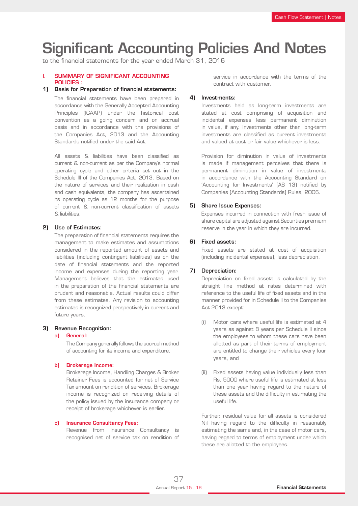to the financial statements for the year ended March 31, 2016

## I. SUMMARY OF SIGNIFICANT ACCOUNTING POLICIES :

## 1) Basis for Preparation of financial statements:

The financial statements have been prepared in accordance with the Generally Accepted Accounting Principles (IGAAP) under the historical cost convention as a going concern and on accrual basis and in accordance with the provisions of the Companies Act, 2013 and the Accounting Standards notified under the said Act.

All assets & liabilities have been classified as current & non-current as per the Company's normal operating cycle and other criteria set out in the Schedule III of the Companies Act, 2013. Based on the nature of services and their realization in cash and cash equivalents, the company has ascertained its operating cycle as 12 months for the purpose of current & non-current classification of assets & liabilities.

#### 2) Use of Estimates:

The preparation of financial statements requires the management to make estimates and assumptions considered in the reported amount of assets and liabilities (including contingent liabilities) as on the date of financial statements and the reported income and expenses during the reporting year. Management believes that the estimates used in the preparation of the financial statements are prudent and reasonable. Actual results could differ from these estimates. Any revision to accounting estimates is recognized prospectively in current and future years.

#### 3) Revenue Recognition:

#### a) General:

The Company generally follows the accrual method of accounting for its income and expenditure.

#### b) Brokerage Income:

Brokerage Income, Handling Charges & Broker Retainer Fees is accounted for net of Service Tax amount on rendition of services. Brokerage income is recognized on receiving details of the policy issued by the insurance company or receipt of brokerage whichever is earlier.

#### c) Insurance Consultancy Fees:

Revenue from Insurance Consultancy is recognised net of service tax on rendition of

service in accordance with the terms of the contract with customer.

### 4) Investments:

Investments held as long-term investments are stated at cost comprising of acquisition and incidental expenses less permanent diminution in value, if any. Investments other than long-term investments are classified as current investments and valued at cost or fair value whichever is less.

Provision for diminution in value of investments is made if management perceives that there is permanent diminution in value of investments in accordance with the Accounting Standard on 'Accounting for Investments' (AS 13) notified by Companies (Accounting Standards) Rules, 2006.

#### 5) Share Issue Expenses:

Expenses incurred in connection with fresh issue of share capital are adjusted against Securities premium reserve in the year in which they are incurred.

#### 6) Fixed assets:

Fixed assets are stated at cost of acquisition (including incidental expenses), less depreciation.

#### 7) Depreciation:

Depreciation on fixed assets is calculated by the straight line method at rates determined with reference to the useful life of fixed assets and in the manner provided for in Schedule II to the Companies Act 2013 except:

- (i) Motor cars where useful life is estimated at 4 years as against 8 years per Schedule II since the employees to whom these cars have been allotted as part of their terms of employment are entitled to change their vehicles every four years, and
- (ii) Fixed assets having value individually less than Rs. 5000 where useful life is estimated at less than one year having regard to the nature of these assets and the difficulty in estimating the useful life.

Further, residual value for all assets is considered Nil having regard to the difficulty in reasonably estimating the same and, in the case of motor cars, having regard to terms of employment under which these are allotted to the employees.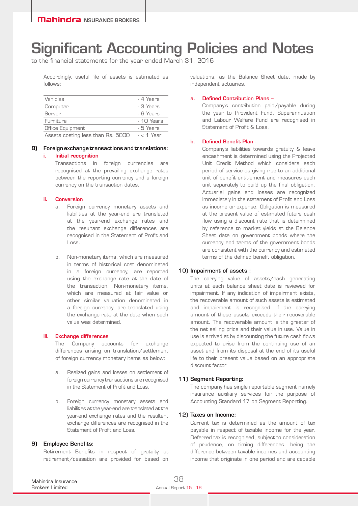to the financial statements for the year ended March 31, 2016

Accordingly, useful life of assets is estimated as follows:

| Vehicles                          | - 4 Years   |
|-----------------------------------|-------------|
| Computer                          | - 3 Years   |
| Server                            | - 6 Years   |
| Furniture                         | $-10$ Years |
| Office Equipment                  | - 5 Years   |
| Assets costing less than Rs. 5000 | - < 1 Year  |

## 8) Foreign exchange transactions and translations:

#### i. Initial recognition

Transactions in foreign currencies are recognised at the prevailing exchange rates between the reporting currency and a foreign currency on the transaction dates.

#### ii. Conversion

- a. Foreign currency monetary assets and liabilities at the year-end are translated at the year-end exchange rates and the resultant exchange differences are recognised in the Statement of Profit and Loss.
- b. Non-monetary items, which are measured in terms of historical cost denominated in a foreign currency, are reported using the exchange rate at the date of the transaction. Non-monetary items, which are measured at fair value or other similar valuation denominated in a foreign currency, are translated using the exchange rate at the date when such value was determined.

#### iii. Exchange differences

The Company accounts for exchange differences arising on translation/settlement of foreign currency monetary items as below:

- Realized gains and losses on settlement of foreign currency transactions are recognised in the Statement of Profit and Loss.
- b. Foreign currency monetary assets and liabilities at the year-end are translated at the year-end exchange rates and the resultant exchange differences are recognised in the Statement of Profit and Loss.

## 9) Employee Benefits:

Retirement Benefits in respect of gratuity at retirement/cessation are provided for based on valuations, as the Balance Sheet date, made by independent actuaries.

## a. Defined Contribution Plans –

Company's contribution paid/payable during the year to Provident Fund, Superannuation and Labour Welfare Fund are recognised in Statement of Profit & Loss.

## b. Defined Benefit Plan -

Company's liabilities towards gratuity & leave encashment is determined using the Projected Unit Credit Method which considers each period of service as giving rise to an additional unit of benefit entitlement and measures each unit separately to build up the final obligation. Actuarial gains and losses are recognized immediately in the statement of Profit and Loss as income or expense. Obligation is measured at the present value of estimated future cash flow using a discount rate that is determined by reference to market yields at the Balance Sheet date on government bonds where the currency and terms of the government bonds are consistent with the currency and estimated terms of the defined benefit obligation.

#### 10) Impairment of assets :

The carrying value of assets/cash generating units at each balance sheet date is reviewed for impairment. If any indication of impairment exists, the recoverable amount of such assets is estimated and impairment is recognised, if the carrying amount of these assets exceeds their recoverable amount. The recoverable amount is the greater of the net selling price and their value in use. Value in use is arrived at by discounting the future cash flows expected to arise from the continuing use of an asset and from its disposal at the end of its useful life to their present value based on an appropriate discount factor

## 11) Segment Reporting:

The company has single reportable segment namely insurance auxiliary services for the purpose of Accounting Standard 17 on Segment Reporting.

#### 12) Taxes on Income:

Current tax is determined as the amount of tax payable in respect of taxable income for the year. Deferred tax is recognised, subject to consideration of prudence, on timing differences, being the difference between taxable incomes and accounting income that originate in one period and are capable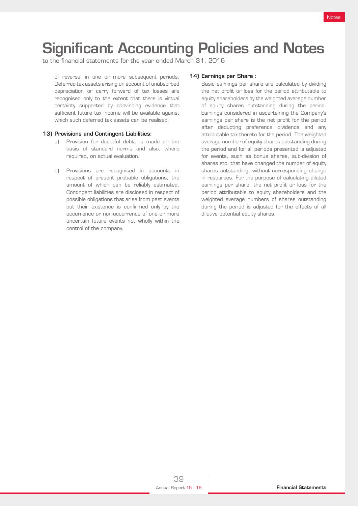to the financial statements for the year ended March 31, 2016

of reversal in one or more subsequent periods. Deferred tax assets arising on account of unabsorbed depreciation or carry forward of tax losses are recognised only to the extent that there is virtual certainty supported by convincing evidence that sufficient future tax income will be available against which such deferred tax assets can be realised.

#### 13) Provisions and Contingent Liabilities:

- a) Provision for doubtful debts is made on the basis of standard norms and also, where required, on actual evaluation.
- b) Provisions are recognised in accounts in respect of present probable obligations, the amount of which can be reliably estimated. Contingent liabilities are disclosed in respect of possible obligations that arise from past events but their existence is confirmed only by the occurrence or non-occurrence of one or more uncertain future events not wholly within the control of the company.

#### 14) Earnings per Share :

Basic earnings per share are calculated by dividing the net profit or loss for the period attributable to equity shareholders by the weighted average number of equity shares outstanding during the period. Earnings considered in ascertaining the Company's earnings per share is the net profit for the period after deducting preference dividends and any attributable tax thereto for the period. The weighted average number of equity shares outstanding during the period and for all periods presented is adjusted for events, such as bonus shares, sub-division of shares etc. that have changed the number of equity shares outstanding, without corresponding change in resources. For the purpose of calculating diluted earnings per share, the net profit or loss for the period attributable to equity shareholders and the weighted average numbers of shares outstanding during the period is adjusted for the effects of all dilutive potential equity shares.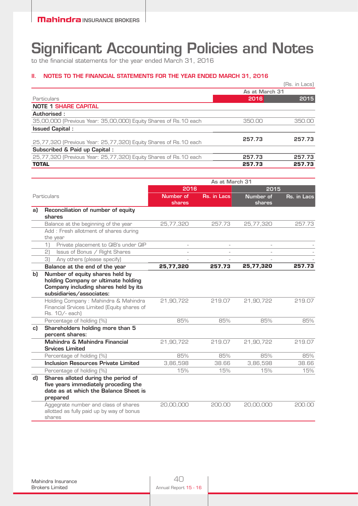to the financial statements for the year ended March 31, 2016

## II. NOTES TO THE FINANCIAL STATEMENTS FOR THE YEAR ENDED MARCH 31, 2016

|                                                                  |                | (Rs. in Lacs) |
|------------------------------------------------------------------|----------------|---------------|
|                                                                  | As at March 31 |               |
| Particulars                                                      | 2016           | 2015          |
| <b>NOTE 1 SHARE CAPITAL</b>                                      |                |               |
| Authorised:                                                      |                |               |
| 35,00,000 (Previous Year: 35,00,000) Equity Shares of Rs.10 each | 350.00         | 350.00        |
| <b>Issued Capital:</b>                                           |                |               |
| 25,77,320 (Previous Year: 25,77,320) Equity Shares of Rs.10 each | 257.73         | 257.73        |
| Subscribed & Paid up Capital:                                    |                |               |
| 25,77,320 (Previous Year: 25,77,320) Equity Shares of Rs.10 each | 257.73         | 257.73        |
| <b>TOTAL</b>                                                     | 257.73         | 257.73        |

|    |                                                                                                                                            |                          | As at March 31 |                          |             |
|----|--------------------------------------------------------------------------------------------------------------------------------------------|--------------------------|----------------|--------------------------|-------------|
|    |                                                                                                                                            | 2016                     |                | 2015                     |             |
|    | Particulars                                                                                                                                | Number of<br>shares      | Rs. in Lacs    | Number of<br>shares      | Rs. in Lacs |
| a) | Reconciliation of number of equity<br>shares                                                                                               |                          |                |                          |             |
|    | Balance at the beginning of the year                                                                                                       | 25,77,320                | 257.73         | 25,77,320                | 257.73      |
|    | Add: Fresh allotment of shares during<br>the year                                                                                          |                          |                |                          |             |
|    | Private placement to QIB's under QIP<br>11                                                                                                 | $\overline{\phantom{a}}$ | $\bar{a}$      | $\overline{\phantom{a}}$ |             |
|    | Issus of Bonus / Right Shares<br>2)                                                                                                        |                          |                |                          |             |
|    | Any others (please specify)<br>3)                                                                                                          |                          |                |                          |             |
|    | Balance at the end of the year                                                                                                             | 25,77,320                | 257.73         | 25,77,320                | 257.73      |
| b  | Number of equity shares held by<br>holding Company or ultimate holding<br>Company including shares held by its<br>subsidiaries/associates: |                          |                |                          |             |
|    | Holding Company: Mahindra & Mahindra<br>Financial Srvices Limited (Equity shares of<br>Rs. 10/- each)                                      | 21,90,722                | 219.07         | 21,90,722                | 219.07      |
|    | Percentage of holding (%)                                                                                                                  | 85%                      | 85%            | 85%                      | 85%         |
| c) | Shareholders holding more than 5<br>percent shares:                                                                                        |                          |                |                          |             |
|    | Mahindra & Mahindra Financial<br><b>Srvices Limited</b>                                                                                    | 21,90,722                | 219.07         | 21,90,722                | 219.07      |
|    | Percentage of holding (%)                                                                                                                  | 85%                      | 85%            | 85%                      | 85%         |
|    | <b>Inclusion Resources Private Limited</b>                                                                                                 | 3,86,598                 | 38.66          | 3,86,598                 | 38.66       |
|    | Percentage of holding [%]                                                                                                                  | 15%                      | 15%            | 15%                      | 15%         |
| d) | Shares alloted during the period of<br>five years immediately proceding the<br>date as at which the Balance Sheet is<br>prepared           |                          |                |                          |             |
|    | Aggegrate number and class of shares<br>allotted as fully paid up by way of bonus<br>shares                                                | 20,00,000                | 200.00         | 20,00,000                | 200.00      |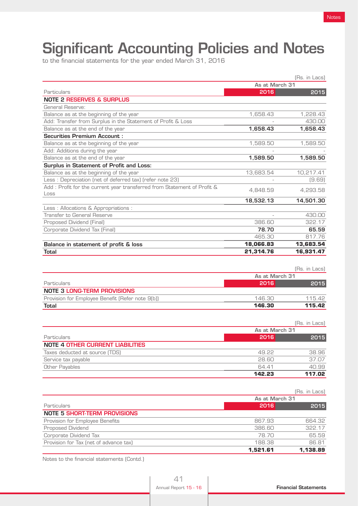to the financial statements for the year ended March 31, 2016

|                                                                                 |                | (Rs. in Lacs) |
|---------------------------------------------------------------------------------|----------------|---------------|
|                                                                                 | As at March 31 |               |
| Particulars                                                                     | 2016           | 2015          |
| <b>NOTE 2 RESERVES &amp; SURPLUS</b>                                            |                |               |
| General Reserve:                                                                |                |               |
| Balance as at the beginning of the year                                         | 1.658.43       | 1,228.43      |
| Add: Transfer from Surplus in the Statement of Profit & Loss                    |                | 430.00        |
| Balance as at the end of the year                                               | 1,658.43       | 1,658.43      |
| <b>Securities Premium Account:</b>                                              |                |               |
| Balance as at the beginning of the year                                         | 1,589.50       | 1,589.50      |
| Add: Additions during the year                                                  |                |               |
| Balance as at the end of the year                                               | 1,589.50       | 1,589.50      |
| Surplus in Statement of Profit and Loss:                                        |                |               |
| Balance as at the beginning of the year                                         | 13,683.54      | 10,217.41     |
| Less: Depreciation (net of deferred tax) (refer note 23)                        |                | (9.69)        |
| Add: Profit for the current year transferred from Statement of Profit &<br>Loss | 4.848.59       | 4,293.58      |
|                                                                                 | 18,532.13      | 14,501.30     |
| Less: Allocations & Appropriations:                                             |                |               |
| Transfer to General Reserve                                                     |                | 430.00        |
| Proposed Dividend (Final)                                                       | 386.60         | 322.17        |
| Corporate Dividend Tax (Final)                                                  | 78.70          | 65.59         |
|                                                                                 | 465.30         | 817.76        |
| Balance in statement of profit & loss                                           | 18,066.83      | 13,683.54     |
| Total                                                                           | 21.314.76      | 16,931.47     |

| <b>Total</b>                                     | 146.30         | 115.42        |
|--------------------------------------------------|----------------|---------------|
| Provision for Employee Benefit (Refer note 9(b)) | 146.30         | 11542         |
| NOTE 3 LONG-TERM PROVISIONS                      |                |               |
| Particulars                                      | 2016           | 2015          |
|                                                  | As at March 31 |               |
|                                                  |                | (Rs. in Lacs) |

|                                         |                | (Rs. in Lacs) |
|-----------------------------------------|----------------|---------------|
|                                         | As at March 31 |               |
| Particulars                             | 2016           | 2015          |
| <b>NOTE 4 OTHER CURRENT LIABILITIES</b> |                |               |
| Taxes deducted at source (TDS)          | 49.22          | 38.96         |
| Service tax payable                     | 28.60          | 37.07         |
| Other Payables                          | 64.41          | 40.99         |
|                                         | 142.23         | 117.02        |

|                                        |                | (Rs. in Lacs) |
|----------------------------------------|----------------|---------------|
|                                        | As at March 31 |               |
| Particulars                            | 2016           | 2015          |
| NOTE 5 SHORT-TERM PROVISIONS           |                |               |
| Provision for Employee Benefits        | 867.93         | 664.32        |
| Proposed Dividend                      | 386.60         | 322.17        |
| Corporate Dividend Tax                 | 78.70          | 65.59         |
| Provision for Tax (net of advance tax) | 188.38         | 86.81         |
|                                        | 1.521.61       | 1,138.89      |

Notes to the financial statements (Contd.)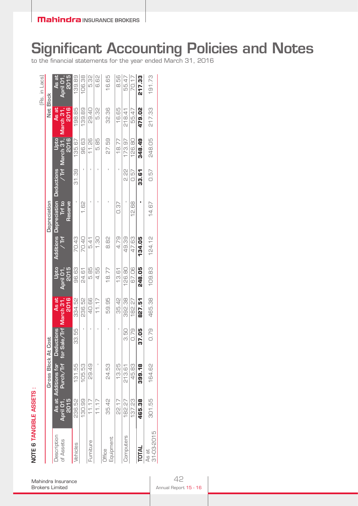| <b>Significant Acco</b>               |  |  |
|---------------------------------------|--|--|
| ) the financial statements for the ve |  |  |

**Mahindra** INSURANCE BROKERS

I

# Significant Accounting Policies and Notes

to the financial statements for the year ended March 31, 2016

|                             |                          | Gross Block At Cost |                   |                          |                          |                                   | Depreciation             |                    |                                   | Net Block   |                         |
|-----------------------------|--------------------------|---------------------|-------------------|--------------------------|--------------------------|-----------------------------------|--------------------------|--------------------|-----------------------------------|-------------|-------------------------|
| Description                 |                          | As at Additions for | <b>Deductions</b> | As at<br>e/Trf March 31, | Upto                     | <b>Additions</b><br>$\frac{1}{2}$ | <b>Depreciation</b>      | <b>Deductions</b>  | <b>Upto</b>                       | As at       | As at                   |
| of Assets                   | April 01,<br><b>2015</b> | Purch/Trf for Sall  |                   | <b>2016</b>              | <b>2015</b><br>April 01, |                                   | <b>Reserve</b><br>Trf to |                    | / Trf March 31, March 31,<br>2016 | <b>2016</b> | <b>2015</b><br>April 01 |
| Vehicles                    | 236.52                   | 131.55              | 33.55             | 334.52                   | 96.63                    | 70.43                             |                          | co<br>Co<br>—<br>ო | 135.67                            | 198.85      | 139.89                  |
|                             | 130.99                   | 105.53              | I.                | 236.52                   | 24.61                    | 70.40                             | 1.62                     |                    | 96.63                             | 139.89      | 106.38                  |
| Furniture                   | 11.17                    | 29.49               | J.                | 40.66                    | 5.85                     | 5.41                              | I                        | I                  | 11.26                             | 29.40       | 5.32                    |
|                             | 11.17                    |                     | I                 | 11.17                    | 4.55                     | 1.30                              |                          | I                  | 5.85                              | 5.32        | 6.62                    |
| Equipment<br><b>Diffice</b> | 35.42                    | 24.53               |                   | 59.95                    | 18.77                    | 83.82                             |                          |                    | 27.59                             | 32.36       | 16.65                   |
|                             | 22.17                    | 13.25               | t                 | 35.42                    | 13.61                    | 4.79                              | 0.37                     | Ï                  | 18.77                             | 16.65       | 8.56                    |
| Computers                   | 182.27                   | 213.61              | 3.50              | 392.38                   | 126.80                   | <b>49.39</b>                      |                          | 22<br>23           | 173.97                            | 218.41      | 55.47                   |
|                             | 137.23                   | 45.83               | 0.79              | 182.27                   | 67.06                    | 47.63                             | 69<br>io<br>S            | 0.57               | 126.80                            | 55.47       | 70.17                   |
| TOTAL                       | 465.38                   | 399.18              | 17.05<br>m        | 827.51                   | 248.05                   | 134.05                            |                          | 33.61              | 348.49                            | 479.02      | 217.33                  |
| 31-03-2015<br>As at         | 301.55                   | 164.62              | 0.79              | 465.38                   | 109.83                   | 124.12                            | 14.67                    | 0.57               | 248.05                            | 217.33      | 191.73                  |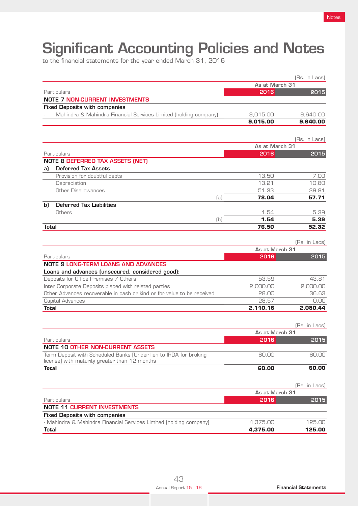to the financial statements for the year ended March 31, 2016

|              |                                                                                                                    |                        | (Rs. in Lacs) |
|--------------|--------------------------------------------------------------------------------------------------------------------|------------------------|---------------|
|              |                                                                                                                    | As at March 31         |               |
|              | Particulars                                                                                                        | 2016                   | 2015          |
|              | <b>NOTE 7 NON-CURRENT INVESTMENTS</b>                                                                              |                        |               |
|              | <b>Fixed Deposits with companies</b>                                                                               |                        |               |
|              | Mahindra & Mahindra Financial Services Limited (holding company)                                                   | 9,015.00               | 9,640.00      |
|              |                                                                                                                    | 9,015.00               | 9,640.00      |
|              |                                                                                                                    |                        |               |
|              |                                                                                                                    |                        | (Rs. in Lacs) |
|              |                                                                                                                    | As at March 31         |               |
|              | Particulars                                                                                                        | 2016                   | 2015          |
|              | <b>NOTE 8 DEFERRED TAX ASSETS (NET)</b>                                                                            |                        |               |
| al           | <b>Deferred Tax Assets</b>                                                                                         |                        |               |
|              | Provision for doubtful debts                                                                                       | 13.50                  | 7.00          |
|              | Depreciation                                                                                                       | 13.21                  | 10.80         |
|              | <b>Other Disallowances</b>                                                                                         | 51.33                  | 39.91         |
|              | (a)                                                                                                                | 78.04                  | 57.71         |
| b)           | <b>Deferred Tax Liabilities</b>                                                                                    |                        |               |
|              | Others                                                                                                             | 1.54                   | 5.39          |
|              | (b)                                                                                                                | 1.54                   | 5.39          |
| <b>Total</b> |                                                                                                                    | 76.50                  | 52.32         |
|              |                                                                                                                    |                        |               |
|              |                                                                                                                    |                        | (Rs. in Lacs) |
|              |                                                                                                                    | As at March 31         |               |
|              | Particulars                                                                                                        | 2016                   | 2015          |
|              | NOTE 9 LONG-TERM LOANS AND ADVANCES                                                                                |                        |               |
|              | Loans and advances (unsecured, considered good):                                                                   |                        |               |
|              | Deposits for Office Premises / Others                                                                              | 53.59                  | 43.81         |
|              | Inter Corporate Deposits placed with related parties                                                               | 2,000.00               | 2,000.00      |
|              | Other Advances recoverable in cash or kind or for value to be received                                             | 28.00                  | 36.63         |
|              | Capital Advances                                                                                                   | 28.57                  | 0.00          |
| <b>Total</b> |                                                                                                                    | 2,110.16               | 2,080.44      |
|              |                                                                                                                    |                        |               |
|              |                                                                                                                    |                        | (Rs. in Lacs) |
|              | Particulars                                                                                                        | As at March 31<br>2016 | 2015          |
|              | NOTE 10 OTHER NON-CURRENT ASSETS                                                                                   |                        |               |
|              |                                                                                                                    |                        |               |
|              | Term Deposit with Scheduled Banks [Under lien to IRDA for broking<br>license] with maturity greater than 12 months | 60.00                  | 60.00         |
| <b>Total</b> |                                                                                                                    | 60.00                  | 60.00         |
|              |                                                                                                                    |                        |               |
|              |                                                                                                                    |                        | (Rs. in Lacs) |
|              |                                                                                                                    | As at March 31         |               |
|              | Particulars                                                                                                        | 2016                   | 2015          |
|              | <b>NOTE 11 CURRENT INVESTMENTS</b>                                                                                 |                        |               |
|              | <b>Fixed Deposits with companies</b>                                                                               |                        |               |
|              | - Mahindra & Mahindra Financial Services Limited (holding company)                                                 | 4,375.00               | 125.00        |
| Total        |                                                                                                                    | 4,375.00               | 125.00        |
|              |                                                                                                                    |                        |               |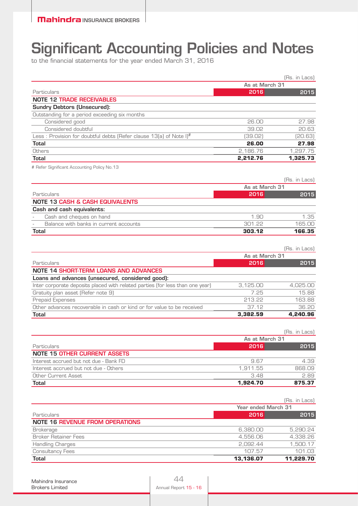to the financial statements for the year ended March 31, 2016

|                                                                                |                | (Rs. in Lacs) |
|--------------------------------------------------------------------------------|----------------|---------------|
|                                                                                | As at March 31 |               |
| Particulars                                                                    | 2016           | 2015          |
| <b>NOTE 12 TRADE RECEIVABLES</b>                                               |                |               |
| <b>Sundry Debtors (Unsecured):</b>                                             |                |               |
| Outstanding for a period exceeding six months                                  |                |               |
| Considered good                                                                | 26.00          | 27.98         |
| Considered doubtful                                                            | 39.02          | 20.63         |
| Less: Provision for doubtful debts (Refer clause 13(a) of Note I) <sup>#</sup> | (39.02)        | [20.63]       |
| <b>Total</b>                                                                   | 26.00          | 27.98         |
| Others                                                                         | 2,186.76       | 1,297.75      |
| <b>Total</b>                                                                   | 2.212.76       | 1.325.73      |

# Refer Significant Accounting Policy No.13

|                                            |                | (Rs. in Lacs) |
|--------------------------------------------|----------------|---------------|
|                                            | As at March 31 |               |
| Particulars                                | 2016           | 2015          |
| <b>NOTE 13 CASH &amp; CASH EQUIVALENTS</b> |                |               |
| Cash and cash equivalents:                 |                |               |
| Cash and cheques on hand                   | 1.90           | 1.35          |
| Balance with banks in current accounts     | 301.22         | 165.00        |
| <b>Total</b>                               | 303.12         | 166.35        |

|                                                                               |                | (Rs. in Lacs) |
|-------------------------------------------------------------------------------|----------------|---------------|
|                                                                               | As at March 31 |               |
| Particulars                                                                   | 2016           | 2015          |
| NOTE 14 SHORT-TERM LOANS AND ADVANCES                                         |                |               |
| Loans and advances (unsecured, considered good):                              |                |               |
| Inter corporate deposits placed with related parties (for less than one year) | 3,125.00       | 4.025.00      |
| Gratuity plan asset (Refer note 9)                                            | 7.25           | 15.88         |
| <b>Prepaid Expenses</b>                                                       | 213.22         | 163.88        |
| Other advances recoverable in cash or kind or for value to be received        | 37.12          | 36.20         |
| <b>Total</b>                                                                  | 3,382.59       | 4.240.96      |

|                                        |                | (Rs. in Lacs) |
|----------------------------------------|----------------|---------------|
|                                        | As at March 31 |               |
| Particulars                            | 2016           | 2015          |
| NOTE 15 OTHER CURRENT ASSETS           |                |               |
| Interest accrued but not due - Bank FD | 9.67           | 4.39          |
| Interest accrued but not due - Others  | 1.911.55       | 868.09        |
| Other Current Asset                    | 3.48           | 2.89          |
| <b>Total</b>                           | 1.924.70       | 875.37        |

|                                        |                     | (Rs. in Lacs) |
|----------------------------------------|---------------------|---------------|
|                                        | Year ended March 31 |               |
| Particulars                            | 2016                | 2015          |
| <b>NOTE 16 REVENUE FROM OPERATIONS</b> |                     |               |
| <b>Brokerage</b>                       | 6,380.00            | 5,290.24      |
| <b>Broker Retainer Fees</b>            | 4.556.06            | 4,338.26      |
| <b>Handling Charges</b>                | 2.092.44            | 1.500.17      |
| <b>Consultancy Fees</b>                | 107.57              | 101.03        |
| <b>Total</b>                           | 13.136.07           | 11,229.70     |

| Mahindra Insurance<br>Brokers Limited | Annual Report 15 - 16 |  |
|---------------------------------------|-----------------------|--|
|                                       |                       |  |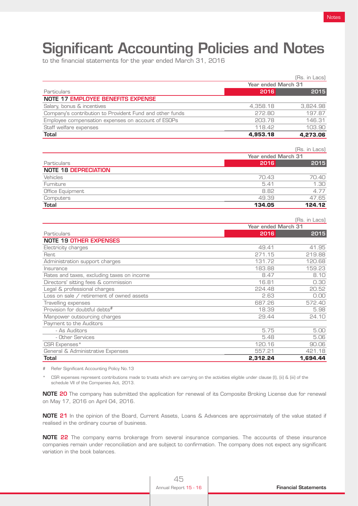to the financial statements for the year ended March 31, 2016

|                                                          |                     | (Rs. in Lacs) |
|----------------------------------------------------------|---------------------|---------------|
|                                                          | Year ended March 31 |               |
| Particulars                                              | 2016                | 2015          |
| NOTE 17 EMPLOYEE BENEFITS EXPENSE                        |                     |               |
| Salary, bonus & incentives                               | 4.358.18            | 3.824.98      |
| Company's contribution to Provident Fund and other funds | 272.80              | 197.87        |
| Employee compensation expenses on account of ESOPs       | 203.78              | 146.31        |
| Staff welfare expenses                                   | 118.42              | 103.90        |
| Total                                                    | 4.953.18            | 4,273.06      |

|                      |                            | (Rs. in Lacs) |
|----------------------|----------------------------|---------------|
|                      | <b>Year ended March 31</b> |               |
| Particulars          | 2016                       | 2015          |
| NOTE 18 DEPRECIATION |                            |               |
| Vehicles             | 70.43                      | 70.40         |
| Furniture            | 5.41                       | 1.30          |
| Office Equipment     | 8.82                       | 4.77          |
| Computers            | 49.39                      | 47.65         |
| <b>Total</b>         | 134.05                     | 124.12        |

|                                                   |                     | (Rs. in Lacs) |
|---------------------------------------------------|---------------------|---------------|
|                                                   | Year ended March 31 |               |
| Particulars                                       | 2016                | 2015          |
| <b>NOTE 19 OTHER EXPENSES</b>                     |                     |               |
| Electricity charges                               | 49.41               | 41.95         |
| Rent                                              | 271.15              | 219.88        |
| Administration support charges                    | 131.72              | 120.68        |
| Insurance                                         | 183.88              | 159.23        |
| Rates and taxes, excluding taxes on income        | 8.47                | 8.10          |
| Directors' sitting fees & commission              | 16.81               | 0.30          |
| Legal & professional charges                      | 224.48              | 20.52         |
| Loss on sale $\diagup$ retirement of owned assets | 2.63                | 0.00          |
| Travelling expenses                               | 687.26              | 572.40        |
| Provision for doubtful debts#                     | 18.39               | 5.98          |
| Manpower outsourcing charges                      | 29.44               | 24.10         |
| Payment to the Auditors                           |                     |               |
| - As Auditors                                     | 5.75                | 5.00          |
| - Other Services                                  | 5.48                | 5.06          |
| CSR Expenses*                                     | 120.16              | 90.06         |
| General & Administrative Expenses                 | 557.21              | 421.18        |
| Total                                             | 2,312.24            | 1,694.44      |

# Refer Significant Accounting Policy No.13

CSR expenses represent contributions made to trusts which are carrying on the activities eligible under clause (I), (ii) & (iii) of the schedule VII of the Companies Act, 2013.

NOTE 20 The company has submitted the application for renewal of its Composite Broking License due for renewal on May 17, 2016 on April 04, 2016.

NOTE 21 In the opinion of the Board, Current Assets, Loans & Advances are approximately of the value stated if realised in the ordinary course of business.

NOTE 22 The company earns brokerage from several insurance companies. The accounts of these insurance companies remain under reconciliation and are subject to confirmation. The company does not expect any significant variation in the book balances.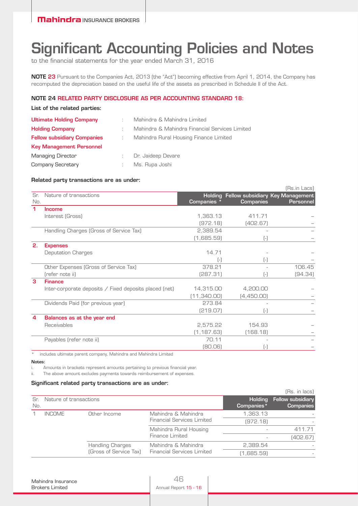to the financial statements for the year ended March 31, 2016

NOTE 23 Pursuant to the Companies Act, 2013 (the "Act") becoming effective from April 1, 2014, the Company has recomputed the depreciation based on the useful life of the assets as prescribed in Schedule II of the Act.

## NOTE 24 RELATED PARTY DISCLOSURE AS PER ACCOUNTING STANDARD 18:

List of the related parties:

| <b>Ultimate Holding Company</b>    | Mahindra & Mahindra Limited                    |
|------------------------------------|------------------------------------------------|
| <b>Holding Company</b>             | Mahindra & Mahindra Financial Services Limited |
| <b>Fellow subsidiary Companies</b> | Mahindra Rural Housing Finance Limited         |
| <b>Key Management Personnel</b>    |                                                |
| Managing Director                  | Dr. Jaideep Devare                             |
| Company Secretary                  | Ms. Rupa Joshi                                 |

#### Related party transactions are as under:

|                                                        |                   |                   | (Rs.in Lacs)                                                 |
|--------------------------------------------------------|-------------------|-------------------|--------------------------------------------------------------|
| Nature of transactions                                 |                   |                   |                                                              |
|                                                        |                   |                   | <b>Personnel</b>                                             |
| Income                                                 |                   |                   |                                                              |
| Interest (Gross)                                       | 1,363.13          | 411.71            |                                                              |
|                                                        | (972.18)          | [402.67]          |                                                              |
| Handling Charges (Gross of Service Tax)                | 2,389.54          |                   |                                                              |
|                                                        | (1,685.59)        | $\left( -\right)$ |                                                              |
| <b>Expenses</b>                                        |                   |                   |                                                              |
| <b>Deputation Charges</b>                              | 14.71             |                   |                                                              |
|                                                        | $\left[ -\right]$ | $\left[ -\right]$ |                                                              |
| Other Expenses (Gross of Service Tax)                  | 378.21            |                   | 106.45                                                       |
| (refer note ii)                                        | [287.31]          | $\left( -\right)$ | [94.34]                                                      |
| <b>Finance</b>                                         |                   |                   |                                                              |
| Inter-corporate deposits / Fixed deposits placed (net) | 14,315.00         | 4,200.00          |                                                              |
|                                                        | (11, 340.00)      | (4,450.00)        |                                                              |
| Dividends Paid (for previous year)                     | 273.84            |                   |                                                              |
|                                                        | [219.07]          | $\left( -\right)$ |                                                              |
| Balances as at the year end                            |                   |                   |                                                              |
| Receivables                                            | 2,575.22          | 154.93            |                                                              |
|                                                        | (1, 187.63)       | (168.18)          |                                                              |
| Payables (refer note ii)                               | 70.11             |                   |                                                              |
|                                                        | (80.06)           | $\left( -\right)$ |                                                              |
|                                                        |                   | Companies *       | Holding Fellow subsidiary Key Management<br><b>Companies</b> |

includes ultimate parent company, Mahindra and Mahindra Limited

Notes:

i. Amounts in brackets represent amounts pertaining to previous financial year.

ii. The above amount excludes payments towards reimbursement of expenses.

#### Significant related party transactions are as under:

|            |                                                                                             |                        |                                   |                              | (Rs. in lacs)                                |
|------------|---------------------------------------------------------------------------------------------|------------------------|-----------------------------------|------------------------------|----------------------------------------------|
| Sr.<br>No. | Nature of transactions                                                                      |                        |                                   | <b>Holding</b><br>Companies* | <b>Fellow subsidiary</b><br><b>Companies</b> |
| INCOME     |                                                                                             | Other Income           | Mahindra & Mahindra               | 1,363.13                     |                                              |
|            | Mahindra Rural Housing<br>Finance Limited<br>Mahindra & Mahindra<br><b>Handling Charges</b> |                        | <b>Financial Services Limited</b> | [972.18]                     |                                              |
|            |                                                                                             |                        |                                   | 411.71                       |                                              |
|            |                                                                                             |                        |                                   |                              | (402.67)                                     |
|            |                                                                                             | 2.389.54               |                                   |                              |                                              |
|            |                                                                                             | (Gross of Service Tax) | <b>Financial Services Limited</b> | (1,685.59)                   |                                              |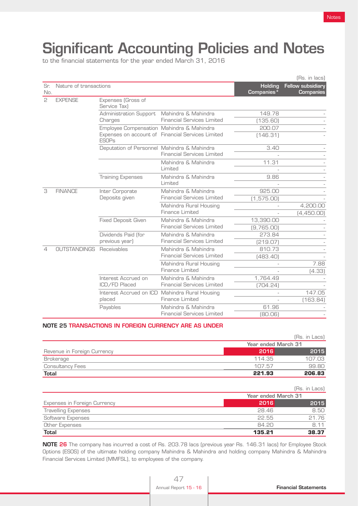to the financial statements for the year ended March 31, 2016

|            |                        |                                             |                                                   |                              | (Rs. in lacs)                                |
|------------|------------------------|---------------------------------------------|---------------------------------------------------|------------------------------|----------------------------------------------|
| Sr.<br>No. | Nature of transactions |                                             |                                                   | <b>Holding</b><br>Companies* | <b>Fellow subsidiary</b><br><b>Companies</b> |
| 2          | <b>EXPENSE</b>         | Expenses (Gross of<br>Service Taxl          |                                                   |                              |                                              |
|            |                        | <b>Administration Support</b>               | Mahindra & Mahindra                               | 149.78                       |                                              |
|            |                        | Charges                                     | <b>Financial Services Limited</b>                 | (135.60)                     |                                              |
|            |                        | Employee Compensation Mahindra & Mahindra   |                                                   | 200.07                       |                                              |
|            |                        | <b>ESOPs</b>                                | Expenses on account of Financial Services Limited | (146.31)                     |                                              |
|            |                        | Deputation of Personnel Mahindra & Mahindra |                                                   | 3.40                         |                                              |
|            |                        |                                             | <b>Financial Services Limited</b>                 |                              |                                              |
|            |                        |                                             | Mahindra & Mahindra                               | 11.31                        |                                              |
|            |                        |                                             | Limited                                           |                              |                                              |
|            |                        | <b>Training Expenses</b>                    | Mahindra & Mahindra                               | 9.86                         |                                              |
|            |                        |                                             | Limited                                           |                              |                                              |
| 3          | <b>FINANCE</b>         | Inter Corporate<br>Mahindra & Mahindra      |                                                   | 925.00                       |                                              |
|            |                        | Deposits given                              | <b>Financial Services Limited</b>                 | (1, 575.00)                  |                                              |
|            |                        |                                             | Mahindra Rural Housing                            |                              | 4,200.00                                     |
|            |                        |                                             | Finance Limited                                   |                              | (4,450.00)                                   |
|            |                        | <b>Fixed Deposit Given</b>                  | Mahindra & Mahindra                               | 13,390.00                    |                                              |
|            |                        |                                             | <b>Financial Services Limited</b>                 | (9,765.00)                   |                                              |
|            |                        | Dividends Paid (for                         | Mahindra & Mahindra                               | 273.84                       |                                              |
|            |                        | previous year)                              | <b>Financial Services Limited</b>                 | [219.07]                     |                                              |
| 4          | <b>OUTSTANDINGS</b>    | Mahindra & Mahindra<br>Receivables          |                                                   | 810.73                       |                                              |
|            |                        |                                             | <b>Financial Services Limited</b>                 | (483.40)                     |                                              |
|            |                        |                                             | Mahindra Rural Housing                            |                              | 7.88                                         |
|            |                        |                                             | Finance Limited                                   |                              | [4.33]                                       |
|            |                        | Interest Accrued on                         | Mahindra & Mahindra                               | 1,764.49                     |                                              |
|            |                        | ICD/FD Placed                               | <b>Financial Services Limited</b>                 | [704.24]                     |                                              |
|            |                        |                                             | Interest Accrued on ICD Mahindra Rural Housing    |                              | 147.05                                       |
|            |                        | placed                                      | <b>Finance Limited</b>                            |                              | (163.84)                                     |
|            |                        | Payables                                    | Mahindra & Mahindra                               | 61.96                        |                                              |
|            |                        |                                             | <b>Financial Services Limited</b>                 | (80.06)                      |                                              |

#### NOTE 25 TRANSACTIONS IN FOREIGN CURRENCY ARE AS UNDER

|                             |                            | (Rs. in Lacs) |
|-----------------------------|----------------------------|---------------|
|                             | <b>Year ended March 31</b> |               |
| Revenue in Foreign Currency | 2016                       | 2015          |
| Brokerage                   | 114.35                     | 107.03        |
| <b>Consultancy Fees</b>     | 107.57                     | 99.80         |
| <b>Total</b>                | 221.93                     | 206.83        |

|                              |                            | (Rs. in Lacs) |
|------------------------------|----------------------------|---------------|
|                              | <b>Year ended March 31</b> |               |
| Expenses in Foreign Currency | 2016                       | 2015          |
| <b>Travelling Expenses</b>   | 28.46                      | 8.50          |
| Software Expenses            | 22.55                      | 21.76         |
| Other Expenses               | 84.20                      | 8.11          |
| <b>Total</b>                 | 135.21                     | 38.37         |

NOTE 26 The company has incurred a cost of Rs. 203.78 lacs (previous year Rs. 146.31 lacs) for Employee Stock Options (ESOS) of the ultimate holding company Mahindra & Mahindra and holding company Mahindra & Mahindra Financial Services Limited (MMFSL), to employees of the company.

> Annual Report 15 - 16 47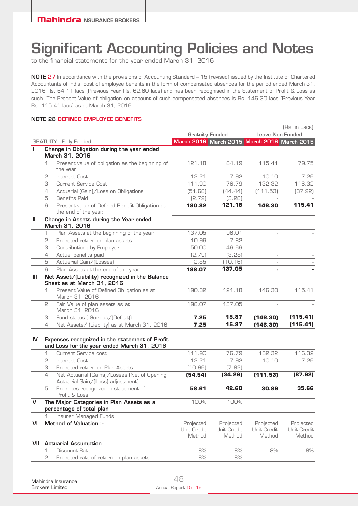to the financial statements for the year ended March 31, 2016

NOTE 27 In accordance with the provisions of Accounting Standard - 15 (revised) issued by the Institute of Chartered Accountants of India; cost of employee benefits in the form of compensated absences for the period ended March 31, 2016 Rs. 64.11 lacs (Previous Year Rs. 62.60 lacs) and has been recognised in the Statement of Profit & Loss as such. The Present Value of obligation on account of such compensated absences is Rs. 146.30 lacs (Previous Year Rs. 115.41 lacs) as at March 31, 2016.

### NOTE 28 DEFINED EMPLOYEE BENEFITS

|                |                |                                                                                              |                                    |                                    |                                             | (Rs. in Lacs)                      |  |
|----------------|----------------|----------------------------------------------------------------------------------------------|------------------------------------|------------------------------------|---------------------------------------------|------------------------------------|--|
|                |                |                                                                                              | <b>Gratuity Funded</b>             |                                    |                                             | <b>Leave Non-Funded</b>            |  |
|                |                | <b>GRATUITY - Fully Funded</b>                                                               |                                    |                                    | March 2016 March 2015 March 2016 March 2015 |                                    |  |
| L              |                | Change in Obligation during the year ended<br>March 31, 2016                                 |                                    |                                    |                                             |                                    |  |
|                | 1              | Present value of obligation as the beginning of<br>the year                                  | 121.18                             | 84.19                              | 115.41                                      | 79.75                              |  |
|                | 2              | Interest Cost                                                                                | 12.21                              | 7.92                               | 10.10                                       | 7.26                               |  |
|                | 3              | <b>Current Service Cost</b>                                                                  | 111.90                             | 76.79                              | 132.32                                      | 116.32                             |  |
|                | $\overline{4}$ | Actuarial (Gain)/Loss on Obligations                                                         | (51.68)                            | [44.44]                            | (111.53)                                    | (87.92)                            |  |
|                | 5              | <b>Benefits Paid</b>                                                                         | [2.79]                             | (3.28)                             |                                             |                                    |  |
|                | 6              | Present value of Defined Benefit Obligation at<br>the end of the year.                       | 190.82                             | 121.18                             | 146.30                                      | 115.41                             |  |
| Ш              |                | Change in Assets during the Year ended<br>March 31, 2016                                     |                                    |                                    |                                             |                                    |  |
|                | 1              | Plan Assets at the beginning of the year                                                     | 137.05                             | 96.01                              |                                             |                                    |  |
|                | 2              | Expected return on plan assets.                                                              | 10.96                              | 7.82                               |                                             |                                    |  |
|                | 3              | Contributions by Employer                                                                    | 50.00                              | 46.66                              | $\sim$                                      |                                    |  |
|                | $\overline{4}$ | Actual benefits paid                                                                         | [2.79]                             | (3.28)                             | $\sim$                                      |                                    |  |
|                | 5              | Actuarial Gain/(Losses)                                                                      | 2.85                               | (10.16)                            |                                             |                                    |  |
|                | 6              | Plan Assets at the end of the year                                                           | 198.07                             | 137.05                             | ×                                           |                                    |  |
| Ш              |                | Net Asset/(Liability) recognized in the Balance<br>Sheet as at March 31, 2016                |                                    |                                    |                                             |                                    |  |
|                | 1              | Present Value of Defined Obligation as at<br>March 31, 2016                                  | 190.82                             | 121.18                             | 146.30                                      | 115.41                             |  |
|                | 2              | Fair Value of plan assets as at<br>March 31, 2016                                            | 198.07                             | 137.05                             |                                             |                                    |  |
|                | 3              | Fund status (Surplus/(Deficit))                                                              | 7.25                               | 15.87                              | (146.30)                                    | (115.41)                           |  |
|                | 4              | Net Assets/ (Liability) as at March 31, 2016                                                 | 7.25                               | 15.87                              | (146.30)                                    | (115.41)                           |  |
| IV             |                | Expenses recognized in the statement of Profit<br>and Loss for the year ended March 31, 2016 |                                    |                                    |                                             |                                    |  |
|                | 1              | Current Service cost                                                                         | 111.90                             | 76.79                              | 132.32                                      | 116.32                             |  |
|                | 2              | Interest Cost                                                                                | 12.21                              | 7.92                               | 10.10                                       | 7.26                               |  |
|                | 3              | Expected return on Plan Assets                                                               | (10.96)                            | (7.82)                             |                                             |                                    |  |
|                | 4              | Net Actuarial (Gains)/Losses (Net of Opening<br>Actuarial Gain/(Loss) adjustment)            | (54.54)                            | (34.29)                            | (111.53)                                    | (87.92)                            |  |
|                | 5              | Expenses recognized in statement of<br>Profit & Loss                                         | 58.61                              | 42.60                              | 30.89                                       | 35.66                              |  |
| $\mathsf{V}$   |                | The Major Categories in Plan Assets as a                                                     | 100%                               | 100%                               |                                             |                                    |  |
|                |                | percentage of total plan                                                                     |                                    |                                    |                                             |                                    |  |
|                |                | Insurer Managed Funds                                                                        |                                    |                                    |                                             |                                    |  |
| V <sub>l</sub> |                | <b>Method of Valuation :-</b>                                                                | Projected<br>Unit Credit<br>Method | Projected<br>Unit Credit<br>Method | Projected<br>Unit Credit<br>Method          | Projected<br>Unit Credit<br>Method |  |
| VII            |                | <b>Actuarial Assumption</b>                                                                  |                                    |                                    |                                             |                                    |  |
|                | 1              | Discount Rate                                                                                | $8\%$                              | 8%                                 | 8%                                          | 8%                                 |  |
|                | 2              | Expected rate of return on plan assets                                                       | $8\%$                              | 8%                                 |                                             |                                    |  |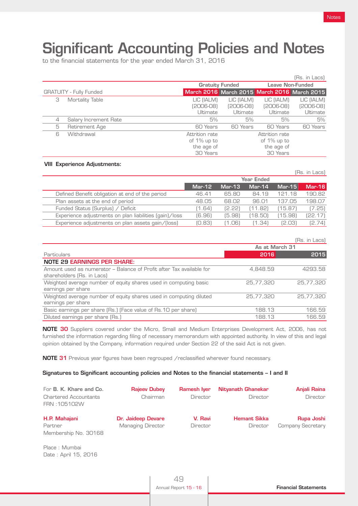to the financial statements for the year ended March 31, 2016

|                                |                       |                |                                             |                | (Rs. in Lacs)           |
|--------------------------------|-----------------------|----------------|---------------------------------------------|----------------|-------------------------|
|                                |                       |                | <b>Gratuity Funded</b>                      |                | <b>Leave Non-Funded</b> |
| <b>GRATUITY - Fully Funded</b> |                       |                | March 2016 March 2015 March 2016 March 2015 |                |                         |
| 3                              | Mortality Table       | LIC (IALM)     | LIC (IALM)                                  | LIC (IALM)     | LIC (IALM)              |
|                                |                       | (2006-08)      | $[2006-08]$                                 | (2006-08)      | $(2006-08)$             |
|                                |                       | Ultimate       | Ultimate                                    | Ultimate       | Ultimate                |
| 4                              | Salary Increment Rate | 5%             | 5%                                          | 5%             | 5%                      |
| 5                              | Retirement Age        | 60 Years       | 60 Years                                    | 60 Years       | 60 Years                |
| 6                              | Withdrawal            | Attrition rate |                                             | Attrition rate |                         |
|                                |                       | of 1% up to    |                                             | of 1% up to    |                         |
|                                |                       | the age of     |                                             | the age of     |                         |
|                                |                       | 30 Years       |                                             | 30 Years       |                         |

#### VIII Experience Adjustments:

|                                                        |               |          |                   |          | (Rs. in Lacs) |
|--------------------------------------------------------|---------------|----------|-------------------|----------|---------------|
|                                                        |               |          | <b>Year Ended</b> |          |               |
|                                                        | <b>Mar-12</b> | $Mar-13$ | Mar-14            | $Mar-15$ | <b>Mar-16</b> |
| Defined Benefit obligation at end of the period        | 46.41         | 65.80    | 84.19             | 121.18   | 190.82        |
| Plan assets at the end of period                       | 48.05         | 68.02    | 96.01             | 137.05   | 198.07        |
| Funded Status (Surplus) / Deficit                      | (1.64)        | [2.22]   | (11.82)           | (15.87)  | (7.25)        |
| Experience adjustments on plan liabilities (gain)/loss | (6.96)        | (5.98)   | (18.50)           | (15.98)  | [22.17]       |
| Experience adjustments on plan assets gain/(loss)      | [0.83]        | (1.061   | (1.34)            | [2.03]   | [2.74]        |

|                                                                                                    |                | (Rs. in Lacs) |
|----------------------------------------------------------------------------------------------------|----------------|---------------|
|                                                                                                    | As at March 31 |               |
| Particulars                                                                                        | 2016           | 2015          |
| <b>NOTE 29 EARNINGS PER SHARE:</b>                                                                 |                |               |
| Amount used as numerator – Balance of Profit after Tax available for<br>shareholders (Rs. in Lacs) | 4,848.59       | 4293.58       |
| Weighted average number of equity shares used in computing basic<br>earnings per share             | 25,77,320      | 25,77,320     |
| Weighted average number of equity shares used in computing diluted<br>earnings per share           | 25,77,320      | 25,77,320     |
| Basic earnings per share (Rs.) (Face value of Rs. 10 per share)                                    | 188.13         | 166.59        |
| Diluted earnings per share (Rs.)                                                                   | 188.13         | 166.59        |

NOTE 30 Suppliers covered under the Micro, Small and Medium Enterprises Development Act, 2006, has not furnished the information regarding filing of necessary memorandum with appointed authority. In view of this and legal opinion obtained by the Company, information required under Section 22 of the said Act is not given.

NOTE 31 Previous year figures have been regrouped /reclassified wherever found necessary.

### Signatures to Significant accounting policies and Notes to the financial statements – I and II

| For B. K. Khare and Co.<br><b>Chartered Accountants</b><br>FRN: 105102W | <b>Rajeev Dubey</b><br>Chairman         | Ramesh Iver<br>Director | Nityanath Ghanekar<br>Director  | Anjali Raina<br>Director        |
|-------------------------------------------------------------------------|-----------------------------------------|-------------------------|---------------------------------|---------------------------------|
| H.P. Mahajani<br>Partner<br>Membership No. 30168                        | Dr. Jaideep Devare<br>Managing Director | V. Ravi<br>Director     | <b>Hemant Sikka</b><br>Director | Rupa Joshi<br>Company Secretary |

Place : Mumbai Date : April 15, 2016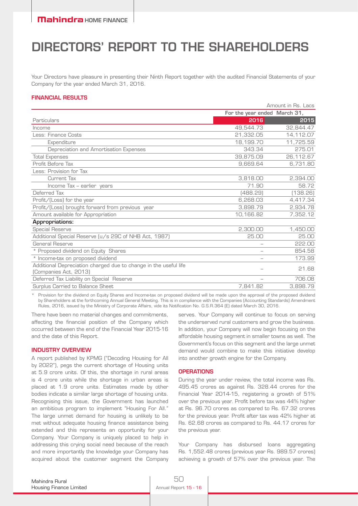## DIRECTORS' REPORT TO THE SHAREHOLDERS

Your Directors have pleasure in presenting their Ninth Report together with the audited Financial Statements of your Company for the year ended March 31, 2016.

## FINANCIAL RESULTS

|                                                                  |                              | Amount in Rs. Lacs |
|------------------------------------------------------------------|------------------------------|--------------------|
|                                                                  | For the year ended March 31, |                    |
| Particulars                                                      | 2016                         | 2015               |
| Income                                                           | 49,544.73                    | 32,844.47          |
| Less: Finance Costs                                              | 21,332.05                    | 14,112.07          |
| Expenditure                                                      | 18,199.70                    | 11,725.59          |
| Depreciation and Amortisation Expenses                           | 343.34                       | 275.01             |
| <b>Total Expenses</b>                                            | 39,875.09                    | 26,112.67          |
| Profit Before Tax                                                | 9,669.64                     | 6,731.80           |
| Less: Provision for Tax                                          |                              |                    |
| Current Tax                                                      | 3,818.00                     | 2,394.00           |
| Income Tax - earlier years                                       | 71.90                        | 58.72              |
| Deferred Tax                                                     | (488.29)                     | (138.26)           |
| Profit/(Loss) for the year                                       | 6,268.03                     | 4,417.34           |
| Profit/(Loss) brought forward from previous year                 | 3,898.79                     | 2,934.78           |
| Amount available for Appropriation                               | 10,166.82                    | 7,352.12           |
| Appropriations:                                                  |                              |                    |
| <b>Special Reserve</b>                                           | 2,300,00                     | 1,450.00           |
| Additional Special Reserve (u/s 29C of NHB Act, 1987)            | 25.00                        | 25.00              |
| General Reserve                                                  |                              | 222.00             |
| * Proposed dividend on Equity Shares                             |                              | 854.58             |
| * Income-tax on proposed dividend                                |                              | 173.99             |
| Additional Depreciation charged due to change in the useful life |                              | 21.68              |
| (Companies Act, 2013)                                            |                              | 706.08             |
| Deferred Tax Liability on Special Reserve                        |                              |                    |
| Surplus Carried to Balance Sheet                                 | 7,841.82                     | 3,898.79           |

Provision for the dividend on Equity Shares and Income-tax on proposed dividend will be made upon the approval of the proposed dividend by Shareholders at the forthcoming Annual General Meeting. This is in compliance with the Companies (Accounting Standards) Amendment Rules, 2016, issued by the Ministry of Corporate Affairs, vide its Notification No. G.S.R.364 (E) dated March 30, 2016.

There have been no material changes and commitments, affecting the financial position of the Company which occurred between the end of the Financial Year 2015-16 and the date of this Report.

## INDUSTRY OVERVIEW

A report published by KPMG ("Decoding Housing for All by 2022"), pegs the current shortage of Housing units at 5.9 crore units. Of this, the shortage in rural areas is 4 crore units while the shortage in urban areas is placed at 1.9 crore units. Estimates made by other bodies indicate a similar large shortage of housing units. Recognising this issue, the Government has launched an ambitious program to implement "Housing For All." The large unmet demand for housing is unlikely to be met without adequate housing finance assistance being extended and this represents an opportunity for your Company. Your Company is uniquely placed to help in addressing this crying social need because of the reach and more importantly the knowledge your Company has acquired about the customer segment the Company

serves. Your Company will continue to focus on serving the underserved rural customers and grow the business. In addition, your Company will now begin focusing on the affordable housing segment in smaller towns as well. The Government's focus on this segment and the large unmet demand would combine to make this initiative develop into another growth engine for the Company.

## **OPERATIONS**

During the year under review, the total income was Rs. 495.45 crores as against Rs. 328.44 crores for the Financial Year 2014-15, registering a growth of 51% over the previous year. Profit before tax was 44% higher at Rs. 96.70 crores as compared to Rs. 67.32 crores for the previous year. Profit after tax was 42% higher at Rs. 62.68 crores as compared to Rs. 44.17 crores for the previous year.

Your Company has disbursed loans aggregating Rs. 1,552.48 crores (previous year Rs. 989.57 crores) achieving a growth of 57% over the previous year. The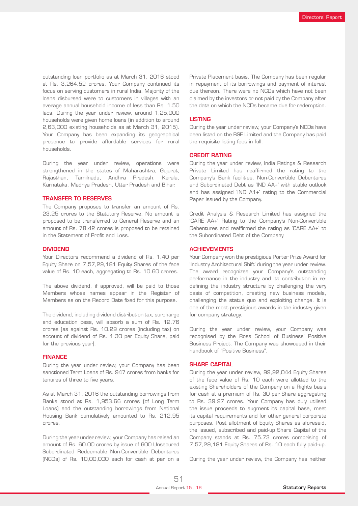outstanding loan portfolio as at March 31, 2016 stood at Rs. 3,264.52 crores. Your Company continued its focus on serving customers in rural India. Majority of the loans disbursed were to customers in villages with an average annual household income of less than Rs. 1.50 lacs. During the year under review, around 1,25,000 households were given home loans (in addition to around 2,63,000 existing households as at March 31, 2015). Your Company has been expanding its geographical presence to provide affordable services for rural households.

During the year under review, operations were strengthened in the states of Maharashtra, Gujarat, Rajasthan, Tamilnadu, Andhra Pradesh, Kerala, Karnataka, Madhya Pradesh, Uttar Pradesh and Bihar.

#### TRANSFER TO RESERVES

The Company proposes to transfer an amount of Rs. 23.25 crores to the Statutory Reserve. No amount is proposed to be transferred to General Reserve and an amount of Rs. 78.42 crores is proposed to be retained in the Statement of Profit and Loss.

## DIVIDEND

Your Directors recommend a dividend of Rs. 1.40 per Equity Share on 7,57,29,181 Equity Shares of the face value of Rs. 10 each, aggregating to Rs. 10.60 crores.

The above dividend, if approved, will be paid to those Members whose names appear in the Register of Members as on the Record Date fixed for this purpose.

The dividend, including dividend distribution tax, surcharge and education cess, will absorb a sum of Rs. 12.76 crores [as against Rs. 10.29 crores (including tax) on account of dividend of Rs. 1.30 per Equity Share, paid for the previous year].

#### FINANCE

During the year under review, your Company has been sanctioned Term Loans of Rs. 947 crores from banks for tenures of three to five years.

As at March 31, 2016 the outstanding borrowings from Banks stood at Rs. 1,953.66 crores (of Long Term Loans) and the outstanding borrowings from National Housing Bank cumulatively amounted to Rs. 212.95 crores.

During the year under review, your Company has raised an amount of Rs. 60.00 crores by issue of 600 Unsecured Subordinated Redeemable Non-Convertible Debentures (NCDs) of Rs. 10,00,000 each for cash at par on a

Private Placement basis. The Company has been regular in repayment of its borrowings and payment of interest due thereon. There were no NCDs which have not been claimed by the investors or not paid by the Company after the date on which the NCDs became due for redemption.

#### LISTING

During the year under review, your Company's NCDs have been listed on the BSE Limited and the Company has paid the requisite listing fees in full.

## CREDIT RATING

During the year under review, India Ratings & Research Private Limited has reaffirmed the rating to the Company's Bank facilities, Non-Convertible Debentures and Subordinated Debt as 'IND AA+' with stable outlook and has assigned 'IND A1+' rating to the Commercial Paper issued by the Company.

Credit Analysis & Research Limited has assigned the 'CARE AA+' Rating to the Company's Non-Convertible Debentures and reaffirmed the rating as 'CARE AA+' to the Subordinated Debt of the Company.

## **ACHIEVEMENTS**

Your Company won the prestigious Porter Prize Award for 'Industry Architectural Shift' during the year under review. The award recognizes your Company's outstanding performance in the industry and its contribution in redefining the industry structure by challenging the very basis of competition, creating new business models, challenging the status quo and exploiting change. It is one of the most prestigious awards in the industry given for company strategy.

During the year under review, your Company was recognised by the Ross School of Business' Positive Business Project. The Company was showcased in their handbook of "Positive Business".

#### SHARE CAPITAL

During the year under review, 99,92,044 Equity Shares of the face value of Rs. 10 each were allotted to the existing Shareholders of the Company on a Rights basis for cash at a premium of Rs. 30 per Share aggregating to Rs. 39.97 crores. Your Company has duly utilised the issue proceeds to augment its capital base, meet its capital requirements and for other general corporate purposes. Post allotment of Equity Shares as aforesaid, the issued, subscribed and paid-up Share Capital of the Company stands at Rs. 75.73 crores comprising of 7,57,29,181 Equity Shares of Rs. 10 each fully paid-up.

During the year under review, the Company has neither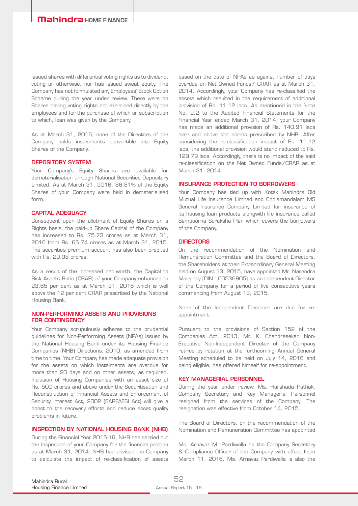issued shares with differential voting rights as to dividend, voting or otherwise, nor has issued sweat equity. The Company has not formulated any Employees' Stock Option Scheme during the year under review. There were no Shares having voting rights not exercised directly by the employees and for the purchase of which or subscription to which, loan was given by the Company.

As at March 31, 2016, none of the Directors of the Company holds instruments convertible into Equity Shares of the Company.

## DEPOSITORY SYSTEM

Your Company's Equity Shares are available for dematerialisation through National Securities Depository Limited. As at March 31, 2016, 86.81% of the Equity Shares of your Company were held in dematerialised form.

#### CAPITAL ADEQUACY

Consequent upon the allotment of Equity Shares on a Rights basis, the paid-up Share Capital of the Company has increased to Rs. 75.73 crores as at March 31, 2016 from Rs. 65.74 crores as at March 31, 2015. The securities premium account has also been credited with Rs. 29.98 crores.

As a result of the increased net worth, the Capital to Risk Assets Ratio (CRAR) of your Company enhanced to 23.65 per cent as at March 31, 2016 which is well above the 12 per cent CRAR prescribed by the National Housing Bank.

## NON-PERFORMING ASSETS AND PROVISIONS FOR CONTINGENCY

Your Company scrupulously adheres to the prudential guidelines for Non-Performing Assets (NPAs) issued by the National Housing Bank under its Housing Finance Companies (NHB) Directions, 2010, as amended from time to time. Your Company has made adequate provision for the assets on which instalments are overdue for more than 90 days and on other assets, as required. Inclusion of Housing Companies with an asset size of Rs. 500 crores and above under the Securitisation and Reconstruction of Financial Assets and Enforcement of Security Interest Act, 2002 (SARFAESI Act) will give a boost to the recovery efforts and reduce asset quality problems in future.

#### INSPECTION BY NATIONAL HOUSING BANK (NHB)

During the Financial Year 2015-16, NHB has carried out the Inspection of your Company for the financial position as at March 31, 2014. NHB had advised the Company to calculate the impact of re-classification of assets

based on the date of NPAs as against number of days overdue on Net Owned Funds/ CRAR as at March 31, 2014. Accordingly, your Company has re-classified the assets which resulted in the requirement of additional provision of Rs. 11.12 lacs. As mentioned in the Note No. 2.2 to the Audited Financial Statements for the Financial Year ended March 31, 2014, your Company has made an additional provision of Rs. 140.91 lacs over and above the norms prescribed by NHB. After considering the re-classification impact of Rs. 11.12 lacs, the additional provision would stand reduced to Rs. 129.79 lacs. Accordingly, there is no impact of the said re-classification on the Net Owned Funds/CRAR as at March 31, 2014.

#### INSURANCE PROTECTION TO BORROWERS

Your Company has tied up with Kotak Mahindra Old Mutual Life Insurance Limited and Cholamandalam MS General Insurance Company Limited for insurance of its housing loan products alongwith life insurance called Sampoorna Suraksha Plan which covers the borrowers of the Company.

#### **DIRECTORS**

On the recommendation of the Nomination and Remuneration Committee and the Board of Directors, the Shareholders at their Extraordinary General Meeting held on August 13, 2015, have appointed Mr. Narendra Mairpady (DIN : 00536905) as an Independent Director of the Company for a period of five consecutive years commencing from August 13, 2015.

None of the Independent Directors are due for reappointment.

Pursuant to the provisions of Section 152 of the Companies Act, 2013, Mr. K. Chandrasekar, Non-Executive Non-Independent Director of the Company retires by rotation at the forthcoming Annual General Meeting scheduled to be held on July 14, 2016 and being eligible, has offered himself for re-appointment.

## KEY MANAGERIAL PERSONNEL

During the year under review, Ms. Harshada Pathak, Company Secretary and Key Managerial Personnel resigned from the services of the Company. The resignation was effective from October 14, 2015.

The Board of Directors, on the recommendation of the Nomination and Remuneration Committee has appointed

Ms. Arnavaz M. Pardiwalla as the Company Secretary & Compliance Officer of the Company with effect from March 11, 2016. Ms. Arnavaz Pardiwalla is also the

| Mahindra Rural          |                       |
|-------------------------|-----------------------|
| Housing Finance Limited | Annual Report 15 - 16 |
|                         |                       |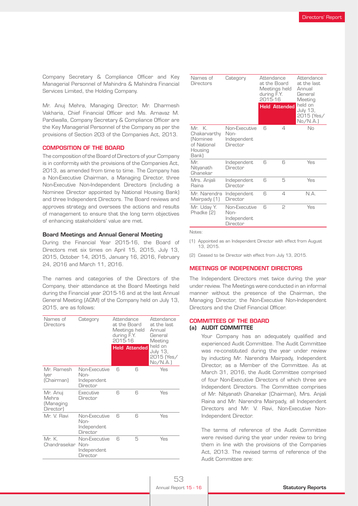Company Secretary & Compliance Officer and Key Managerial Personnel of Mahindra & Mahindra Financial Services Limited, the Holding Company.

Mr. Anuj Mehra, Managing Director, Mr. Dharmesh Vakharia, Chief Financial Officer and Ms. Arnavaz M. Pardiwalla, Company Secretary & Compliance Officer are the Key Managerial Personnel of the Company as per the provisions of Section 203 of the Companies Act, 2013.

## COMPOSITION OF THE BOARD

The composition of the Board of Directors of your Company is in conformity with the provisions of the Companies Act, 2013, as amended from time to time. The Company has a Non-Executive Chairman, a Managing Director, three Non-Executive Non-Independent Directors (including a Nominee Director appointed by National Housing Bank) and three Independent Directors. The Board reviews and approves strategy and oversees the actions and results of management to ensure that the long term objectives of enhancing stakeholders' value are met.

## Board Meetings and Annual General Meeting

During the Financial Year 2015-16, the Board of Directors met six times on April 15, 2015, July 13, 2015, October 14, 2015, January 16, 2016, February 24, 2016 and March 11, 2016.

The names and categories of the Directors of the Company, their attendance at the Board Meetings held during the Financial year 2015-16 and at the last Annual General Meeting (AGM) of the Company held on July 13, 2015, are as follows:

| Names of<br>Directors                       | Category                                         | Attendance<br>at the Board<br>Meetings held<br>during F.Y.<br>2015-16<br><b>Held Attended</b> |   | Attendance<br>at the last<br>Annual<br>General<br>Meeting<br>held on |
|---------------------------------------------|--------------------------------------------------|-----------------------------------------------------------------------------------------------|---|----------------------------------------------------------------------|
|                                             |                                                  |                                                                                               |   | July 13,<br>2015 (Yes/<br>No/N.A.                                    |
| Mr. Ramesh<br><i>lyer</i><br>(Chairman)     | Non-Executive<br>Non-<br>Independent<br>Director | R                                                                                             | 6 | Yes                                                                  |
| Mr. Anuj<br>Mehra<br>(Managing<br>Director) | Executive<br>Director                            | 6                                                                                             | 6 | Yes                                                                  |
| Mr. V. Ravi                                 | Non-Executive<br>Non-<br>Independent<br>Director | R                                                                                             | 6 | Yes                                                                  |
| Mr. K.<br>Chandrasekar                      | Non-Executive<br>Non-<br>Independent<br>Director | ട                                                                                             | 5 | Yes                                                                  |

| Names of<br>Directors                                                 | Category                                         | 2015-16 | Attendance<br>at the Board<br>Meetings held<br>during F.Y. | Attendance<br>at the last<br>Annual<br>General<br>Meeting |
|-----------------------------------------------------------------------|--------------------------------------------------|---------|------------------------------------------------------------|-----------------------------------------------------------|
|                                                                       |                                                  |         | <b>Held Attended</b>                                       | held on<br>July 13,<br>2015 (Yes/<br>No/N.A.              |
| Mr. K.<br>Chakarvarthy<br>(Nominee<br>of National<br>Housing<br>Bank) | Non-Executive<br>Non-<br>Independent<br>Director | 6       | 4                                                          | No                                                        |
| Mr.<br>Nityanath<br>Ghanekar                                          | Independent<br>Director                          | 6       | 6                                                          | Yes                                                       |
| Mrs. Anjali<br>Raina                                                  | Independent<br>Director                          | 6       | 5                                                          | Yes                                                       |
| Mr. Narendra<br>Mairpady (1)                                          | Independent<br>Director                          | 6       | 4                                                          | N.A.                                                      |
| Mr. Uday Y.<br>Phadke (2)                                             | Non-Executive<br>Non-<br>Independent<br>Director | 6       | 2                                                          | Yes                                                       |

Notes:

(1) Appointed as an Independent Director with effect from August 13, 2015.

(2) Ceased to be Director with effect from July 13, 2015.

### MEETINGS OF INDEPENDENT DIRECTORS

The Independent Directors met twice during the year under review. The Meetings were conducted in an informal manner without the presence of the Chairman, the Managing Director, the Non-Executive Non-Independent Directors and the Chief Financial Officer.

#### COMMITTEES OF THE BOARD (a) AUDIT COMMITTEE

Your Company has an adequately qualified and experienced Audit Committee. The Audit Committee was re-constituted during the year under review by inducting Mr. Narendra Mairpady, Independent Director, as a Member of the Committee. As at March 31, 2016, the Audit Committee comprised of four Non-Executive Directors of which three are Independent Directors. The Committee comprises of Mr. Nityanath Ghanekar (Chairman), Mrs. Anjali Raina and Mr. Narendra Mairpady, all Independent Directors and Mr. V. Ravi, Non-Executive Non-Independent Director.

The terms of reference of the Audit Committee were revised during the year under review to bring them in line with the provisions of the Companies Act, 2013. The revised terms of reference of the Audit Committee are: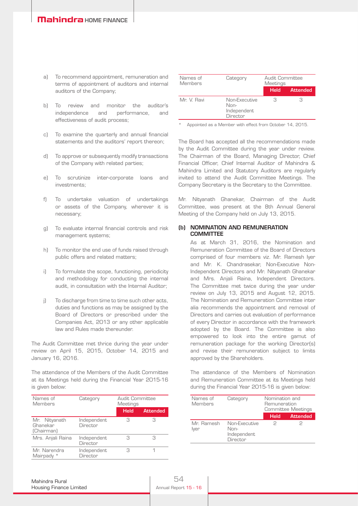- a) To recommend appointment, remuneration and terms of appointment of auditors and internal auditors of the Company;
- b) To review and monitor the auditor's independence and performance, and effectiveness of audit process;
- c) To examine the quarterly and annual financial statements and the auditors' report thereon;
- d) To approve or subsequently modify transactions of the Company with related parties;
- e) To scrutinize inter-corporate loans and investments;
- f) To undertake valuation of undertakings or assets of the Company, wherever it is necessary;
- g) To evaluate internal financial controls and risk management systems;
- h) To monitor the end use of funds raised through public offers and related matters;
- i) To formulate the scope, functioning, periodicity and methodology for conducting the internal audit, in consultation with the Internal Auditor;
- j) To discharge from time to time such other acts, duties and functions as may be assigned by the Board of Directors or prescribed under the Companies Act, 2013 or any other applicable law and Rules made thereunder.

The Audit Committee met thrice during the year under review on April 15, 2015, October 14, 2015 and January 16, 2016.

The attendance of the Members of the Audit Committee at its Meetings held during the Financial Year 2015-16 is given below:

| Names of<br><b>Members</b>              | Category                | <b>Audit Committee</b><br>Meetings |                 |
|-----------------------------------------|-------------------------|------------------------------------|-----------------|
|                                         |                         | <b>Held</b>                        | <b>Attended</b> |
| Mr. Nitvanath<br>Ghanekar<br>(Chairman) | Independent<br>Director | 3                                  | З               |
| Mrs. Anjali Raina                       | Independent<br>Director | 3                                  | 3               |
| Mr. Narendra<br>Mairpady *              | Independent<br>Director | 3                                  |                 |

| Names of<br>Members | Category                                         | Audit Committee<br>Meetings |                 |
|---------------------|--------------------------------------------------|-----------------------------|-----------------|
|                     |                                                  | <b>Held</b>                 | <b>Attended</b> |
| Mr. V. Ravi         | Non-Executive<br>Non-<br>Independent<br>Director | я                           | я               |

Appointed as a Member with effect from October 14, 2015.

The Board has accepted all the recommendations made by the Audit Committee during the year under review. The Chairman of the Board, Managing Director, Chief Financial Officer, Chief Internal Auditor of Mahindra & Mahindra Limited and Statutory Auditors are regularly invited to attend the Audit Committee Meetings. The Company Secretary is the Secretary to the Committee.

Mr. Nityanath Ghanekar, Chairman of the Audit Committee, was present at the 8th Annual General Meeting of the Company held on July 13, 2015.

## (b) NOMINATION AND REMUNERATION **COMMITTEE**

As at March 31, 2016, the Nomination and Remuneration Committee of the Board of Directors comprised of four members viz. Mr. Ramesh Iyer and Mr. K. Chandrasekar, Non-Executive Non-Independent Directors and Mr. Nityanath Ghanekar and Mrs. Anjali Raina, Independent Directors. The Committee met twice during the year under review on July 13, 2015 and August 12, 2015. The Nomination and Remuneration Committee inter alia recommends the appointment and removal of Directors and carries out evaluation of performance of every Director in accordance with the framework adopted by the Board. The Committee is also empowered to look into the entire gamut of remuneration package for the working Director(s) and revise their remuneration subject to limits approved by the Shareholders.

The attendance of the Members of Nomination and Remuneration Committee at its Meetings held during the Financial Year 2015-16 is given below:

| Names of<br>Members      | Category                                         | Nomination and<br>Remuneration | <b>Committee Meetings</b> |
|--------------------------|--------------------------------------------------|--------------------------------|---------------------------|
|                          |                                                  | <b>Held</b>                    | <b>Attended</b>           |
| Mr. Ramesh<br><i>ver</i> | Non-Executive<br>Non-<br>Independent<br>Director | ⊃                              | '∼                        |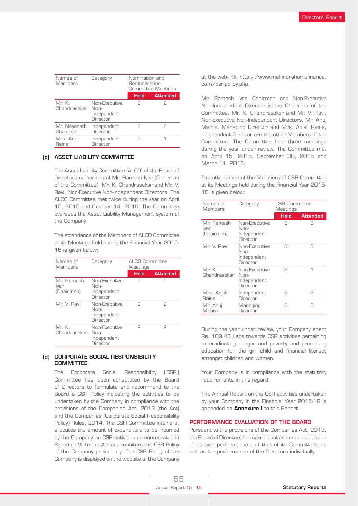| Names of<br><b>Members</b> | Category                                         | Nomination and<br>Remuneration<br>Committee Meetings |                 |
|----------------------------|--------------------------------------------------|------------------------------------------------------|-----------------|
|                            |                                                  | Held                                                 | <b>Attended</b> |
| Mr. K.<br>Chandrasekar     | Non-Executive<br>Non-<br>Independent<br>Director | 2                                                    | P               |
| Mr. Nityanath<br>Ghanekar  | Independent<br>Director                          | P                                                    | 2               |
| Mrs. Anjali<br>Raina       | Independent<br>Director                          | P                                                    |                 |

## (c) ASSET LIABILITY COMMITTEE

The Asset Liability Committee (ALCO) of the Board of Directors comprises of Mr. Ramesh Iyer (Chairman of the Committee), Mr. K. Chandrasekar and Mr. V. Ravi, Non-Executive Non-Independent Directors. The ALCO Committee met twice during the year on April 15, 2015 and October 14, 2015. The Committee oversees the Asset Liability Management system of the Company.

The attendance of the Members of ALCO Committee at its Meetings held during the Financial Year 2015- 16 is given below:

| Names of<br><b>Members</b>              | Category                                         | ALCO Committee<br>Meetings |                 |
|-----------------------------------------|--------------------------------------------------|----------------------------|-----------------|
|                                         |                                                  | Held                       | <b>Attended</b> |
| Mr. Ramesh<br><b>Iver</b><br>(Chairman) | Non-Executive<br>Non-<br>Independent<br>Director | 2                          | 2               |
| Mr. V. Ravi                             | Non-Executive<br>Non-<br>Independent<br>Director | P                          | 2               |
| Mr. K.<br>Chandrasekar                  | Non-Executive<br>Non-<br>Independent<br>Director | P                          | 2               |

### (d) CORPORATE SOCIAL RESPONSIBILITY **COMMITTEE**

The Corporate Social Responsibility ('CSR') Committee has been constituted by the Board of Directors to formulate and recommend to the Board a CSR Policy indicating the activities to be undertaken by the Company in compliance with the provisions of the Companies Act, 2013 (the Act) and the Companies (Corporate Social Responsibility Policy) Rules, 2014. The CSR Committee inter alia, allocates the amount of expenditure to be incurred by the Company on CSR activities as enumerated in Schedule VII to the Act and monitors the CSR Policy of the Company periodically. The CSR Policy of the Company is displayed on the website of the Company

at the web-link: http://www.mahindrahomefinance. com/csr-policy.php.

Mr. Ramesh Iyer, Chairman and Non-Executive Non-Independent Director is the Chairman of the Committee. Mr. K. Chandrasekar and Mr. V. Ravi, Non-Executive Non-Independent Directors, Mr. Anuj Mehra, Managing Director and Mrs. Anjali Raina, Independent Director are the other Members of the Committee. The Committee held three meetings during the year under review. The Committee met on April 15, 2015, September 30, 2015 and March 11, 2016.

The attendance of the Members of CSR Committee at its Meetings held during the Financial Year 2015- 16 is given below:

| Names of<br>Members              | Category                                         | <b>CSR Committee</b><br>Meetings |                 |
|----------------------------------|--------------------------------------------------|----------------------------------|-----------------|
|                                  |                                                  | <b>Held</b>                      | <b>Attended</b> |
| Mr. Ramesh<br>Iver<br>(Chairman) | Non-Executive<br>Non-<br>Independent<br>Director | 3                                | 3               |
| Mr. V. Ravi                      | Non-Executive<br>Non-<br>Independent<br>Director | З                                | З               |
| Mr. K.<br>Chandrasekar           | Non-Executive<br>Non-<br>Independent<br>Director | З                                | 1               |
| Mrs. Anjali<br>Raina             | Independent<br>Director                          | 3                                | З               |
| Mr. Anuj<br>Mehra                | Managing<br>Director                             | 3                                | З               |

During the year under review, your Company spent Rs. 109.43 Lacs towards CSR activities pertaining to eradicating hunger and poverty and promoting education for the girl child and financial literacy amongst children and women.

Your Company is in compliance with the statutory requirements in this regard.

The Annual Report on the CSR activities undertaken by your Company in the Financial Year 2015-16 is appended as **Annexure I** to this Report.

#### PERFORMANCE EVALUATION OF THE BOARD

Pursuant to the provisions of the Companies Act, 2013, the Board of Directors has carried out an annual evaluation of its own performance and that of its Committees as well as the performance of the Directors individually.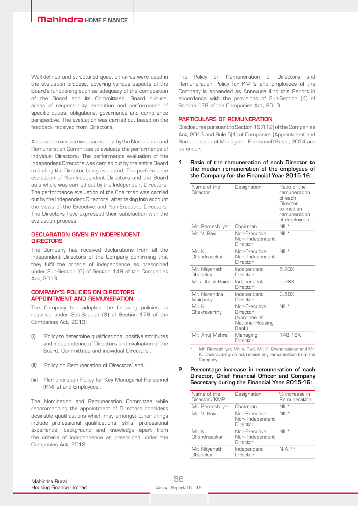Well-defined and structured questionnaires were used in the evaluation process, covering various aspects of the Board's functioning such as adequacy of the composition of the Board and its Committees, Board culture, areas of responsibility, execution and performance of specific duties, obligations, governance and compliance perspective. The evaluation was carried out based on the feedback received from Directors.

A separate exercise was carried out by the Nomination and Remuneration Committee to evaluate the performance of individual Directors. The performance evaluation of the Independent Directors was carried out by the entire Board excluding the Director being evaluated. The performance evaluation of Non-Independent Directors and the Board as a whole was carried out by the Independent Directors. The performance evaluation of the Chairman was carried out by the Independent Directors, after taking into account the views of the Executive and Non-Executive Directors. The Directors have expressed their satisfaction with the evaluation process.

### DECLARATION GIVEN BY INDEPENDENT **DIRECTORS**

The Company has received declarations from all the Independent Directors of the Company confirming that they fulfil the criteria of independence as prescribed under Sub-Section (6) of Section 149 of the Companies Act, 2013.

## COMPANY'S POLICIES ON DIRECTORS' APPOINTMENT AND REMUNERATION

The Company has adopted the following policies as required under Sub-Section (3) of Section 178 of the Companies Act, 2013:

- (i) 'Policy to determine qualifications, positive attributes and independence of Directors and evaluation of the Board, Committees and individual Directors',
- (ii) 'Policy on Remuneration of Directors' and,
- (iii) 'Remuneration Policy for Key Managerial Personnel (KMPs) and Employees'.

The Nomination and Remuneration Committee while recommending the appointment of Directors considers desirable qualifications which may amongst other things include professional qualifications, skills, professional experience, background and knowledge apart from the criteria of independence as prescribed under the Companies Act, 2013.

The Policy on Remuneration of Directors and Remuneration Policy for KMPs and Employees of the Company is appended as Annexure II to this Report in accordance with the provisions of Sub-Section (4) of Section 178 of the Companies Act, 2013.

#### PARTICULARS OF REMUNERATION

Disclosures pursuant to Section 197(12) of the Companies Act, 2013 and Rule 5(1) of Companies (Appointment and Remuneration of Managerial Personnel) Rules, 2014 are as under:

1. Ratio of the remuneration of each Director to the median remuneration of the employees of the Company for the Financial Year 2015-16:

| Name of the<br>Director   | Designation                                                           | Ratio of the<br>remuneration<br>of each<br>Director<br>to median<br>remuneration<br>of employees |
|---------------------------|-----------------------------------------------------------------------|--------------------------------------------------------------------------------------------------|
| Mr. Ramesh Iyer           | Chairman                                                              | $NIL*$                                                                                           |
| Mr. V. Ravi               | Non-Executive<br>Non-Independent<br>Director                          | $NIL*$                                                                                           |
| Mr. K.<br>Chandrasekar    | Non-Executive<br>Non-Independent<br>Director                          | $NIL*$                                                                                           |
| Mr. Nityanath<br>Ghanekar | Independent<br>Director                                               | 5.90X                                                                                            |
| Mrs. Anjali Raina         | Independent<br>Director                                               | 5.98X                                                                                            |
| Mr. Narendra<br>Mairpady  | Independent<br>Director                                               | 3.58X                                                                                            |
| Mr. K.<br>Chakravarthy    | Non-Executive<br>Director<br>(Nominee of<br>National Housing<br>Bank) | $NIL*$                                                                                           |
| Mr. Anuj Mehra            | Managing<br>Director                                                  | 148.16X                                                                                          |

Mr. Ramesh Iyer, Mr. V. Ravi, Mr. K. Chandrasekar and Mr. K. Chakravarthy do not receive any remuneration from the Company.

#### 2. Percentage increase in remuneration of each Director, Chief Financial Officer and Company Secretary during the Financial Year 2015-16:

| Name of the<br>Director/KMP | Designation                                  | % increase in<br>Remuneration |
|-----------------------------|----------------------------------------------|-------------------------------|
| Mr. Ramesh Iyer             | Chairman                                     | $NIL*$                        |
| Mr. V. Ravi                 | Non-Executive<br>Non-Independent<br>Director | $NII *$                       |
| Mr. K.<br>Chandrasekar      | Non-Executive<br>Non-Independent<br>Director | $NII *$                       |
| Mr. Nityanath<br>Ghanekar   | Independent<br>Director                      | $* *$<br>N.A.                 |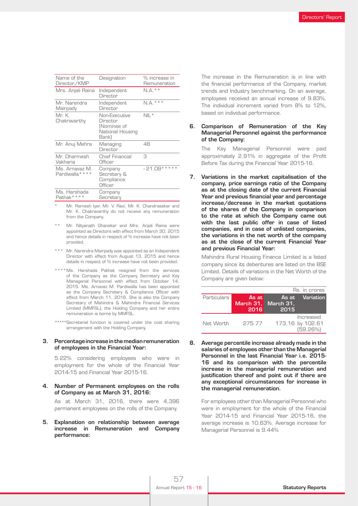| Name of the<br>Director/KMP      | Designation                                                          | % increase in<br>Remuneration |
|----------------------------------|----------------------------------------------------------------------|-------------------------------|
| Mrs. Anjali Raina                | Independent<br>Director                                              | $N.A.**$                      |
| Mr. Narendra<br>Mairpady         | Independent<br>Director                                              | $N.A.***$                     |
| Mr. K.<br>Chakravarthy           | Non-Executive<br>Director<br>Mominee of<br>National Housing<br>Bank) | $NII *$                       |
| Mr. Anuj Mehra                   | Managing<br>Director                                                 | 48                            |
| Mr. Dharmesh<br>Vakharia         | Chief Financial<br>Officer                                           | 3                             |
| Ms. Arnavaz M.<br>Pardiwalla**** | Company<br>Secretary &<br>Compliance<br>Officer                      | $-21.09***$                   |
| Ms. Harshada<br>Pathak****       | Company<br>Secretary                                                 |                               |

Mr. Ramesh Iyer, Mr. V. Ravi, Mr. K. Chandrasekar and Mr. K. Chakravarthy do not receive any remuneration from the Company.

- Mr. Nityanath Ghanekar and Mrs. Anjali Raina were appointed as Directors with effect from March 30, 2015 and hence details in respect of % increase have not been provided.
- \*\*\* Mr. Narendra Mairpady was appointed as an Independent Director with effect from August 13, 2015 and hence details in respect of % increase have not been provided.
- \*\*\*\*Ms. Harshada Pathak resigned from the services of the Company as the Company Secretary and Key Managerial Personnel with effect from October 14, 2015. Ms. Arnavaz M. Pardiwalla has been appointed as the Company Secretary & Compliance Officer with effect from March 11, 2016. She is also the Company Secretary of Mahindra & Mahindra Financial Services Limited (MMFSL), the Holding Company and her entire remuneration is borne by MMFSL.
- \*\*\*\*\*Secretarial function is covered under the cost sharing arrangement with the Holding Company.

#### 3. Percentage increase in the median remuneration of employees in the Financial Year:

5.22% considering employees who were in employment for the whole of the Financial Year 2014-15 and Financial Year 2015-16.

#### 4. Number of Permanent employees on the rolls of Company as at March 31, 2016:

As at March 31, 2016, there were 4,396 permanent employees on the rolls of the Company.

5. Explanation on relationship between average increase in Remuneration and Company performance:

The increase in the Remuneration is in line with the financial performance of the Company, market trends and Industry benchmarking. On an average, employees received an annual increase of 9.83%. The individual increment varied from 8% to 12%, based on individual performance.

## 6. Comparison of Remuneration of the Key Managerial Personnel against the performance of the Company:

The Key Managerial Personnel were paid approximately 2.91% in aggregate of the Profit Before Tax during the Financial Year 2015-16.

7. Variations in the market capitalisation of the company, price earnings ratio of the Company as at the closing date of the current Financial Year and previous financial year and percentage increase/decrease in the market quotations of the shares of the Company in comparison to the rate at which the Company came out with the last public offer in case of listed companies, and in case of unlisted companies, the variations in the net worth of the company as at the close of the current Financial Year and previous Financial Year:

Mahindra Rural Housing Finance Limited is a listed company since its debentures are listed on the BSE Limited. Details of variations in the Net Worth of the Company are given below:

|             |                            |                   | Rs. in crores                             |
|-------------|----------------------------|-------------------|-------------------------------------------|
| Particulars | As at<br>March 31,<br>2016 | March 31,<br>2015 | As at Variation                           |
| Net. Worth  | 275.77                     |                   | Increased<br>173.16 by 102.61<br>(59.26%) |

8. Average percentile increase already made in the salaries of employees other than the Managerial Personnel in the last Financial Year i.e. 2015- 16 and its comparison with the percentile increase in the managerial remuneration and justification thereof and point out if there are any exceptional circumstances for increase in the managerial remuneration.

For employees other than Managerial Personnel who were in employment for the whole of the Financial Year 2014-15 and Financial Year 2015-16, the average increase is 10.63%. Average increase for Managerial Personnel is 9.44%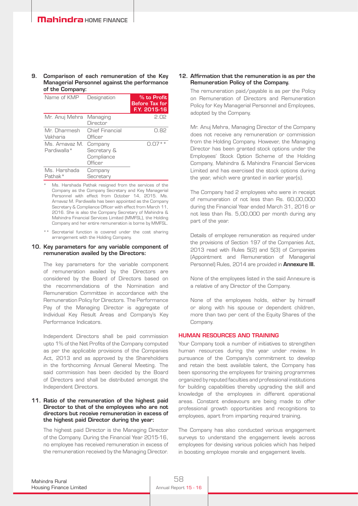9. Comparison of each remuneration of the Key Managerial Personnel against the performance of the Company:

| Name of KMP                   | Designation                                     | % to Profit<br><b>Before Tax for</b><br>F.Y. 2015-16 |
|-------------------------------|-------------------------------------------------|------------------------------------------------------|
| Mr. Anuj Mehra Managing       | Director                                        | 2.02                                                 |
| Mr. Dharmesh<br>Vakharia      | Chief Financial<br>Officer                      | 0.82                                                 |
| Ms. Arnavaz M.<br>Pardiwalla* | Company<br>Secretary &<br>Compliance<br>Officer | $* *$<br>N N                                         |
| Ms. Harshada<br>Pathak*       | Company<br>Secretary                            |                                                      |

Ms. Harshada Pathak resigned from the services of the Company as the Company Secretary and Key Managerial Personnel with effect from October 14, 2015. Ms. Arnavaz M. Pardiwalla has been appointed as the Company Secretary & Compliance Officer with effect from March 11, 2016. She is also the Company Secretary of Mahindra & Mahindra Financial Services Limited (MMFSL), the Holding Company and her entire remuneration is borne by MMFSL.

\*\* Secretarial function is covered under the cost sharing arrangement with the Holding Company.

## 10. Key parameters for any variable component of remuneration availed by the Directors:

The key parameters for the variable component of remuneration availed by the Directors are considered by the Board of Directors based on the recommendations of the Nomination and Remuneration Committee in accordance with the Remuneration Policy for Directors. The Performance Pay of the Managing Director is aggregate of Individual Key Result Areas and Company's Key Performance Indicators.

Independent Directors shall be paid commission upto 1% of the Net Profits of the Company computed as per the applicable provisions of the Companies Act, 2013 and as approved by the Shareholders in the forthcoming Annual General Meeting. The said commission has been decided by the Board of Directors and shall be distributed amongst the Independent Directors.

#### 11. Ratio of the remuneration of the highest paid Director to that of the employees who are not directors but receive remuneration in excess of the highest paid Director during the year:

The highest paid Director is the Managing Director of the Company. During the Financial Year 2015-16, no employee has received remuneration in excess of the remuneration received by the Managing Director.

## 12. Affirmation that the remuneration is as per the Remuneration Policy of the Company.

The remuneration paid/payable is as per the Policy on Remuneration of Directors and Remuneration Policy for Key Managerial Personnel and Employees, adopted by the Company.

Mr. Anuj Mehra, Managing Director of the Company does not receive any remuneration or commission from the Holding Company. However, the Managing Director has been granted stock options under the Employees' Stock Option Scheme of the Holding Company, Mahindra & Mahindra Financial Services Limited and has exercised the stock options during the year, which were granted in earlier year(s).

The Company had 2 employees who were in receipt of remuneration of not less than Rs. 60,00,000 during the Financial Year ended March 31, 2016 or not less than Rs. 5,00,000 per month during any part of the year.

Details of employee remuneration as required under the provisions of Section 197 of the Companies Act, 2013 read with Rules 5(2) and 5(3) of Companies (Appointment and Remuneration of Managerial Personnel) Rules, 2014 are provided in **Annexure III.** 

None of the employees listed in the said Annexure is a relative of any Director of the Company.

None of the employees holds, either by himself or along with his spouse or dependent children, more than two per cent of the Equity Shares of the Company.

## HUMAN RESOURCES AND TRAINING

Your Company took a number of initiatives to strengthen human resources during the year under review. In pursuance of the Company's commitment to develop and retain the best available talent, the Company has been sponsoring the employees for training programmes organized by reputed faculties and professional institutions for building capabilities thereby upgrading the skill and knowledge of the employees in different operational areas. Constant endeavours are being made to offer professional growth opportunities and recognitions to employees, apart from imparting required training.

The Company has also conducted various engagement surveys to understand the engagement levels across employees for devising various policies which has helped in boosting employee morale and engagement levels.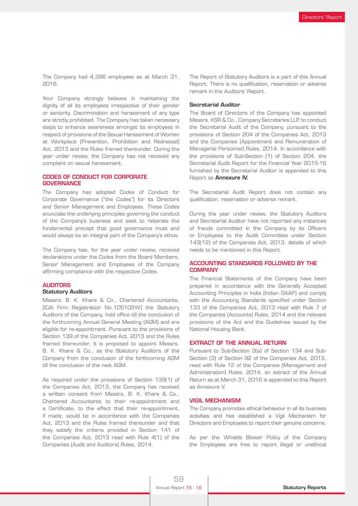The Company had 4,396 employees as at March 31, 2016.

Your Company strongly believes in maintaining the dignity of all its employees irrespective of their gender or seniority. Discrimination and harassment of any type are strictly prohibited. The Company has taken necessary steps to enhance awareness amongst its employees in respect of provisions of the Sexual Harassment of Women at Workplace (Prevention, Prohibition and Redressal) Act, 2013 and the Rules framed thereunder. During the year under review, the Company has not received any complaint on sexual harassment.

## CODES OF CONDUCT FOR CORPORATE **GOVERNANCE**

The Company has adopted Codes of Conduct for Corporate Governance ("the Codes") for its Directors and Senior Management and Employees. These Codes enunciate the underlying principles governing the conduct of the Company's business and seek to reiterate the fundamental precept that good governance must and would always be an integral part of the Company's ethos.

The Company has, for the year under review, received declarations under the Codes from the Board Members, Senior Management and Employees of the Company affirming compliance with the respective Codes.

## AUDITORS

## Statutory Auditors

Messrs. B. K. Khare & Co., Chartered Accountants, [ICAI Firm Registration No.105102W] the Statutory Auditors of the Company, hold office till the conclusion of the forthcoming Annual General Meeting (AGM) and are eligible for re-appointment. Pursuant to the provisions of Section 139 of the Companies Act, 2013 and the Rules framed thereunder, it is proposed to appoint Messrs. B. K. Khare & Co., as the Statutory Auditors of the Company from the conclusion of the forthcoming AGM till the conclusion of the next AGM.

As required under the provisions of Section 139(1) of the Companies Act, 2013, the Company has received a written consent from Messrs. B. K. Khare & Co., Chartered Accountants to their re-appointment and a Certificate, to the effect that their re-appointment, if made, would be in accordance with the Companies Act, 2013 and the Rules framed thereunder and that they satisfy the criteria provided in Section 141 of the Companies Act, 2013 read with Rule 4(1) of the Companies (Audit and Auditors) Rules, 2014.

The Report of Statutory Auditors is a part of this Annual Report. There is no qualification, reservation or adverse remark in the Auditors' Report.

#### Secretarial Auditor

The Board of Directors of the Company has appointed Messrs. KSR & Co., Company Secretaries LLP, to conduct the Secretarial Audit of the Company, pursuant to the provisions of Section 204 of the Companies Act, 2013 and the Companies (Appointment and Remuneration of Managerial Personnel) Rules, 2014. In accordance with the provisions of Sub-Section (1) of Section 204, the Secretarial Audit Report for the Financial Year 2015-16 furnished by the Secretarial Auditor is appended to this Report as Annexure IV.

The Secretarial Audit Report does not contain any qualification, reservation or adverse remark.

During the year under review, the Statutory Auditors and Secretarial Auditor have not reported any instances of frauds committed in the Company by its Officers or Employees to the Audit Committee under Section 143(12) of the Companies Act, 2013, details of which needs to be mentioned in this Report.

## ACCOUNTING STANDARDS FOLLOWED BY THE **COMPANY**

The Financial Statements of the Company have been prepared in accordance with the Generally Accepted Accounting Principles in India (Indian GAAP) and comply with the Accounting Standards specified under Section 133 of the Companies Act, 2013 read with Rule 7 of the Companies (Accounts) Rules, 2014 and the relevant provisions of the Act and the Guidelines issued by the National Housing Bank.

#### EXTRACT OF THE ANNUAL RETURN

Pursuant to Sub-Section 3(a) of Section 134 and Sub-Section (3) of Section 92 of the Companies Act, 2013, read with Rule 12 of the Companies (Management and Administration) Rules, 2014, an extract of the Annual Return as at March 31, 2016 is appended to this Report as Annexure V.

#### VIGIL MECHANISM

The Company promotes ethical behaviour in all its business activities and has established a Vigil Mechanism for Directors and Employees to report their genuine concerns.

As per the Whistle Blower Policy of the Company the Employees are free to report illegal or unethical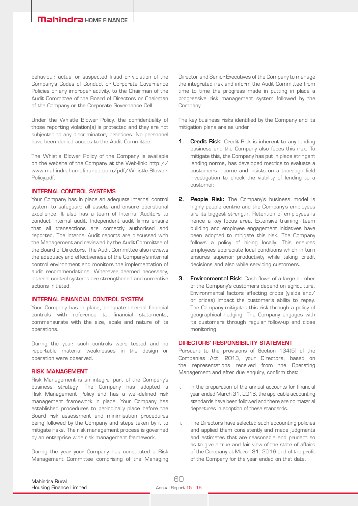behaviour, actual or suspected fraud or violation of the Company's Codes of Conduct or Corporate Governance Policies or any improper activity, to the Chairman of the Audit Committee of the Board of Directors or Chairman of the Company or the Corporate Governance Cell.

Under the Whistle Blower Policy, the confidentiality of those reporting violation(s) is protected and they are not subjected to any discriminatory practices. No personnel have been denied access to the Audit Committee.

The Whistle Blower Policy of the Company is available on the website of the Company at the Web-link: http:// www.mahindrahomefinance.com/pdf/Whistle-Blower-Policy.pdf.

### INTERNAL CONTROL SYSTEMS

Your Company has in place an adequate internal control system to safeguard all assets and ensure operational excellence. It also has a team of Internal Auditors to conduct internal audit. Independent audit firms ensure that all transactions are correctly authorised and reported. The Internal Audit reports are discussed with the Management and reviewed by the Audit Committee of the Board of Directors. The Audit Committee also reviews the adequacy and effectiveness of the Company's internal control environment and monitors the implementation of audit recommendations. Wherever deemed necessary, internal control systems are strengthened and corrective actions initiated.

## INTERNAL FINANCIAL CONTROL SYSTEM

Your Company has in place, adequate internal financial controls with reference to financial statements, commensurate with the size, scale and nature of its operations.

During the year, such controls were tested and no reportable material weaknesses in the design or operation were observed.

## RISK MANAGEMENT

Risk Management is an integral part of the Company's business strategy. The Company has adopted a Risk Management Policy and has a well-defined risk management framework in place. Your Company has established procedures to periodically place before the Board risk assessment and minimisation procedures being followed by the Company and steps taken by it to mitigate risks. The risk management process is governed by an enterprise wide risk management framework.

During the year your Company has constituted a Risk Management Committee comprising of the Managing Director and Senior Executives of the Company to manage the integrated risk and inform the Audit Committee from time to time the progress made in putting in place a progressive risk management system followed by the Company.

The key business risks identified by the Company and its mitigation plans are as under:

- 1. Credit Risk: Credit Risk is inherent to any lending business and the Company also faces this risk. To mitigate this, the Company has put in place stringent lending norms, has developed metrics to evaluate a customer's income and insists on a thorough field investigation to check the viability of lending to a customer.
- **2. People Risk:** The Company's business model is highly people centric and the Company's employees are its biggest strength. Retention of employees is hence a key focus area. Extensive training, team building and employee engagement initiatives have been adopted to mitigate this risk. The Company follows a policy of hiring locally. This ensures employees appreciate local conditions which in turn ensures superior productivity while taking credit decisions and also while servicing customers.
- **3.** Environmental Risk: Cash flows of a large number of the Company's customers depend on agriculture. Environmental factors affecting crops (yields and/ or prices) impact the customer's ability to repay. The Company mitigates this risk through a policy of geographical hedging. The Company engages with its customers through regular follow-up and close monitoring.

#### DIRECTORS' RESPONSIBILITY STATEMENT

Pursuant to the provisions of Section 134(5) of the Companies Act, 2013, your Directors, based on the representations received from the Operating Management and after due enquiry, confirm that:

- i. In the preparation of the annual accounts for financial year ended March 31, 2016, the applicable accounting standards have been followed and there are no material departures in adoption of these standards.
- ii. The Directors have selected such accounting policies and applied them consistently and made judgments and estimates that are reasonable and prudent so as to give a true and fair view of the state of affairs of the Company at March 31, 2016 and of the profit of the Company for the year ended on that date.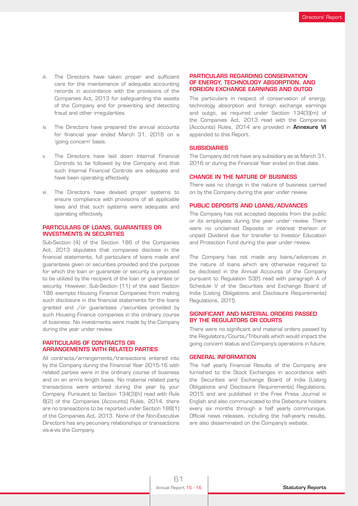- iii. The Directors have taken proper and sufficient care for the maintenance of adequate accounting records in accordance with the provisions of the Companies Act, 2013 for safeguarding the assets of the Company and for preventing and detecting fraud and other irregularities.
- iv. The Directors have prepared the annual accounts for financial year ended March 31, 2016 on a 'going concern' basis.
- v. The Directors have laid down Internal Financial Controls to be followed by the Company and that such Internal Financial Controls are adequate and have been operating effectively.
- vi. The Directors have devised proper systems to ensure compliance with provisions of all applicable laws and that such systems were adequate and operating effectively.

## PARTICULARS OF LOANS, GUARANTEES OR INVESTMENTS IN SECURITIES

Sub-Section (4) of the Section 186 of the Companies Act, 2013 stipulates that companies disclose in the financial statements, full particulars of loans made and guarantees given or securities provided and the purpose for which the loan or guarantee or security is proposed to be utilized by the recipient of the loan or guarantee or security. However, Sub-Section (11) of the said Section 186 exempts Housing Finance Companies from making such disclosure in the financial statements for the loans granted and /or guarantees /securities provided by such Housing Finance companies in the ordinary course of business. No investments were made by the Company during the year under review.

## PARTICULARS OF CONTRACTS OR ARRANGEMENTS WITH RELATED PARTIES

All contracts/arrangements/transactions entered into by the Company during the Financial Year 2015-16 with related parties were in the ordinary course of business and on an arm's length basis. No material related party transactions were entered during the year by your Company. Pursuant to Section 134(3)(h) read with Rule 8(2) of the Companies (Accounts) Rules, 2014, there are no transactions to be reported under Section 188(1) of the Companies Act, 2013. None of the Non-Executive Directors has any pecuniary relationships or transactions vis-à-vis the Company.

#### PARTICULARS REGARDING CONSERVATION OF ENERGY, TECHNOLOGY ABSORPTION, AND FOREIGN EXCHANGE EARNINGS AND OUTGO

The particulars in respect of conservation of energy, technology absorption and foreign exchange earnings and outgo, as required under Section 134(3)(m) of the Companies Act, 2013 read with the Companies (Accounts) Rules, 2014 are provided in Annexure VI appended to this Report.

## **SUBSIDIARIES**

The Company did not have any subsidiary as at March 31, 2016 or during the Financial Year ended on that date.

## CHANGE IN THE NATURE OF BUSINESS

There was no change in the nature of business carried on by the Company during the year under review.

#### PUBLIC DEPOSITS AND LOANS/ADVANCES

The Company has not accepted deposits from the public or its employees during the year under review. There were no unclaimed Deposits or interest thereon or unpaid Dividend due for transfer to Investor Education and Protection Fund during the year under review.

The Company has not made any loans/advances in the nature of loans which are otherwise required to be disclosed in the Annual Accounts of the Company pursuant to Regulation 53(f) read with paragraph A of Schedule V of the Securities and Exchange Board of India (Listing Obligations and Disclosure Requirements) Regulations, 2015.

## SIGNIFICANT AND MATERIAL ORDERS PASSED BY THE REGULATORS OR COURTS

There were no significant and material orders passed by the Regulators/Courts/Tribunals which would impact the going concern status and Company's operations in future.

#### GENERAL INFORMATION

The half yearly Financial Results of the Company are furnished to the Stock Exchanges in accordance with the Securities and Exchange Board of India (Listing Obligations and Disclosure Requirements) Regulations, 2015 and are published in the Free Press Journal in English and also communicated to the Debenture holders every six months through a half yearly communique. Official news releases, including the half-yearly results, are also disseminated on the Company's website.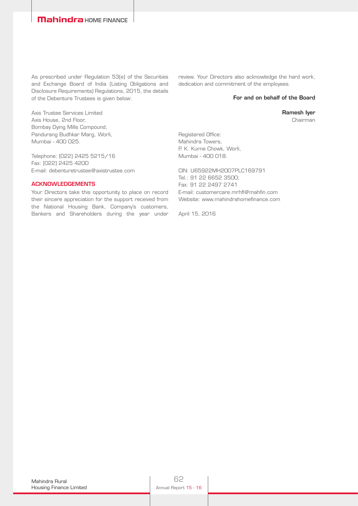As prescribed under Regulation 53(e) of the Securities and Exchange Board of India (Listing Obligations and Disclosure Requirements) Regulations, 2015, the details of the Debenture Trustees is given below:

Axis Trustee Services Limited Axis House, 2nd Floor, Bombay Dying Mills Compound, Pandurang Budhkar Marg, Worli, Mumbai - 400 025.

Telephone: (022) 2425 5215/16 Fax: (022) 2425 4200 E-mail: debenturetrustee@axistrustee.com

### ACKNOWLEDGEMENTS

Your Directors take this opportunity to place on record their sincere appreciation for the support received from the National Housing Bank, Company's customers, Bankers and Shareholders during the year under

review. Your Directors also acknowledge the hard work, dedication and commitment of the employees.

#### For and on behalf of the Board

Ramesh Iyer Chairman

Registered Office: Mahindra Towers, P. K. Kurne Chowk, Worli, Mumbai - 400 018.

CIN: U65922MH2007PLC169791 Tel.: 91 22 6652 3500; Fax: 91 22 2497 2741 E-mail: customercare.mrhfl@mahfin.com Website: www.mahindrahomefinance.com

April 15, 2016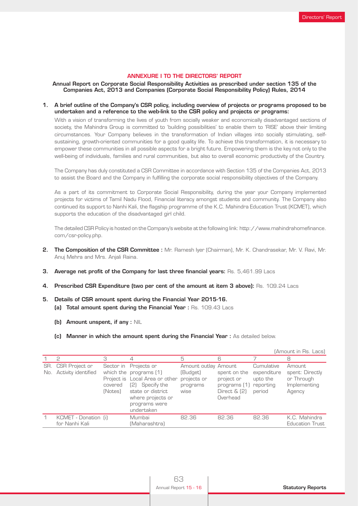#### ANNEXURE I TO THE DIRECTORS' REPORT

Annual Report on Corporate Social Responsibility Activities as prescribed under section 135 of the Companies Act, 2013 and Companies (Corporate Social Responsibility Policy) Rules, 2014

1. A brief outline of the Company's CSR policy, including overview of projects or programs proposed to be undertaken and a reference to the web-link to the CSR policy and projects or programs:

With a vision of transforming the lives of youth from socially weaker and economically disadvantaged sections of society, the Mahindra Group is committed to 'building possibilities' to enable them to 'RISE' above their limiting circumstances. Your Company believes in the transformation of Indian villages into socially stimulating, selfsustaining, growth-oriented communities for a good quality life. To achieve this transformation, it is necessary to empower these communities in all possible aspects for a bright future. Empowering them is the key not only to the well-being of individuals, families and rural communities, but also to overall economic productivity of the Country.

The Company has duly constituted a CSR Committee in accordance with Section 135 of the Companies Act, 2013 to assist the Board and the Company in fulfilling the corporate social responsibility objectives of the Company.

As a part of its commitment to Corporate Social Responsibility, during the year your Company implemented projects for victims of Tamil Nadu Flood, Financial literacy amongst students and community. The Company also continued its support to Nanhi Kali, the flagship programme of the K.C. Mahindra Education Trust (KCMET), which supports the education of the disadvantaged girl child.

The detailed CSR Policy is hosted on the Company's website at the following link: http://www.mahindrahomefinance. com/csr-policy.php.

- 2. The Composition of the CSR Committee : Mr. Ramesh Iyer (Chairman), Mr. K. Chandrasekar, Mr. V. Ravi, Mr. Anuj Mehra and Mrs. Anjali Raina.
- **3.** Average net profit of the Company for last three financial years: Rs. 5,461.99 Lacs
- 4. Prescribed CSR Expenditure (two per cent of the amount at item 3 above): Rs. 109.24 Lacs
- 5. Details of CSR amount spent during the Financial Year 2015-16. (a) Total amount spent during the Financial Year : Rs. 109.43 Lacs
	- (b) Amount unspent, if any : NIL
	- (c) Manner in which the amount spent during the Financial Year : As detailed below.

|     | (Amount in Rs. Lacs)                      |                    |                                                                                                                                                                               |                                                                     |                                                                           |                                                              |                                                                   |
|-----|-------------------------------------------|--------------------|-------------------------------------------------------------------------------------------------------------------------------------------------------------------------------|---------------------------------------------------------------------|---------------------------------------------------------------------------|--------------------------------------------------------------|-------------------------------------------------------------------|
|     | $\mathcal{P}$                             | 3                  |                                                                                                                                                                               | 5                                                                   | 6                                                                         |                                                              | 8                                                                 |
| No. | SR. CSR Project or<br>Activity identified | covered<br>(Notes) | Sector in Projects or<br>which the programs (1)<br>Project is Local Area or other<br>(2) Specify the<br>state or district<br>where projects or<br>programs were<br>undertaken | Amount outlay Amount<br>(Budget)<br>projects or<br>programs<br>wise | spent on the<br>project or<br>programs (1)<br>Direct $\&$ (2)<br>Overhead | Cumulative<br>expenditure<br>upto the<br>reporting<br>period | Amount<br>spent: Directly<br>or Through<br>Implementing<br>Agency |
|     | KCMET - Donation (i)<br>for Nanhi Kali    |                    | Mumbai<br>(Maharashtra)                                                                                                                                                       | 82.36                                                               | 82.36                                                                     | 82.36                                                        | K.C. Mahindra<br><b>Education Trust</b>                           |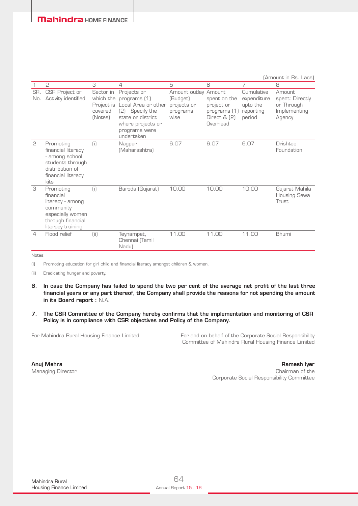## **Mahindra** HOME FINANCE

|                | (Amount in Rs. Lacs)                                                                                                   |                                                            |                                                                                                                                                |                                                                     |                                                                        |                                                              |                                                                   |
|----------------|------------------------------------------------------------------------------------------------------------------------|------------------------------------------------------------|------------------------------------------------------------------------------------------------------------------------------------------------|---------------------------------------------------------------------|------------------------------------------------------------------------|--------------------------------------------------------------|-------------------------------------------------------------------|
|                | 2                                                                                                                      | 3                                                          | 4                                                                                                                                              | 5                                                                   | 6                                                                      | 7                                                            | 8                                                                 |
| SR.<br>No.     | <b>CSR Project or</b><br>Activity identified                                                                           | Sector in<br>which the<br>Project is<br>covered<br>(Notes) | Projects or<br>programs (1)<br>Local Area or other<br>(2) Specify the<br>state or district<br>where projects or<br>programs were<br>undertaken | Amount outlay Amount<br>(Budget)<br>projects or<br>programs<br>wise | spent on the<br>project or<br>programs (1)<br>Direct & (2)<br>Overhead | Cumulative<br>expenditure<br>upto the<br>reporting<br>period | Amount<br>spent: Directly<br>or Through<br>Implementing<br>Agency |
| 2              | Promoting<br>financial literacy<br>- among school<br>students through<br>distribution of<br>financial literacy<br>kits | (i)                                                        | Nagpur<br>(Maharashtra)                                                                                                                        | 6.07                                                                | 6.07                                                                   | 6.07                                                         | <b>Drishtee</b><br>Foundation                                     |
| 3              | Promoting<br>financial<br>literacy - among<br>community<br>especially women<br>through financial<br>literacy training  | (i)                                                        | Baroda (Gujarat)                                                                                                                               | 10.00                                                               | 10.00                                                                  | 10.00                                                        | Gujarat Mahila<br><b>Housing Sewa</b><br>Trust                    |
| $\overline{4}$ | Flood relief                                                                                                           | (ii)                                                       | Teynampet,<br>Chennai (Tamil<br>Nadul                                                                                                          | 11.00                                                               | 11.00                                                                  | 11.00                                                        | Bhumi                                                             |

Notes:

(i) Promoting education for girl child and financial literacy amongst children & women.

(ii) Eradicating hunger and poverty.

- 6. In case the Company has failed to spend the two per cent of the average net profit of the last three financial years or any part thereof, the Company shall provide the reasons for not spending the amount in its Board report : N.A.
- 7. The CSR Committee of the Company hereby confirms that the implementation and monitoring of CSR Policy is in compliance with CSR objectives and Policy of the Company.

For Mahindra Rural Housing Finance Limited For and on behalf of the Corporate Social Responsibility Committee of Mahindra Rural Housing Finance Limited

Anuj Mehra Ramesh Iyer Managing Director **Chairman of the Chairman of the Chairman of the Chairman of the Chairman of the Chairman of the Chairman of the Chairman of the Chairman of the Chairman of the Chairman of the Chairman of the Chairman of** Corporate Social Responsibility Committee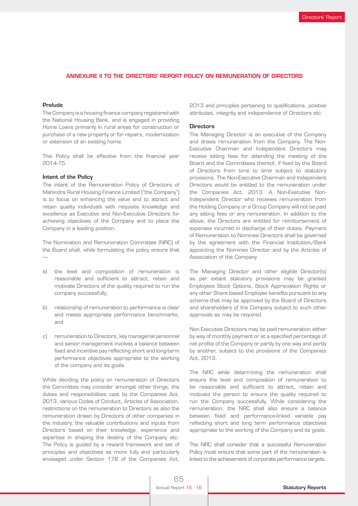## ANNEXURE II TO THE DIRECTORS' REPORT POLICY ON REMUNERATION OF DIRECTORS

## Prelude

The Company is a housing finance company registered with the National Housing Bank, and is engaged in providing Home Loans primarily in rural areas for construction or purchase of a new property or for repairs, modernization or extension of an existing home.

This Policy shall be effective from the financial year 2014-15.

#### Intent of the Policy

The intent of the Remuneration Policy of Directors of Mahindra Rural Housing Finance Limited ("the Company") is to focus on enhancing the value and to attract and retain quality individuals with requisite knowledge and excellence as Executive and Non-Executive Directors for achieving objectives of the Company and to place the Company in a leading position.

The Nomination and Remuneration Committee (NRC) of the Board shall, while formulating the policy ensure that —

- a) the level and composition of remuneration is reasonable and sufficient to attract, retain and motivate Directors of the quality required to run the company successfully;
- b) relationship of remuneration to performance is clear and meets appropriate performance benchmarks; and
- c) remuneration to Directors, key managerial personnel and senior management involves a balance between fixed and incentive pay reflecting short and long-term performance objectives appropriate to the working of the company and its goals.

While deciding the policy on remuneration of Directors the Committee may consider amongst other things, the duties and responsibilities cast by the Companies Act, 2013, various Codes of Conduct, Articles of Association, restrictions on the remuneration to Directors as also the remuneration drawn by Directors of other companies in the industry, the valuable contributions and inputs from Directors based on their knowledge, experience and expertise in shaping the destiny of the Company etc. The Policy is guided by a reward framework and set of principles and objectives as more fully and particularly envisaged under Section 178 of the Companies Act, 2013 and principles pertaining to qualifications, positive attributes, integrity and independence of Directors etc.

#### **Directors**

The Managing Director is an executive of the Company and draws remuneration from the Company. The Non-Executive Chairman and Independent Directors may receive sitting fees for attending the meeting of the Board and the Committees thereof, if fixed by the Board of Directors from time to time subject to statutory provisions. The Non-Executive Chairman and Independent Directors would be entitled to the remuneration under the Companies Act, 2013. A Non-Executive Non-Independent Director who receives remuneration from the Holding Company or a Group Company will not be paid any sitting fees or any remuneration. In addition to the above, the Directors are entitled for reimbursement of expenses incurred in discharge of their duties. Payment of Remuneration to Nominee Directors shall be governed by the agreement with the Financial Institution/Bank appointing the Nominee Director and by the Articles of Association of the Company.

The Managing Director and other eligible Director(s) as per extant statutory provisions may be granted Employees Stock Options, Stock Appreciation Rights or any other Share based Employee benefits pursuant to any scheme that may be approved by the Board of Directors and shareholders of the Company subject to such other approvals as may be required.

Non Executive Directors may be paid remuneration either by way of monthly payment or at a specified percentage of net profits of the Company or partly by one way and partly by another, subject to the provisions of the Companies Act, 2013.

The NRC while determining the remuneration shall ensure the level and composition of remuneration to be reasonable and sufficient to attract, retain and motivate the person to ensure the quality required to run the Company successfully. While considering the remuneration, the NRC shall also ensure a balance between fixed and performance-linked variable pay reflecting short and long term performance objectives appropriate to the working of the Company and its goals.

The NRC shall consider that a successful Remuneration Policy must ensure that some part of the remuneration is linked to the achievement of corporate performance targets.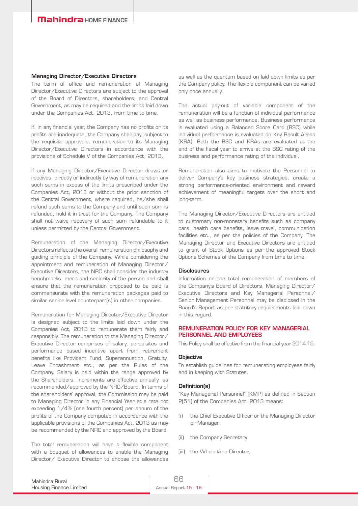#### Managing Director/Executive Directors

The term of office and remuneration of Managing Director/Executive Directors are subject to the approval of the Board of Directors, shareholders, and Central Government, as may be required and the limits laid down under the Companies Act, 2013, from time to time.

If, in any financial year, the Company has no profits or its profits are inadequate, the Company shall pay, subject to the requisite approvals, remuneration to its Managing Director/Executive Directors in accordance with the provisions of Schedule V of the Companies Act, 2013.

If any Managing Director/Executive Director draws or receives, directly or indirectly by way of remuneration any such sums in excess of the limits prescribed under the Companies Act, 2013 or without the prior sanction of the Central Government, where required, he/she shall refund such sums to the Company and until such sum is refunded, hold it in trust for the Company. The Company shall not waive recovery of such sum refundable to it unless permitted by the Central Government.

Remuneration of the Managing Director/Executive Directors reflects the overall remuneration philosophy and guiding principle of the Company. While considering the appointment and remuneration of Managing Director/ Executive Directors, the NRC shall consider the industry benchmarks, merit and seniority of the person and shall ensure that the remuneration proposed to be paid is commensurate with the remuneration packages paid to similar senior level counterpart(s) in other companies.

Remuneration for Managing Director/Executive Director is designed subject to the limits laid down under the Companies Act, 2013 to remunerate them fairly and responsibly. The remuneration to the Managing Director/ Executive Director comprises of salary, perquisites and performance based incentive apart from retirement benefits like Provident Fund, Superannuation, Gratuity, Leave Encashment etc., as per the Rules of the Company. Salary is paid within the range approved by the Shareholders. Increments are effective annually, as recommended/approved by the NRC/Board. In terms of the shareholders' approval, the Commission may be paid to Managing Director in any Financial Year at a rate not exceeding 1/4% (one fourth percent) per annum of the profits of the Company computed in accordance with the applicable provisions of the Companies Act, 2013 as may be recommended by the NRC and approved by the Board.

The total remuneration will have a flexible component with a bouquet of allowances to enable the Managing Director/ Executive Director to choose the allowances

as well as the quantum based on laid down limits as per the Company policy. The flexible component can be varied only once annually.

The actual pay-out of variable component of the remuneration will be a function of individual performance as well as business performance. Business performance is evaluated using a Balanced Score Card (BSC) while individual performance is evaluated on Key Result Areas (KRA). Both the BSC and KRAs are evaluated at the end of the fiscal year to arrive at the BSC rating of the business and performance rating of the individual.

Remuneration also aims to motivate the Personnel to deliver Company's key business strategies, create a strong performance-oriented environment and reward achievement of meaningful targets over the short and long-term.

The Managing Director/Executive Directors are entitled to customary non-monetary benefits such as company cars, health care benefits, leave travel, communication facilities etc., as per the policies of the Company. The Managing Director and Executive Directors are entitled to grant of Stock Options as per the approved Stock Options Schemes of the Company from time to time.

### **Disclosures**

Information on the total remuneration of members of the Company's Board of Directors, Managing Director/ Executive Directors and Key Managerial Personnel/ Senior Management Personnel may be disclosed in the Board's Report as per statutory requirements laid down in this regard.

## REMUNERATION POLICY FOR KEY MANAGERIAL PERSONNEL AND EMPLOYEES

This Policy shall be effective from the financial year 2014-15.

#### **Objective**

To establish guidelines for remunerating employees fairly and in keeping with Statutes.

## Definition(s)

"Key Managerial Personnel" (KMP) as defined in Section 2(51) of the Companies Act, 2013 means:

- (i) the Chief Executive Officer or the Managing Director or Manager;
- (ii) the Company Secretary;
- (iii) the Whole-time Director;

| Mahindra Rural                 | БF                    |
|--------------------------------|-----------------------|
| <b>Housing Finance Limited</b> | Annual Report 15 - 16 |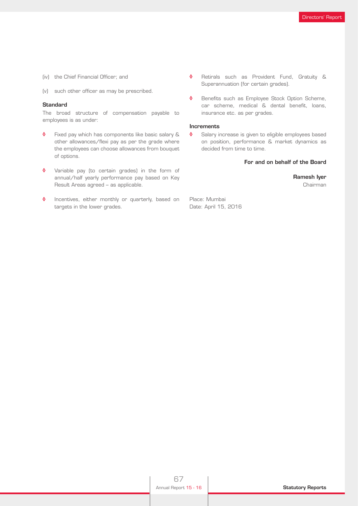- (iv) the Chief Financial Officer; and
- (v) such other officer as may be prescribed.

#### **Standard**

The broad structure of compensation payable to employees is as under:

- Fixed pay which has components like basic salary &  $\hat{\diamond}$ other allowances/flexi pay as per the grade where the employees can choose allowances from bouquet of options.
- $\hat{\mathbf{Q}}$ Variable pay (to certain grades) in the form of annual/half yearly performance pay based on Key Result Areas agreed – as applicable.
- Incentives, either monthly or quarterly, based on ♦ targets in the lower grades.
- $\hat{\bullet}$ Retirals such as Provident Fund, Gratuity & Superannuation (for certain grades).
- $\hat{\mathbf{Q}}$ Benefits such as Employee Stock Option Scheme, car scheme, medical & dental benefit, loans, insurance etc. as per grades.

#### Increments

 $\hat{\diamond}$ Salary increase is given to eligible employees based on position, performance & market dynamics as decided from time to time.

## For and on behalf of the Board

Ramesh Iyer

Chairman

Place: Mumbai Date: April 15, 2016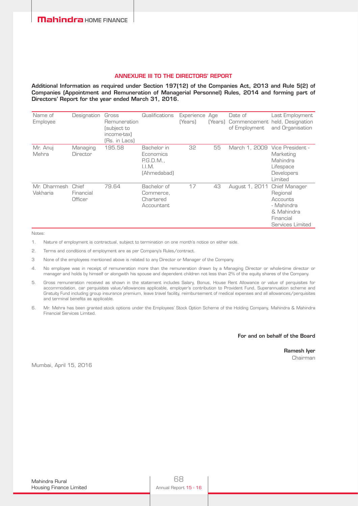#### ANNEXURE III TO THE DIRECTORS' REPORT

Additional Information as required under Section 197(12) of the Companies Act, 2013 and Rule 5(2) of Companies (Appointment and Remuneration of Managerial Personnel) Rules, 2014 and forming part of Directors' Report for the year ended March 31, 2016.

| Name of<br>Employee      | Designation                   | Gross<br>Remuneration<br>(subject to<br>income-tax)<br>(Rs. in Lacs) | Qualifications                                                | Experience<br>(Years) | Age<br>(Years) | Date of<br>Commencement<br>of Employment | Last Employment<br>held, Designation<br>and Organisation                          |
|--------------------------|-------------------------------|----------------------------------------------------------------------|---------------------------------------------------------------|-----------------------|----------------|------------------------------------------|-----------------------------------------------------------------------------------|
| Mr. Anuj<br>Mehra        | Managing<br><b>Director</b>   | 195.58                                                               | Bachelor in<br>Economics<br>PG.D.M.,<br>I.I.M.<br>(Ahmedabad) | 32                    | 55             | March 1, 2009                            | Vice President -<br>Marketing<br>Mahindra<br>Lifespace<br>Developers<br>Limited   |
| Mr. Dharmesh<br>Vakharia | Chief<br>Financial<br>Officer | 79.64                                                                | Bachelor of<br>Commerce,<br>Chartered<br>Accountant           | 17                    | 43             | August 1, 2011 Chief Manager             | Regional<br>Accounts<br>- Mahindra<br>& Mahindra<br>Financial<br>Services Limited |

Notes:

1. Nature of employment is contractual, subject to termination on one month's notice on either side.

2. Terms and conditions of employment are as per Company's Rules/contract.

3 None of the employees mentioned above is related to any Director or Manager of the Company.

4. No employee was in receipt of remuneration more than the remuneration drawn by a Managing Director or whole-time director or manager and holds by himself or alongwith his spouse and dependent children not less than 2% of the equity shares of the Company.

- 5. Gross remuneration received as shown in the statement includes Salary, Bonus, House Rent Allowance or value of perquisites for accommodation, car perquisites value/allowances applicable, employer's contribution to Provident Fund, Superannuation scheme and Gratuity Fund including group insurance premium, leave travel facility, reimbursement of medical expenses and all allowances/perquisites and terminal benefits as applicable.
- 6. Mr. Mehra has been granted stock options under the Employees' Stock Option Scheme of the Holding Company, Mahindra & Mahindra Financial Services Limited.

For and on behalf of the Board

Ramesh Iyer Chairman

Mumbai, April 15, 2016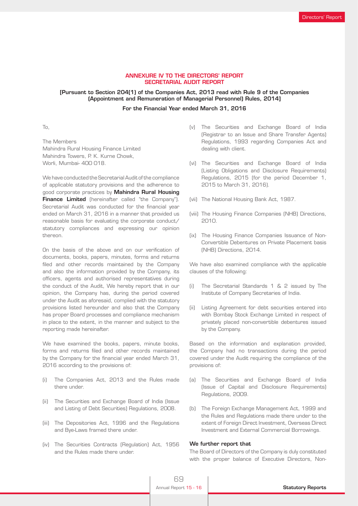#### ANNEXURE IV TO THE DIRECTORS' REPORT SECRETARIAL AUDIT REPORT

#### [Pursuant to Section 204(1) of the Companies Act, 2013 read with Rule 9 of the Companies (Appointment and Remuneration of Managerial Personnel) Rules, 2014]

For the Financial Year ended March 31, 2016

To,

The Members Mahindra Rural Housing Finance Limited Mahindra Towers, P. K. Kurne Chowk, Worli, Mumbai- 400 018.

We have conducted the Secretarial Audit of the compliance of applicable statutory provisions and the adherence to good corporate practices by **Mahindra Rural Housing Finance Limited** (hereinafter called "the Company"). Secretarial Audit was conducted for the financial year ended on March 31, 2016 in a manner that provided us reasonable basis for evaluating the corporate conduct/ statutory compliances and expressing our opinion thereon.

On the basis of the above and on our verification of documents, books, papers, minutes, forms and returns filed and other records maintained by the Company and also the information provided by the Company, its officers, agents and authorised representatives during the conduct of the Audit, We hereby report that in our opinion, the Company has, during the period covered under the Audit as aforesaid, complied with the statutory provisions listed hereunder and also that the Company has proper Board processes and compliance mechanism in place to the extent, in the manner and subject to the reporting made hereinafter.

We have examined the books, papers, minute books, forms and returns filed and other records maintained by the Company for the financial year ended March 31, 2016 according to the provisions of:

- (i) The Companies Act, 2013 and the Rules made there under.
- (ii) The Securities and Exchange Board of India (Issue and Listing of Debt Securities) Regulations, 2008.
- (iii) The Depositories Act, 1996 and the Regulations and Bye-Laws framed there under.
- (iv) The Securities Contracts (Regulation) Act, 1956 and the Rules made there under.
- (v) The Securities and Exchange Board of India (Registrar to an Issue and Share Transfer Agents) Regulations, 1993 regarding Companies Act and dealing with client.
- (vi) The Securities and Exchange Board of India (Listing Obligations and Disclosure Requirements) Regulations, 2015 (for the period December 1, 2015 to March 31, 2016).
- (vii) The National Housing Bank Act, 1987.
- (viii) The Housing Finance Companies (NHB) Directions, 2010.
- (ix) The Housing Finance Companies Issuance of Non-Convertible Debentures on Private Placement basis (NHB) Directions, 2014.

We have also examined compliance with the applicable clauses of the following:

- (i) The Secretarial Standards 1 & 2 issued by The Institute of Company Secretaries of India.
- (ii) Listing Agreement for debt securities entered into with Bombay Stock Exchange Limited in respect of privately placed non-convertible debentures issued by the Company.

Based on the information and explanation provided, the Company had no transactions during the period covered under the Audit requiring the compliance of the provisions of:

- (a) The Securities and Exchange Board of India (Issue of Capital and Disclosure Requirements) Regulations, 2009.
- (b) The Foreign Exchange Management Act, 1999 and the Rules and Regulations made there under to the extent of Foreign Direct Investment, Overseas Direct Investment and External Commercial Borrowings.

## We further report that

The Board of Directors of the Company is duly constituted with the proper balance of Executive Directors, Non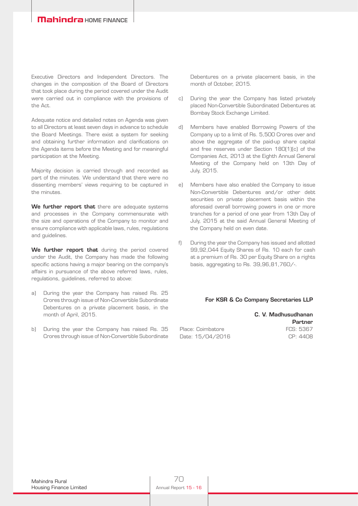Executive Directors and Independent Directors. The changes in the composition of the Board of Directors that took place during the period covered under the Audit were carried out in compliance with the provisions of the Act.

Adequate notice and detailed notes on Agenda was given to all Directors at least seven days in advance to schedule the Board Meetings. There exist a system for seeking and obtaining further information and clarifications on the Agenda items before the Meeting and for meaningful participation at the Meeting.

Majority decision is carried through and recorded as part of the minutes. We understand that there were no dissenting members' views requiring to be captured in the minutes.

We further report that there are adequate systems and processes in the Company commensurate with the size and operations of the Company to monitor and ensure compliance with applicable laws, rules, regulations and guidelines.

We further report that during the period covered under the Audit, the Company has made the following specific actions having a major bearing on the company's affairs in pursuance of the above referred laws, rules, regulations, guidelines, referred to above:

- a) During the year the Company has raised Rs. 25 Crores through issue of Non-Convertible Subordinate Debentures on a private placement basis, in the month of April, 2015.
- b) During the year the Company has raised Rs. 35 Crores through issue of Non-Convertible Subordinate

Debentures on a private placement basis, in the month of October, 2015.

- c) During the year the Company has listed privately placed Non-Convertible Subordinated Debentures at Bombay Stock Exchange Limited.
- d) Members have enabled Borrowing Powers of the Company up to a limit of Rs. 5,500 Crores over and above the aggregate of the paid-up share capital and free reserves under Section 180(1)(c) of the Companies Act, 2013 at the Eighth Annual General Meeting of the Company held on 13th Day of July, 2015.
- e) Members have also enabled the Company to issue Non-Convertible Debentures and/or other debt securities on private placement basis within the aforesaid overall borrowing powers in one or more tranches for a period of one year from 13th Day of July, 2015 at the said Annual General Meeting of the Company held on even date.
- f) During the year the Company has issued and allotted 99,92,044 Equity Shares of Rs. 10 each for cash at a premium of Rs. 30 per Equity Share on a rights basis, aggregating to Rs. 39,96,81,760/-.

## For KSR & Co Company Secretaries LLP

Partner

C. V. Madhusudhanan Place: Coimbatore **FCS: 5367** Date: 15/04/2016 CP: 4408

Mahindra Rural 2020 - 2020 - 2020 Mahindra Rural 2020 Mahindra Rural 2020 Housing Finance Limited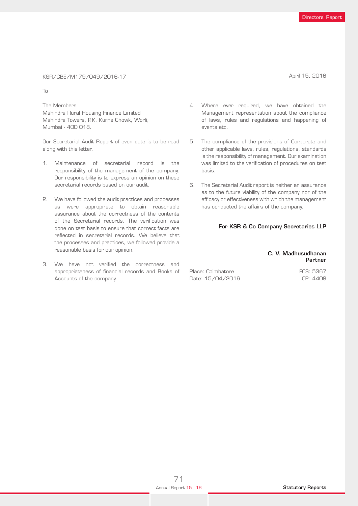April 15, 2016

#### KSR/CBE/M179/049/2016-17

To

The Members Mahindra Rural Housing Finance Limited Mahindra Towers, P.K. Kurne Chowk, Worli, Mumbai - 400 018.

Our Secretarial Audit Report of even date is to be read along with this letter.

- 1. Maintenance of secretarial record is the responsibility of the management of the company. Our responsibility is to express an opinion on these secretarial records based on our audit.
- 2. We have followed the audit practices and processes as were appropriate to obtain reasonable assurance about the correctness of the contents of the Secretarial records. The verification was done on test basis to ensure that correct facts are reflected in secretarial records. We believe that the processes and practices, we followed provide a reasonable basis for our opinion.
- 3. We have not verified the correctness and appropriateness of financial records and Books of Accounts of the company.
- 4. Where ever required, we have obtained the Management representation about the compliance of laws, rules and regulations and happening of events etc.
- 5. The compliance of the provisions of Corporate and other applicable laws, rules, regulations, standards is the responsibility of management. Our examination was limited to the verification of procedures on test basis.
- 6. The Secretarial Audit report is neither an assurance as to the future viability of the company nor of the efficacy or effectiveness with which the management has conducted the affairs of the company.

#### For KSR & Co Company Secretaries LLP

#### C. V. Madhusudhanan Partner

| Place: Coimbatore | FCS: 5367 |
|-------------------|-----------|
| Date: 15/04/2016  | CP: 4408  |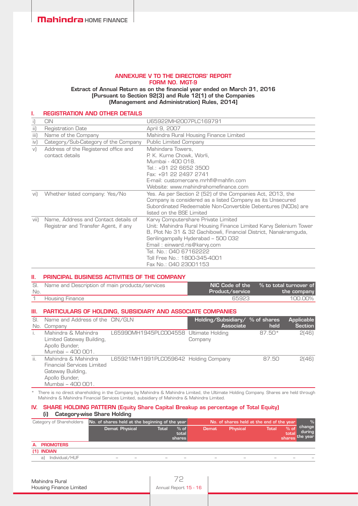#### ANNEXURE V TO THE DIRECTORS' REPORT FORM NO. MGT-9

Extract of Annual Return as on the financial year ended on March 31, 2016 [Pursuant to Section 92(3) and Rule 12(1) of the Companies (Management and Administration) Rules, 2014]

#### I. REGISTRATION AND OTHER DETAILS

| i)   | <b>CIN</b>                           | U65922MH2007PLC169791                                             |
|------|--------------------------------------|-------------------------------------------------------------------|
| ii)  | <b>Registration Date</b>             | April 9, 2007                                                     |
| iii) | Name of the Company                  | Mahindra Rural Housing Finance Limited                            |
| iv)  | Category/Sub-Category of the Company | <b>Public Limited Company</b>                                     |
| V)   | Address of the Registered office and | Mahindara Towers.                                                 |
|      | contact details                      | P. K. Kurne Chowk, Worli,                                         |
|      |                                      | Mumbai - 400 018.                                                 |
|      |                                      | Tel.: +91 22 6652 3500                                            |
|      |                                      | Fax: +91 22 2497 2741                                             |
|      |                                      | E-mail: customercare.mrhfl@mahfin.com                             |
|      |                                      | Website: www.mahindrahomefinance.com                              |
| vi)  | Whether listed company: Yes/No       | Yes. As per Section 2 (52) of the Companies Act, 2013, the        |
|      |                                      | Company is considered as a listed Company as its Unsecured        |
|      |                                      | Subordinated Redeemable Non-Convertible Debentures (NCDs) are     |
|      |                                      | listed on the BSE Limited                                         |
| vii) | Name, Address and Contact details of | Karvy Computershare Private Limited                               |
|      | Registrar and Transfer Agent, if any | Unit: Mahindra Rural Housing Finance Limited Karvy Selenium Tower |
|      |                                      | B, Plot No 31 & 32 Gachibowli, Financial District, Nanakramguda,  |
|      |                                      | Serilingampally Hyderabad - 500 032                               |
|      |                                      | Email: einward.ris@karvy.com                                      |
|      |                                      | Tel. No.: 040 67162222                                            |
|      |                                      | Toll Free No.: 1800-345-4001                                      |
|      |                                      | Fax No.: 040 23001153                                             |

#### II. PRINCIPAL BUSINESS ACTIVITIES OF THE COMPANY

| SI.<br>No. | Name and Description of main products/services | l Product∕service \ | $^\prime$ NIC Code of the $~\,$ % to total turnover of $\vert$<br>the company |
|------------|------------------------------------------------|---------------------|-------------------------------------------------------------------------------|
| $\sqrt{ }$ | Housing Finance                                | 65923               | 100.00%                                                                       |

#### III. PARTICULARS OF HOLDING, SUBSIDIARY AND ASSOCIATE COMPANIES

| SI. | Name and Address of the CIN/GLN                                                                                      |                                        | Holding/Subsidiary/ % of shares |          | <b>Applicable</b> |
|-----|----------------------------------------------------------------------------------------------------------------------|----------------------------------------|---------------------------------|----------|-------------------|
|     | No. Company                                                                                                          |                                        | Associate                       | held     | <b>Section</b>    |
|     | Mahindra & Mahindra<br>Limited Gateway Building,<br>Apollo Bunder,<br>Mumbai - 400 001.                              | L65990MH1945PLC004558 Ultimate Holding | Company                         | $87.50*$ | 2(46)             |
| ii. | Mahindra & Mahindra<br><b>Financial Services Limited</b><br>Gateway Building,<br>Apollo Bunder,<br>Mumbai - 400 001. | L65921MH1991PLCO59642 Holding Company  |                                 | 87.50    | 2(46)             |

There is no direct shareholding in the Company by Mahindra & Mahindra Limited, the Ultimate Holding Company. Shares are held through Mahindra & Mahindra Financial Services Limited, subsidiary of Mahindra & Mahindra Limited.

#### IV. SHARE HOLDING PATTERN (Equity Share Capital Breakup as percentage of Total Equity) (i) Category-wise Share Holding

| Category of Shareholders | No. of shares held at the beginning of the year |                          |                          |                           |                          |                          | No. of shares held at the end of the year |                          | $\frac{9}{6}$                |
|--------------------------|-------------------------------------------------|--------------------------|--------------------------|---------------------------|--------------------------|--------------------------|-------------------------------------------|--------------------------|------------------------------|
|                          |                                                 | <b>Demat Physical</b>    | <b>Total</b>             | $%$ of<br>total<br>shares | <b>Demat</b>             | <b>Physical</b>          | <b>Total</b>                              | I% of<br>total<br>shares | change<br>during<br>the year |
| A. PROMOTERS             |                                                 |                          |                          |                           |                          |                          |                                           |                          |                              |
| (1) INDIAN               |                                                 |                          |                          |                           |                          |                          |                                           |                          |                              |
| Individual/HUF<br>al     | $\overline{\phantom{a}}$                        | $\overline{\phantom{a}}$ | $\overline{\phantom{a}}$ | $\overline{\phantom{a}}$  | $\overline{\phantom{a}}$ | $\overline{\phantom{a}}$ | -                                         | $\overline{\phantom{a}}$ |                              |

Annual Report 15 - 16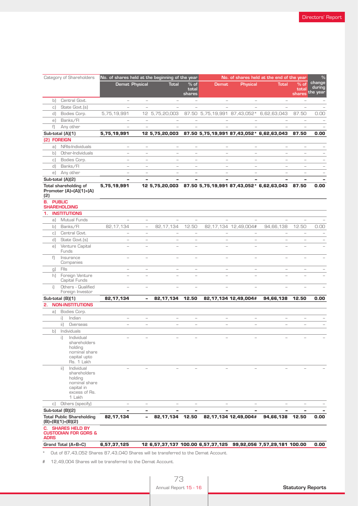|             | Category of Shareholders                                                                               | No. of shares held at the beginning of the year |                          |                          |                           |                              |                          | No. of shares held at the end of the year                      |                           | %                            |
|-------------|--------------------------------------------------------------------------------------------------------|-------------------------------------------------|--------------------------|--------------------------|---------------------------|------------------------------|--------------------------|----------------------------------------------------------------|---------------------------|------------------------------|
|             |                                                                                                        | <b>Demat Physical</b>                           |                          | <b>Total</b>             | $%$ of<br>total<br>shares | <b>Demat</b>                 | <b>Physical</b>          | <b>Total</b>                                                   | $%$ of<br>total<br>shares | change<br>during<br>the year |
| b)          | Central Govt.                                                                                          | ۳                                               | ÷                        | $\overline{\phantom{a}}$ | ÷                         |                              |                          |                                                                |                           |                              |
| c)          | State Govt.[s]                                                                                         |                                                 | ÷,                       |                          |                           |                              |                          |                                                                |                           |                              |
| d)          | Bodies Corp.                                                                                           | 5,75,19,991                                     | 12                       | 5.75.20.003              |                           | 87.50 5,75,19,991 87,43,052* |                          | 6,62,63,043                                                    | 87.50                     | 0.00                         |
| e)          | Banks/FI                                                                                               |                                                 | $\qquad \qquad -$        |                          | $\overline{\phantom{0}}$  | L.                           |                          |                                                                |                           |                              |
| f)          | Any other                                                                                              | $\overline{\phantom{0}}$                        | $\overline{\phantom{a}}$ | $\qquad \qquad -$        | $\overline{\phantom{0}}$  | $\overline{\phantom{0}}$     | $\overline{\phantom{a}}$ |                                                                | $\overline{\phantom{a}}$  |                              |
|             | Sub-total (A)(1)                                                                                       | 5,75,19,991                                     |                          | 12 5,75,20,003           |                           |                              |                          | 87.50 5,75,19,991 87,43,052 * 6,62,63,043                      | 87.50                     | 0.00                         |
| (2) FOREIGN |                                                                                                        |                                                 |                          |                          |                           |                              |                          |                                                                |                           |                              |
| a)          | NRIs-Individuals                                                                                       |                                                 |                          | $\overline{\phantom{0}}$ | $\overline{\phantom{0}}$  |                              |                          |                                                                |                           |                              |
| b)          | Other-Individuals                                                                                      | L.                                              | ÷,                       | ÷,                       | ÷                         | $\overline{a}$               | $\equiv$                 | $\overline{\phantom{0}}$                                       | $\equiv$                  |                              |
| c)          | Bodies Corp.                                                                                           | $\overline{\phantom{0}}$                        | $\qquad \qquad -$        | $\overline{\phantom{a}}$ | $\qquad \qquad -$         | $\overline{\phantom{0}}$     | $\overline{\phantom{m}}$ | $\qquad \qquad -$                                              | $\overline{\phantom{m}}$  |                              |
| d)          | Banks/FI                                                                                               | $\overline{\phantom{0}}$                        | $\overline{\phantom{0}}$ | $\overline{\phantom{0}}$ |                           |                              |                          |                                                                |                           |                              |
| e)          | Any other                                                                                              | $\qquad \qquad -$                               | $\overline{\phantom{0}}$ | $\overline{\phantom{a}}$ | i.                        | L,                           | $\overline{\phantom{0}}$ | $\overline{\phantom{0}}$                                       | $\overline{\phantom{a}}$  |                              |
|             | Sub-total (A)(2)                                                                                       | ÷                                               | $\blacksquare$           | $\blacksquare$           | $\blacksquare$            | ۰                            |                          | -                                                              | -                         |                              |
| (2)         | Total shareholding of<br>Promoter $(A)=(A)(1)+(A)$                                                     | 5,75,19,991                                     |                          | 12 5,75,20,003           |                           |                              |                          | 87.50 5,75,19,991 87,43,052* 6,62,63,043                       | 87.50                     | 0.00                         |
| В.          | <b>PUBLIC</b><br><b>SHAREHOLDING</b>                                                                   |                                                 |                          |                          |                           |                              |                          |                                                                |                           |                              |
| 1.          | <b>INSTITUTIONS</b>                                                                                    |                                                 |                          |                          |                           |                              |                          |                                                                |                           |                              |
| a)          | <b>Mutual Funds</b>                                                                                    | $\overline{\phantom{0}}$                        | $\overline{\phantom{a}}$ | $\overline{\phantom{0}}$ | $\qquad \qquad -$         |                              |                          |                                                                |                           |                              |
| b)          | Banks/Fl                                                                                               | 82, 17, 134                                     | $\qquad \qquad -$        | 82, 17, 134              | 12.50                     |                              | 82, 17, 134 12, 49, 004# | 94,66,138                                                      | 12.50                     | 0.00                         |
| c)          | Central Govt.                                                                                          | L,                                              | $\overline{\phantom{0}}$ |                          | $\overline{\phantom{a}}$  |                              |                          |                                                                |                           |                              |
| d)          | State Govt.[s]                                                                                         | ÷                                               | ÷,                       | L.                       | i.                        | L.                           | ÷,                       | $\overline{a}$                                                 | $\sim$                    |                              |
| e)          | Venture Capital<br>Funds                                                                               | ۳                                               | $\overline{\phantom{a}}$ | ÷                        | ÷                         | -                            | $\equiv$                 | Ξ                                                              |                           |                              |
| f)          | Insurance<br>Companies                                                                                 | L,                                              | $\equiv$                 | ÷,                       | L.                        | L,                           | ÷                        | $\overline{a}$                                                 |                           |                              |
| g)          | Flls                                                                                                   |                                                 |                          |                          |                           |                              |                          |                                                                |                           |                              |
| h)          | Foreign Venture<br>Capital Funds                                                                       |                                                 |                          |                          |                           |                              |                          |                                                                |                           |                              |
| i)          | Others - Qualified<br>Foreign Investor                                                                 |                                                 |                          |                          |                           |                              |                          |                                                                |                           |                              |
|             | Sub-total (B)(1)                                                                                       | 82, 17, 134                                     | ۰                        | 82, 17, 134              | 12.50                     |                              | 82, 17, 134 12, 49, 004# | 94,66,138                                                      | 12.50                     | 0.00                         |
| 2.          | <b>NON-INSTITUTIONS</b>                                                                                |                                                 |                          |                          |                           |                              |                          |                                                                |                           |                              |
| a)          | Bodies Corp.                                                                                           |                                                 |                          |                          |                           |                              |                          |                                                                |                           |                              |
|             | Indian<br>i)                                                                                           | $\overline{\phantom{0}}$                        | $\overline{\phantom{a}}$ | $\overline{\phantom{m}}$ | $\overline{\phantom{m}}$  | $\overline{\phantom{0}}$     | $\overline{\phantom{a}}$ | ÷                                                              | $\overline{\phantom{a}}$  |                              |
|             | ii)<br>Overseas                                                                                        | $\overline{\phantom{0}}$                        | $\qquad \qquad -$        | $\overline{\phantom{a}}$ | $\qquad \qquad -$         | $\overline{\phantom{0}}$     | $\overline{\phantom{a}}$ | $\overline{\phantom{0}}$                                       | $\overline{\phantom{a}}$  |                              |
| b)          | Individuals                                                                                            |                                                 |                          |                          |                           |                              |                          |                                                                |                           |                              |
|             | i)<br>Individual<br>shareholders<br>holding<br>nominal share<br>capital upto<br>Rs. 1 Lakh             | L.                                              | $\overline{\phantom{0}}$ | $\overline{\phantom{0}}$ | $\overline{\phantom{0}}$  | $\overline{\phantom{0}}$     | $\overline{\phantom{0}}$ | $\overline{\phantom{0}}$                                       |                           |                              |
|             | Individual<br>ii)<br>shareholders<br>holding<br>nominal share<br>capital in<br>excess of Rs.<br>1 Lakh |                                                 |                          |                          |                           |                              |                          |                                                                |                           |                              |
| c)          | Others (specify)                                                                                       | ۳                                               | $\overline{\phantom{a}}$ | $\overline{\phantom{a}}$ | $\overline{\phantom{0}}$  | $\overline{\phantom{a}}$     |                          |                                                                |                           |                              |
|             | Sub-total (B)(2)                                                                                       |                                                 | ۰                        |                          |                           | -                            |                          |                                                                |                           |                              |
|             | <b>Total Public Shareholding</b><br>$(B)=(B)(1)+(B)(2)$                                                | 82, 17, 134                                     |                          | 82, 17, 134              | 12.50                     |                              | 82, 17, 134 12, 49, 004# | 94,66,138                                                      | 12.50                     | 0.00                         |
| <b>ADRS</b> | <b>C. SHARES HELD BY</b><br><b>CUSTODIAN FOR GDRS &amp;</b>                                            |                                                 |                          |                          |                           |                              |                          |                                                                |                           |                              |
|             | Grand Total (A+B+C)                                                                                    | 6,57,37,125                                     |                          |                          |                           |                              |                          | 12 6,57,37,137 100.00 6,57,37,125 99,92,056 7,57,29,181 100.00 |                           | 0.00                         |
|             | Out of 87,43,052 Shares 87,43,040 Shares will be transferred to the Demat Account.                     |                                                 |                          |                          |                           |                              |                          |                                                                |                           |                              |

# 12,49,004 Shares will be transferred to the Demat Account.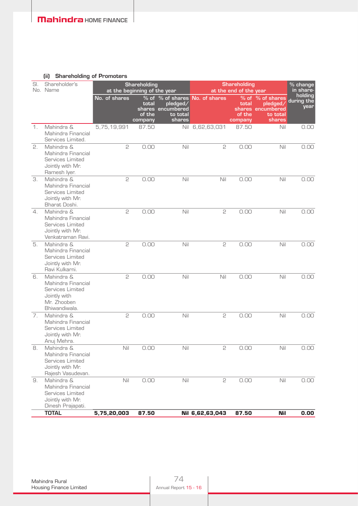$\mathbb{I}$ 

#### (ii) Shareholding of Promoters

| SI.            | Shareholder's<br>No. Name                                                                            | at the beginning of the year | Shareholding               |                                                     |                                | <b>Shareholding</b><br>at the end of the year |                                                                         | $%$ change<br>in share-       |
|----------------|------------------------------------------------------------------------------------------------------|------------------------------|----------------------------|-----------------------------------------------------|--------------------------------|-----------------------------------------------|-------------------------------------------------------------------------|-------------------------------|
|                |                                                                                                      | No. of shares                | total<br>of the<br>company | pledged/<br>shares encumbered<br>to total<br>shares | % of % of shares No. of shares | total<br>of the<br>company                    | % of % of shares<br>pledged/<br>shares encumbered<br>to total<br>shares | holding<br>during the<br>year |
| $\mathbf{1}$ . | Mahindra &<br>Mahindra Financial<br>Services Limited.                                                | 5,75,19,991                  | 87.50                      |                                                     | Nil 6,62,63,031                | 87.50                                         | Nil                                                                     | 0.00                          |
| 2.             | Mahindra &<br>Mahindra Financial<br>Services Limited<br>Jointly with Mr.<br>Ramesh lyer.             | $\supseteq$                  | 0.00                       | Nil                                                 | 2                              | 0.00                                          | Nil                                                                     | 0.00                          |
| З.             | Mahindra &<br>Mahindra Financial<br>Services Limited<br>Jointly with Mr.<br>Bharat Doshi.            | 2                            | 0.00                       | Nil                                                 | Nil                            | 0.00                                          | Nil                                                                     | 0.00                          |
| 4.             | Mahindra &<br>Mahindra Financial<br>Services Limited<br>Jointly with Mr.<br>Venkatraman Ravi.        | 2                            | 0.00                       | Nil                                                 | 2                              | 0.00                                          | Nil                                                                     | 0.00                          |
| 5.             | Mahindra &<br>Mahindra Financial<br>Services Limited<br>Jointly with Mr.<br>Ravi Kulkarni.           | 2                            | 0.00                       | Nil                                                 | 2                              | 0.00                                          | Nil                                                                     | 0.00                          |
| 6.             | Mahindra &<br>Mahindra Financial<br>Services Limited<br>Jointly with<br>Mr. Zhooben<br>Bhiwandiwala. | 2                            | 0.00                       | Nil                                                 | Nil                            | 0.00                                          | Nil                                                                     | 0.00                          |
| 7.             | Mahindra &<br>Mahindra Financial<br>Services Limited<br>Jointly with Mr.<br>Anuj Mehra.              | 2                            | 0.00                       | Nil                                                 | 2                              | 0.00                                          | Nil                                                                     | 0.00                          |
| 8.             | Mahindra &<br>Mahindra Financial<br><b>Services Limited</b><br>Jointly with Mr.<br>Rajesh Vasudevan. | Nil                          | 0.00                       | $\mathsf{Nil}$                                      | 2                              | 0.00                                          | Nil                                                                     | 0.00                          |
| 9.             | Mahindra &<br>Mahindra Financial<br>Services Limited<br>Jointly with Mr.<br>Dinesh Prajapati.        | Nil                          | 0.00                       | Nil                                                 | 2                              | 0.00                                          | Nil                                                                     | 0.00                          |
|                | <b>TOTAL</b>                                                                                         | 5,75,20,003                  | 87.50                      |                                                     | Nil 6,62,63,043                | 87.50                                         | <b>Nil</b>                                                              | 0.00                          |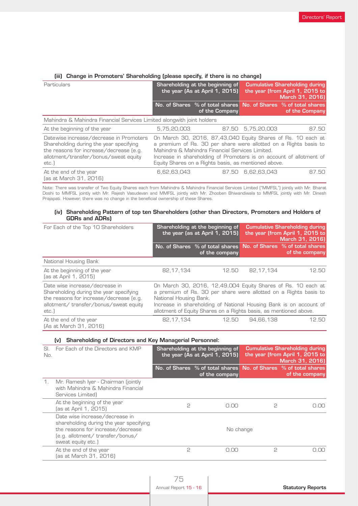| Particulars                                                                                                                                                                     |             | Shareholding at the beginning of<br>the year (As at April 1, 2015)                                                                                                                                                                                                                                                 |                   | <b>Cumulative Shareholding during</b><br>the year (from April 1, 2015 to<br>March 31, 2016) |
|---------------------------------------------------------------------------------------------------------------------------------------------------------------------------------|-------------|--------------------------------------------------------------------------------------------------------------------------------------------------------------------------------------------------------------------------------------------------------------------------------------------------------------------|-------------------|---------------------------------------------------------------------------------------------|
|                                                                                                                                                                                 |             | No. of Shares % of total shares No. of Shares % of total shares<br>of the Company                                                                                                                                                                                                                                  |                   | of the Company                                                                              |
| Mahindra & Mahindra Financial Services Limited alongwith joint holders                                                                                                          |             |                                                                                                                                                                                                                                                                                                                    |                   |                                                                                             |
| At the beginning of the year                                                                                                                                                    | 5.75.20.003 |                                                                                                                                                                                                                                                                                                                    | 87.50 5.75.20.003 | 87.50                                                                                       |
| Datewise increase/decrease in Promoters<br>Shareholding during the year specifying<br>the reasons for increase/decrease (e.g.<br>allotment/transfer/bonus/sweat equity<br>etc.) |             | On March 30, 2016, 87,43,040 Equity Shares of Rs. 10 each at<br>a premium of Rs. 30 per share were allotted on a Rights basis to<br>Mahindra & Mahindra Financial Services Limited.<br>Increase in shareholding of Promoters is on account of allotment of<br>Equity Shares on a Rights basis, as mentioned above. |                   |                                                                                             |
| At the end of the year<br>(as at March 31, 2016)                                                                                                                                | 6,62,63,043 |                                                                                                                                                                                                                                                                                                                    | 87.50 6.62.63.043 | 87.50                                                                                       |

#### (iii) Change in Promoters' Shareholding (please specify, if there is no change)

Note: There was transfer of Two Equity Shares each from Mahindra & Mahindra Financial Services Limited ("MMFSL") jointly with Mr. Bharat Doshi to MMFSL jointly with Mr. Rajesh Vasudevan and MMFSL jointly with Mr. Zhooben Bhiwandiwala to MMFSL jointly with Mr. Dinesh Prajapati. However, there was no change in the beneficial ownership of these Shares.

#### (iv) Shareholding Pattern of top ten Shareholders (other than Directors, Promoters and Holders of GDRs and ADRs)

| For Each of the Top 10 Shareholders                                                                                                                                       |                        | Shareholding at the beginning of<br>the year (as at April 1, 2015)                                                                                                                                                                                                          |           | <b>Cumulative Shareholding during</b><br>the year (from April 1, 2015 to<br>March 31, 2016) |
|---------------------------------------------------------------------------------------------------------------------------------------------------------------------------|------------------------|-----------------------------------------------------------------------------------------------------------------------------------------------------------------------------------------------------------------------------------------------------------------------------|-----------|---------------------------------------------------------------------------------------------|
|                                                                                                                                                                           |                        | No. of Shares % of total shares No. of Shares % of total shares<br>of the company                                                                                                                                                                                           |           | of the company                                                                              |
| National Housing Bank                                                                                                                                                     |                        |                                                                                                                                                                                                                                                                             |           |                                                                                             |
| At the beginning of the year<br>(as at April 1, 2015)                                                                                                                     | 82.17.134              | 12.50                                                                                                                                                                                                                                                                       | 82.17.134 | 12.50                                                                                       |
| Date wise increase/decrease in<br>Shareholding during the year specifying<br>the reasons for increase/decrease (e.g.<br>allotment/transfer/bonus/sweat equity<br>$etc.$ ] | National Housing Bank. | On March 30, 2016, 12,49,004 Equity Shares of Rs. 10 each at<br>a premium of Rs. 30 per share were allotted on a Rights basis to<br>Increase in shareholding of National Housing Bank is on account of<br>allotment of Equity Shares on a Rights basis, as mentioned above. |           |                                                                                             |
| At the end of the year<br>(As at March 31, 2016)                                                                                                                          | 82.17.134              | 12.50                                                                                                                                                                                                                                                                       | 94.66.138 | 12.50                                                                                       |

#### (v) Shareholding of Directors and Key Managerial Personnel:

| SL.<br>No.    | For Each of the Directors and KMP                                                                                                                                        |   | Shareholding at the beginning of<br>the year (As at April 1, 2015)                |   | <b>Cumulative Shareholding during</b><br>the year (from April 1, 2015 to<br>March 31, 2016) |
|---------------|--------------------------------------------------------------------------------------------------------------------------------------------------------------------------|---|-----------------------------------------------------------------------------------|---|---------------------------------------------------------------------------------------------|
|               |                                                                                                                                                                          |   | No. of Shares % of total shares No. of Shares % of total shares<br>of the company |   | of the company                                                                              |
| $\mathcal{L}$ | Mr. Ramesh Iyer - Chairman (jointly<br>with Mahindra & Mahindra Financial<br>Services Limited)                                                                           |   |                                                                                   |   |                                                                                             |
|               | At the beginning of the year<br>(as at April 1, 2015)                                                                                                                    | 2 | 0.00                                                                              | 2 | N.NO                                                                                        |
|               | Date wise increase/decrease in<br>shareholding during the year specifying<br>the reasons for increase/decrease<br>(e.g. allotment/ transfer/bonus/<br>sweat equity etc.) |   | No change                                                                         |   |                                                                                             |
|               | At the end of the year<br>(as at March 31, 2016)                                                                                                                         | 2 | n.nn                                                                              | P | N.NU                                                                                        |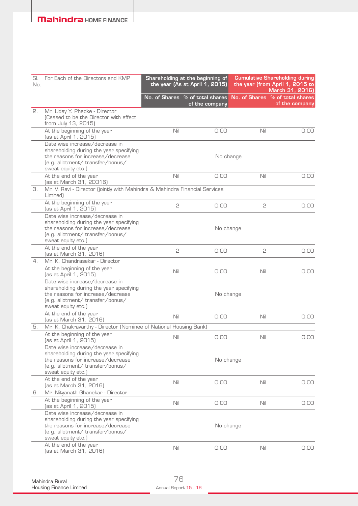$\overline{1}$ 

| SI.<br>No. | For Each of the Directors and KMP                                                                                                                                        |             | Shareholding at the beginning of<br>the year (As at April 1, 2015) |     | <b>Cumulative Shareholding during</b><br>the year (from April 1, 2015 to<br>March 31, 2016) |
|------------|--------------------------------------------------------------------------------------------------------------------------------------------------------------------------|-------------|--------------------------------------------------------------------|-----|---------------------------------------------------------------------------------------------|
|            |                                                                                                                                                                          |             | No. of Shares % of total shares<br>of the company                  |     | No. of Shares % of total shares<br>of the company                                           |
| 2.         | Mr. Uday Y. Phadke - Director<br>(Ceased to be the Director with effect<br>from July 13, 2015)                                                                           |             |                                                                    |     |                                                                                             |
|            | At the beginning of the year<br>(as at April 1, 2015)                                                                                                                    | Nil         | 0.00                                                               | Nil | 0.00                                                                                        |
|            | Date wise increase/decrease in<br>shareholding during the year specifying<br>the reasons for increase/decrease<br>(e.g. allotment/ transfer/bonus/<br>sweat equity etc.) |             | No change                                                          |     |                                                                                             |
|            | At the end of the year<br>(as at March 31, 20016)                                                                                                                        | Nil         | 0.00                                                               | Nil | 0.00                                                                                        |
| З.         | Mr. V. Ravi - Director (jointly with Mahindra & Mahindra Financial Services<br>Limited)                                                                                  |             |                                                                    |     |                                                                                             |
|            | At the beginning of the year<br>(as at April 1, 2015)                                                                                                                    | 2           | 0.00                                                               | 2   | 0.00                                                                                        |
|            | Date wise increase/decrease in<br>shareholding during the year specifying<br>the reasons for increase/decrease<br>(e.g. allotment/ transfer/bonus/<br>sweat equity etc.) |             | No change                                                          |     |                                                                                             |
|            | At the end of the year<br>(as at March 31, 2016)                                                                                                                         | $\supseteq$ | 0.00                                                               | 2   | 0.00                                                                                        |
| 4.         | Mr. K. Chandrasekar - Director<br>At the beginning of the year                                                                                                           |             |                                                                    |     |                                                                                             |
|            | (as at April 1, 2015)                                                                                                                                                    | Nil         | 0.00                                                               | Nil | 0.00                                                                                        |
|            | Date wise increase/decrease in<br>shareholding during the year specifying<br>the reasons for increase/decrease<br>(e.g. allotment/ transfer/bonus/<br>sweat equity etc.) |             | No change                                                          |     |                                                                                             |
|            | At the end of the year<br>(as at March 31, 2016)                                                                                                                         | Nil         | 0.00                                                               | Nil | 0.00                                                                                        |
| 5.         | Mr. K. Chakravarthy - Director (Nominee of National Housing Bank)                                                                                                        |             |                                                                    |     |                                                                                             |
|            | At the beginning of the year<br>(as at April 1, 2015)                                                                                                                    | Nil         | 0.00                                                               | Nil | 0.00                                                                                        |
|            | Date wise increase/decrease in<br>shareholding during the year specifying<br>the reasons for increase/decrease<br>(e.g. allotment/ transfer/bonus/<br>sweat equity etc.) |             | No change                                                          |     |                                                                                             |
|            | At the end of the year<br>(as at March 31, 2016)                                                                                                                         | Nil         | 0.00                                                               | Nil | 0.00                                                                                        |
| 6.         | Mr. Nityanath Ghanekar - Director                                                                                                                                        |             |                                                                    |     |                                                                                             |
|            | At the beginning of the year<br>(as at April 1, 2015)                                                                                                                    | Nil         | 0.00                                                               | Nil | 0.00                                                                                        |
|            | Date wise increase/decrease in<br>shareholding during the year specifying<br>the reasons for increase/decrease<br>(e.g. allotment/ transfer/bonus/<br>sweat equity etc.) |             | No change                                                          |     |                                                                                             |
|            | At the end of the year<br>(as at March 31, 2016)                                                                                                                         | Nil         | 0.00                                                               | Nil | 0.00                                                                                        |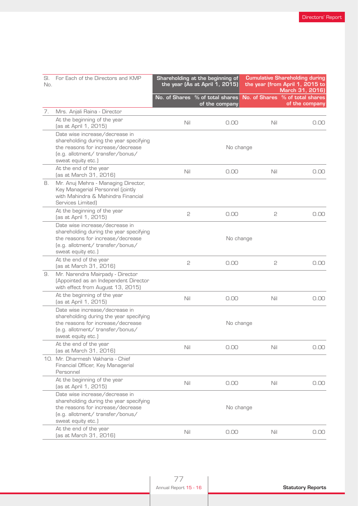| SI.<br>No. | For Each of the Directors and KMP                                                                                                                                        |     | Shareholding at the beginning of<br>the year (As at April 1, 2015) | <b>Cumulative Shareholding during</b><br>the year (from April 1, 2015 to<br>March 31, 2016) |                                                   |  |
|------------|--------------------------------------------------------------------------------------------------------------------------------------------------------------------------|-----|--------------------------------------------------------------------|---------------------------------------------------------------------------------------------|---------------------------------------------------|--|
|            |                                                                                                                                                                          |     | No. of Shares % of total shares<br>of the company                  |                                                                                             | No. of Shares % of total shares<br>of the company |  |
| 7.         | Mrs. Anjali Raina - Director                                                                                                                                             |     |                                                                    |                                                                                             |                                                   |  |
|            | At the beginning of the year<br>(as at April 1, 2015)                                                                                                                    | Nil | 0.00                                                               | Nil                                                                                         | 0.00                                              |  |
|            | Date wise increase/decrease in<br>shareholding during the year specifying<br>the reasons for increase/decrease<br>(e.g. allotment/ transfer/bonus/<br>sweat equity etc.) |     | No change                                                          |                                                                                             |                                                   |  |
|            | At the end of the year<br>(as at March 31, 2016)                                                                                                                         | Nil | 0.00                                                               | Nil                                                                                         | 0.00                                              |  |
| 8.         | Mr. Anuj Mehra - Managing Director,<br>Key Managerial Personnel (jointly<br>with Mahindra & Mahindra Financial<br>Services Limited)                                      |     |                                                                    |                                                                                             |                                                   |  |
|            | At the beginning of the year<br>(as at April 1, 2015)                                                                                                                    | 2   | 0.00                                                               | 2                                                                                           | 0.00                                              |  |
|            | Date wise increase/decrease in<br>shareholding during the year specifying<br>the reasons for increase/decrease<br>(e.g. allotment/ transfer/bonus/<br>sweat equity etc.) |     | No change                                                          |                                                                                             |                                                   |  |
|            | At the end of the year<br>(as at March 31, 2016)                                                                                                                         | 2   | 0.00                                                               | 2                                                                                           | 0.00                                              |  |
| 9.         | Mr. Narendra Mairpady - Director<br>(Appointed as an Independent Director<br>with effect from August 13, 2015)                                                           |     |                                                                    |                                                                                             |                                                   |  |
|            | At the beginning of the year<br>(as at April 1, 2015)                                                                                                                    | Nil | 0.00                                                               | Nil                                                                                         | 0.00                                              |  |
|            | Date wise increase/decrease in<br>shareholding during the year specifying<br>the reasons for increase/decrease<br>(e.g. allotment/ transfer/bonus/<br>sweat equity etc.) |     | No change                                                          |                                                                                             |                                                   |  |
|            | At the end of the year<br>(as at March 31, 2016)                                                                                                                         | Nil | 0.00                                                               | Nil                                                                                         | 0.00                                              |  |
|            | 10. Mr. Dharmesh Vakharia - Chief<br>Financial Officer, Key Managerial<br>Personnel                                                                                      |     |                                                                    |                                                                                             |                                                   |  |
|            | At the beginning of the year<br>(as at April 1, 2015)                                                                                                                    | Nil | 0.00                                                               | Nil                                                                                         | 0.00                                              |  |
|            | Date wise increase/decrease in<br>shareholding during the year specifying<br>the reasons for increase/decrease<br>(e.g. allotment/ transfer/bonus/<br>sweat equity etc.) |     | No change                                                          |                                                                                             |                                                   |  |
|            | At the end of the year<br>(as at March 31, 2016)                                                                                                                         | Nil | 0.00                                                               | Nil                                                                                         | 0.00                                              |  |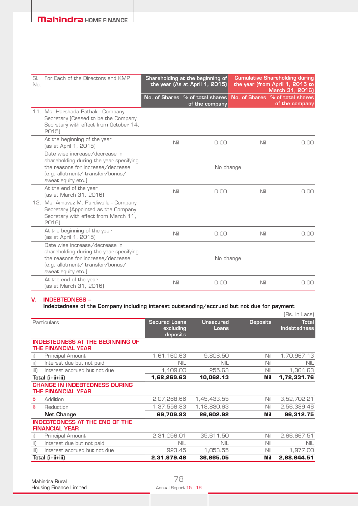$\overline{\phantom{a}}$ 

| SI.<br>No. | For Each of the Directors and KMP                                                                                                                                        | Shareholding at the beginning of<br>the year (As at April 1, 2015) |                                                   |     | <b>Cumulative Shareholding during</b><br>the year (from April 1, 2015 to<br>March 31, 2016) |
|------------|--------------------------------------------------------------------------------------------------------------------------------------------------------------------------|--------------------------------------------------------------------|---------------------------------------------------|-----|---------------------------------------------------------------------------------------------|
|            |                                                                                                                                                                          |                                                                    | No. of Shares % of total shares<br>of the company |     | No. of Shares % of total shares<br>of the company                                           |
|            | 11. Ms. Harshada Pathak - Company<br>Secretary (Ceased to be the Company<br>Secretary with effect from October 14,<br>2015)                                              |                                                                    |                                                   |     |                                                                                             |
|            | At the beginning of the year<br>(as at April 1, 2015)                                                                                                                    | Nil                                                                | 0.00                                              | Nil | 0.00                                                                                        |
|            | Date wise increase/decrease in<br>shareholding during the year specifying<br>the reasons for increase/decrease<br>(e.g. allotment/transfer/bonus/<br>sweat equity etc.)  |                                                                    | No change                                         |     |                                                                                             |
|            | At the end of the year<br>(as at March 31, 2016)                                                                                                                         | Nil                                                                | 0.00                                              | Nil | 0.00                                                                                        |
|            | 12. Ms. Arnavaz M. Pardiwalla - Company<br>Secretary (Appointed as the Company<br>Secretary with effect from March 11,<br>20161                                          |                                                                    |                                                   |     |                                                                                             |
|            | At the beginning of the year<br>(as at April 1, 2015)                                                                                                                    | Nil                                                                | 0.00                                              | Nil | 0.00                                                                                        |
|            | Date wise increase/decrease in<br>shareholding during the year specifying<br>the reasons for increase/decrease<br>(e.g. allotment/ transfer/bonus/<br>sweat equity etc.) |                                                                    | No change                                         |     |                                                                                             |
|            | At the end of the year<br>(as at March 31, 2016)                                                                                                                         | Nil                                                                | 0.00                                              | Nil | 0.00                                                                                        |

#### V. INDEBTEDNESS –

#### Indebtedness of the Company including interest outstanding/accrued but not due for payment

|      |                                                                      |                                               |                                  |                 | (Rs. in Lacs)                       |
|------|----------------------------------------------------------------------|-----------------------------------------------|----------------------------------|-----------------|-------------------------------------|
|      | Particulars                                                          | <b>Secured Loans</b><br>excluding<br>deposits | <b>Unsecured</b><br><b>Loans</b> | <b>Deposits</b> | <b>Total</b><br><b>Indebtedness</b> |
|      | <b>INDEBTEDNESS AT THE BEGINNING OF</b><br><b>THE FINANCIAL YEAR</b> |                                               |                                  |                 |                                     |
| i)   | Principal Amount                                                     | 1,61,160.63                                   | 9,806.50                         | Nil             | 1,70,967.13                         |
| ii)  | Interest due but not paid                                            | NIL                                           | NIL                              | Nil             | NIL                                 |
| iii) | Interest accrued but not due                                         | 1,109.00                                      | 255.63                           | Nil             | 1,364.63                            |
|      | Total (i+ii+iii)                                                     | 1,62,269.63                                   | 10,062.13                        | Nil             | 1,72,331.76                         |
|      | <b>CHANGE IN INDEBTEDNESS DURING</b><br><b>THE FINANCIAL YEAR</b>    |                                               |                                  |                 |                                     |
| ♦    | Addition                                                             | 2,07,268.66                                   | 1,45,433.55                      | Nil             | 3,52,702.21                         |
| ♦    | Reduction                                                            | 1,37,558.83                                   | 1,18,830.63                      | Nil             | 2,56,389.46                         |
|      | <b>Net Change</b>                                                    | 69,709.83                                     | 26,602.92                        | <b>Nil</b>      | 96,312.75                           |
|      | <b>INDEBTEDNESS AT THE END OF THE</b><br><b>FINANCIAL YEAR</b>       |                                               |                                  |                 |                                     |
| i)   | Principal Amount                                                     | 2,31,056.01                                   | 35,611.50                        | Nil             | 2,66,667.51                         |
| ii)  | Interest due but not paid                                            | <b>NIL</b>                                    | <b>NIL</b>                       | Nil             | <b>NIL</b>                          |
| iii) | Interest accrued but not due                                         | 923.45                                        | 1,053.55                         | Nil             | 1,977.00                            |
|      | Total (i+ii+iii)                                                     | 2,31,979.46                                   | 36,665.05                        | <b>Nil</b>      | 2,68,644.51                         |

| Mahindra Rural          |                       |
|-------------------------|-----------------------|
| Housing Finance Limited | Annual Report 15 - 16 |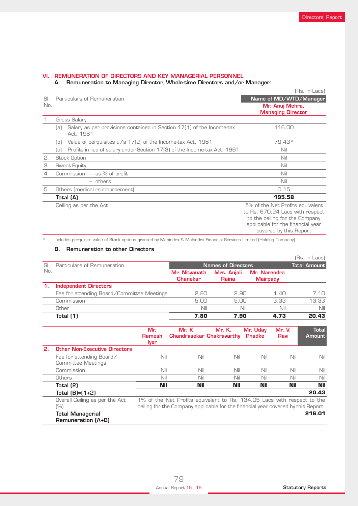(Rs. in Lacs)

#### VI. REMUNERATION OF DIRECTORS AND KEY MANAGERIAL PERSONNEL

#### A. Remuneration to Managing Director, Whole-time Directors and/or Manager:

|     |                                                                                                | (Rs. in Lacs)                                                                                                                                                        |
|-----|------------------------------------------------------------------------------------------------|----------------------------------------------------------------------------------------------------------------------------------------------------------------------|
| SI. | Particulars of Remuneration                                                                    | Name of MD/WTD/Manager                                                                                                                                               |
| No. |                                                                                                | Mr. Anuj Mehra,<br><b>Managing Director</b>                                                                                                                          |
| 1.  | Gross Salary                                                                                   |                                                                                                                                                                      |
|     | Salary as per provisions contained in Section 17(1) of the Income-tax<br>(a)<br>Act, 1961      | 116.00                                                                                                                                                               |
|     | Value of perquisites $u/s$ 17(2) of the Income-tax Act, 1961<br>(b)                            | 79.43*                                                                                                                                                               |
|     | Profits in lieu of salary under Section 17(3) of the Income-tax Act, 1961<br>$\lceil c \rceil$ | Nil                                                                                                                                                                  |
| 2.  | <b>Stock Option</b>                                                                            | Nil                                                                                                                                                                  |
| З.  | <b>Sweat Equity</b>                                                                            | Nil                                                                                                                                                                  |
| 4.  | Commission $-$ as % of profit                                                                  | Nil                                                                                                                                                                  |
|     | - others                                                                                       | Nil                                                                                                                                                                  |
| 5.  | Others (medical reimbursement)                                                                 | 0.15                                                                                                                                                                 |
|     | Total (A)                                                                                      | 195.58                                                                                                                                                               |
|     | Ceiling as per the Act                                                                         | 5% of the Net Profits equivalent<br>to Rs. 670.24 Lacs with respect<br>to the ceiling for the Company<br>applicable for the financial year<br>covered by this Report |

includes perquisite value of Stock options granted by Mahindra & Mahindra Financial Services Limited (Holding Company).

#### B. Remuneration to other Directors

|     |                                            |                                  |                           |                                 | (Hs. in Lacs) |
|-----|--------------------------------------------|----------------------------------|---------------------------|---------------------------------|---------------|
| SI. | Particulars of Remuneration                |                                  | <b>Names of Directors</b> |                                 | Total Amount  |
| No. |                                            | Mr. Nityanath<br><b>Ghanekar</b> | Mrs. Anjali<br>Raina      | Mr. Narendra<br><b>Mairpady</b> |               |
|     | <b>Independent Directors</b>               |                                  |                           |                                 |               |
|     | Fee for attending Board/Committee Meetings | 2.80                             | 2.90                      | $1.4\Omega$                     | 7.10          |
|     | Commission                                 | 5.00                             | 5.00                      | 3.33                            | 13.33         |
|     | Other                                      | Nil                              | Nil                       | Nil                             | Nil           |
|     | Total (1)                                  | 7.80                             | 7.90                      | 4.73                            | 20.43         |

|    |                                                      | Mr.<br><b>Ramesh</b><br><b>Iyer</b> | <b>Mr. K.</b><br><b>Chandrasekar Chakravarthy</b>                                                                                                            | <b>Mr. K.</b> | Mr. Uday<br><b>Phadke</b> | <b>Mr. V.</b><br>Ravi | <b>Total</b><br><b>Amount</b> |
|----|------------------------------------------------------|-------------------------------------|--------------------------------------------------------------------------------------------------------------------------------------------------------------|---------------|---------------------------|-----------------------|-------------------------------|
| 2. | <b>Other Non-Executive Directors</b>                 |                                     |                                                                                                                                                              |               |                           |                       |                               |
|    | Fee for attending Board/<br>Committee Meetings       | Nil                                 | Nil                                                                                                                                                          | Nil           | Nil                       | Nil                   | Nil                           |
|    | Commission                                           | Nil                                 | Nil                                                                                                                                                          | Nil           | Nil                       | Nil                   | Nil                           |
|    | Others                                               | Nil                                 | Nil                                                                                                                                                          | Nil           | Nil                       | Nil                   | Nil                           |
|    | Total (2)                                            | Nil                                 | <b>Nil</b>                                                                                                                                                   | Nil           | <b>Nil</b>                | Nil                   | Nil                           |
|    | Total $(B)=(1+2)$                                    |                                     |                                                                                                                                                              |               |                           |                       | 20.43                         |
|    | Overall Ceiling as per the Act<br>(%)                |                                     | 1% of the Net Profits equivalent to Rs. 134.05 Lacs with respect to the<br>ceiling for the Company applicable for the financial year covered by this Report. |               |                           |                       |                               |
|    | <b>Total Managerial</b><br><b>Remuneration (A+B)</b> |                                     |                                                                                                                                                              |               |                           |                       | 216.01                        |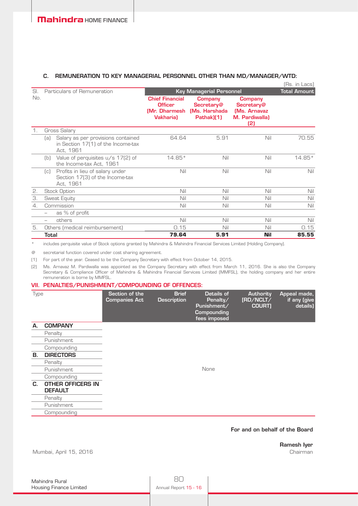#### C. REMUNERATION TO KEY MANAGERIAL PERSONNEL OTHER THAN MD/MANAGER/WTD:

|     |                                                                                                      |                                                                                |                                                             |                                                                              | (Rs. in Lacs)       |
|-----|------------------------------------------------------------------------------------------------------|--------------------------------------------------------------------------------|-------------------------------------------------------------|------------------------------------------------------------------------------|---------------------|
| SI. | Particulars of Remuneration                                                                          |                                                                                | <b>Key Managerial Personnel</b>                             |                                                                              | <b>Total Amount</b> |
| No. |                                                                                                      | <b>Chief Financial</b><br><b>Officer</b><br>(Mr. Dharmesh<br><b>Vakharia</b> ) | <b>Company</b><br>Secretary@<br>(Ms. Harshada<br>Pathak][1] | <b>Company</b><br>Secretary@<br><b>IMs. Arnavaz</b><br>M. Pardiwalla)<br>(2) |                     |
| 1.  | Gross Salary                                                                                         |                                                                                |                                                             |                                                                              |                     |
|     | Salary as per provisions contained<br>fa)<br>in Section 17(1) of the Income-tax<br>Act, 1961         | 64.64                                                                          | 5.91                                                        | Nil                                                                          | 70.55               |
|     | Value of perquisites $u/s$ 17(2) of<br>(b)<br>the Income-tax Act, 1961                               | $14.85*$                                                                       | Nil                                                         | Nil                                                                          | $14.85*$            |
|     | Profits in lieu of salary under<br>$\lceil c \rceil$<br>Section 17(3) of the Income-tax<br>Act, 1961 | Nil                                                                            | Nil                                                         | Nil                                                                          | Nil                 |
| 2.  | <b>Stock Option</b>                                                                                  | Nil                                                                            | Nil                                                         | Nil                                                                          | Nil                 |
| 3.  | <b>Sweat Equity</b>                                                                                  | Nil                                                                            | Nil                                                         | Nil                                                                          | Nil                 |
| 4.  | Commission                                                                                           | Nil                                                                            | Nil                                                         | Nil                                                                          | Nil                 |
|     | as % of profit                                                                                       |                                                                                |                                                             |                                                                              |                     |
|     | others<br>$\overline{\phantom{0}}$                                                                   | Nil                                                                            | Nil                                                         | Nil                                                                          | Nil                 |
| 5.  | Others (medical reimbursement)                                                                       | 0.15                                                                           | Nil                                                         | Nil                                                                          | 0.15                |
|     | Total                                                                                                | 79.64                                                                          | 5.91                                                        | Nil                                                                          | 85.55               |

\* includes perquisite value of Stock options granted by Mahindra & Mahindra Financial Services Limited (Holding Company).

@ secretarial function covered under cost sharing agreement.

(1) For part of the year. Ceased to be the Company Secretary with effect from October 14, 2015.

(2) Ms. Arnavaz M. Pardiwalla was appointed as the Company Secretary with effect from March 11, 2016. She is also the Company Secretary & Compliance Officer of Mahindra & Mahindra Financial Services Limited (MMFSL), the holding company and her entire remuneration is borne by MMFSL.

#### VII. PENALTIES/PUNISHMENT/COMPOUNDING OF OFFENCES:

| Type |                   | Section of the<br><b>Companies Act</b> | <b>Brief</b><br><b>Description</b> | Details of<br>Penalty/<br>Punishment/<br><b>Compounding</b><br>fees imposed | Authority<br>[RD/NCLT/<br><b>COURT]</b> | Appeal made,<br>if any (give<br>details) |
|------|-------------------|----------------------------------------|------------------------------------|-----------------------------------------------------------------------------|-----------------------------------------|------------------------------------------|
| А.   | <b>COMPANY</b>    |                                        |                                    |                                                                             |                                         |                                          |
|      | Penalty           |                                        |                                    |                                                                             |                                         |                                          |
|      | Punishment        |                                        |                                    |                                                                             |                                         |                                          |
|      | Compounding       |                                        |                                    |                                                                             |                                         |                                          |
| В.   | <b>DIRECTORS</b>  |                                        |                                    |                                                                             |                                         |                                          |
|      | Penalty           |                                        |                                    |                                                                             |                                         |                                          |
|      | Punishment        |                                        |                                    | None                                                                        |                                         |                                          |
|      | Compounding       |                                        |                                    |                                                                             |                                         |                                          |
| C.   | OTHER OFFICERS IN |                                        |                                    |                                                                             |                                         |                                          |
|      | <b>DEFAULT</b>    |                                        |                                    |                                                                             |                                         |                                          |
|      | Penalty           |                                        |                                    |                                                                             |                                         |                                          |
|      | Punishment        |                                        |                                    |                                                                             |                                         |                                          |
|      | Compounding       |                                        |                                    |                                                                             |                                         |                                          |

For and on behalf of the Board

Ramesh Iyer

Mumbai, April 15, 2016 Chairman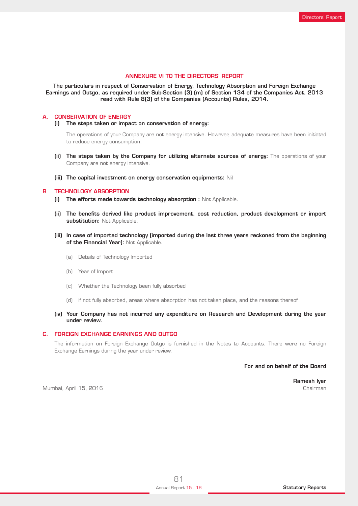#### ANNEXURE VI TO THE DIRECTORS' REPORT

The particulars in respect of Conservation of Energy, Technology Absorption and Foreign Exchange Earnings and Outgo, as required under Sub-Section (3) (m) of Section 134 of the Companies Act, 2013 read with Rule 8(3) of the Companies (Accounts) Rules, 2014.

#### A. CONSERVATION OF ENERGY

(i) The steps taken or impact on conservation of energy:

The operations of your Company are not energy intensive. However, adequate measures have been initiated to reduce energy consumption.

- (ii) The steps taken by the Company for utilizing alternate sources of energy: The operations of your Company are not energy intensive.
- (iii) The capital investment on energy conservation equipments: Nil

#### B TECHNOLOGY ABSORPTION

- (i) The efforts made towards technology absorption : Not Applicable.
- (ii) The benefits derived like product improvement, cost reduction, product development or import substitution: Not Applicable.
- (iii) In case of imported technology (imported during the last three years reckoned from the beginning of the Financial Year): Not Applicable.
	- (a) Details of Technology Imported
	- (b) Year of Import
	- (c) Whether the Technology been fully absorbed
	- (d) if not fully absorbed, areas where absorption has not taken place, and the reasons thereof
- (iv) Your Company has not incurred any expenditure on Research and Development during the year under review.

#### C. FOREIGN EXCHANGE EARNINGS AND OUTGO

The information on Foreign Exchange Outgo is furnished in the Notes to Accounts. There were no Foreign Exchange Earnings during the year under review.

For and on behalf of the Board

Ramesh Iyer

Mumbai, April 15, 2016 Chairman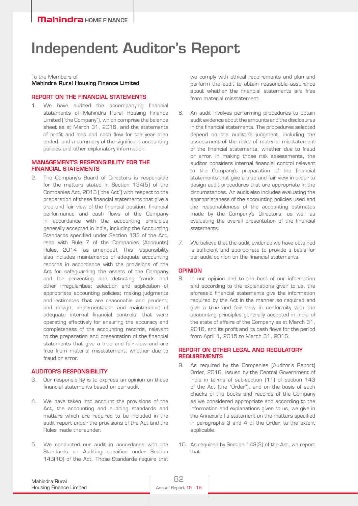### Independent Auditor's Report

To the Members of Mahindra Rural Housing Finance Limited

#### REPORT ON THE FINANCIAL STATEMENTS

1. We have audited the accompanying financial statements of Mahindra Rural Housing Finance Limited ("the Company"), which comprise the balance sheet as at March 31, 2016, and the statements of profit and loss and cash flow for the year then ended, and a summary of the significant accounting policies and other explanatory information.

#### MANAGEMENT'S RESPONSIBILITY FOR THE FINANCIAL STATEMENTS

2. The Company's Board of Directors is responsible for the matters stated in Section 134(5) of the Companies Act, 2013 ("the Act") with respect to the preparation of these financial statements that give a true and fair view of the financial position, financial performance and cash flows of the Company in accordance with the accounting principles generally accepted in India, including the Accounting Standards specified under Section 133 of the Act, read with Rule 7 of the Companies (Accounts) Rules, 2014 (as amended). This responsibility also includes maintenance of adequate accounting records in accordance with the provisions of the Act for safeguarding the assets of the Company and for preventing and detecting frauds and other irregularities; selection and application of appropriate accounting policies; making judgments and estimates that are reasonable and prudent; and design, implementation and maintenance of adequate internal financial controls, that were operating effectively for ensuring the accuracy and completeness of the accounting records, relevant to the preparation and presentation of the financial statements that give a true and fair view and are free from material misstatement, whether due to fraud or error.

#### AUDITOR'S RESPONSIBILITY

- Our responsibility is to express an opinion on these financial statements based on our audit.
- 4. We have taken into account the provisions of the Act, the accounting and auditing standards and matters which are required to be included in the audit report under the provisions of the Act and the Rules made thereunder.
- 5. We conducted our audit in accordance with the Standards on Auditing specified under Section 143(10) of the Act. Those Standards require that

we comply with ethical requirements and plan and perform the audit to obtain reasonable assurance about whether the financial statements are free from material misstatement.

- 6. An audit involves performing procedures to obtain audit evidence about the amounts and the disclosures in the financial statements. The procedures selected depend on the auditor's judgment, including the assessment of the risks of material misstatement of the financial statements, whether due to fraud or error. In making those risk assessments, the auditor considers internal financial control relevant to the Company's preparation of the financial statements that give a true and fair view in order to design audit procedures that are appropriate in the circumstances. An audit also includes evaluating the appropriateness of the accounting policies used and the reasonableness of the accounting estimates made by the Company's Directors, as well as evaluating the overall presentation of the financial statements.
- 7. We believe that the audit evidence we have obtained is sufficient and appropriate to provide a basis for our audit opinion on the financial statements.

#### **OPINION**

8. In our opinion and to the best of our information and according to the explanations given to us, the aforesaid financial statements give the information required by the Act in the manner so required and give a true and fair view in conformity with the accounting principles generally accepted in India of the state of affairs of the Company as at March 31, 2016, and its profit and its cash flows for the period from April 1, 2015 to March 31, 2016.

#### REPORT ON OTHER LEGAL AND REGULATORY **REQUIREMENTS**

- 9. As required by the Companies (Auditor's Report) Order, 2016, issued by the Central Government of India in terms of sub-section (11) of section 143 of the Act (the "Order"), and on the basis of such checks of the books and records of the Company as we considered appropriate and according to the information and explanations given to us, we give in the Annexure I a statement on the matters specified in paragraphs 3 and 4 of the Order, to the extent applicable.
- 10. As required by Section 143(3) of the Act, we report that:

| Mahindra Rural                 |                       |
|--------------------------------|-----------------------|
| <b>Housing Finance Limited</b> | Annual Report 15 - 16 |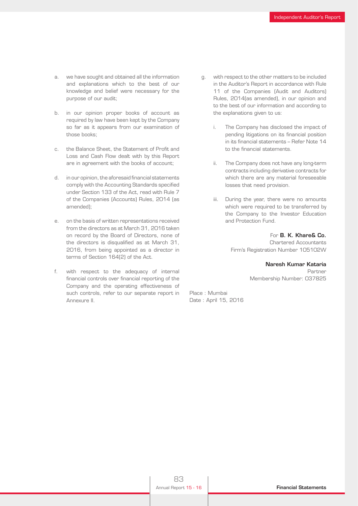- a. we have sought and obtained all the information and explanations which to the best of our knowledge and belief were necessary for the purpose of our audit;
- b. in our opinion proper books of account as required by law have been kept by the Company so far as it appears from our examination of those books;
- c. the Balance Sheet, the Statement of Profit and Loss and Cash Flow dealt with by this Report are in agreement with the books of account;
- d. in our opinion, the aforesaid financial statements comply with the Accounting Standards specified under Section 133 of the Act, read with Rule 7 of the Companies (Accounts) Rules, 2014 (as amended);
- e. on the basis of written representations received from the directors as at March 31, 2016 taken on record by the Board of Directors, none of the directors is disqualified as at March 31, 2016, from being appointed as a director in terms of Section 164(2) of the Act.
- f. with respect to the adequacy of internal financial controls over financial reporting of the Company and the operating effectiveness of such controls, refer to our separate report in Annexure II.
- g. with respect to the other matters to be included in the Auditor's Report in accordance with Rule 11 of the Companies (Audit and Auditors) Rules, 2014(as amended), in our opinion and to the best of our information and according to the explanations given to us:
	- i. The Company has disclosed the impact of pending litigations on its financial position in its financial statements – Refer Note 14 to the financial statements.
	- ii. The Company does not have any long-term contracts including derivative contracts for which there are any material foreseeable losses that need provision.
	- iii. During the year, there were no amounts which were required to be transferred by the Company to the Investor Education and Protection Fund.

For B. K. Khare& Co. Chartered Accountants Firm's Registration Number 105102W

> Naresh Kumar Kataria Partner Membership Number: 037825

Place : Mumbai Date : April 15, 2016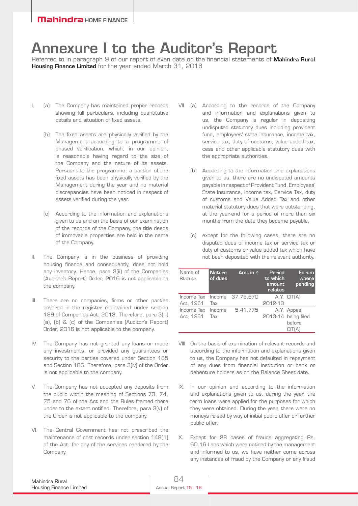### Annexure I to the Auditor's Report

Referred to in paragraph 9 of our report of even date on the financial statements of Mahindra Rural Housing Finance Limited for the year ended March 31, 2016

- I. (a) The Company has maintained proper records showing full particulars, including quantitative details and situation of fixed assets.
	- (b) The fixed assets are physically verified by the Management according to a programme of phased verification, which, in our opinion, is reasonable having regard to the size of the Company and the nature of its assets. Pursuant to the programme, a portion of the fixed assets has been physically verified by the Management during the year and no material discrepancies have been noticed in respect of assets verified during the year.
	- (c) According to the information and explanations given to us and on the basis of our examination of the records of the Company, the title deeds of immovable properties are held in the name of the Company.
- II. The Company is in the business of providing housing finance and consequently, does not hold any inventory. Hence, para 3(ii) of the Companies (Auditor's Report) Order, 2016 is not applicable to the company.
- III. There are no companies, firms or other parties covered in the register maintained under section 189 of Companies Act, 2013. Therefore, para 3(iii) (a), (b) & (c) of the Companies (Auditor's Report) Order, 2016 is not applicable to the company.
- IV. The Company has not granted any loans or made any investments, or provided any guarantees or security to the parties covered under Section 185 and Section 186. Therefore, para 3(iv) of the Order is not applicable to the company.
- V. The Company has not accepted any deposits from the public within the meaning of Sections 73, 74, 75 and 76 of the Act and the Rules framed there under to the extent notified. Therefore, para 3(v) of the Order is not applicable to the company.
- VI. The Central Government has not prescribed the maintenance of cost records under section 148(1) of the Act, for any of the services rendered by the Company.
- VII. (a) According to the records of the Company and information and explanations given to us, the Company is regular in depositing undisputed statutory dues including provident fund, employees' state insurance, income tax, service tax, duty of customs, value added tax, cess and other applicable statutory dues with the appropriate authorities.
	- (b) According to the information and explanations given to us, there are no undisputed amounts payable in respect of Provident Fund, Employees' State Insurance, Income tax, Service Tax, duty of customs and Value Added Tax and other material statutory dues that were outstanding, at the year-end for a period of more than six months from the date they became payable.
	- (c) except for the following cases, there are no disputed dues of income tax or service tax or duty of customs or value added tax which have not been deposited with the relevant authority.

| Name of<br>Statute             | <b>Nature</b><br>of dues | Amt in $\bar{z}$ | <b>Period</b><br>to which<br>amount<br>relates | <b>Forum</b><br>where<br>pending                       |
|--------------------------------|--------------------------|------------------|------------------------------------------------|--------------------------------------------------------|
| Income Tax Income<br>Act, 1961 | Tax                      | 37,75,670        | 2012-13                                        | $A.Y.$ CIT(A)                                          |
| Income Tax Income<br>Act. 1961 | Tax                      | 5,41,775         |                                                | A.Y. Appeal<br>2013-14 being filed<br>before<br>CIT(A) |

- VIII. On the basis of examination of relevant records and according to the information and explanations given to us, the Company has not defaulted in repayment of any dues from financial institution or bank or debenture holders as on the Balance Sheet date.
- IX. In our opinion and according to the information and explanations given to us, during the year, the term loans were applied for the purposes for which they were obtained. During the year, there were no moneys raised by way of initial public offer or further public offer.
- X. Except for 28 cases of frauds aggregating Rs. 60.16 Lacs which were noticed by the management and informed to us, we have neither come across any instances of fraud by the Company or any fraud

| Mahindra Rural          |                       |  |
|-------------------------|-----------------------|--|
| Housing Finance Limited | Annual Report 15 - 16 |  |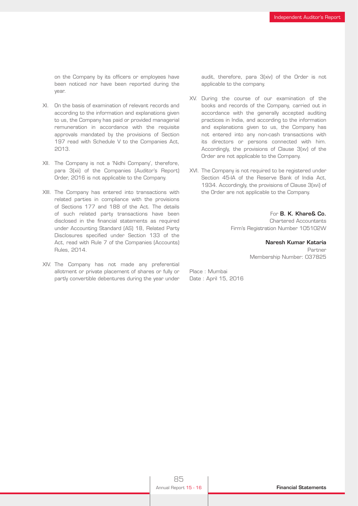on the Company by its officers or employees have been noticed nor have been reported during the year.

- XI. On the basis of examination of relevant records and according to the information and explanations given to us, the Company has paid or provided managerial remuneration in accordance with the requisite approvals mandated by the provisions of Section 197 read with Schedule V to the Companies Act, 2013.
- XII. The Company is not a 'Nidhi Company', therefore, para 3(xii) of the Companies (Auditor's Report) Order, 2016 is not applicable to the Company.
- XIII. The Company has entered into transactions with related parties in compliance with the provisions of Sections 177 and 188 of the Act. The details of such related party transactions have been disclosed in the financial statements as required under Accounting Standard (AS) 18, Related Party Disclosures specified under Section 133 of the Act, read with Rule 7 of the Companies (Accounts) Rules, 2014.
- XIV. The Company has not made any preferential allotment or private placement of shares or fully or partly convertible debentures during the year under

audit, therefore, para 3(xiv) of the Order is not applicable to the company.

- XV. During the course of our examination of the books and records of the Company, carried out in accordance with the generally accepted auditing practices in India, and according to the information and explanations given to us, the Company has not entered into any non-cash transactions with its directors or persons connected with him. Accordingly, the provisions of Clause 3(xv) of the Order are not applicable to the Company.
- XVI. The Company is not required to be registered under Section 45-IA of the Reserve Bank of India Act, 1934. Accordingly, the provisions of Clause 3(xvi) of the Order are not applicable to the Company.

For B. K. Khare& Co. Chartered Accountants Firm's Registration Number 105102W

> Naresh Kumar Kataria Partner Membership Number: 037825

Place : Mumbai Date : April 15, 2016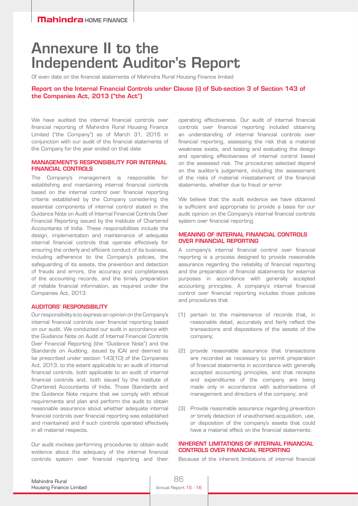### Annexure II to the Independent Auditor's Report

Of even date on the financial statements of Mahindra Rural Housing Finance limited

#### Report on the Internal Financial Controls under Clause (i) of Sub-section 3 of Section 143 of the Companies Act, 2013 ("the Act")

We have audited the internal financial controls over financial reporting of Mahindra Rural Housing Finance Limited ("the Company") as of March 31, 2016 in conjunction with our audit of the financial statements of the Company for the year ended on that date

#### MANAGEMENT'S RESPONSIBILITY FOR INTERNAL FINANCIAL CONTROLS

The Company's management is responsible for establishing and maintaining internal financial controls based on the internal control over financial reporting criteria established by the Company considering the essential components of internal control stated in the Guidance Note on Audit of Internal Financial Controls Over Financial Reporting issued by the Institute of Chartered Accountants of India. These responsibilities include the design, implementation and maintenance of adequate internal financial controls that operate effectively for ensuring the orderly and efficient conduct of its business, including adherence to the Company's policies, the safeguarding of its assets, the prevention and detection of frauds and errors, the accuracy and completeness of the accounting records, and the timely preparation of reliable financial information, as required under the Companies Act, 2013.

#### AUDITORS' RESPONSIBILITY

Our responsibility is to express an opinion on the Company's internal financial controls over financial reporting based on our audit. We conducted our audit in accordance with the Guidance Note on Audit of Internal Financial Controls Over Financial Reporting (the "Guidance Note") and the Standards on Auditing, issued by ICAI and deemed to be prescribed under section 143(10) of the Companies Act, 2013, to the extent applicable to an audit of internal financial controls, both applicable to an audit of internal financial controls and, both issued by the Institute of Chartered Accountants of India. Those Standards and the Guidance Note require that we comply with ethical requirements and plan and perform the audit to obtain reasonable assurance about whether adequate internal financial controls over financial reporting was established and maintained and if such controls operated effectively in all material respects.

Our audit involves performing procedures to obtain audit evidence about the adequacy of the internal financial controls system over financial reporting and their operating effectiveness. Our audit of internal financial controls over financial reporting included obtaining an understanding of internal financial controls over financial reporting, assessing the risk that a material weakness exists, and testing and evaluating the design and operating effectiveness of internal control based on the assessed risk. The procedures selected depend on the auditor's judgement, including the assessment of the risks of material misstatement of the financial statements, whether due to fraud or error.

We believe that the audit evidence we have obtained is sufficient and appropriate to provide a basis for our audit opinion on the Company's internal financial controls system over financial reporting.

#### MEANING OF INTERNAL FINANCIAL CONTROLS OVER FINANCIAL REPORTING

A company's internal financial control over financial reporting is a process designed to provide reasonable assurance regarding the reliability of financial reporting and the preparation of financial statements for external purposes in accordance with generally accepted accounting principles. A company's internal financial control over financial reporting includes those policies and procedures that

- (1) pertain to the maintenance of records that, in reasonable detail, accurately and fairly reflect the transactions and dispositions of the assets of the company;
- (2) provide reasonable assurance that transactions are recorded as necessary to permit preparation of financial statements in accordance with generally accepted accounting principles, and that receipts and expenditures of the company are being made only in accordance with authorisations of management and directors of the company; and
- (3) Provide reasonable assurance regarding prevention or timely detection of unauthorised acquisition, use, or disposition of the company's assets that could have a material effect on the financial statements.

#### INHERENT LIMITATIONS OF INTERNAL FINANCIAL CONTROLS OVER FINANCIAL REPORTING

Because of the inherent limitations of internal financial

| Mahindra Rural          |                       |
|-------------------------|-----------------------|
| Housing Finance Limited | Annual Report 15 - 16 |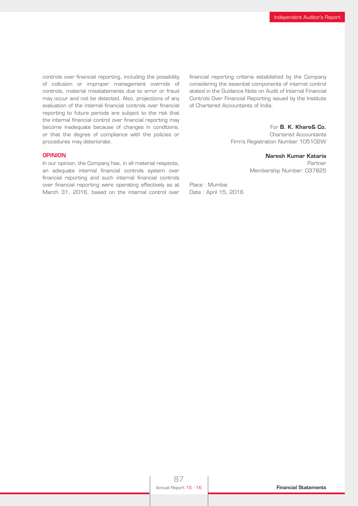controls over financial reporting, including the possibility of collusion or improper management override of controls, material misstatements due to error or fraud may occur and not be detected. Also, projections of any evaluation of the internal financial controls over financial reporting to future periods are subject to the risk that the internal financial control over financial reporting may become inadequate because of changes in conditions, or that the degree of compliance with the policies or procedures may deteriorate.

#### **OPINION**

In our opinion, the Company has, in all material respects, an adequate internal financial controls system over financial reporting and such internal financial controls over financial reporting were operating effectively as at March 31, 2016, based on the internal control over financial reporting criteria established by the Company considering the essential components of internal control stated in the Guidance Note on Audit of Internal Financial Controls Over Financial Reporting issued by the Institute of Chartered Accountants of India.

#### For **B. K. Khare& Co.**

Chartered Accountants Firm's Registration Number 105102W

#### Naresh Kumar Kataria

Partner Membership Number: 037825

Place : Mumbai Date : April 15, 2016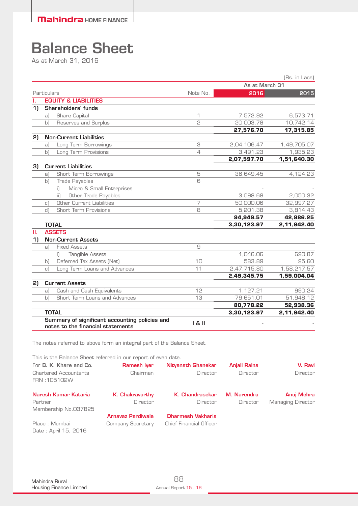# Balance Sheet

As at March 31, 2016

|    |                                              |                                                |                          |                | (Rs. in Lacs) |
|----|----------------------------------------------|------------------------------------------------|--------------------------|----------------|---------------|
|    |                                              |                                                |                          | As at March 31 |               |
|    | Particulars                                  |                                                | Note No.                 | 2016           | 2015          |
| L. | <b>EQUITY &amp; LIABILITIES</b>              |                                                |                          |                |               |
| 1) | <b>Shareholders' funds</b>                   |                                                |                          |                |               |
|    | Share Capital<br>a)                          |                                                | 1                        | 7,572.92       | 6,573.71      |
|    | Reserves and Surplus<br>b)                   |                                                | 2                        | 20,003.78      | 10,742.14     |
|    |                                              |                                                |                          | 27,576.70      | 17,315.85     |
| 2) | <b>Non-Current Liabilities</b>               |                                                |                          |                |               |
|    | Long Term Borrowings<br>a)                   |                                                | 3                        | 2,04,106.47    | 1,49,705.07   |
|    | Long Term Provisions<br>b)                   |                                                | $\overline{\mathcal{L}}$ | 3,491.23       | 1,935.23      |
|    |                                              |                                                |                          | 2,07,597.70    | 1,51,640.30   |
| 3) | <b>Current Liabilities</b>                   |                                                |                          |                |               |
|    | Short Term Borrowings<br>a)                  |                                                | 5                        | 36,649.45      | 4,124.23      |
|    | <b>Trade Payables</b><br>b)                  |                                                | 6                        |                |               |
|    | Micro & Small Enterprises<br>i1              |                                                |                          |                |               |
|    | ii)<br>Other Trade Payables                  |                                                |                          | 3,098.68       | 2,050.32      |
|    | Other Current Liabilities<br>c)              |                                                | 7                        | 50,000.06      | 32,997.27     |
|    | <b>Short Term Provisions</b><br>d)           |                                                | 8                        | 5,201.38       | 3,814.43      |
|    |                                              |                                                |                          | 94,949.57      | 42,986.25     |
|    | <b>TOTAL</b>                                 |                                                |                          | 3,30,123.97    | 2,11,942.40   |
| Ш. | <b>ASSETS</b>                                |                                                |                          |                |               |
| 1  | <b>Non-Current Assets</b>                    |                                                |                          |                |               |
|    | <b>Fixed Assets</b><br>a)                    |                                                | 9                        |                |               |
|    | Tangible Assets<br>i1.                       |                                                |                          | 1,046.06       | 690.87        |
|    | Deferred Tax Assets (Net)<br>b)              |                                                | 10                       | 583.89         | 95.60         |
|    | Long Term Loans and Advances<br>$\mathsf{C}$ |                                                | 11                       | 2,47,715.80    | 1,58,217.57   |
|    |                                              |                                                |                          | 2,49,345.75    | 1,59,004.04   |
| 2) | <b>Current Assets</b>                        |                                                |                          |                |               |
|    | Cash and Cash Equivalents<br>a)              |                                                | 12                       | 1,127.21       | 990.24        |
|    | Short Term Loans and Advances<br>b           |                                                | 13                       | 79,651.01      | 51,948.12     |
|    |                                              |                                                |                          | 80,778.22      | 52,938.36     |
|    | <b>TOTAL</b>                                 |                                                |                          | 3,30,123.97    | 2,11,942.40   |
|    | notes to the financial statements            | Summary of significant accounting policies and | 1 & 21                   |                |               |

The notes referred to above form an integral part of the Balance Sheet.

This is the Balance Sheet referred in our report of even date.

| For B. K. Khare and Co.                      | Ramesh Iver       | Nityanath Ghanekar             | Anjali Raina       | V. Ravi                  |
|----------------------------------------------|-------------------|--------------------------------|--------------------|--------------------------|
| <b>Chartered Accountants</b><br>FRN: 105102W | Chairman          | <b>Director</b>                | <b>Director</b>    | <b>Director</b>          |
| Naresh Kumar Kataria                         | K. Chakravarthy   | K. Chandrasekar                | <b>M.</b> Narendra | Anuj Mehra               |
| Partner                                      | <b>Director</b>   | <b>Director</b>                | Director           | <b>Managing Director</b> |
| Membership No.037825                         |                   |                                |                    |                          |
|                                              | Arnavaz Pardiwala | <b>Dharmesh Vakharia</b>       |                    |                          |
| Place: Mumbai                                | Company Secretary | <b>Chief Financial Officer</b> |                    |                          |
| Date: April 15, 2016                         |                   |                                |                    |                          |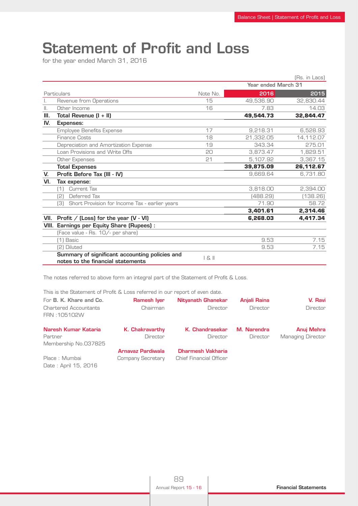### Statement of Profit and Loss

for the year ended March 31, 2016

|               |                                                                                     |                |                     | (Rs. in Lacs) |
|---------------|-------------------------------------------------------------------------------------|----------------|---------------------|---------------|
|               |                                                                                     |                | Year ended March 31 |               |
|               | Particulars                                                                         | Note No.       | 2016                | 2015          |
|               | Revenue from Operations                                                             | 15             | 49,536.90           | 32,830.44     |
| $\parallel$ . | Other Income                                                                        | 16             | 7.83                | 14.03         |
| III.          | Total Revenue (I + II)                                                              |                | 49,544.73           | 32,844.47     |
| IV.           | <b>Expenses:</b>                                                                    |                |                     |               |
|               | <b>Employee Benefits Expense</b>                                                    | 17             | 9.218.31            | 6,528.93      |
|               | <b>Finance Costs</b>                                                                | 18             | 21.332.05           | 14,112.07     |
|               | Depreciation and Amortization Expense                                               | 19             | 343.34              | 275.01        |
|               | Loan Provisions and Write Offs                                                      | 20             | 3,873.47            | 1,829.51      |
|               | <b>Other Expenses</b>                                                               | 21             | 5.107.92            | 3,367.15      |
|               | <b>Total Expenses</b>                                                               |                | 39,875.09           | 26,112.67     |
| V.            | Profit Before Tax (III - IV)                                                        |                | 9.669.64            | 6,731.80      |
| VI.           | Tax expense:                                                                        |                |                     |               |
|               | Current Tax<br>(1)                                                                  |                | 3.818.00            | 2,394.00      |
|               | Deferred Tax<br>(2                                                                  |                | (488.29)            | (138.26)      |
|               | Short Provision for Income Tax - earlier years<br>(3)                               |                | 71.90               | 58.72         |
|               |                                                                                     |                | 3,401.61            | 2,314.46      |
| VII.          | Profit / (Loss) for the year $(V - VI)$                                             |                | 6,268.03            | 4,417.34      |
|               | VIII. Earnings per Equity Share (Rupees) :                                          |                |                     |               |
|               | (Face value - Rs. 10/- per share)                                                   |                |                     |               |
|               | [1] Basic                                                                           |                | 9.53                | 7.15          |
|               | [2] Diluted                                                                         |                | 9.53                | 7.15          |
|               | Summary of significant accounting policies and<br>notes to the financial statements | $ S_{\rm{L}} $ |                     |               |

The notes referred to above form an integral part of the Statement of Profit & Loss.

This is the Statement of Profit & Loss referred in our report of even date.

| For B. K. Khare and Co.                      | Ramesh Iyer                 | Nitvanath Ghanekar                 | Anjali Raina                   | V. Ravi                         |
|----------------------------------------------|-----------------------------|------------------------------------|--------------------------------|---------------------------------|
| <b>Chartered Accountants</b><br>FRN: 105102W | Chairman                    | <b>Director</b>                    | <b>Director</b>                | Director                        |
| Naresh Kumar Kataria<br>Partner              | K. Chakravarthy<br>Director | K. Chandrasekar<br><b>Director</b> | M. Narendra<br><b>Director</b> | Anuj Mehra<br>Managing Director |
| Membership No.037825                         |                             |                                    |                                |                                 |
|                                              | Arnavaz Pardiwala           | <b>Dharmesh Vakharia</b>           |                                |                                 |
| Place: Mumbai                                | Company Secretary           | <b>Chief Financial Officer</b>     |                                |                                 |
| Date: April 15, 2016                         |                             |                                    |                                |                                 |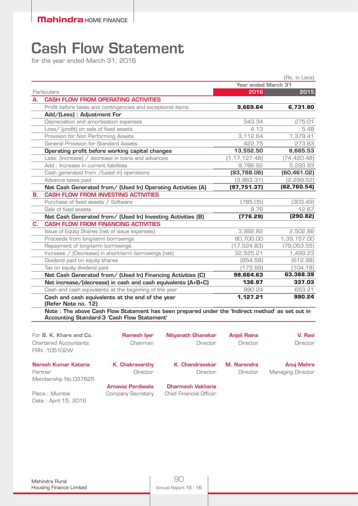$\overline{1}$ 

### Cash Flow Statement

for the year ended March 31, 2016

|           |                                                                                                                                                |                     | (Rs. in Lacs) |
|-----------|------------------------------------------------------------------------------------------------------------------------------------------------|---------------------|---------------|
|           |                                                                                                                                                | Year ended March 31 |               |
|           | Particulars                                                                                                                                    | 2016                | 2015          |
| А.        | <b>CASH FLOW FROM OPERATING ACTIVITIES</b>                                                                                                     |                     |               |
|           | Profit before taxes and contingencies and exceptional items                                                                                    | 9,669.64            | 6,731.80      |
|           | Add/(Less): Adjustment For                                                                                                                     |                     |               |
|           | Depreciation and amortisation expenses                                                                                                         | 343.34              | 275.01        |
|           | Loss/ (profit) on sale of fixed assets                                                                                                         | 4.13                | 5.48          |
|           | Provision for Non Performing Assets                                                                                                            | 3,112.64            | 1,379.41      |
|           | General Provision for Standard Assets                                                                                                          | 422.75              | 273.83        |
|           | Operating profit before working capital changes                                                                                                | 13,552.50           | 8,665.53      |
|           | Less: (Increase) / decrease in loans and advances                                                                                              | (1, 17, 127.48)     | (74, 420.48)  |
|           | Add : Increase in current liabilities                                                                                                          | 9.786.92            | 5,293.93      |
|           | Cash generated from / (used in) operations                                                                                                     | (93,788.06)         | (60, 461.02)  |
|           | Advance taxes paid                                                                                                                             | (3,963.31)          | [2, 299.52]   |
|           | Net Cash Generated from/ (Used In) Operating Activities (A)                                                                                    | (97, 751.37)        | (62, 760.54)  |
| <b>B.</b> | <b>CASH FLOW FROM INVESTING ACTIVITIES</b>                                                                                                     |                     |               |
|           | Purchase of fixed assets / Software                                                                                                            | (785.05)            | [303.49]      |
|           | Sale of fixed assets                                                                                                                           | 8.76                | 12.67         |
|           | Net Cash Generated from/ (Used In) Investing Activities (B)                                                                                    | (776.29)            | (290.82)      |
| C.        | <b>CASH FLOW FROM FINANCING ACTIVITIES</b>                                                                                                     |                     |               |
|           | Issue of Equity Shares (net of issue expenses)                                                                                                 | 3,992.82            | 2,502.86      |
|           | Proceeds from long-term borrowings                                                                                                             | 80,700.00           | 1,39,157.00   |
|           | Repayment of long-term borrowings                                                                                                              | (17,524.83)         | (79,053.55)   |
|           | Increase / (Decrease) in short-term borrowings (net)                                                                                           | 32,525.21           | 1,499.23      |
|           | Dividend paid on equity shares                                                                                                                 | [854.58]            | [612.98]      |
|           | Tax on equity dividend paid                                                                                                                    | (173.99)            | [104.18]      |
|           | Net Cash Generated from/ (Used In) Financing Activities (C)                                                                                    | 98,664.63           | 63,388.39     |
|           | Net increase/(decrease) in cash and cash equivalents (A+B+C)                                                                                   | 136.97              | 337.03        |
|           | Cash and cash equivalents at the beginning of the year                                                                                         | 990.24              | 653.21        |
|           | Cash and cash equivalents at the end of the year<br>(Refer Note no. 12)                                                                        | 1,127.21            | 990.24        |
|           | Note: The above Cash Flow Statement has been prepared under the 'Indirect method' as set out in<br>Accounting Standard-3 'Cash Flow Statement' |                     |               |

| For B. K. Khare and Co.                      | Ramesh Iver       | Nityanath Ghanekar             | Anjali Raina       | V. Ravi           |
|----------------------------------------------|-------------------|--------------------------------|--------------------|-------------------|
| <b>Chartered Accountants</b><br>FRN: 105102W | Chairman          | <b>Director</b>                | Director           | <b>Director</b>   |
| Naresh Kumar Kataria                         | K. Chakravarthy   | K. Chandrasekar                | <b>M.</b> Narendra | Anuj Mehra        |
| Partner                                      | <b>Director</b>   | <b>Director</b>                | Director           | Managing Director |
| Membership No.037825                         |                   |                                |                    |                   |
|                                              | Arnavaz Pardiwala | <b>Dharmesh Vakharia</b>       |                    |                   |
| Place: Mumbai                                | Company Secretary | <b>Chief Financial Officer</b> |                    |                   |
| Date: April 15, 2016                         |                   |                                |                    |                   |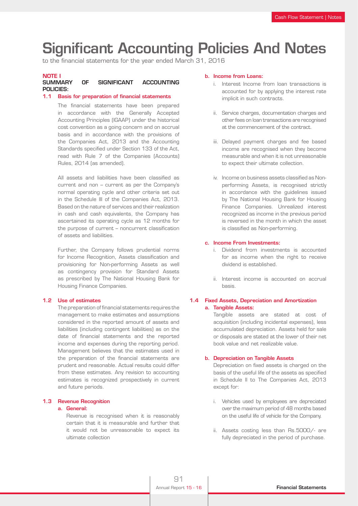to the financial statements for the year ended March 31, 2016

#### NOTE I

#### SUMMARY OF SIGNIFICANT ACCOUNTING POLICIES:

#### 1.1 Basis for preparation of financial statements

The financial statements have been prepared in accordance with the Generally Accepted Accounting Principles (IGAAP) under the historical cost convention as a going concern and on accrual basis and in accordance with the provisions of the Companies Act, 2013 and the Accounting Standards specified under Section 133 of the Act, read with Rule 7 of the Companies (Accounts) Rules, 2014 (as amended).

All assets and liabilities have been classified as current and non – current as per the Company's normal operating cycle and other criteria set out in the Schedule III of the Companies Act, 2013. Based on the nature of services and their realization in cash and cash equivalents, the Company has ascertained its operating cycle as 12 months for the purpose of current – noncurrent classification of assets and liabilities.

Further, the Company follows prudential norms for Income Recognition, Assets classification and provisioning for Non-performing Assets as well as contingency provision for Standard Assets as prescribed by The National Housing Bank for Housing Finance Companies.

#### 1.2 Use of estimates

The preparation of financial statements requires the management to make estimates and assumptions considered in the reported amount of assets and liabilities (including contingent liabilities) as on the date of financial statements and the reported income and expenses during the reporting period. Management believes that the estimates used in the preparation of the financial statements are prudent and reasonable. Actual results could differ from these estimates. Any revision to accounting estimates is recognized prospectively in current and future periods.

#### 1.3 Revenue Recognition

#### a. General:

Revenue is recognised when it is reasonably certain that it is measurable and further that it would not be unreasonable to expect its ultimate collection

#### b. Income from Loans:

- i. Interest Income from loan transactions is accounted for by applying the interest rate implicit in such contracts.
- ii. Service charges, documentation charges and other fees on loan transactions are recognised at the commencement of the contract.
- iii. Delayed payment charges and fee based income are recognised when they become measurable and when it is not unreasonable to expect their ultimate collection.
- iv. Income on business assets classified as Nonperforming Assets, is recognised strictly in accordance with the guidelines issued by The National Housing Bank for Housing Finance Companies. Unrealized interest recognized as income in the previous period is reversed in the month in which the asset is classified as Non-performing.

#### c. Income From Investments:

- i. Dividend from investments is accounted for as income when the right to receive dividend is established.
- ii. Interest income is accounted on accrual basis.

#### 1.4 Fixed Assets, Depreciation and Amortization a. Tangible Assets:

Tangible assets are stated at cost of acquisition (including incidental expenses), less accumulated depreciation. Assets held for sale or disposals are stated at the lower of their net book value and net realizable value.

#### b. Depreciation on Tangible Assets

Depreciation on fixed assets is charged on the basis of the useful life of the assets as specified in Schedule II to The Companies Act, 2013 except for:

- i. Vehicles used by employees are depreciated over the maximum period of 48 months based on the useful life of vehicle for the Company.
- ii. Assets costing less than Rs.5000/- are fully depreciated in the period of purchase.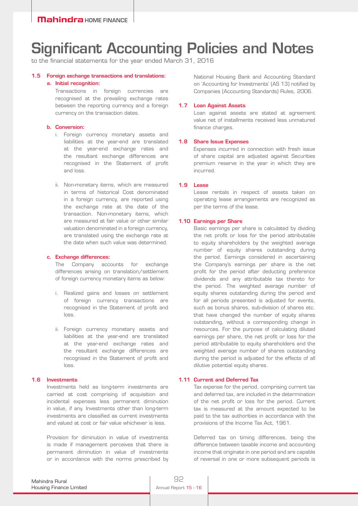to the financial statements for the year ended March 31, 2016

#### 1.5 Foreign exchange transactions and translations:

#### a. Initial recognition:

Transactions in foreign currencies are recognised at the prevailing exchange rates between the reporting currency and a foreign currency on the transaction dates.

#### b. Conversion:

- i. Foreign currency monetary assets and liabilities at the year-end are translated at the year-end exchange rates and the resultant exchange differences are recognised in the Statement of profit and loss.
- ii. Non-monetary items, which are measured in terms of historical Cost denominated in a foreign currency, are reported using the exchange rate at the date of the transaction. Non-monetary items, which are measured at fair value or other similar valuation denominated in a foreign currency, are translated using the exchange rate at the date when such value was determined.

#### c. Exchange differences:

The Company accounts for exchange differences arising on translation/settlement of foreign currency monetary items as below:

- i. Realized gains and losses on settlement of foreign currency transactions are recognised in the Statement of profit and loss.
- ii. Foreign currency monetary assets and liabilities at the year-end are translated at the year-end exchange rates and the resultant exchange differences are recognised in the Statement of profit and loss.

#### 1.6 Investments

Investments held as long-term investments are carried at cost comprising of acquisition and incidental expenses less permanent diminution in value, if any. Investments other than long-term investments are classified as current investments and valued at cost or fair value whichever is less.

Provision for diminution in value of investments is made if management perceives that there is permanent diminution in value of investments or in accordance with the norms prescribed by National Housing Bank and Accounting Standard on 'Accounting for Investments' (AS 13) notified by Companies (Accounting Standards) Rules, 2006.

#### 1.7 Loan Against Assets

Loan against assets are stated at agreement value net of installments received less unmatured finance charges.

#### 1.8 Share Issue Expenses

Expenses incurred in connection with fresh issue of share capital are adjusted against Securities premium reserve in the year in which they are incurred.

#### 1.9 Lease

Lease rentals in respect of assets taken on operating lease arrangements are recognized as per the terms of the lease.

#### 1.10 Earnings per Share

Basic earnings per share is calculated by dividing the net profit or loss for the period attributable to equity shareholders by the weighted average number of equity shares outstanding during the period. Earnings considered in ascertaining the Company's earnings per share is the net profit for the period after deducting preference dividends and any attributable tax thereto for the period. The weighted average number of equity shares outstanding during the period and for all periods presented is adjusted for events, such as bonus shares, sub-division of shares etc. that have changed the number of equity shares outstanding, without a corresponding change in resources. For the purpose of calculating diluted earnings per share, the net profit or loss for the period attributable to equity shareholders and the weighted average number of shares outstanding during the period is adjusted for the effects of all dilutive potential equity shares.

#### 1.11 Current and Deferred Tax

Tax expense for the period, comprising current tax and deferred tax, are included in the determination of the net profit or loss for the period. Current tax is measured at the amount expected to be paid to the tax authorities in accordance with the provisions of the Income Tax Act, 1961.

Deferred tax on timing differences, being the difference between taxable income and accounting income that originate in one period and are capable of reversal in one or more subsequent periods is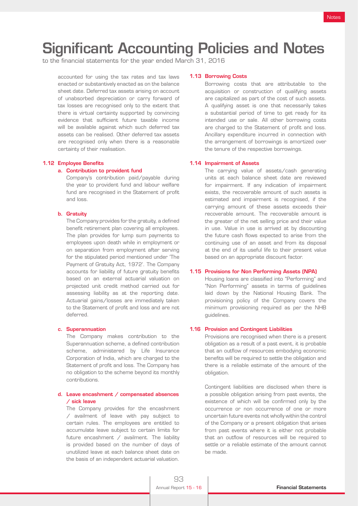to the financial statements for the year ended March 31, 2016

accounted for using the tax rates and tax laws enacted or substantively enacted as on the balance sheet date. Deferred tax assets arising on account of unabsorbed depreciation or carry forward of tax losses are recognised only to the extent that there is virtual certainty supported by convincing evidence that sufficient future taxable income will be available against which such deferred tax assets can be realised. Other deferred tax assets are recognised only when there is a reasonable certainty of their realisation.

#### 1.12 Employee Benefits

#### a. Contribution to provident fund

Company's contribution paid/payable during the year to provident fund and labour welfare fund are recognised in the Statement of profit and loss.

#### b. Gratuity

The Company provides for the gratuity, a defined benefit retirement plan covering all employees. The plan provides for lump sum payments to employees upon death while in employment or on separation from employment after serving for the stipulated period mentioned under 'The Payment of Gratuity Act, 1972'. The Company accounts for liability of future gratuity benefits based on an external actuarial valuation on projected unit credit method carried out for assessing liability as at the reporting date. Actuarial gains/losses are immediately taken to the Statement of profit and loss and are not deferred.

#### c. Superannuation

The Company makes contribution to the Superannuation scheme, a defined contribution scheme, administered by Life Insurance Corporation of India, which are charged to the Statement of profit and loss. The Company has no obligation to the scheme beyond its monthly contributions.

#### d. Leave encashment / compensated absences / sick leave

The Company provides for the encashment / availment of leave with pay subject to certain rules. The employees are entitled to accumulate leave subject to certain limits for future encashment / availment. The liability is provided based on the number of days of unutilized leave at each balance sheet date on the basis of an independent actuarial valuation.

#### 1.13 Borrowing Costs

Borrowing costs that are attributable to the acquisition or construction of qualifying assets are capitalized as part of the cost of such assets. A qualifying asset is one that necessarily takes a substantial period of time to get ready for its intended use or sale. All other borrowing costs are charged to the Statement of profit and loss. Ancillary expenditure incurred in connection with the arrangement of borrowings is amortized over the tenure of the respective borrowings.

#### 1.14 Impairment of Assets

The carrying value of assets/cash generating units at each balance sheet date are reviewed for impairment. If any indication of impairment exists, the recoverable amount of such assets is estimated and impairment is recognised, if the carrying amount of these assets exceeds their recoverable amount. The recoverable amount is the greater of the net selling price and their value in use. Value in use is arrived at by discounting the future cash flows expected to arise from the continuing use of an asset and from its disposal at the end of its useful life to their present value based on an appropriate discount factor.

#### 1.15 Provisions for Non Performing Assets (NPA)

Housing loans are classified into "Performing" and "Non Performing" assets in terms of guidelines laid down by the National Housing Bank. The provisioning policy of the Company covers the minimum provisioning required as per the NHB guidelines.

#### 1.16 Provision and Contingent Liabilities

Provisions are recognised when there is a present obligation as a result of a past event, it is probable that an outflow of resources embodying economic benefits will be required to settle the obligation and there is a reliable estimate of the amount of the obligation.

Contingent liabilities are disclosed when there is a possible obligation arising from past events, the existence of which will be confirmed only by the occurrence or non occurrence of one or more uncertain future events not wholly within the control of the Company or a present obligation that arises from past events where it is either not probable that an outflow of resources will be required to settle or a reliable estimate of the amount cannot be made.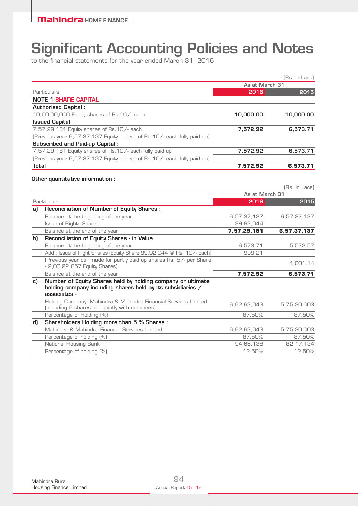to the financial statements for the year ended March 31, 2016

|                                                                         |                | (Rs. in Lacs) |
|-------------------------------------------------------------------------|----------------|---------------|
|                                                                         | As at March 31 |               |
| Particulars                                                             | 2016           | 2015          |
| <b>NOTE 1 SHARE CAPITAL</b>                                             |                |               |
| <b>Authorised Capital:</b>                                              |                |               |
| 10,00,00,000 Equity shares of Rs.10/- each                              | 10,000,00      | 10,000,00     |
| <b>Issued Capital:</b>                                                  |                |               |
| 7,57,29,181 Equity shares of Rs.10/- each                               | 7,572.92       | 6,573.71      |
| (Previous year 6,57,37,137 Equity shares of Rs.10/- each fully paid up) |                |               |
| <b>Subscribed and Paid-up Capital:</b>                                  |                |               |
| 7,57,29,181 Equity shares of Rs.10/- each fully paid up                 | 7.572.92       | 6.573.71      |
| [Previous year 6,57,37,137 Equity shares of Rs.10/- each fully paid up] |                |               |
| <b>Total</b>                                                            | 7,572.92       | 6.573.71      |

#### Other quantitative information :

|    |                                                                                                                                            |                | (Rs. in Lacs) |
|----|--------------------------------------------------------------------------------------------------------------------------------------------|----------------|---------------|
|    |                                                                                                                                            | As at March 31 |               |
|    | Particulars                                                                                                                                | 2016           | 2015          |
| al | <b>Reconciliation of Number of Equity Shares:</b>                                                                                          |                |               |
|    | Balance at the beginning of the year                                                                                                       | 6,57,37,137    | 6,57,37,137   |
|    | Issue of Rights Shares                                                                                                                     | 99,92,044      |               |
|    | Balance at the end of the year                                                                                                             | 7,57,29,181    | 6,57,37,137   |
| b) | Reconciliation of Equity Shares - in Value                                                                                                 |                |               |
|    | Balance at the beginning of the year                                                                                                       | 6,573.71       | 5,572.57      |
|    | Add: Issue of Right Shares (Equity Share 99,92,044 @ Rs. 10/- Each)                                                                        | 999.21         |               |
|    | (Previous year call made for partly paid up shares Rs. 5/- per Share<br>- 2,00,22,857 Equity Shares)                                       |                | 1,001.14      |
|    | Balance at the end of the year                                                                                                             | 7,572.92       | 6,573.71      |
| c) | Number of Equity Shares held by holding company or ultimate<br>holding company including shares held by its subsidiaries /<br>associates - |                |               |
|    | Holding Company: Mahindra & Mahindra Financial Services Limited<br>(including 6 shares held jointly with nominees)                         | 6,62,63,043    | 5,75,20,003   |
|    | Percentage of Holding (%)                                                                                                                  | 87.50%         | 87.50%        |
| d) | Shareholders Holding more than 5 % Shares :                                                                                                |                |               |
|    | Mahindra & Mahindra Financial Services Limited                                                                                             | 6,62,63,043    | 5,75,20,003   |
|    | Percentage of holding (%)                                                                                                                  | 87.50%         | 87.50%        |
|    | National Housing Bank                                                                                                                      | 94,66,138      | 82, 17, 134   |
|    | Percentage of holding (%)                                                                                                                  | 12.50%         | 12.50%        |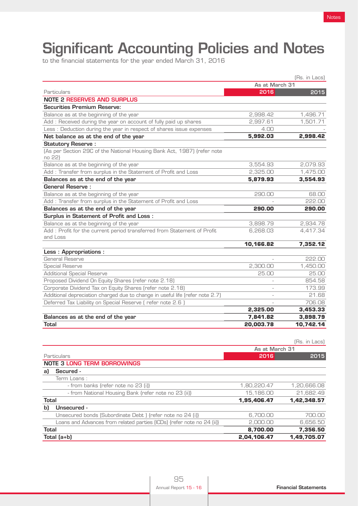|                                                                                     |                | (Rs. in Lacs) |
|-------------------------------------------------------------------------------------|----------------|---------------|
|                                                                                     | As at March 31 |               |
| Particulars                                                                         | 2016           | 2015          |
| <b>NOTE 2 RESERVES AND SURPLUS</b>                                                  |                |               |
| <b>Securities Premium Reserve:</b>                                                  |                |               |
| Balance as at the beginning of the year                                             | 2,998.42       | 1,496.71      |
| Add: Received during the year on account of fully paid up shares                    | 2,997.61       | 1,501.71      |
| Less: Deduction during the year in respect of shares issue expenses                 | 4.00           |               |
| Net balance as at the end of the year                                               | 5,992.03       | 2,998.42      |
| <b>Statutory Reserve:</b>                                                           |                |               |
| (As per Section 29C of the National Housing Bank Act, 1987) {refer note<br>no 22}   |                |               |
| Balance as at the beginning of the year                                             | 3.554.93       | 2,079.93      |
| Add: Transfer from surplus in the Statement of Profit and Loss                      | 2,325.00       | 1,475.00      |
| Balances as at the end of the year                                                  | 5,879.93       | 3,554.93      |
| <b>General Reserve:</b>                                                             |                |               |
| Balance as at the beginning of the year                                             | 290.00         | 68.00         |
| Add: Transfer from surplus in the Statement of Profit and Loss                      |                | 222.00        |
| Balances as at the end of the year                                                  | 290.00         | 290.00        |
| Surplus in Statement of Profit and Loss:                                            |                |               |
| Balance as at the beginning of the year                                             | 3,898.79       | 2,934.78      |
| Add: Profit for the current period transferred from Statement of Profit<br>and Loss | 6,268.03       | 4,417.34      |
|                                                                                     | 10,166.82      | 7,352.12      |
| Less: Appropriations:                                                               |                |               |
| General Reserve                                                                     |                | 222.00        |
| <b>Special Reserve</b>                                                              | 2,300.00       | 1,450.00      |
| <b>Additional Special Reserve</b>                                                   | 25.00          | 25.00         |
| Proposed Dividend On Equity Shares (refer note 2.18)                                |                | 854.58        |
| Corporate Dividend Tax on Equity Shares (refer note 2.18)                           |                | 173.99        |
| Additional depreciation charged due to change in useful life (refer note 2.7)       |                | 21.68         |
| Deferred Tax Liability on Special Reserve (refer note 2.6)                          |                | 706.08        |
|                                                                                     | 2,325.00       | 3,453.33      |
| Balances as at the end of the year                                                  | 7,841.82       | 3,898.79      |
| Total                                                                               | 20,003.78      | 10,742.14     |

|                                                                        |                | (Rs. in Lacs) |
|------------------------------------------------------------------------|----------------|---------------|
|                                                                        | As at March 31 |               |
| Particulars                                                            | 2016           | 2015          |
| <b>NOTE 3 LONG TERM BORROWINGS</b>                                     |                |               |
| Secured -<br>al                                                        |                |               |
| Term Loans:                                                            |                |               |
| - from banks {refer note no 23 (i)}                                    | 1,80,220.47    | 1,20,666.08   |
| - from National Housing Bank {refer note no 23 (ii)}                   | 15,186,00      | 21.682.49     |
| Total                                                                  | 1,95,406.47    | 1.42.348.57   |
| Unsecured -<br>bì                                                      |                |               |
| Unsecured bonds (Subordinate Debt) {refer note no 24 (i)}              | 6.700.00       | 700.00        |
| Loans and Advances from related parties (ICDs) {refer note no 24 (ii)} | 2,000,00       | 6.656.50      |
| Total                                                                  | 8,700.00       | 7,356.50      |
| Total $(a+b)$                                                          | 2,04,106.47    | 1,49,705.07   |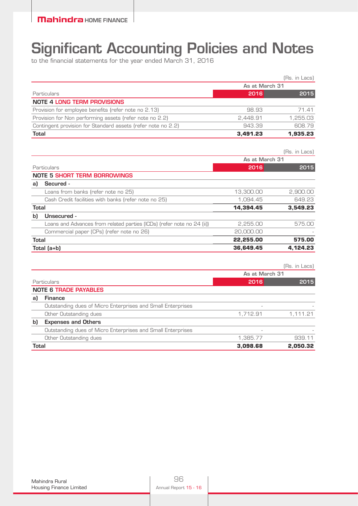|                                                              |                | (Rs. in Lacs) |
|--------------------------------------------------------------|----------------|---------------|
|                                                              | As at March 31 |               |
| Particulars                                                  | 2015<br>2016   |               |
| NOTE 4 LONG TERM PROVISIONS                                  |                |               |
| Provision for employee benefits {refer note no 2.13}         | 98.93          | 71.41         |
| Provision for Non performing assets {refer note no 2.2}      | 2.448.91       | 1,255.03      |
| Contingent provision for Standard assets {refer note no 2.2} | 943.39         | 608.79        |
| Total                                                        | 3.491.23       | 1,935.23      |

|                                                                        |                | (Rs. in Lacs) |
|------------------------------------------------------------------------|----------------|---------------|
|                                                                        | As at March 31 |               |
| Particulars                                                            | 2016           | 2015          |
| NOTE 5 SHORT TERM BORROWINGS                                           |                |               |
| Secured -<br>al                                                        |                |               |
| Loans from banks {refer note no 25}                                    | 13,300,00      | 2.900.00      |
| Cash Credit facilities with banks {refer note no 25}                   | 1.094.45       | 649.23        |
| Total                                                                  | 14,394.45      | 3,549.23      |
| Unsecured -<br>b)                                                      |                |               |
| Loans and Advances from related parties (ICDs) {refer note no 24 (ii)} | 2,255.00       | 575.00        |
| Commercial paper (CPs) {refer note no 26}                              | 20,000.00      |               |
| Total                                                                  | 22,255.00      | 575.00        |
| Total $(a+b)$                                                          | 36,649.45      | 4.124.23      |

|       |                                                             |                          | (Rs. in Lacs) |
|-------|-------------------------------------------------------------|--------------------------|---------------|
|       |                                                             | As at March 31           |               |
|       | Particulars                                                 | 2016                     | 2015          |
|       | <b>NOTE 6 TRADE PAYABLES</b>                                |                          |               |
| al    | <b>Finance</b>                                              |                          |               |
|       | Outstanding dues of Micro Enterprises and Small Enterprises | $\overline{\phantom{0}}$ |               |
|       | Other Outstanding dues                                      | 1,712.91                 | 1,111.21      |
| b)    | <b>Expenses and Others</b>                                  |                          |               |
|       | Outstanding dues of Micro Enterprises and Small Enterprises | $\overline{\phantom{0}}$ |               |
|       | Other Outstanding dues                                      | 1.385.77                 | 939.11        |
| Total |                                                             | 3,098.68                 | 2,050.32      |
|       |                                                             |                          |               |

| Mahindra Rural                 |  |
|--------------------------------|--|
| <b>Housing Finance Limited</b> |  |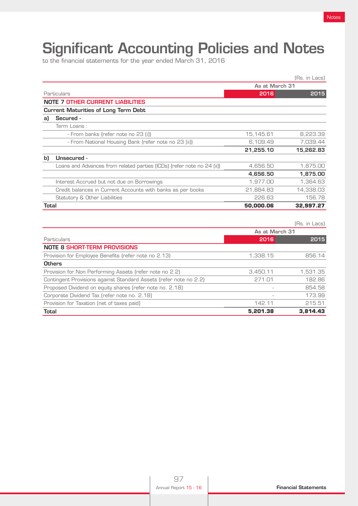|              |                                                                        |                | (Rs. in Lacs) |
|--------------|------------------------------------------------------------------------|----------------|---------------|
|              |                                                                        | As at March 31 |               |
| Particulars  |                                                                        | 2016           | 2015          |
|              | <b>NOTE 7 OTHER CURRENT LIABILITIES</b>                                |                |               |
|              | <b>Current Maturities of Long Term Debt</b>                            |                |               |
| a)           | Secured -                                                              |                |               |
|              | Term Loans:                                                            |                |               |
|              | - From banks {refer note no 23 (i)}                                    | 15,145.61      | 8,223.39      |
|              | - From National Housing Bank {refer note no 23 (ii)}                   | 6.109.49       | 7,039.44      |
|              |                                                                        | 21,255.10      | 15,262.83     |
| bì           | Unsecured -                                                            |                |               |
|              | Loans and Advances from related parties (ICDs) {refer note no 24 (ii)} | 4,656.50       | 1,875.00      |
|              |                                                                        | 4,656.50       | 1,875.00      |
|              | Interest Accrued but not due on Borrowings                             | 1,977.00       | 1,364.63      |
|              | Credit balances in Current Accounts with banks as per books            | 21,884.83      | 14,338.03     |
|              | Statutory & Other Liabilities                                          | 226.63         | 156.78        |
| <b>Total</b> |                                                                        | 50,000.06      | 32,997.27     |
|              |                                                                        |                |               |
|              |                                                                        |                | (Rs. in Lacs) |
|              |                                                                        | As at March 31 |               |
| Particulars  |                                                                        | 2016           | 2015          |
|              | NOTE 8 SHORT-TERM PROVISIONS                                           |                |               |
|              | Provision for Employee Benefits {refer note no 2.13}                   | 1,338.15       | 856.14        |
| Others       |                                                                        |                |               |
|              | Provision for Non Performing Assets {refer note no 2.2}                | 3,450.11       | 1,531.35      |
|              | Contingent Provisions against Standard Assets {refer note no 2.2}      | 271.01         | 182.86        |
|              | Proposed Dividend on equity shares (refer note no. 2.18)               |                | 854.58        |
|              | Corporate Dividend Tax (refer note no. 2.18)                           |                | 173.99        |
|              | Provision for Taxation (net of taxes paid)                             | 142.11         | 215.51        |
| <b>Total</b> |                                                                        | 5,201.38       | 3.814.43      |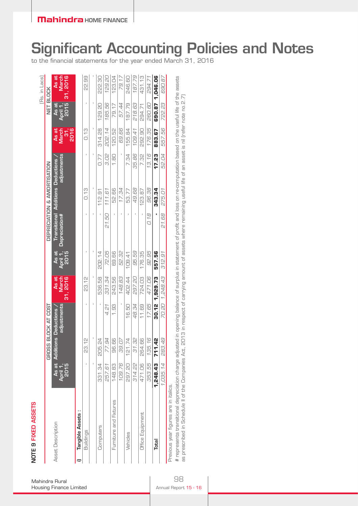|                        |                           | <b>GROSS</b>    | BLOCK AT COST                       |                            |                           |               | DEPRECIATION & AMORTISATION              |              |                                           | NEL BLOCK                                       |                |
|------------------------|---------------------------|-----------------|-------------------------------------|----------------------------|---------------------------|---------------|------------------------------------------|--------------|-------------------------------------------|-------------------------------------------------|----------------|
| Asset Description      | As at<br>April 1,<br>2015 | <b>Additio</b>  | adjustments<br><b>ns Deductions</b> | As at<br>March<br>31, 2016 | As at<br>April 1,<br>2015 | Depreciation# | <b>Transitional Additions Deductions</b> | adjustments  | As at<br>March<br>2016<br>$\overline{31}$ | April 1, <b>March</b><br>2015 31, 2016<br>As at | As at<br>March |
| <b>Tangible Assets</b> |                           |                 |                                     |                            |                           |               |                                          |              |                                           |                                                 |                |
| <b>Buildings</b>       | Ï                         | ุณ<br>co.<br>Cu | Ï                                   | 23.12                      | ı                         | Ï             | 0.13                                     | t            | 0.13                                      | ï                                               | 22.99          |
|                        | t                         |                 |                                     | t                          |                           |               |                                          | I            |                                           | ï                                               |                |
| Computers              | 331.34                    | 4<br>205.2      | t                                   | 536.58                     | 202.14                    | Ï             | 112.91                                   | 0.77         | 314.28                                    | 129.20                                          | 222.30         |
|                        | 257.61                    | - 94<br>77.     | 4.21                                | 331.34                     | 72.O5                     | 21.50         | 111.61                                   | 3.02         | 202.14                                    | 185.56                                          | 129.20         |
| Furniture and Fixtures | 148.83                    | $\circ$<br>96.6 | 7.93                                | 243.56                     | 69.66                     |               | 52.66                                    | 1.80         | 120.52                                    | 79.17                                           | 123.04         |
|                        | 109.76                    | 07<br>39.       | I                                   | 148.83                     | 52.32                     |               | 17.34                                    | $\mathbf{I}$ | 69.66                                     | 57.44                                           | 79.17          |
| Vehicles               | 297.20                    | 4<br>121.7      | 16.50                               | 402.44                     | 109.41                    |               | 53.77                                    | 7.34         | 155.84                                    | 187.79                                          | 246.60         |
|                        | 314.22                    | ūη<br>31.3      | 48.34                               | 297.20                     | 95.59                     |               | 49.68                                    | 35.86        | 109.41                                    | 218.63                                          | 187.79         |
| Office Equipment       | 471.D6                    | 6<br>264.6      | 11.69                               | 724.03                     | 176.35                    |               | 23.87                                    | 7.32         | 292.90                                    | 294.71                                          | 431.13         |
|                        | 353.55                    | Θ<br>135.       | 17.65                               | 471.06                     | 92.95                     | 0.18          | 96.38                                    | 13.16        | 176.35                                    | 260.60                                          | 294.71         |
| Total                  | 1,248.43                  | Ņ<br>711.4      |                                     | 30.12 1,929.73             | 557.56                    | r             | 343.34                                   | 17.23        | 883.67                                    | 690.87 1,046.06                                 |                |
|                        | 1,035.14                  | 49<br>283.      |                                     | 70.20 1,248.43             | 312.91                    | 21.68         | 275.01                                   | 52.04        | 557.56                                    | 722.23                                          | 690.87         |

# represents transitional depreciation charge adjusted in opening balance of surplus in statement of profit and loss on re-computation based on the useful life of the assets represents transitional depreciation charge adjusted in opening balance of surplus in statement of profit and loss on re-computation based on the useful life of the assets prescribed in Schedule II of the Companies Act, 2013 in respect of carrying amount of assets where remaining useful life of an asset is nil (refer note no.2.7) as prescribed in Schedule II of the Companies Act, 2013 in respect of carrying amount of assets where remaining useful life of an asset is nil (refer note no.2.7)ය  $#$ 

Significant Accounting Policies and Notes

### **Mahindra** HOME FINANCE

to the financial statements for the year ended March 31, 2016

### Mahindra Rural<br>Housing Finance Limited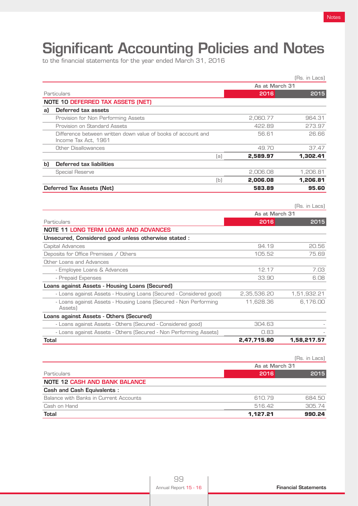|    |                                                                                       |                | (Rs. in Lacs) |
|----|---------------------------------------------------------------------------------------|----------------|---------------|
|    |                                                                                       | As at March 31 |               |
|    | Particulars                                                                           | 2016           | 2015          |
|    | NOTE 10 DEFERRED TAX ASSETS (NET)                                                     |                |               |
| al | Deferred tax assets                                                                   |                |               |
|    | Provision for Non Performing Assets                                                   | 2,060.77       | 964.31        |
|    | Provision on Standard Assets                                                          | 422.89         | 273.97        |
|    | Difference between written down value of books of account and<br>Income Tax Act, 1961 | 56.61          | 26.66         |
|    | Other Disallowances                                                                   | 49.70          | 37.47         |
|    | (a)                                                                                   | 2,589.97       | 1,302.41      |
| b  | Deferred tax liabilities                                                              |                |               |
|    | <b>Special Reserve</b>                                                                | 2,006.08       | 1,206.81      |
|    | (b)                                                                                   | 2,006.08       | 1,206.81      |
|    | Deferred Tax Assets (Net)                                                             | 583.89         | 95.60         |

|                                                                             |                | (Rs. in Lacs) |
|-----------------------------------------------------------------------------|----------------|---------------|
|                                                                             | As at March 31 |               |
| Particulars                                                                 | 2016           | 2015          |
| NOTE 11 LONG TERM LOANS AND ADVANCES                                        |                |               |
| Unsecured, Considered good unless otherwise stated :                        |                |               |
| Capital Advances                                                            | 94.19          | 20.56         |
| Deposits for Office Premises / Others                                       | 105.52         | 75.69         |
| Other Loans and Advances                                                    |                |               |
| - Employee Loans & Advances                                                 | 12.17          | 7.03          |
| - Prepaid Expenses                                                          | 33.90          | 6.08          |
| Loans against Assets - Housing Loans (Secured)                              |                |               |
| - Loans against Assets - Housing Loans (Secured - Considered good)          | 2,35,536.20    | 1,51,932.21   |
| - Loans against Assets - Housing Loans (Secured - Non Performing<br>Assets) | 11.628.36      | 6.176.00      |
| Loans against Assets - Others (Secured)                                     |                |               |
| - Loans against Assets - Others (Secured - Considered good)                 | 304.63         |               |
| - Loans against Assets - Others (Secured - Non Performing Assets)           | 0.83           |               |
| Total                                                                       | 2,47,715.80    | 1,58,217.57   |

|                                        |                | (Rs. in Lacs) |
|----------------------------------------|----------------|---------------|
|                                        | As at March 31 |               |
| Particulars                            | 2016           | 2015          |
| <b>NOTE 12 CASH AND BANK BALANCE</b>   |                |               |
| <b>Cash and Cash Equivalents:</b>      |                |               |
| Balance with Banks in Current Accounts | 610.79         | 684.50        |
| Cash on Hand                           | 516.42         | 305.74        |
| <b>Total</b>                           | 1.127.21       | 990.24        |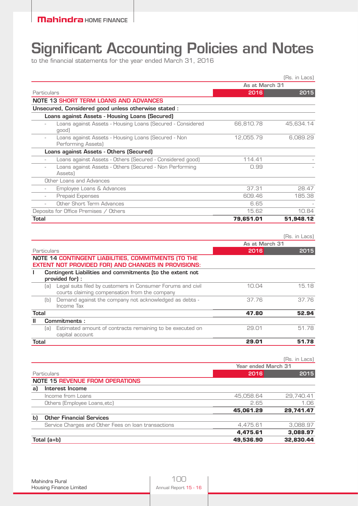to the financial statements for the year ended March 31, 2016

|                                                                           |                | (Rs. in Lacs) |
|---------------------------------------------------------------------------|----------------|---------------|
|                                                                           | As at March 31 |               |
| Particulars                                                               | 2016           | 2015          |
| NOTE 13 SHORT TERM LOANS AND ADVANCES                                     |                |               |
| Unsecured, Considered good unless otherwise stated :                      |                |               |
| Loans against Assets - Housing Loans (Secured)                            |                |               |
| Loans against Assets - Housing Loans (Secured - Considered<br>good)       | 66,810.78      | 45,634.14     |
| Loans against Assets - Housing Loans (Secured - Non<br>Performing Assets) | 12,055.79      | 6,089.29      |
| Loans against Assets - Others (Secured)                                   |                |               |
| Loans against Assets - Others (Secured - Considered good)                 | 114.41         |               |
| Loans against Assets - Others (Secured - Non Performing<br>Assets)        | 0.99           |               |
| Other Loans and Advances                                                  |                |               |
| Employee Loans & Advances                                                 | 37.31          | 28.47         |
| Prepaid Expenses<br>$\overline{\phantom{a}}$                              | 609.46         | 185.38        |
| Other Short Term Advances                                                 | 6.65           |               |
| Deposits for Office Premises / Others                                     | 15.62          | 10.84         |
| Total                                                                     | 79,651.01      | 51,948.12     |

|       |             |                                                                                                                   |                | (Rs. in Lacs) |
|-------|-------------|-------------------------------------------------------------------------------------------------------------------|----------------|---------------|
|       |             |                                                                                                                   | As at March 31 |               |
|       | Particulars |                                                                                                                   | 2016           | 2015          |
|       |             | NOTE 14 CONTINGENT LIABILITIES, COMMITMENTS (TO THE<br><b>EXTENT NOT PROVIDED FOR) AND CHANGES IN PROVISIONS:</b> |                |               |
|       |             | Contingent Liabilities and commitments (to the extent not<br>provided for) :                                      |                |               |
|       | (a)         | Legal suits filed by customers in Consumer Forums and civil<br>courts claiming compensation from the company      | 10.04          | 15.18         |
|       | (b)         | Demand against the company not acknowledged as debts -<br>Income Tax                                              | 37.76          | 37.76         |
| Total |             |                                                                                                                   | 47.80          | 52.94         |
| Ш     |             | Commitments:                                                                                                      |                |               |
|       | (a)         | Estimated amount of contracts remaining to be executed on<br>capital account                                      | 29.01          | 51.78         |
| Total |             |                                                                                                                   | 29.01          | 51.78         |

|                                                     |                            | (Rs. in Lacs) |
|-----------------------------------------------------|----------------------------|---------------|
|                                                     | <b>Year ended March 31</b> |               |
| Particulars                                         | 2016                       | 2015          |
| NOTE 15 REVENUE FROM OPERATIONS                     |                            |               |
| Interest Income<br>al                               |                            |               |
| Income from Loans                                   | 45.058.64                  | 29,740.41     |
| Others (Employee Loans, etc)                        | 2.65                       | 1.06          |
|                                                     | 45,061.29                  | 29,741.47     |
| <b>Other Financial Services</b><br>b                |                            |               |
| Service Charges and Other Fees on loan transactions | 4,475.61                   | 3,088.97      |
|                                                     | 4,475.61                   | 3,088.97      |
| Total $(a+b)$                                       | 49,536.90                  | 32,830.44     |

| Mahindra Rural          |  |
|-------------------------|--|
| Housing Finance Limited |  |

Annual Report 15 - 16 100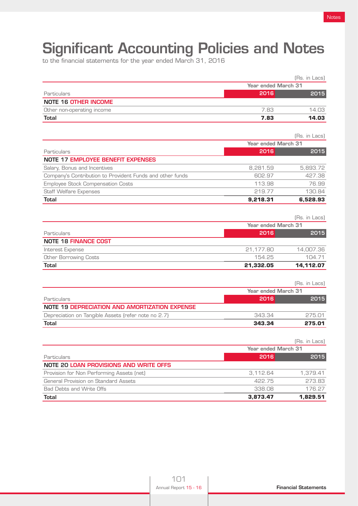|                                                           |                     | (Rs. in Lacs) |
|-----------------------------------------------------------|---------------------|---------------|
|                                                           | Year ended March 31 |               |
| Particulars                                               | 2016                | 2015          |
| <b>NOTE 16 OTHER INCOME</b>                               |                     |               |
| Other non-operating income                                | 7.83                | 14.03         |
| <b>Total</b>                                              | 7.83                | 14.03         |
|                                                           |                     |               |
|                                                           |                     | (Rs. in Lacs) |
|                                                           | Year ended March 31 |               |
| Particulars                                               | 2016                | 2015          |
| <b>NOTE 17 EMPLOYEE BENEFIT EXPENSES</b>                  |                     |               |
| Salary, Bonus and Incentives                              | 8,281.59            | 5,893.72      |
| Company's Contribution to Provident Funds and other funds | 602.97              | 427.38        |
| <b>Employee Stock Compensation Costs</b>                  | 113.98              | 76.99         |
| <b>Staff Welfare Expenses</b>                             | 219.77              | 130.84        |
| <b>Total</b>                                              | 9,218.31            | 6,528.93      |
|                                                           |                     |               |
|                                                           |                     | (Rs. in Lacs) |
|                                                           | Year ended March 31 |               |
| Particulars                                               | 2016                | 2015          |
| <b>NOTE 18 FINANCE COST</b>                               |                     |               |
| Interest Expense                                          | 21,177.80           | 14,007.36     |
| <b>Other Borrowing Costs</b>                              | 154.25              | 104.71        |
| <b>Total</b>                                              | 21,332.05           | 14,112.07     |
|                                                           |                     |               |
|                                                           | Year ended March 31 | (Rs. in Lacs) |
| Particulars                                               | 2016                | 2015          |
| NOTE 19 DEPRECIATION AND AMORTIZATION EXPENSE             |                     |               |
| Depreciation on Tangible Assets {refer note no 2.7}       | 343.34              | 275.01        |
| <b>Total</b>                                              | 343.34              | 275.01        |
|                                                           |                     |               |
|                                                           |                     | (Rs. in Lacs) |
|                                                           | Year ended March 31 |               |
| Particulars                                               | 2016                | 2015          |
| NOTE 20 LOAN PROVISIONS AND WRITE OFFS                    |                     |               |
| Provision for Non Performing Assets (net)                 | 3,112.64            | 1,379.41      |
| General Provision on Standard Assets                      | 422.75              | 273.83        |
| <b>Bad Debts and Write Offs</b>                           | 338.08              | 176.27        |
| <b>Total</b>                                              | 3,873.47            | 1,829.51      |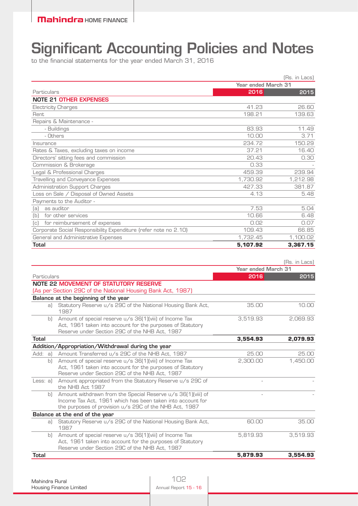|                                                                  |                     | (Rs. in Lacs) |
|------------------------------------------------------------------|---------------------|---------------|
|                                                                  | Year ended March 31 |               |
| Particulars                                                      | 2016                | 2015          |
| <b>NOTE 21 OTHER EXPENSES</b>                                    |                     |               |
| <b>Electricity Charges</b>                                       | 41.23               | 26.60         |
| Rent                                                             | 198.21              | 139.63        |
| Repairs & Maintenance -                                          |                     |               |
| - Buildings                                                      | 83.93               | 11.49         |
| - Others                                                         | 10.00               | 3.71          |
| Insurance                                                        | 234.72              | 150.29        |
| Rates & Taxes, excluding taxes on income                         | 37.21               | 16.40         |
| Directors' sitting fees and commission                           | 20.43               | 0.30          |
| Commission & Brokerage                                           | 0.33                |               |
| Legal & Professional Charges                                     | 459.39              | 239.94        |
| <b>Travelling and Conveyance Expenses</b>                        | 1,730.92            | 1,212.98      |
| <b>Administration Support Charges</b>                            | 427.33              | 381.87        |
| Loss on Sale / Disposal of Owned Assets                          | 4.13                | 5.48          |
| Payments to the Auditor -                                        |                     |               |
| as auditor<br>[a]                                                | 7.53                | 5.04          |
| for other services<br>(b)                                        | 10.66               | 6.48          |
| for reimbursement of expenses<br>$\lceil c \rceil$               | 0.02                | 0.07          |
| Corporate Social Responsibility Expenditure {refer note no 2.10} | 109.43              | 66.85         |
| General and Administrative Expenses                              | 1,732.45            | 1,100.02      |
| Total                                                            | 5,107.92            | 3,367.15      |

|                                                                                                                                                                                              |                     | (Rs. in Lacs) |
|----------------------------------------------------------------------------------------------------------------------------------------------------------------------------------------------|---------------------|---------------|
|                                                                                                                                                                                              | Year ended March 31 |               |
| Particulars                                                                                                                                                                                  | 2016                | 2015          |
| NOTE 22 MOVEMENT OF STATUTORY RESERVE                                                                                                                                                        |                     |               |
| (As per Section 29C of the National Housing Bank Act, 1987)                                                                                                                                  |                     |               |
| Balance at the beginning of the year                                                                                                                                                         |                     |               |
| Statutory Reserve u/s 29C of the National Housing Bank Act,<br>aì<br>1987                                                                                                                    | 35.00               | 10.00         |
| Amount of special reserve u/s 36(1)(viii) of Income Tax<br>bì<br>Act, 1961 taken into account for the purposes of Statutory<br>Reserve under Section 29C of the NHB Act, 1987                | 3.519.93            | 2.069.93      |
| <b>Total</b>                                                                                                                                                                                 | 3,554.93            | 2,079.93      |
| Addition/Appropriation/Withdrawal during the year                                                                                                                                            |                     |               |
| Amount Transferred u/s 29C of the NHB Act. 1987<br>Add: al                                                                                                                                   | 25.00               | 25.00         |
| Amount of special reserve u/s 36(1)(viii) of Income Tax<br>bì<br>Act, 1961 taken into account for the purposes of Statutory<br>Reserve under Section 29C of the NHB Act. 1987                | 2,300,00            | 1.450.00      |
| Less: al<br>Amount appropriated from the Statutory Reserve u/s 29C of<br>the NHB Act 1987                                                                                                    |                     |               |
| Amount withdrawn from the Special Reserve u/s 36(1)(viii) of<br>bì<br>Income Tax Act. 1961 which has been taken into account for<br>the purposes of provision $u/s$ 29C of the NHB Act, 1987 |                     |               |
| Balance at the end of the year                                                                                                                                                               |                     |               |
| Statutory Reserve u/s 29C of the National Housing Bank Act,<br>a)<br>1987                                                                                                                    | 60.00               | 35.00         |
| Amount of special reserve u/s 36(1)(viii) of Income Tax<br>bì<br>Act, 1961 taken into account for the purposes of Statutory<br>Reserve under Section 29C of the NHB Act, 1987                | 5,819.93            | 3,519.93      |
| <b>Total</b>                                                                                                                                                                                 | 5,879.93            | 3,554.93      |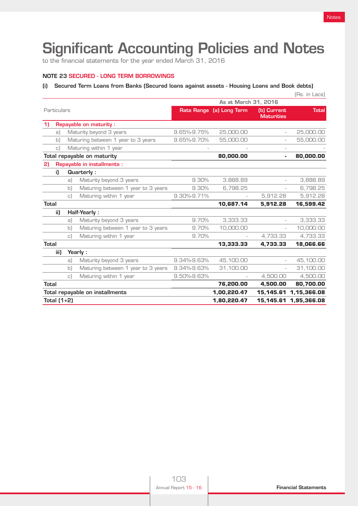to the financial statements for the year ended March 31, 2016

#### NOTE 23 SECURED - LONG TERM BORROWINGS

#### (i) Secured Term Loans from Banks (Secured loans against assets - Housing Loans and Book debts)

|              | Total $(1+2)$ |    |                                    |                   | 1,80,220.47          |                                  | 15,145.61 1,95,366.08 |
|--------------|---------------|----|------------------------------------|-------------------|----------------------|----------------------------------|-----------------------|
|              |               |    | Total repayable on installments    |                   | 1,00,220.47          |                                  | 15,145.61 1,15,366.08 |
| <b>Total</b> |               |    |                                    |                   | 76,200.00            | 4.500.00                         | 80,700.00             |
|              |               | C) | Maturing within 1 year             | 9.50%-9.63%       |                      | 4,500.00                         | 4,500.00              |
|              |               | b  | Maturing between 1 year to 3 years | 9.34%-9.63%       | 31,100,00            |                                  | 31,100.00             |
|              |               | a) | Maturity beyond 3 years            | 9.34%-9.63%       | 45,100.00            |                                  | 45,100.00             |
|              | iii)          |    | Yearly:                            |                   |                      |                                  |                       |
| <b>Total</b> |               |    |                                    |                   | 13,333.33            | 4,733.33                         | 18,066.66             |
|              |               | C) | Maturing within 1 year             | 9.70%             |                      | 4,733.33                         | 4,733.33              |
|              |               | b  | Maturing between 1 year to 3 years | 9.70%             | 10,000.00            |                                  | 10,000.00             |
|              |               | al | Maturity beyond 3 years            | 9.70%             | 3.333.33             |                                  | 3,333.33              |
|              | ii)           |    | Half-Yearly:                       |                   |                      |                                  |                       |
| <b>Total</b> |               |    |                                    |                   | 10,687.14            | 5,912.28                         | 16,599.42             |
|              |               | c) | Maturing within 1 year             | 9.30%-9.71%       |                      | 5,912.28                         | 5,912.28              |
|              |               | b  | Maturing between 1 year to 3 years | 9.30%             | 6.798.25             |                                  | 6,798.25              |
|              |               | a) | Maturity beyond 3 years            | 9.30%             | 3,888.89             |                                  | 3,888.89              |
|              | i)            |    | <b>Quarterly:</b>                  |                   |                      |                                  |                       |
| 2)           |               |    | <b>Repayable in installments:</b>  |                   |                      |                                  |                       |
|              |               |    | Total repayable on maturity        |                   | 80,000,00            | ۰.                               | 80,000.00             |
|              | C)            |    | Maturing within 1 year             |                   |                      |                                  |                       |
|              | bì            |    | Maturing between 1 year to 3 years | 9.65%-9.70%       | 55,000,00            |                                  | 55,000.00             |
|              | a)            |    | Maturity beyond 3 years            | 9.65%-9.75%       | 25,000.00            | $\overline{\phantom{0}}$         | 25,000.00             |
| 11           |               |    | <b>Repayable on maturity:</b>      |                   |                      |                                  |                       |
| Particulars  |               |    |                                    | <b>Rate Range</b> | (a) Long Term        | (b) Current<br><b>Maturities</b> | <b>Total</b>          |
|              |               |    |                                    |                   | As at March 31, 2016 |                                  |                       |
|              |               |    |                                    |                   |                      |                                  | (Rs. in Lacs)         |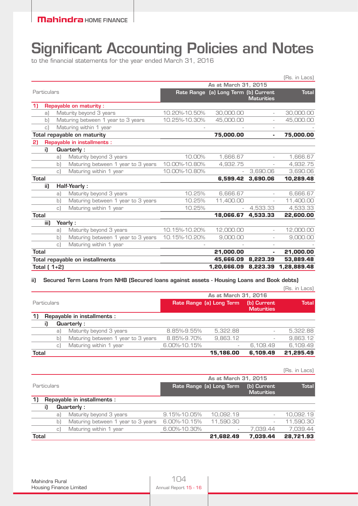to the financial statements for the year ended March 31, 2016

|              |    |                                    |               |                                      |                          | (Rs. in Lacs) |
|--------------|----|------------------------------------|---------------|--------------------------------------|--------------------------|---------------|
|              |    |                                    |               | As at March 31, 2015                 |                          |               |
| Particulars  |    |                                    |               | Rate Range (a) Long Term (b) Current | <b>Maturities</b>        | <b>Total</b>  |
| 1)           |    | <b>Repayable on maturity:</b>      |               |                                      |                          |               |
| a)           |    | Maturity beyond 3 years            | 10.20%-10.50% | 30,000.00                            | $\overline{\phantom{a}}$ | 30,000.00     |
| b)           |    | Maturing between 1 year to 3 years | 10.25%-10.30% | 45,000,00                            |                          | 45,000.00     |
| c)           |    | Maturing within 1 year             |               |                                      |                          |               |
|              |    | Total repayable on maturity        |               | 75,000.00                            | $\blacksquare$           | 75,000.00     |
| 2)           |    | <b>Repayable in installments:</b>  |               |                                      |                          |               |
| i)           |    | Quarterly:                         |               |                                      |                          |               |
|              | a) | Maturity beyond 3 years            | 10.00%        | 1,666.67                             |                          | 1,666.67      |
|              | b  | Maturing between 1 year to 3 years | 10.00%-10.80% | 4,932.75                             |                          | 4,932.75      |
|              | c) | Maturing within 1 year             | 10.00%-10.80% |                                      | 3,690.06                 | 3,690.06      |
| <b>Total</b> |    |                                    |               | 6,599.42                             | 3.690.06                 | 10,289.48     |
| ii)          |    | Half-Yearly:                       |               |                                      |                          |               |
|              | a) | Maturity beyond 3 years            | 10.25%        | 6,666.67                             |                          | 6,666.67      |
|              | b  | Maturing between 1 year to 3 years | 10.25%        | 11,400.00                            | $\overline{\phantom{a}}$ | 11,400.00     |
|              | C) | Maturing within 1 year             | 10.25%        | $\bar{a}$                            | 4,533.33                 | 4,533.33      |
| <b>Total</b> |    |                                    |               | 18.066.67                            | 4,533.33                 | 22,600.00     |
| iii)         |    | Yearly:                            |               |                                      |                          |               |
|              | a) | Maturity beyond 3 years            | 10.15%-10.20% | 12,000.00                            |                          | 12,000.00     |
|              | b) | Maturing between 1 year to 3 years | 10.15%-10.20% | 9,000.00                             |                          | 9,000.00      |
|              | c) | Maturing within 1 year             |               |                                      |                          |               |
| <b>Total</b> |    |                                    |               | 21,000.00                            |                          | 21,000.00     |
|              |    | Total repayable on installments    |               | 45,666.09                            | 8,223.39                 | 53,889.48     |
| Total ( 1+2) |    |                                    |               | 1.20.666.09                          | 8.223.39                 | 1,28,889.48   |

#### ii) Secured Term Loans from NHB (Secured loans against assets - Housing Loans and Book debts)

|             |  |    |                                    |                                  |                      |          | (Rs. in Lacs) |
|-------------|--|----|------------------------------------|----------------------------------|----------------------|----------|---------------|
|             |  |    |                                    |                                  | As at March 31, 2016 |          |               |
| Particulars |  |    | Rate Range (a) Long Term           | (b) Current<br><b>Maturities</b> | <b>Total</b>         |          |               |
|             |  |    | Repayable in installments :        |                                  |                      |          |               |
|             |  |    | Quarterly:                         |                                  |                      |          |               |
|             |  | al | Maturity beyond 3 years            | 8.85%-9.55%                      | 5.322.88             |          | 5.322.88      |
|             |  | bì | Maturing between 1 year to 3 years | 8.85%-9.70%                      | 9.863.12             |          | 9.863.12      |
|             |  | c) | Maturing within 1 year             | 6.00%-10.15%                     | -                    | 6.109.49 | 6,109.49      |
| Total       |  |    |                                    |                                  | 15,186.00            | 6,109.49 | 21,295.49     |

|             |  |    |                                    |                                  |                          |          | (Rs. in Lacs) |
|-------------|--|----|------------------------------------|----------------------------------|--------------------------|----------|---------------|
|             |  |    |                                    |                                  | As at March 31, 2015     |          |               |
| Particulars |  |    | Rate Range (a) Long Term           | (b) Current<br><b>Maturities</b> | <b>Total</b>             |          |               |
|             |  |    | Repayable in installments :        |                                  |                          |          |               |
|             |  |    | Quarterly:                         |                                  |                          |          |               |
|             |  | al | Maturity beyond 3 years            | 9.15%10.05%                      | 10.092.19                |          | 10.092.19     |
|             |  | b) | Maturing between 1 year to 3 years | 6.00%-10.15%                     | 11.590.30                |          | 11,590.30     |
|             |  | c) | Maturing within 1 year             | 6.00%-10.30%                     | $\overline{\phantom{a}}$ | 7.039.44 | 7,039.44      |
| Total       |  |    |                                    |                                  | 21,682.49                | 7.039.44 | 28,721.93     |

| Mahindra Rural          |                       |  |
|-------------------------|-----------------------|--|
| Housing Finance Limited | Annual Report 15 - 16 |  |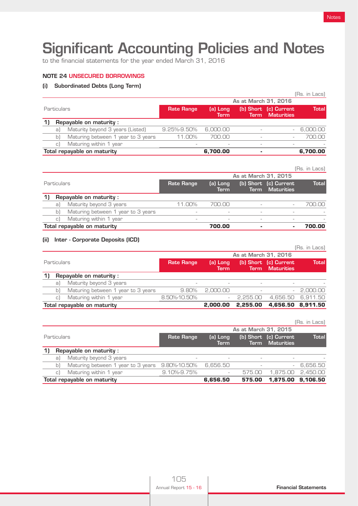to the financial statements for the year ended March 31, 2016

#### NOTE 24 UNSECURED BORROWINGS

#### (i) Subordinated Debts (Long Term)

|             |                                    |                          |                         |                          |                                                 | (Rs. in Lacs) |
|-------------|------------------------------------|--------------------------|-------------------------|--------------------------|-------------------------------------------------|---------------|
|             |                                    |                          |                         | As at March 31, 2016     |                                                 |               |
| Particulars |                                    | <b>Rate Range</b>        | (a) Long<br><b>Term</b> |                          | (b) Short (c) Current<br><b>Term Maturities</b> | <b>Total</b>  |
|             | Repayable on maturity:             |                          |                         |                          |                                                 |               |
| al          | Maturity beyond 3 years (Listed)   | 9.25%-9.50%              | 6,000,00                |                          |                                                 | 6,000.00      |
| b           | Maturing between 1 year to 3 years | 11.00%                   | 700.00                  | $\overline{\phantom{a}}$ |                                                 | 700.00        |
| C)          | Maturing within 1 year             | $\overline{\phantom{a}}$ |                         | $\overline{\phantom{0}}$ |                                                 |               |
|             | Total repayable on maturity        |                          | 6,700.00                | $\blacksquare$           |                                                 | 6.700.00      |

|                                          |                          |                          |                          |                                            | (Rs. in Lacs) |
|------------------------------------------|--------------------------|--------------------------|--------------------------|--------------------------------------------|---------------|
|                                          |                          |                          | As at March 31, 2015     |                                            |               |
| Particulars                              | <b>Rate Range</b>        | (a) Long<br><b>Term</b>  | Term                     | (b) Short (c) Current<br><b>Maturities</b> | <b>Total</b>  |
| Repayable on maturity:                   |                          |                          |                          |                                            |               |
| Maturity beyond 3 years<br>al            | 11.00%                   | 700.00                   | $\overline{\phantom{a}}$ |                                            | 700.00        |
| Maturing between 1 year to 3 years<br>bì | $\overline{\phantom{a}}$ | $\overline{\phantom{a}}$ | $\overline{\phantom{0}}$ |                                            |               |
| Maturing within 1 year<br>C)             | $\overline{\phantom{a}}$ | -                        | $\overline{\phantom{0}}$ |                                            |               |
| Total repayable on maturity              |                          | 700.00                   | ۰                        |                                            | 700.00        |

#### (ii) Inter - Corporate Deposits (ICD)

|             |    |                                    |                  |          |                                            |                   | (Rs. in Lacs) |
|-------------|----|------------------------------------|------------------|----------|--------------------------------------------|-------------------|---------------|
|             |    |                                    |                  |          | As at March 31, 2016                       |                   |               |
| Particulars |    | <b>Rate Range</b>                  | (a) Long<br>Term | Term     | (b) Short (c) Current<br><b>Maturities</b> | <b>Total</b>      |               |
|             |    | Repayable on maturity:             |                  |          |                                            |                   |               |
|             | al | Maturity beyond 3 years            | -                | -        | ۰                                          |                   |               |
|             | bì | Maturing between 1 year to 3 years | 9.80%            | 2,000,00 |                                            |                   | $-2.000.00$   |
|             | C) | Maturing within 1 year             | 8.50%-10.50%     | $ \,$    | 2.255.00                                   | 4.656.50          | 6.911.50      |
|             |    | Total repayable on maturity        |                  | 2.000.00 | 2,255.00                                   | 4,656.50 8,911.50 |               |

|                                                   |                          |                          |                      |                                            | (Rs. in Lacs) |
|---------------------------------------------------|--------------------------|--------------------------|----------------------|--------------------------------------------|---------------|
|                                                   |                          |                          | As at March 31, 2015 |                                            |               |
| Particulars                                       | <b>Rate Range</b>        | (a) Long<br><b>Term</b>  | Term                 | (b) Short (c) Current<br><b>Maturities</b> | <b>Total</b>  |
| Repayable on maturity:                            |                          |                          |                      |                                            |               |
| Maturity beyond 3 years<br>al                     | $\overline{\phantom{a}}$ | $\overline{\phantom{a}}$ |                      |                                            |               |
| Maturing between 1 year to 3 years<br>b           | 9.80%-10.50%             | 6.656.50                 |                      | $\overline{\phantom{a}}$                   | 6.656.50      |
| Maturing within 1 year<br>C)                      | $9.10\% - 9.75\%$        |                          | 575.00               | 1.875.00                                   | 2.450.00      |
| 6,656.50<br>Total repayable on maturity<br>575.00 |                          |                          |                      |                                            | 9.106.50      |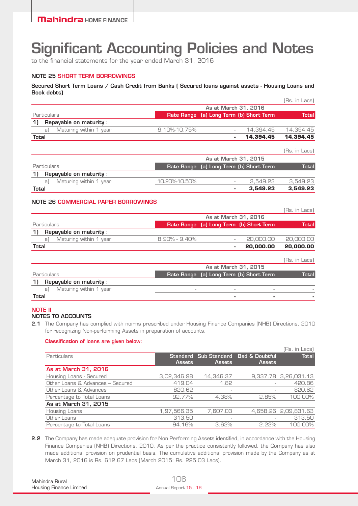to the financial statements for the year ended March 31, 2016

### NOTE 25 SHORT TERM BORROWINGS

#### Secured Short Term Loans / Cash Credit from Banks ( Secured loans against assets - Housing Loans and Book debts)

|                              |               |                                         | (Rs. in Lacs) |
|------------------------------|---------------|-----------------------------------------|---------------|
|                              |               | As at March 31, 2016                    |               |
| Particulars                  |               | Rate Range (a) Long Term (b) Short Term | <b>Total</b>  |
| Repayable on maturity:       |               |                                         |               |
| Maturing within 1 year<br>a  | 9.10%-10.75%  | 14.394.45                               | 14.394.45     |
| Total                        |               | 14,394.45<br>۰.                         | 14,394.45     |
|                              |               |                                         |               |
|                              |               |                                         | (Rs. in Lacs) |
|                              |               | As at March 31, 2015                    |               |
| Particulars                  |               | Rate Range (a) Long Term (b) Short Term | <b>Total</b>  |
| Repayable on maturity:<br>11 |               |                                         |               |
| Maturing within 1 year<br>a  | 10.20%-10.50% | 3.549.23                                | 3.549.23      |
| Total                        |               | 3.549.23                                | 3.549.23      |

### NOTE 26 COMMERCIAL PAPER BORROWINGS

|                              |                      |                                         |           | (Rs. in Lacs) |
|------------------------------|----------------------|-----------------------------------------|-----------|---------------|
|                              | As at March 31, 2016 |                                         |           |               |
| <b>Particulars</b>           |                      | Rate Range (a) Long Term (b) Short Term |           | Total I       |
| Repayable on maturity:       |                      |                                         |           |               |
| Maturing within 1 year<br>al | $8.90\%$ - 9.40%     |                                         | 20,000,00 | 20,000,00     |
| Total                        |                      |                                         | 20,000,00 | 20,000.00     |
|                              |                      |                                         |           |               |

|                               | (Rs. in Lacs)                                        |       |  |  |
|-------------------------------|------------------------------------------------------|-------|--|--|
|                               | As at March 31, 2015                                 |       |  |  |
| Particulars                   | Rate Range (a) Long Term (b) Short Term              | Total |  |  |
| <b>Repayable on maturity:</b> |                                                      |       |  |  |
| Maturing within 1 year<br>al  | $\overline{\phantom{a}}$<br>$\overline{\phantom{a}}$ |       |  |  |
| <b>Total</b>                  | ۰<br>$\equiv$                                        |       |  |  |

#### NOTE II

#### NOTES TO ACCOUNTS

2.1 The Company has complied with norms prescribed under Housing Finance Companies (NHB) Directions, 2010 for recognizing Non-performing Assets in preparation of accounts.

#### Classification of loans are given below:

|               |               |               | (Rs. in Lacs)                        |
|---------------|---------------|---------------|--------------------------------------|
| <b>Assets</b> | <b>Assets</b> | <b>Assets</b> | <b>Total</b>                         |
|               |               |               |                                      |
| 3,02,346.98   | 14,346.37     |               | 9,337.78 3,26,031.13                 |
| 419.04        | 1.82          |               | 420.86                               |
| 820.62        |               |               | 820.62                               |
| 92.77%        | 4.38%         | 2.85%         | 100,00%                              |
|               |               |               |                                      |
| 1.97.566.35   | 7.607.03      |               | 4.658.26 2.09.831.63                 |
| 313.50        | -             |               | 313.50                               |
| 94.16%        | 3.62%         | 2.22%         | 100,00%                              |
|               |               |               | Standard Sub Standard Bad & Doubtful |

2.2 The Company has made adequate provision for Non Performing Assets identified, in accordance with the Housing Finance Companies (NHB) Directions, 2010. As per the practice consistently followed, the Company has also made additional provision on prudential basis. The cumulative additional provision made by the Company as at March 31, 2016 is Rs. 612.67 Lacs (March 2015: Rs. 225.03 Lacs).

| Mahindra Rural<br>Housing Finance Limited | Annual Report 15 - 16 |  |
|-------------------------------------------|-----------------------|--|
|                                           |                       |  |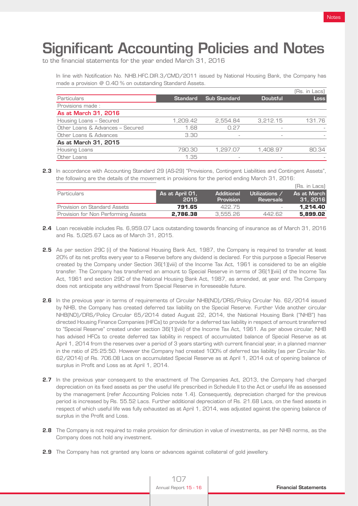to the financial statements for the year ended March 31, 2016

In line with Notification No. NHB.HFC.DIR.3/CMD/2011 issued by National Housing Bank, the Company has made a provision @ 0.40 % on outstanding Standard Assets.

|                                  |                 |                          |                          | (Rs. in Lacs) |
|----------------------------------|-----------------|--------------------------|--------------------------|---------------|
| Particulars                      | <b>Standard</b> | <b>Sub Standard</b>      | <b>Doubtful</b>          | <b>Loss</b>   |
| Provisions made:                 |                 |                          |                          |               |
| As at March 31, 2016             |                 |                          |                          |               |
| Housing Loans - Secured          | 1.209.42        | 2.554.84                 | 3.212.15                 | 131.76        |
| Other Loans & Advances - Secured | 1.68            | 0.27                     |                          |               |
| Other Loans & Advances           | 3.30            | $\overline{\phantom{a}}$ | $\overline{\phantom{a}}$ |               |
| As at March 31, 2015             |                 |                          |                          |               |
| Housing Loans                    | 790.30          | 1.297.07                 | 1.408.97                 | 80.34         |
| Other Loans                      | 1.35            |                          |                          |               |

2.3 In accordance with Accounting Standard 29 (AS-29) "Provisions, Contingent Liabilities and Contingent Assets", the following are the details of the movement in provisions for the period ending March 31, 2016:

|                                     |                         |                                |                                    | (Rs. in Lacs)          |
|-------------------------------------|-------------------------|--------------------------------|------------------------------------|------------------------|
| Particulars                         | As at April 01,<br>2015 | Additional<br><b>Provision</b> | Utilizations /<br><b>Reversals</b> | As at March<br>31.2016 |
| Provision on Standard Assets        | 791.65                  | 422.75                         | $\equiv$                           | 1.214.40               |
| Provision for Non Performing Assets | 2.786.38                | 3.555.26                       | 442.62                             | 5.899.02               |

- 2.4 Loan receivable includes Rs. 6,959.07 Lacs outstanding towards financing of insurance as of March 31, 2016 and Rs. 5,025.67 Lacs as of March 31, 2015.
- 2.5 As per section 29C (i) of the National Housing Bank Act, 1987, the Company is required to transfer at least 20% of its net profits every year to a Reserve before any dividend is declared. For this purpose a Special Reserve created by the Company under Section 36(1)(viii) of the Income Tax Act, 1961 is considered to be an eligible transfer. The Company has transferred an amount to Special Reserve in terms of 36(1)(viii) of the Income Tax Act, 1961 and section 29C of the National Housing Bank Act, 1987, as amended, at year end. The Company does not anticipate any withdrawal from Special Reserve in foreseeable future.
- 2.6 In the previous year in terms of requirements of Circular NHB(ND)/DRS/Policy Circular No. 62/2014 issued by NHB, the Company has created deferred tax liability on the Special Reserve. Further Vide another circular NHB(ND)/DRS/Policy Circular 65/2014 dated August 22, 2014, the National Housing Bank ("NHB") has directed Housing Finance Companies (HFCs) to provide for a deferred tax liability in respect of amount transferred to "Special Reserve" created under section 36(1)(viii) of the Income Tax Act, 1961. As per above circular, NHB has advised HFCs to create deferred tax liability in respect of accumulated balance of Special Reserve as at April 1, 2014 from the reserves over a period of 3 years starting with current financial year, in a planned manner in the ratio of 25:25:50. However the Company had created 100% of deferred tax liability (as per Circular No. 62/2014) of Rs. 706.08 Lacs on accumulated Special Reserve as at April 1, 2014 out of opening balance of surplus in Profit and Loss as at April 1, 2014.
- 2.7 In the previous year consequent to the enactment of The Companies Act, 2013, the Company had charged depreciation on its fixed assets as per the useful life prescribed in Schedule II to the Act or useful life as assessed by the management (refer Accounting Policies note 1.4). Consequently, depreciation charged for the previous period is increased by Rs. 55.52 Lacs. Further additional depreciation of Rs. 21.68 Lacs, on the fixed assets in respect of which useful life was fully exhausted as at April 1, 2014, was adjusted against the opening balance of surplus in the Profit and Loss.
- 2.8 The Company is not required to make provision for diminution in value of investments, as per NHB norms, as the Company does not hold any investment.
- 2.9 The Company has not granted any loans or advances against collateral of gold jewellery.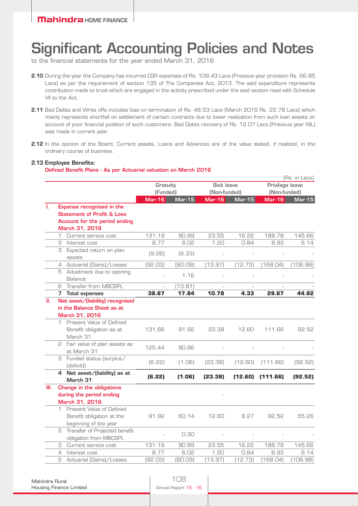to the financial statements for the year ended March 31, 2016

- 2.10 During the year the Company has incurred CSR expenses of Rs. 109.43 Lacs (Previous year provision Rs. 66.85 Lacs) as per the requirement of section 135 of The Companies Act, 2013. The said expenditure represents contribution made to trust which are engaged in the activity prescribed under the said section read with Schedule VII to the Act.
- 2.11 Bad Debts and Write offs includes loss on termination of Rs. 48.53 Lacs (March 2015 Rs. 22.78 Lacs) which mainly represents shortfall on settlement of certain contracts due to lower realization from such loan assets on account of poor financial position of such customers. Bad Debts recovery of Rs. 12.07 Lacs (Previous year NIL) was made in current year.
- 2.12 In the opinion of the Board, Current assets, Loans and Advances are of the value stated, if realized, in the ordinary course of business.

#### 2.13 Employee Benefits:

#### Defined Benefit Plans - As per Actuarial valuation on March 2016

|    |                |                                               |               |               | (Rs. in Lacs)     |               |                      |               |
|----|----------------|-----------------------------------------------|---------------|---------------|-------------------|---------------|----------------------|---------------|
|    |                |                                               | Gratuity      |               | <b>Sick leave</b> |               | Privilage leave      |               |
|    |                |                                               | (Funded)      |               | (Non-funded)      |               | (Non-funded)         |               |
|    |                |                                               | <b>Mar-16</b> | <b>Mar-15</b> | <b>Mar-16</b>     | <b>Mar-15</b> | <b>Mar-16</b>        | <b>Mar-15</b> |
| T. |                | Expense recognised in the                     |               |               |                   |               |                      |               |
|    |                | <b>Statement of Profit &amp; Loss</b>         |               |               |                   |               |                      |               |
|    |                | Account for the period ending                 |               |               |                   |               |                      |               |
|    |                | March 31, 2016                                |               |               |                   |               |                      |               |
|    | 1              | Current service cost                          | 131.19        | 90.89         | 23.55             | 16.22         | 188.78               | 145.66        |
|    | 2              | Interest cost                                 | 8.77          | 6.02          | 1.20              | 0.84          | 8.93                 | 6.14          |
|    | З              | Expected return on plan<br>assets             | (9.26)        | (6.33)        |                   |               |                      |               |
|    | 4              | Actuarial (Gains)/Losses                      | (92.03)       | [60.09]       | (13.97)           | (12.73)       | (168.04)             | (106.98)      |
|    | 5              | Adustment due to opening<br><b>Balance</b>    |               | 1.16          |                   |               |                      |               |
|    | 6              | Transfer from MBCSPL                          |               | (13.81)       |                   |               |                      |               |
|    | $\overline{7}$ | <b>Total expenses</b>                         | 38.67         | 17.84         | 10.78             | 4.33          | 29.67                | 44.82         |
| Ш. |                | Net asset/(liability) recognised              |               |               |                   |               |                      |               |
|    |                | in the Balance Sheet as at                    |               |               |                   |               |                      |               |
|    |                | March 31, 2016                                |               |               |                   |               |                      |               |
|    |                | 1 Present Value of Defined                    |               |               |                   |               |                      |               |
|    |                | Benefit obligation as at                      | 131.66        | 91.92         | 23.38             | 12.60         | 111.66               | 92.52         |
|    |                | March 31                                      |               |               |                   |               |                      |               |
|    |                | 2 Fair value of plan assets as<br>at March 31 | 125.44        | 90.86         |                   |               |                      |               |
|    | З              | Funded status (surplus/<br>(deficit))         | (6.22)        | (1.06)        | [23.38]           | (12.60)       | (111.66)             | (92.52)       |
|    |                | 4 Net asset/(liability) as at                 |               |               |                   |               |                      |               |
|    |                | March 31                                      | (6.22)        | (1.06)        | (23.38)           |               | $(12.60)$ $(111.66)$ | (92.52)       |
| Ш. |                | <b>Change in the obligations</b>              |               |               |                   |               |                      |               |
|    |                | during the period ending                      |               |               |                   |               |                      |               |
|    |                | March 31, 2016                                |               |               |                   |               |                      |               |
|    |                | 1 Present Value of Defined                    |               |               |                   |               |                      |               |
|    |                | Benefit obligation at the                     | 91.92         | 60.14         | 12.60             | 8.27          | 92.52                | 55.26         |
|    |                | beginning of the year                         |               |               |                   |               |                      |               |
|    |                | 2 Transfer of Projected benefit               |               | 0.30          |                   |               |                      |               |
|    |                | obligation from MBCSPL                        |               |               |                   |               |                      |               |
|    | 3              | Current service cost                          | 131.19        | 90.89         | 23.55             | 16.22         | 188.78               | 145.66        |
|    | $\overline{4}$ | Interest cost                                 | 8.77          | 6.02          | 1.20              | 0.84          | 8.93                 | 6.14          |
|    | 5              | Actuarial (Gains)/Losses                      | (92.03)       | [60.09]       | (13.97)           | (12.73)       | (168.04)             | (106.98)      |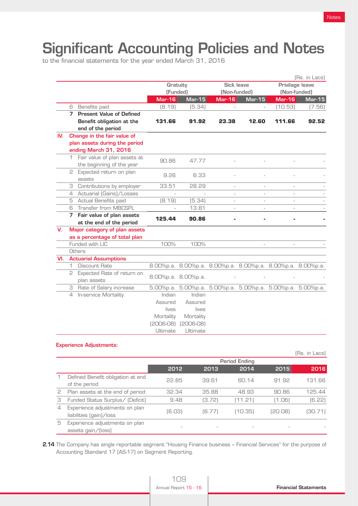to the financial statements for the year ended March 31, 2016

|             |   |                                                             |           |                          |                          |                          |               | (Rs. in Lacs)                                               |  |
|-------------|---|-------------------------------------------------------------|-----------|--------------------------|--------------------------|--------------------------|---------------|-------------------------------------------------------------|--|
|             |   |                                                             |           | Gratuity                 |                          | <b>Sick leave</b>        |               | Privilage leave                                             |  |
|             |   |                                                             | (Funded)  |                          |                          | (Non-funded)             |               | (Non-funded)                                                |  |
|             |   |                                                             | $Mar-16$  | <b>Mar-15</b>            | Mar-16                   | $Mar-15$                 | <b>Mar-16</b> | Mar-15                                                      |  |
|             | 6 | Benefits paid                                               | (8.19)    | (5.34)                   | $\sim$                   |                          | (10.53)       | (7.56)                                                      |  |
|             | 7 | <b>Present Value of Defined</b>                             |           |                          |                          |                          |               |                                                             |  |
|             |   | Benefit obligation at the                                   | 131.66    | 91.92                    | 23.38                    | 12.60                    | 111.66        | 92.52                                                       |  |
|             |   | end of the period                                           |           |                          |                          |                          |               |                                                             |  |
| IV.         |   | Change in the fair value of                                 |           |                          |                          |                          |               |                                                             |  |
|             |   | plan assets during the period                               |           |                          |                          |                          |               |                                                             |  |
|             |   | ending March 31, 2016                                       |           |                          |                          |                          |               |                                                             |  |
|             |   | 1 Fair value of plan assets at<br>the beginning of the year | 90.86     | 47.77                    |                          |                          |               |                                                             |  |
|             | 2 | Expected return on plan<br>assets                           | 9.26      | 6.33                     |                          |                          |               |                                                             |  |
|             | 3 | Contributions by employer                                   | 33.51     | 28.29                    | $\overline{\phantom{a}}$ | $\overline{\phantom{a}}$ | ÷,            |                                                             |  |
|             | 4 | Actuarial (Gains)/Losses                                    |           | $\overline{\phantom{a}}$ | $\overline{\phantom{a}}$ | $\overline{a}$           | ÷,            |                                                             |  |
|             | 5 | Actual Benefits paid                                        | [8.19]    | (5.34)                   | $\overline{\phantom{a}}$ | ÷.                       | ÷,            |                                                             |  |
|             | 6 | Transfer from MBCSPL                                        |           | 13.81                    | ä,                       |                          |               |                                                             |  |
|             | 7 | Fair value of plan assets                                   | 125.44    | 90.86                    |                          |                          |               |                                                             |  |
|             |   | at the end of the period                                    |           |                          |                          |                          |               |                                                             |  |
| $V_{\cdot}$ |   | Major category of plan assets                               |           |                          |                          |                          |               |                                                             |  |
|             |   | as a percentage of total plan                               |           |                          |                          |                          |               |                                                             |  |
|             |   | Funded with LIC                                             | 100%      | 100%                     |                          |                          |               |                                                             |  |
|             |   | Others                                                      |           |                          |                          |                          |               |                                                             |  |
| VI.         |   | <b>Actuarial Assumptions</b>                                |           |                          |                          |                          |               |                                                             |  |
|             | 1 | Discount Rate                                               |           |                          |                          |                          |               | 8.00%р.а. 8.00%р.а. 8.00%р.а. 8.00%р.а. 8.00%р.а. 8.00%р.а. |  |
|             | 2 | Expected Rate of return on                                  |           | 8.00%p.a. 8.00%p.a.      |                          |                          |               |                                                             |  |
|             |   | plan assets                                                 |           |                          |                          |                          |               |                                                             |  |
|             | 3 | Rate of Salary increase                                     |           |                          |                          |                          |               | 5.00%р.а. 5.00%р.а. 5.00%р.а. 5.00%р.а. 5.00%р.а. 5.00%р.а. |  |
|             | 4 | In-service Mortality                                        | Indian    | Indian                   |                          |                          |               |                                                             |  |
|             |   |                                                             | Assured   | Assured                  |                          |                          |               |                                                             |  |
|             |   |                                                             | lives     | lives                    |                          |                          |               |                                                             |  |
|             |   |                                                             | Mortality | Mortality                |                          |                          |               |                                                             |  |
|             |   |                                                             |           | $[2006-08]$ $[2006-08]$  |                          |                          |               |                                                             |  |
|             |   |                                                             | Ultimate  | Ultimate                 |                          |                          |               |                                                             |  |

#### Experience Adjustments:

|   |                                                           |        |        |                      |         | (Rs. in Lacs) |
|---|-----------------------------------------------------------|--------|--------|----------------------|---------|---------------|
|   |                                                           |        |        | <b>Period Ending</b> |         |               |
|   |                                                           | 2012   | 2013   | 2014                 | 2015    | 2016          |
|   | Defined Benefit obligation at end<br>of the period        | 22.85  | 39.61  | 60.14                | 91.92   | 131.66        |
| 2 | Plan assets at the end of period                          | 32.34  | 35.88  | 48.93                | 90.86   | 125.44        |
| 3 | Funded Status Surplus/ (Deficit)                          | 9.48   | (3.72) | (11.21)              | (1.06)  | (6.22)        |
| 4 | Experience adjustments on plan<br>liabilities (gain)/loss | (6.03) | (6.77) | (10.35)              | (20.081 | (30.71)       |
| 5 | Experience adjustments on plan<br>assets gain/(loss)      |        |        |                      |         |               |

2.14 The Company has single reportable segment "Housing Finance business – Financial Services" for the purpose of Accounting Standard 17 (AS-17) on Segment Reporting.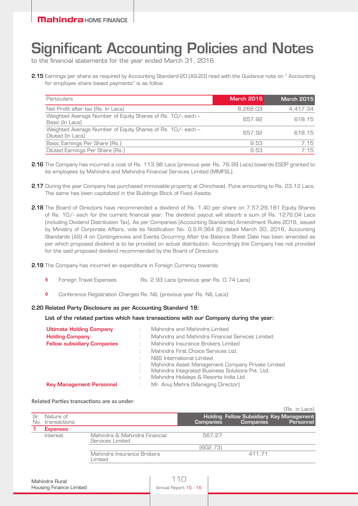to the financial statements for the year ended March 31, 2016

2.15 Earnings per share as required by Accounting Standard-20 (AS-20) read with the Guidance note on " Accounting for employee share based payments" is as follow

| Particulars                                                                      | March 2016 | <b>March 2015</b> |
|----------------------------------------------------------------------------------|------------|-------------------|
| Net Profit after tax (Rs. In Lacs)                                               | 6,268.03   | 4,417.34          |
| Weighted Average Number of Equity Shares of Rs. 10/- each -<br>Basic (In Lacs)   | 657.92     | 618.15            |
| Weighted Average Number of Equity Shares of Rs. 10/- each -<br>Diluted (In Lacs) | 657.92     | 618.15            |
| Basic Earnings Per Share (Rs.)                                                   | 9.53       | 7.15              |
| Diluted Earnings Per Share (Rs.)                                                 | 9.53       | 7.15              |

- 2.16 The Company has incurred a cost of Rs. 113.98 Lacs (previous year Rs. 76.99 Lacs) towards ESOP granted to its employees by Mahindra and Mahindra Financial Services Limited (MMFSL).
- 2.17 During the year Company has purchased immovable property at Chinchwad, Pune amounting to Rs. 23.12 Lacs. The same has been capitalized in the Buildings Block of Fixed Assets.
- 2.18 The Board of Directors have recommended a dividend of Rs. 1.40 per share on 7.57,29,181 Equity Shares of Rs. 10/- each for the current financial year. The dividend payout will absorb a sum of Rs. 1276.04 Lacs (including Dividend Distribution Tax). As per Companies (Accounting Standards) Amendment Rules 2016, issued by Ministry of Corporate Affairs, vide its Notification No. G.S.R.364 (E) dated March 30, 2016, Accounting Standards (AS) 4 on Contingencies and Events Occurring After the Balance Sheet Date has been amended as per which proposed dividend is to be provided on actual distribution. Accordingly the Company has not provided for the said proposed dividend recommended by the Board of Directors.
- 2.19 The Company has incurred an expenditure in Foreign Currency towards:
	- $\hat{\mathbf{e}}$ Foreign Travel Expenses Rs. 2.93 Lacs (previous year Rs. 0.74 Lacs)
	- $\hat{\bullet}$ Conference Registration Charges Rs. NIL (previous year Rs. NIL Lacs)

#### 2.20 Related Party Disclosure as per Accounting Standard 18:

List of the related parties which have transactions with our Company during the year:

| <b>Ultimate Holding Company</b>    | Mahindra and Mahindra Limited                     |
|------------------------------------|---------------------------------------------------|
| <b>Holding Company</b>             | Mahindra and Mahindra Financial Services Limited  |
| <b>Fellow subsidiary Companies</b> | Mahindra Insurance Brokers Limited                |
|                                    | Mahindra First Choice Services Ltd.               |
|                                    | NBS International Limited                         |
|                                    | Mahindra Asset Management Company Private Limited |
|                                    | Mahindra Integrated Business Solutions Pvt. Ltd.  |
|                                    | Mahindra Holidays & Resorts India Ltd.            |
| <b>Key Management Personnel</b>    | Mr. Anuj Mehra (Managing Director)                |

#### **Related Parties transactions are as under**:

|                 |                                                   |          |                  | (Rs. in Lacs)                                                       |
|-----------------|---------------------------------------------------|----------|------------------|---------------------------------------------------------------------|
|                 |                                                   |          | <b>Companies</b> | Personnel                                                           |
| <b>Expenses</b> |                                                   |          |                  |                                                                     |
| Interest        | Mahindra & Mahindra Financial<br>Services Limited | 567.27   |                  |                                                                     |
|                 |                                                   | (602.73) |                  |                                                                     |
|                 | Mahindra Insurance Brokers<br>Limited             |          | 411.71           |                                                                     |
|                 | Sr. Nature of<br>No. transactions                 |          |                  | <b>Holding Fellow Subsidiary Key Management</b><br><b>Companies</b> |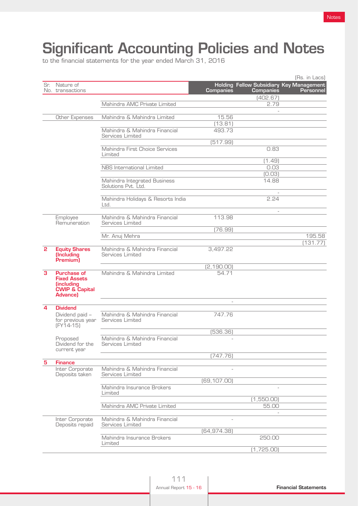to the financial statements for the year ended March 31, 2016

|                  |                                                                                                                              |                                                          |                   |                                                              | (Rs. in Lacs)      |
|------------------|------------------------------------------------------------------------------------------------------------------------------|----------------------------------------------------------|-------------------|--------------------------------------------------------------|--------------------|
| Sr.              | Nature of<br>No. transactions                                                                                                |                                                          | <b>Companies</b>  | Holding Fellow Subsidiary Key Management<br><b>Companies</b> | <b>Personnel</b>   |
|                  |                                                                                                                              | Mahindra AMC Private Limited                             |                   | [402.67]<br>2.79                                             |                    |
|                  | Other Expenses                                                                                                               | Mahindra & Mahindra Limited                              | 15.56             | $\sim$                                                       |                    |
|                  |                                                                                                                              | Mahindra & Mahindra Financial<br>Services Limited        | (13.81)<br>493.73 |                                                              |                    |
|                  |                                                                                                                              | Mahindra First Choice Services<br>Limited                | (517.99)          | 0.83                                                         |                    |
|                  |                                                                                                                              | NBS International Limited                                |                   | (1.49)<br>0.03                                               |                    |
|                  |                                                                                                                              | Mahindra Integrated Business<br>Solutions Pvt. Ltd.      |                   | [0.03]<br>14.88                                              |                    |
|                  |                                                                                                                              | Mahindra Holidays & Resorts India<br>Ltd.                |                   | ÷<br>2.24                                                    |                    |
|                  | Employee<br><b>Remuneration</b>                                                                                              | Mahindra & Mahindra Financial<br><b>Services Limited</b> | 113.98            |                                                              |                    |
|                  |                                                                                                                              |                                                          | (76.99)           |                                                              |                    |
|                  |                                                                                                                              | Mr. Anuj Mehra                                           |                   |                                                              | 195.58<br>(131.77) |
| 2                | <b>Equity Shares</b><br>(Including<br>Premium)                                                                               | Mahindra & Mahindra Financial<br>Services Limited        | 3,497.22          |                                                              |                    |
|                  |                                                                                                                              |                                                          | [2, 190.00]       |                                                              |                    |
| з                | <b>Purchase of</b><br><b>Fixed Assets</b><br><i><u><b>Cincluding</b></u></i><br><b>CWIP &amp; Capital</b><br><b>Advancel</b> | Mahindra & Mahindra Limited                              | 54.71             |                                                              |                    |
| $\boldsymbol{A}$ | <b>Dividend</b>                                                                                                              |                                                          |                   |                                                              |                    |
|                  | Dividend paid -<br>for previous year<br>$[FY14-15]$                                                                          | Mahindra & Mahindra Financial<br>Services Limited        | 747.76            |                                                              |                    |
|                  |                                                                                                                              |                                                          | [536.36]          |                                                              |                    |
|                  | Proposed<br>Dividend for the<br>current year                                                                                 | Mahindra & Mahindra Financial<br>Services Limited        |                   |                                                              |                    |
|                  |                                                                                                                              |                                                          | [747.76]          |                                                              |                    |
| 5                | <b>Finance</b>                                                                                                               |                                                          |                   |                                                              |                    |
|                  | Inter Corporate<br>Deposits taken                                                                                            | Mahindra & Mahindra Financial<br><b>Services Limited</b> |                   |                                                              |                    |
|                  |                                                                                                                              |                                                          | (69, 107.00)      |                                                              |                    |
|                  |                                                                                                                              | Mahindra Insurance Brokers<br>Limited                    |                   |                                                              |                    |
|                  |                                                                                                                              |                                                          |                   | (1,550.00)                                                   |                    |
|                  |                                                                                                                              | Mahindra AMC Private Limited                             |                   | 55.00                                                        |                    |
|                  | Inter Corporate<br>Deposits repaid                                                                                           | Mahindra & Mahindra Financial<br><b>Services Limited</b> |                   |                                                              |                    |
|                  |                                                                                                                              |                                                          | (64, 974.38)      |                                                              |                    |
|                  |                                                                                                                              | Mahindra Insurance Brokers<br>Limited                    |                   | 250.00                                                       |                    |
|                  |                                                                                                                              |                                                          |                   | (1,725.00)                                                   |                    |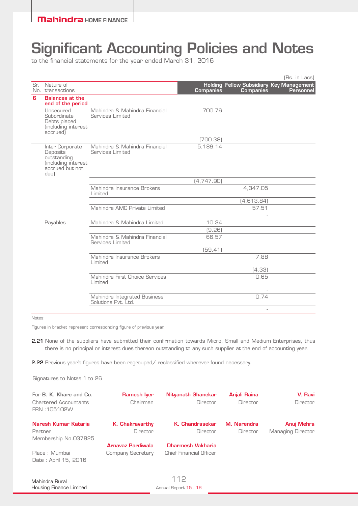to the financial statements for the year ended March 31, 2016

|   |                                                                                              |                                                     |                  |                  | (Rs. in Lacs)                                                |
|---|----------------------------------------------------------------------------------------------|-----------------------------------------------------|------------------|------------------|--------------------------------------------------------------|
|   | Sr. Nature of<br>No. transactions                                                            |                                                     | <b>Companies</b> | <b>Companies</b> | <b>Holding Fellow Subsidiary Key Management</b><br>Personnel |
| 6 | <b>Balances at the</b><br>end of the period                                                  |                                                     |                  |                  |                                                              |
|   | Unsecured<br>Subordinate<br>Debts placed<br>(including interest<br>accrued]                  | Mahindra & Mahindra Financial<br>Services Limited   | 700.76           |                  |                                                              |
|   |                                                                                              |                                                     | (700.38)         |                  |                                                              |
|   | Inter Corporate<br>Deposits<br>outstanding<br>(including interest<br>accrued but not<br>due) | Mahindra & Mahindra Financial<br>Services Limited   | 5,189.14         |                  |                                                              |
|   |                                                                                              |                                                     | [4,747.90]       |                  |                                                              |
|   |                                                                                              | Mahindra Insurance Brokers<br>Limited               |                  | 4.347.05         |                                                              |
|   |                                                                                              |                                                     |                  | (4,613.84)       |                                                              |
|   |                                                                                              | Mahindra AMC Private Limited                        |                  | 57.51            |                                                              |
|   | Payables                                                                                     | Mahindra & Mahindra Limited                         | 10.34            |                  |                                                              |
|   |                                                                                              |                                                     | (9.26)           |                  |                                                              |
|   |                                                                                              | Mahindra & Mahindra Financial<br>Services Limited   | 66.57            |                  |                                                              |
|   |                                                                                              |                                                     | (59.41)          |                  |                                                              |
|   |                                                                                              | Mahindra Insurance Brokers<br>Limited               |                  | 7.88             |                                                              |
|   |                                                                                              |                                                     |                  | [4.33]           |                                                              |
|   |                                                                                              | Mahindra First Choice Services<br>Limited           |                  | 0.65             |                                                              |
|   |                                                                                              | Mahindra Integrated Business<br>Solutions Pvt. Ltd. |                  | 0.74             |                                                              |
|   |                                                                                              |                                                     |                  |                  |                                                              |

#### Notes:

Figures in bracket represent corresponding figure of previous year.

2.21 None of the suppliers have submitted their confirmation towards Micro, Small and Medium Enterprises, thus there is no principal or interest dues thereon outstanding to any such supplier at the end of accounting year.

2.22 Previous year's figures have been regrouped/ reclassified wherever found necessary.

Signatures to Notes 1 to 26

| For B. K. Khare and Co.<br><b>Chartered Accountants</b><br>FRN: 105102W | Ramesh Iver<br>Chairman                       | Nityanath Ghanekar<br><b>Director</b>                      | Anjali Raina<br>Director       | V. Ravi<br>Director             |
|-------------------------------------------------------------------------|-----------------------------------------------|------------------------------------------------------------|--------------------------------|---------------------------------|
| Naresh Kumar Kataria<br>Partner<br>Membership No.037825                 | K. Chakravarthy<br><b>Director</b>            | K. Chandrasekar<br><b>Director</b>                         | <b>M.</b> Narendra<br>Director | Anuj Mehra<br>Managing Director |
| Place: Mumbai<br>Date: April 15, 2016                                   | <b>Arnavaz Pardiwala</b><br>Company Secretary | <b>Dharmesh Vakharia</b><br><b>Chief Financial Officer</b> |                                |                                 |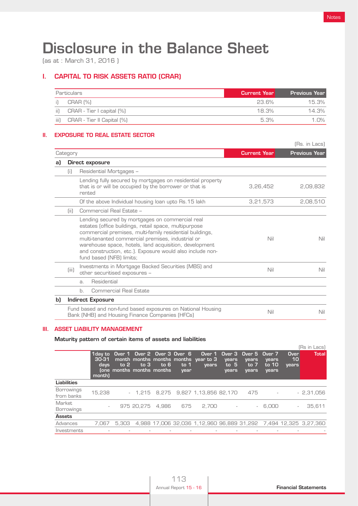# Disclosure in the Balance Sheet

(as at : March 31, 2016 )

### I. CAPITAL TO RISK ASSETS RATIO (CRAR)

| Particulars |                            | : Current Year | <b>Previous Year</b> |
|-------------|----------------------------|----------------|----------------------|
|             | CRAR (%)                   | 23 R%          | 15.3%                |
| ii)         | CRAR - Tier I capital (%)  | 18.3%          | 14.3%                |
| iii)        | CRAR - Tier II Capital (%) | 5.3%           | 1.0%                 |

#### II. EXPOSURE TO REAL ESTATE SECTOR

|    |          |                                                                                                                                                                                                                                                                                                                                                                              |                     | (Rs. in Lacs)        |
|----|----------|------------------------------------------------------------------------------------------------------------------------------------------------------------------------------------------------------------------------------------------------------------------------------------------------------------------------------------------------------------------------------|---------------------|----------------------|
|    | Category |                                                                                                                                                                                                                                                                                                                                                                              | <b>Current Year</b> | <b>Previous Year</b> |
| a) |          | Direct exposure                                                                                                                                                                                                                                                                                                                                                              |                     |                      |
|    | (i)      | Residential Mortgages -                                                                                                                                                                                                                                                                                                                                                      |                     |                      |
|    |          | Lending fully secured by mortgages on residential property<br>that is or will be occupied by the borrower or that is<br>rented                                                                                                                                                                                                                                               | 3,26,452            | 2,09,832             |
|    |          | Of the above Individual housing loan upto Rs. 15 lakh                                                                                                                                                                                                                                                                                                                        | 3,21,573            | 2,08,510             |
|    | (ii)     | Commercial Real Estate -                                                                                                                                                                                                                                                                                                                                                     |                     |                      |
|    |          | Lending secured by mortgages on commercial real<br>estates (office buildings, retail space, multipurpose<br>commercial premises, multi-family residential buildings,<br>multi-tenanted commercial premises, industrial or<br>warehouse space, hotels, land acquisition, development<br>and construction, etc.). Exposure would also include non-<br>fund based (NFB) limits; | Nil                 | Nil                  |
|    | (iii)    | Investments in Mortgage Backed Securities (MBS) and<br>other securitised exposures -                                                                                                                                                                                                                                                                                         | Nil                 | Nil                  |
|    |          | Residential<br>а.                                                                                                                                                                                                                                                                                                                                                            |                     |                      |
|    |          | Commercial Real Estate<br>$h_{\cdot}$                                                                                                                                                                                                                                                                                                                                        |                     |                      |
| bì |          | <b>Indirect Exposure</b>                                                                                                                                                                                                                                                                                                                                                     |                     |                      |
|    |          | Fund based and non-fund based exposures on National Housing<br>Bank (NHB) and Housing Finance Companies (HFCs)                                                                                                                                                                                                                                                               | Nil                 | Nil                  |

#### III. ASSET LIABILITY MANAGEMENT

#### Maturity pattern of certain items of assets and liabilities

|                                 |                           |        |                                   |       |                                                      |                                                                |                                       |                                                |                         |                          | (Rs in Lacs)                                                     |
|---------------------------------|---------------------------|--------|-----------------------------------|-------|------------------------------------------------------|----------------------------------------------------------------|---------------------------------------|------------------------------------------------|-------------------------|--------------------------|------------------------------------------------------------------|
|                                 | $30-31$<br>days<br>month) | to $2$ | to 3<br>(one months months months | to 6  | 1 day to Over 1 Over 2 Over 3 Over 6<br>to 1<br>year | Over 1<br>month months months months year to 3<br><b>vears</b> | years<br>$\overline{t}$ to 5<br>years | Over 3 Over 5 Over 7<br>years<br>to 7<br>years | years<br>to 10<br>years | Over<br>10<br>years      | <b>Total</b>                                                     |
| Liabilities                     |                           |        |                                   |       |                                                      |                                                                |                                       |                                                |                         |                          |                                                                  |
| <b>Borrowings</b><br>from banks | 15,238                    |        |                                   |       |                                                      | $-$ 1.215 8.275 9.827 1.13.856 82.170                          |                                       | 475                                            |                         |                          | $-2,31,056$                                                      |
| Market<br><b>Borrowings</b>     |                           |        | 975 20.275                        | 4.986 | 675                                                  | 2.700                                                          |                                       |                                                | $-6.000$                | $\overline{\phantom{a}}$ | 35.611                                                           |
| <b>Assets</b>                   |                           |        |                                   |       |                                                      |                                                                |                                       |                                                |                         |                          |                                                                  |
| Advances                        | 7.067                     | 5.303  |                                   |       |                                                      |                                                                |                                       |                                                |                         |                          | 4,988 17,006 32,036 1,12,960 96,889 31,292 7,494 12,325 3,27,360 |
| Investments                     |                           |        |                                   |       |                                                      |                                                                |                                       |                                                |                         |                          |                                                                  |

 $\lambda$  in Lacs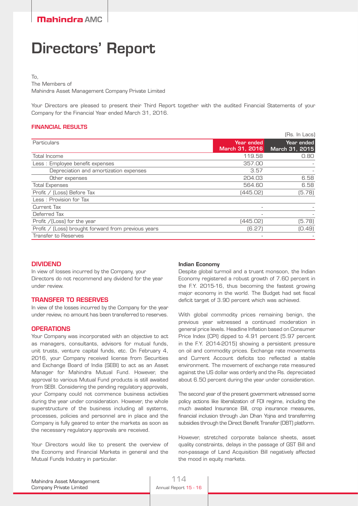### Directors' Report

To, The Members of Mahindra Asset Management Company Private Limited

Your Directors are pleased to present their Third Report together with the audited Financial Statements of your Company for the Financial Year ended March 31, 2016.

#### FINANCIAL RESULTS

|                                                     |                              | (Rs. In Lacs)                |
|-----------------------------------------------------|------------------------------|------------------------------|
| Particulars                                         | Year ended<br>March 31, 2016 | Year ended<br>March 31, 2015 |
| Total Income                                        | 119.58                       | 0.80                         |
| Less: Employee benefit expenses                     | 357.00                       |                              |
| Depreciation and amortization expenses              | 3.57                         |                              |
| Other expenses                                      | 204.03                       | 6.58                         |
| <b>Total Expenses</b>                               | 564.60                       | 6.58                         |
| Profit / (Loss) Before Tax                          | [445.02]                     | (5.78)                       |
| Less: Provision for Tax                             |                              |                              |
| Current Tax                                         | ٠                            |                              |
| Deferred Tax                                        |                              |                              |
| Profit /(Loss) for the year                         | [445.02]                     | (5.78)                       |
| Profit / (Loss) brought forward from previous years | (6.27)                       | [0.49]                       |
| Transfer to Reserves                                |                              |                              |

#### DIVIDEND

In view of losses incurred by the Company, your Directors do not recommend any dividend for the year under review.

#### TRANSFER TO RESERVES

In view of the losses incurred by the Company for the year under review, no amount has been transferred to reserves.

#### **OPERATIONS**

Your Company was incorporated with an objective to act as managers, consultants, advisors for mutual funds, unit trusts, venture capital funds, etc. On February 4, 2016, your Company received license from Securities and Exchange Board of India (SEBI) to act as an Asset Manager for Mahindra Mutual Fund. However, the approval to various Mutual Fund products is still awaited from SEBI. Considering the pending regulatory approvals, your Company could not commence business activities during the year under consideration. However, the whole superstructure of the business including all systems, processes, policies and personnel are in place and the Company is fully geared to enter the markets as soon as the necessary regulatory approvals are received.

Your Directors would like to present the overview of the Economy and Financial Markets in general and the Mutual Funds Industry in particular.

#### Indian Economy

Despite global turmoil and a truant monsoon, the Indian Economy registered a robust growth of 7.60 percent in the F.Y. 2015-16, thus becoming the fastest growing major economy in the world. The Budget had set fiscal deficit target of 3.90 percent which was achieved.

With global commodity prices remaining benign, the previous year witnessed a continued moderation in general price levels. Headline Inflation based on Consumer Price Index (CPI) dipped to 4.91 percent (5.97 percent in the F.Y. 2014-2015) showing a persistent pressure on oil and commodity prices. Exchange rate movements and Current Account deficits too reflected a stable environment. The movement of exchange rate measured against the US dollar was orderly and the Rs. depreciated about 6.50 percent during the year under consideration.

The second year of the present government witnessed some policy actions like liberalization of FDI regime, including the much awaited Insurance Bill, crop insurance measures, financial inclusion through Jan Dhan Yojna and transferring subsidies through the Direct Benefit Transfer (DBT) platform.

However, stretched corporate balance sheets, asset quality constraints, delays in the passage of GST Bill and non-passage of Land Acquisition Bill negatively affected the mood in equity markets.

| Mahindra Asset Management | 114                   |
|---------------------------|-----------------------|
| Company Private Limited   | Annual Report 15 - 16 |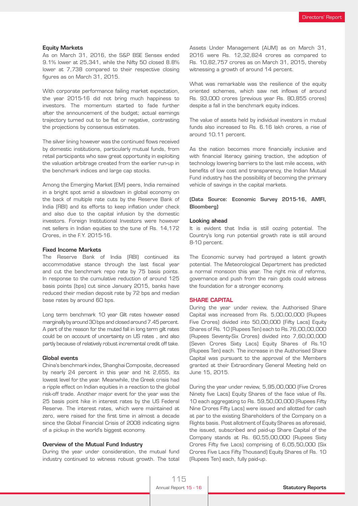#### Equity Markets

As on March 31, 2016, the S&P BSE Sensex ended 9.1% lower at 25,341, while the Nifty 50 closed 8.8% lower at 7,738 compared to their respective closing figures as on March 31, 2015.

With corporate performance failing market expectation, the year 2015-16 did not bring much happiness to investors. The momentum started to fade further after the announcement of the budget; actual earnings trajectory turned out to be flat or negative, contrasting the projections by consensus estimates.

The silver lining however was the continued flows received by domestic institutions, particularly mutual funds, from retail participants who saw great opportunity in exploiting the valuation arbitrage created from the earlier run-up in the benchmark indices and large cap stocks.

Among the Emerging Market (EM) peers, India remained in a bright spot amid a slowdown in global economy on the back of multiple rate cuts by the Reserve Bank of India (RBI) and its efforts to keep inflation under check and also due to the capital infusion by the domestic investors. Foreign Institutional Investors were however net sellers in Indian equities to the tune of Rs. 14,172 Crores, in the F.Y. 2015-16.

#### Fixed Income Markets

The Reserve Bank of India (RBI) continued its accommodative stance through the last fiscal year and cut the benchmark repo rate by 75 basis points. In response to the cumulative reduction of around 125 basis points (bps) cut since January 2015, banks have reduced their median deposit rate by 72 bps and median base rates by around 60 bps.

Long term benchmark 10 year Gilt rates however eased marginally by around 30 bps and closed around 7.45 percent. A part of the reason for the muted fall in long term gilt rates could be on account of uncertainty on US rates , and also partly because of relatively robust incremental credit off take.

#### Global events

China's benchmark index, Shanghai Composite, decreased by nearly 24 percent in this year and hit 2,655, its lowest level for the year. Meanwhile, the Greek crisis had a ripple effect on Indian equities in a reaction to the global risk-off trade. Another major event for the year was the 25 basis point hike in interest rates by the US Federal Reserve. The interest rates, which were maintained at zero, were raised for the first time in almost a decade since the Global Financial Crisis of 2008 indicating signs of a pickup in the world's biggest economy.

#### Overview of the Mutual Fund Industry

During the year under consideration, the mutual fund industry continued to witness robust growth. The total

Assets Under Management (AUM) as on March 31, 2016 were Rs. 12,32,824 crores as compared to Rs. 10,82,757 crores as on March 31, 2015, thereby witnessing a growth of around 14 percent.

What was remarkable was the resilience of the equity oriented schemes, which saw net inflows of around Rs. 93,000 crores (previous year Rs. 80,855 crores) despite a fall in the benchmark equity indices.

The value of assets held by individual investors in mutual funds also increased to Rs. 6.16 lakh crores, a rise of around 10.11 percent.

As the nation becomes more financially inclusive and with financial literacy gaining traction, the adoption of technology lowering barriers to the last mile access, with benefits of low cost and transparency, the Indian Mutual Fund industry has the possibility of becoming the primary vehicle of savings in the capital markets.

#### (Data Source: Economic Survey 2015-16, AMFI, Bloomberg)

#### Looking ahead

It is evident that India is still oozing potential. The Country's long run potential growth rate is still around 8-10 percent.

The Economic survey had portrayed a latent growth potential. The Meteorological Department has predicted a normal monsoon this year. The right mix of reforms, governance and push from the rain gods could witness the foundation for a stronger economy.

#### SHARE CAPITAL

During the year under review, the Authorised Share Capital was increased from Rs. 5,00,00,000 (Rupees Five Crores) divided into 50,00,000 (Fifty Lacs) Equity Shares of Rs. 10 (Rupees Ten) each to Rs.76,00,00,000 (Rupees Seventy-Six Crores) divided into 7,60,00,000 (Seven Crores Sixty Lacs) Equity Shares of Rs.10 (Rupees Ten) each. The increase in the Authorised Share Capital was pursuant to the approval of the Members granted at their Extraordinary General Meeting held on June 15, 2015.

During the year under review, 5,95,00,000 (Five Crores Ninety five Lacs) Equity Shares of the face value of Rs. 10 each aggregating to Rs. 59,50,00,000 (Rupees Fifty Nine Crores Fifty Lacs) were issued and allotted for cash at par to the existing Shareholders of the Company on a Rights basis. Post allotment of Equity Shares as aforesaid, the issued, subscribed and paid-up Share Capital of the Company stands at Rs. 60,55,00,000 (Rupees Sixty Crores Fifty five Lacs) comprising of 6,05,50,000 (Six Crores Five Lacs Fifty Thousand) Equity Shares of Rs. 10 (Rupees Ten) each, fully paid-up.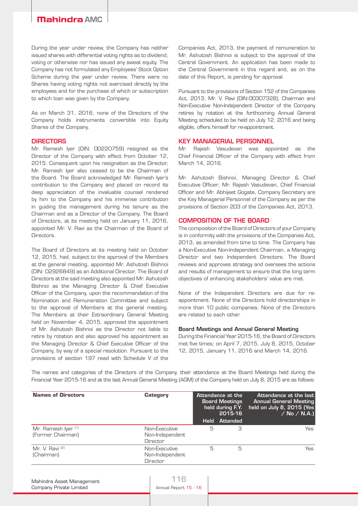During the year under review, the Company has neither issued shares with differential voting rights as to dividend, voting or otherwise nor has issued any sweat equity. The Company has not formulated any Employees' Stock Option Scheme during the year under review. There were no Shares having voting rights not exercised directly by the employees and for the purchase of which or subscription to which loan was given by the Company.

As on March 31, 2016, none of the Directors of the Company holds instruments convertible into Equity Shares of the Company.

#### **DIRECTORS**

Mr. Ramesh Iyer (DIN: 00220759) resigned as the Director of the Company with effect from October 12, 2015. Consequent upon his resignation as the Director, Mr. Ramesh Iyer also ceased to be the Chairman of the Board. The Board acknowledged Mr. Ramesh Iyer's contribution to the Company and placed on record its deep appreciation of the invaluable counsel rendered by him to the Company and his immense contribution in guiding the management during his tenure as the Chairman and as a Director of the Company. The Board of Directors, at its meeting held on January 11, 2016, appointed Mr. V. Ravi as the Chairman of the Board of Directors.

The Board of Directors at its meeting held on October 12, 2015, had, subject to the approval of the Members at the general meeting, appointed Mr. Ashutosh Bishnoi (DIN: 02926849) as an Additional Director. The Board of Directors at the said meeting also appointed Mr. Ashutosh Bishnoi as the Managing Director & Chief Executive Officer of the Company, upon the recommendation of the Nomination and Remuneration Committee and subject to the approval of Members at the general meeting. The Members at their Extraordinary General Meeting held on November 4, 2015, approved the appointment of Mr. Ashutosh Bishnoi as the Director not liable to retire by rotation and also approved his appointment as the Managing Director & Chief Executive Officer of the Company, by way of a special resolution. Pursuant to the provisions of section 197 read with Schedule V of the

Company Private Limited

Companies Act, 2013, the payment of remuneration to Mr. Ashutosh Bishnoi is subject to the approval of the Central Government. An application has been made to the Central Government in this regard and, as on the date of this Report, is pending for approval.

Pursuant to the provisions of Section 152 of the Companies Act, 2013, Mr. V. Ravi (DIN:00307328), Chairman and Non-Executive Non-Independent Director of the Company retires by rotation at the forthcoming Annual General Meeting scheduled to be held on July 12, 2016 and being eligible, offers himself for re-appointment.

#### KEY MANAGERIAL PERSONNEL

Mr. Rajesh Vasudevan was appointed as the Chief Financial Officer of the Company with effect from March 14, 2016.

Mr. Ashutosh Bishnoi, Managing Director & Chief Executive Officer; Mr. Rajesh Vasudevan, Chief Financial Officer and Mr. Abhijeet Gogate, Company Secretary are the Key Managerial Personnel of the Company as per the provisions of Section 203 of the Companies Act, 2013.

#### COMPOSITION OF THE BOARD

The composition of the Board of Directors of your Company is in conformity with the provisions of the Companies Act, 2013, as amended from time to time. The Company has a Non-Executive Non-Independent Chairman, a Managing Director and two Independent Directors. The Board reviews and approves strategy and oversees the actions and results of management to ensure that the long term objectives of enhancing stakeholders' value are met.

None of the Independent Directors are due for reappointment. None of the Directors hold directorships in more than 10 public companies. None of the Directors are related to each other.

#### Board Meetings and Annual General Meeting

During the Financial Year 2015-16, the Board of Directors met five times; on April 7, 2015, July 8, 2015, October 12, 2015, January 11, 2016 and March 14, 2016.

The names and categories of the Directors of the Company, their attendance at the Board Meetings held during the Financial Year 2015-16 and at the last Annual General Meeting (AGM) of the Company held on July 8, 2015 are as follows:

| <b>Names of Directors</b>                | <b>Category</b>                              |             | Attendance at the<br><b>Board Meetings</b><br>held during F.Y.<br>2015-16 | Attendance at the last<br><b>Annual General Meeting</b><br>held on July 8, 2015 (Yes<br>/ No / N.A.) |
|------------------------------------------|----------------------------------------------|-------------|---------------------------------------------------------------------------|------------------------------------------------------------------------------------------------------|
|                                          |                                              | <b>Held</b> | <b>Attended</b>                                                           |                                                                                                      |
| Mr. Ramesh lyer [1]<br>(Former Chairman) | Non-Executive<br>Non-Independent<br>Director | 5           | 3                                                                         | <b>Yes</b>                                                                                           |
| Mr. V. Ravi <sup>(2)</sup><br>(Chairman) | Non-Executive<br>Non-Independent<br>Director |             | 5                                                                         | <b>Yes</b>                                                                                           |
| Mahindra Asset Management                | 116                                          |             |                                                                           |                                                                                                      |

Annual Report 15 - 16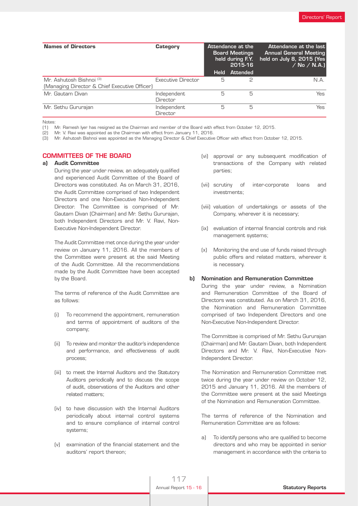| <b>Names of Directors</b>                                                            | <b>Category</b>         | Attendance at the<br><b>Board Meetings</b><br>held during F.Y.<br>2015-16 |          | Attendance at the last<br><b>Annual General Meeting</b><br>held on July 8, 2015 (Yes<br>$\angle$ No $\angle$ N.A.) |  |
|--------------------------------------------------------------------------------------|-------------------------|---------------------------------------------------------------------------|----------|--------------------------------------------------------------------------------------------------------------------|--|
|                                                                                      |                         | <b>Held</b>                                                               | Attended |                                                                                                                    |  |
| Mr. Ashutosh Bishnoi <sup>(3)</sup><br>(Managing Director & Chief Executive Officer) | Executive Director      | 5                                                                         | P        | N.A.                                                                                                               |  |
| Mr. Gautam Divan                                                                     | Independent<br>Director | 5                                                                         | 5        | <b>Yes</b>                                                                                                         |  |
| Mr. Sethu Gururajan                                                                  | Independent<br>Director | 5                                                                         | 5        | <b>Yes</b>                                                                                                         |  |

Notes:<br>(1) |

(1) Mr. Ramesh Iyer has resigned as the Chairman and member of the Board with effect from October 12, 2015.

(2) Mr. V. Ravi was appointed as the Chairman with effect from January 11, 2016.

(3) Mr. Ashutosh Bishnoi was appointed as the Managing Director & Chief Executive Officer with effect from October 12, 2015.

#### COMMITTEES OF THE BOARD

#### a) Audit Committee

 During the year under review, an adequately qualified and experienced Audit Committee of the Board of Directors was constituted. As on March 31, 2016, the Audit Committee comprised of two Independent Directors and one Non-Executive Non-Independent Director. The Committee is comprised of Mr. Gautam Divan (Chairman) and Mr. Sethu Gururajan, both Independent Directors and Mr. V. Ravi, Non-Executive Non-Independent Director.

 The Audit Committee met once during the year under review on January 11, 2016. All the members of the Committee were present at the said Meeting of the Audit Committee. All the recommendations made by the Audit Committee have been accepted by the Board.

 The terms of reference of the Audit Committee are as follows:

- (i) To recommend the appointment, remuneration and terms of appointment of auditors of the company;
- (ii) To review and monitor the auditor's independence and performance, and effectiveness of audit process;
- (iii) to meet the Internal Auditors and the Statutory Auditors periodically and to discuss the scope of audit, observations of the Auditors and other related matters;
- (iv) to have discussion with the Internal Auditors periodically about internal control systems and to ensure compliance of internal control systems;
- (v) examination of the financial statement and the auditors' report thereon;
- (vi) approval or any subsequent modification of transactions of the Company with related parties;
- (vii) scrutiny of inter-corporate loans and investments;
- (viii) valuation of undertakings or assets of the Company, wherever it is necessary;
- (ix) evaluation of internal financial controls and risk management systems;
- (x) Monitoring the end use of funds raised through public offers and related matters, wherever it is necessary.

#### b) Nomination and Remuneration Committee

 During the year under review, a Nomination and Remuneration Committee of the Board of Directors was constituted. As on March 31, 2016, the Nomination and Remuneration Committee comprised of two Independent Directors and one Non-Executive Non-Independent Director.

 The Committee is comprised of Mr. Sethu Gururajan (Chairman) and Mr. Gautam Divan, both Independent Directors and Mr. V. Ravi, Non-Executive Non-Independent Director.

 The Nomination and Remuneration Committee met twice during the year under review on October 12, 2015 and January 11, 2016. All the members of the Committee were present at the said Meetings of the Nomination and Remuneration Committee.

 The terms of reference of the Nomination and Remuneration Committee are as follows:

a) To identify persons who are qualified to become directors and who may be appointed in senior management in accordance with the criteria to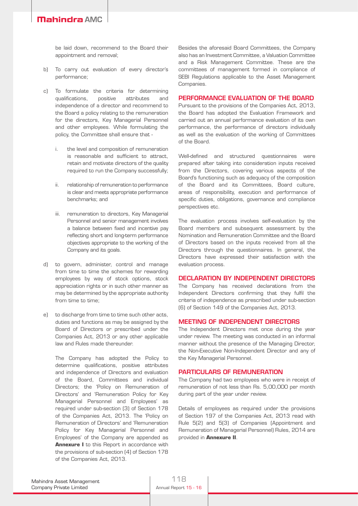be laid down, recommend to the Board their appointment and removal;

- b) To carry out evaluation of every director's performance;
- c) To formulate the criteria for determining qualifications, positive attributes and independence of a director and recommend to the Board a policy relating to the remuneration for the directors, Key Managerial Personnel and other employees. While formulating the policy, the Committee shall ensure that
	- i. the level and composition of remuneration is reasonable and sufficient to attract, retain and motivate directors of the quality required to run the Company successfully;
	- ii. relationship of remuneration to performance is clear and meets appropriate performance benchmarks; and
	- iii. remuneration to directors, Key Managerial Personnel and senior management involves a balance between fixed and incentive pay reflecting short and long-term performance objectives appropriate to the working of the Company and its goals.
- d) to govern, administer, control and manage from time to time the schemes for rewarding employees by way of stock options, stock appreciation rights or in such other manner as may be determined by the appropriate authority from time to time;
- e) to discharge from time to time such other acts, duties and functions as may be assigned by the Board of Directors or prescribed under the Companies Act, 2013 or any other applicable law and Rules made thereunder.

 The Company has adopted the Policy to determine qualifications, positive attributes and independence of Directors and evaluation of the Board, Committees and individual Directors; the 'Policy on Remuneration of Directors' and 'Remuneration Policy for Key Managerial Personnel and Employees' as required under sub-section (3) of Section 178 of the Companies Act, 2013. The 'Policy on Remuneration of Directors' and 'Remuneration Policy for Key Managerial Personnel and Employees' of the Company are appended as **Annexure I** to this Report in accordance with the provisions of sub-section (4) of Section 178 of the Companies Act, 2013.

Besides the aforesaid Board Committees, the Company also has an Investment Committee, a Valuation Committee and a Risk Management Committee. These are the committees of management formed in compliance of SEBI Regulations applicable to the Asset Management Companies.

#### PERFORMANCE EVALUATION OF THE BOARD

Pursuant to the provisions of the Companies Act, 2013, the Board has adopted the Evaluation Framework and carried out an annual performance evaluation of its own performance, the performance of directors individually as well as the evaluation of the working of Committees of the Board.

Well-defined and structured questionnaires were prepared after taking into consideration inputs received from the Directors, covering various aspects of the Board's functioning such as adequacy of the composition of the Board and its Committees, Board culture, areas of responsibility, execution and performance of specific duties, obligations, governance and compliance perspectives etc.

The evaluation process involves self-evaluation by the Board members and subsequent assessment by the Nomination and Remuneration Committee and the Board of Directors based on the inputs received from all the Directors through the questionnaires. In general, the Directors have expressed their satisfaction with the evaluation process.

#### DECLARATION BY INDEPENDENT DIRECTORS

The Company has received declarations from the Independent Directors confirming that they fulfil the criteria of independence as prescribed under sub-section (6) of Section 149 of the Companies Act, 2013.

#### MEETING OF INDEPENDENT DIRECTORS

The Independent Directors met once during the year under review. The meeting was conducted in an informal manner without the presence of the Managing Director, the Non-Executive Non-Independent Director and any of the Key Managerial Personnel.

#### PARTICULARS OF REMUNERATION

The Company had two employees who were in receipt of remuneration of not less than Rs. 5,00,000 per month during part of the year under review.

Details of employees as required under the provisions of Section 197 of the Companies Act, 2013 read with Rule 5(2) and 5(3) of Companies (Appointment and Remuneration of Managerial Personnel) Rules, 2014 are provided in **Annexure II**.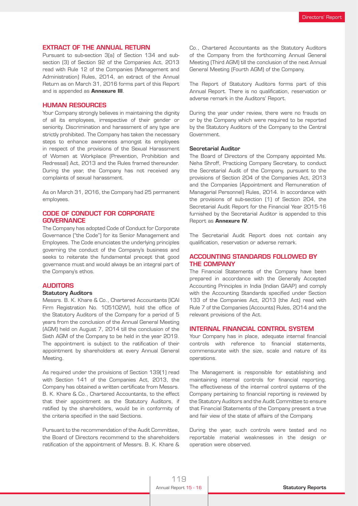#### EXTRACT OF THE ANNUAL RETURN

Pursuant to sub-section 3(a) of Section 134 and subsection (3) of Section 92 of the Companies Act, 2013 read with Rule 12 of the Companies (Management and Administration) Rules, 2014, an extract of the Annual Return as on March 31, 2016 forms part of this Report and is appended as **Annexure III**.

#### HUMAN RESOURCES

Your Company strongly believes in maintaining the dignity of all its employees, irrespective of their gender or seniority. Discrimination and harassment of any type are strictly prohibited. The Company has taken the necessary steps to enhance awareness amongst its employees in respect of the provisions of the Sexual Harassment of Women at Workplace (Prevention, Prohibition and Redressal) Act, 2013 and the Rules framed thereunder. During the year, the Company has not received any complaints of sexual harassment.

As on March 31, 2016, the Company had 25 permanent employees.

#### CODE OF CONDUCT FOR CORPORATE **GOVERNANCE**

The Company has adopted Code of Conduct for Corporate Governance ("the Code") for its Senior Management and Employees. The Code enunciates the underlying principles governing the conduct of the Company's business and seeks to reiterate the fundamental precept that good governance must and would always be an integral part of the Company's ethos.

#### AUDITORS

#### Statutory Auditors

Messrs. B. K. Khare & Co., Chartered Accountants [ICAI Firm Registration No. 105102W], hold the office of the Statutory Auditors of the Company for a period of 5 years from the conclusion of the Annual General Meeting (AGM) held on August 7, 2014 till the conclusion of the Sixth AGM of the Company to be held in the year 2019. The appointment is subject to the ratification of their appointment by shareholders at every Annual General Meeting.

As required under the provisions of Section 139(1) read with Section 141 of the Companies Act, 2013, the Company has obtained a written certificate from Messrs. B. K. Khare & Co., Chartered Accountants, to the effect that their appointment as the Statutory Auditors, if ratified by the shareholders, would be in conformity of the criteria specified in the said Sections.

Pursuant to the recommendation of the Audit Committee, the Board of Directors recommend to the shareholders ratification of the appointment of Messrs. B. K. Khare &

Co., Chartered Accountants as the Statutory Auditors of the Company from the forthcoming Annual General Meeting (Third AGM) till the conclusion of the next Annual General Meeting (Fourth AGM) of the Company.

The Report of Statutory Auditors forms part of this Annual Report. There is no qualification, reservation or adverse remark in the Auditors' Report.

During the year under review, there were no frauds on or by the Company which were required to be reported by the Statutory Auditors of the Company to the Central Government.

#### Secretarial Auditor

The Board of Directors of the Company appointed Ms. Neha Shroff, Practicing Company Secretary, to conduct the Secretarial Audit of the Company, pursuant to the provisions of Section 204 of the Companies Act, 2013 and the Companies (Appointment and Remuneration of Managerial Personnel) Rules, 2014. In accordance with the provisions of sub-section (1) of Section 204, the Secretarial Audit Report for the Financial Year 2015-16 furnished by the Secretarial Auditor is appended to this Report as **Annexure IV**.

The Secretarial Audit Report does not contain any qualification, reservation or adverse remark.

#### ACCOUNTING STANDARDS FOLLOWED BY THE COMPANY

The Financial Statements of the Company have been prepared in accordance with the Generally Accepted Accounting Principles in India (Indian GAAP) and comply with the Accounting Standards specified under Section 133 of the Companies Act, 2013 (the Act) read with Rule 7 of the Companies (Accounts) Rules, 2014 and the relevant provisions of the Act.

#### INTERNAL FINANCIAL CONTROL SYSTEM

Your Company has in place, adequate internal financial controls with reference to financial statements, commensurate with the size, scale and nature of its operations.

The Management is responsible for establishing and maintaining internal controls for financial reporting. The effectiveness of the internal control systems of the Company pertaining to financial reporting is reviewed by the Statutory Auditors and the Audit Committee to ensure that Financial Statements of the Company present a true and fair view of the state of affairs of the Company.

During the year, such controls were tested and no reportable material weaknesses in the design or operation were observed.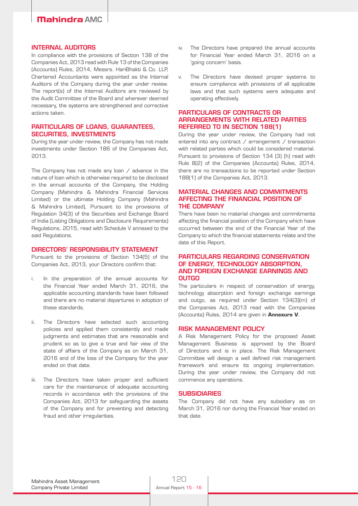#### INTERNAL AUDITORS

In compliance with the provisions of Section 138 of the Companies Act, 2013 read with Rule 13 of the Companies (Accounts) Rules, 2014, Messrs. HariBhakti & Co. LLP, Chartered Accountants were appointed as the Internal Auditors of the Company during the year under review. The report(s) of the Internal Auditors are reviewed by the Audit Committee of the Board and wherever deemed necessary, the systems are strengthened and corrective actions taken.

#### PARTICULARS OF LOANS, GUARANTEES, SECURITIES, INVESTMENTS

During the year under review, the Company has not made investments under Section 186 of the Companies Act, 2013.

The Company has not made any loan / advance in the nature of loan which is otherwise required to be disclosed in the annual accounts of the Company, the Holding Company (Mahindra & Mahindra Financial Services Limited) or the ultimate Holding Company (Mahindra & Mahindra Limited), Pursuant to the provisions of Regulation 34(3) of the Securities and Exchange Board of India (Listing Obligations and Disclosure Requirements) Regulations, 2015, read with Schedule V annexed to the said Regulations.

#### DIRECTORS' RESPONSIBILITY STATEMENT

Pursuant to the provisions of Section 134(5) of the Companies Act, 2013, your Directors confirm that:

- i. In the preparation of the annual accounts for the Financial Year ended March 31, 2016, the applicable accounting standards have been followed and there are no material departures in adoption of these standards.
- ii. The Directors have selected such accounting policies and applied them consistently and made judgments and estimates that are reasonable and prudent so as to give a true and fair view of the state of affairs of the Company as on March 31, 2016 and of the loss of the Company for the year ended on that date.
- iii. The Directors have taken proper and sufficient care for the maintenance of adequate accounting records in accordance with the provisions of the Companies Act, 2013 for safeguarding the assets of the Company and for preventing and detecting fraud and other irregularities.
- iv. The Directors have prepared the annual accounts for Financial Year ended March 31, 2016 on a 'going concern' basis.
- v. The Directors have devised proper systems to ensure compliance with provisions of all applicable laws and that such systems were adequate and operating effectively.

#### PARTICULARS OF CONTRACTS OR ARRANGEMENTS WITH RELATED PARTIES REFERRED TO IN SECTION 188(1)

During the year under review, the Company had not entered into any contract / arrangement / transaction with related parties which could be considered material. Pursuant to provisions of Section 134 (3) (h) read with Rule 8(2) of the Companies (Accounts) Rules, 2014, there are no transactions to be reported under Section 188(1) of the Companies Act, 2013.

#### MATERIAL CHANGES AND COMMITMENTS AFFECTING THE FINANCIAL POSITION OF THE COMPANY

There have been no material changes and commitments affecting the financial position of the Company which have occurred between the end of the Financial Year of the Company to which the financial statements relate and the date of this Report.

#### PARTICULARS REGARDING CONSERVATION OF ENERGY, TECHNOLOGY ABSORPTION, AND FOREIGN EXCHANGE EARNINGS AND **OUTGO**

The particulars in respect of conservation of energy, technology absorption and foreign exchange earnings and outgo, as required under Section 134(3)(m) of the Companies Act, 2013 read with the Companies (Accounts) Rules, 2014 are given in **Annexure V**.

#### RISK MANAGEMENT POLICY

A Risk Management Policy for the proposed Asset Management Business is approved by the Board of Directors and is in place. The Risk Management Committee will design a well defined risk management framework and ensure its ongoing implementation. During the year under review, the Company did not commence any operations.

#### **SUBSIDIARIES**

The Company did not have any subsidiary as on March 31, 2016 nor during the Financial Year ended on that date.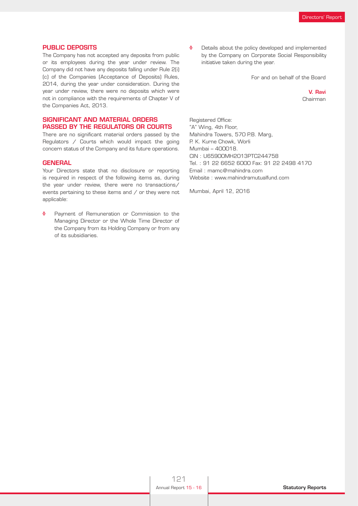#### PUBLIC DEPOSITS

The Company has not accepted any deposits from public or its employees during the year under review. The Company did not have any deposits falling under Rule 2(i) (c) of the Companies (Acceptance of Deposits) Rules, 2014, during the year under consideration. During the year under review, there were no deposits which were not in compliance with the requirements of Chapter V of the Companies Act, 2013.

#### SIGNIFICANT AND MATERIAL ORDERS PASSED BY THE REGULATORS OR COURTS

There are no significant material orders passed by the Regulators / Courts which would impact the going concern status of the Company and its future operations.

#### **GENERAL**

Your Directors state that no disclosure or reporting is required in respect of the following items as, during the year under review, there were no transactions/ events pertaining to these items and / or they were not applicable:

**EXECUTE:** Payment of Remuneration or Commission to the Managing Director or the Whole Time Director of the Company from its Holding Company or from any of its subsidiaries.

**EXECUTE:** Details about the policy developed and implemented by the Company on Corporate Social Responsibility initiative taken during the year.

For and on behalf of the Board

V. Ravi Chairman

Registered Office: "A" Wing, 4th Floor, Mahindra Towers, 570 P.B. Marg, P. K. Kurne Chowk, Worli Mumbai – 400018. CIN : U65900MH2013PTC244758 Tel. : 91 22 6652 6000 Fax: 91 22 2498 4170 Email : mamc@mahindra.com Website : www.mahindramutualfund.com

Mumbai, April 12, 2016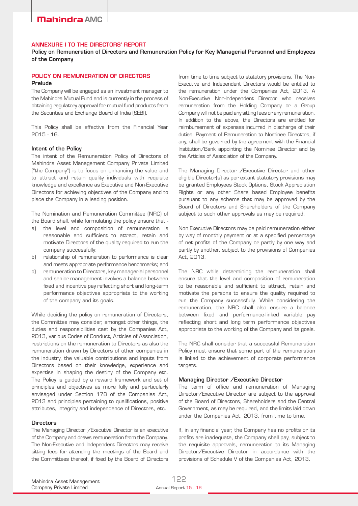#### ANNEXURE I TO THE DIRECTORS' REPORT

Policy on Remuneration of Directors and Remuneration Policy for Key Managerial Personnel and Employees of the Company

### POLICY ON REMUNERATION OF DIRECTORS

### Prelude

The Company will be engaged as an investment manager to the Mahindra Mutual Fund and is currently in the process of obtaining regulatory approval for mutual fund products from the Securities and Exchange Board of India (SEBI).

This Policy shall be effective from the Financial Year 2015 - 16.

#### Intent of the Policy

The intent of the Remuneration Policy of Directors of Mahindra Asset Management Company Private Limited ("the Company") is to focus on enhancing the value and to attract and retain quality individuals with requisite knowledge and excellence as Executive and Non-Executive Directors for achieving objectives of the Company and to place the Company in a leading position.

The Nomination and Remuneration Committee (NRC) of the Board shall, while formulating the policy ensure that -

- a) the level and composition of remuneration is reasonable and sufficient to attract, retain and motivate Directors of the quality required to run the company successfully;
- b) relationship of remuneration to performance is clear and meets appropriate performance benchmarks; and
- c) remuneration to Directors, key managerial personnel and senior management involves a balance between fixed and incentive pay reflecting short and long-term performance objectives appropriate to the working of the company and its goals.

While deciding the policy on remuneration of Directors, the Committee may consider, amongst other things, the duties and responsibilities cast by the Companies Act, 2013, various Codes of Conduct, Articles of Association, restrictions on the remuneration to Directors as also the remuneration drawn by Directors of other companies in the industry, the valuable contributions and inputs from Directors based on their knowledge, experience and expertise in shaping the destiny of the Company etc. The Policy is guided by a reward framework and set of principles and objectives as more fully and particularly envisaged under Section 178 of the Companies Act, 2013 and principles pertaining to qualifications, positive attributes, integrity and independence of Directors, etc.

#### **Directors**

The Managing Director /Executive Director is an executive of the Company and draws remuneration from the Company. The Non-Executive and Independent Directors may receive sitting fees for attending the meetings of the Board and the Committees thereof, if fixed by the Board of Directors

from time to time subject to statutory provisions. The Non-Executive and Independent Directors would be entitled to the remuneration under the Companies Act, 2013. A Non-Executive Non-Independent Director who receives remuneration from the Holding Company or a Group Company will not be paid any sitting fees or any remuneration. In addition to the above, the Directors are entitled for reimbursement of expenses incurred in discharge of their duties. Payment of Remuneration to Nominee Directors, if any, shall be governed by the agreement with the Financial Institution/Bank appointing the Nominee Director and by the Articles of Association of the Company.

The Managing Director /Executive Director and other eligible Director(s) as per extant statutory provisions may be granted Employees Stock Options, Stock Appreciation Rights or any other Share based Employee benefits pursuant to any scheme that may be approved by the Board of Directors and Shareholders of the Company subject to such other approvals as may be required.

Non Executive Directors may be paid remuneration either by way of monthly payment or at a specified percentage of net profits of the Company or partly by one way and partly by another, subject to the provisions of Companies Act, 2013.

The NRC while determining the remuneration shall ensure that the level and composition of remuneration to be reasonable and sufficient to attract, retain and motivate the persons to ensure the quality required to run the Company successfully. While considering the remuneration, the NRC shall also ensure a balance between fixed and performance-linked variable pay reflecting short and long term performance objectives appropriate to the working of the Company and its goals.

The NRC shall consider that a successful Remuneration Policy must ensure that some part of the remuneration is linked to the achievement of corporate performance targets.

#### Managing Director /Executive Director

The term of office and remuneration of Managing Director/Executive Director are subject to the approval of the Board of Directors, Shareholders and the Central Government, as may be required, and the limits laid down under the Companies Act, 2013, from time to time.

If, in any financial year, the Company has no profits or its profits are inadequate, the Company shall pay, subject to the requisite approvals, remuneration to its Managing Director/Executive Director in accordance with the provisions of Schedule V of the Companies Act, 2013.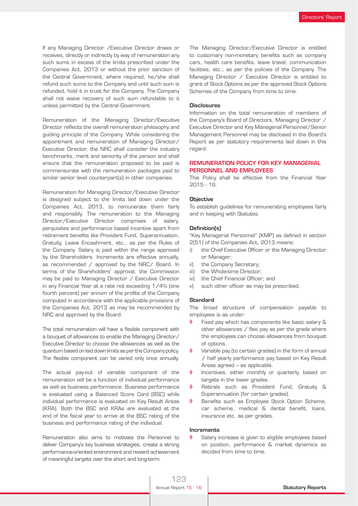If any Managing Director /Executive Director draws or receives, directly or indirectly by way of remuneration any such sums in excess of the limits prescribed under the Companies Act, 2013 or without the prior sanction of the Central Government, where required, he/she shall refund such sums to the Company and until such sum is refunded, hold it in trust for the Company. The Company shall not waive recovery of such sum refundable to it unless permitted by the Central Government.

Remuneration of the Managing Director/Executive Director reflects the overall remuneration philosophy and guiding principle of the Company. While considering the appointment and remuneration of Managing Director/ Executive Director, the NRC shall consider the industry benchmarks, merit and seniority of the person and shall ensure that the remuneration proposed to be paid is commensurate with the remuneration packages paid to similar senior level counterpart(s) in other companies.

Remuneration for Managing Director/Executive Director is designed subject to the limits laid down under the Companies Act, 2013, to remunerate them fairly and responsibly. The remuneration to the Managing Director/Executive Director comprises of salary, perquisites and performance based incentive apart from retirement benefits like Provident Fund, Superannuation, Gratuity, Leave Encashment, etc., as per the Rules of the Company. Salary is paid within the range approved by the Shareholders. Increments are effective annually, as recommended / approved by the NRC/ Board. In terms of the Shareholders' approval, the Commission may be paid to Managing Director / Executive Director in any Financial Year at a rate not exceeding 1/4% (one fourth percent) per annum of the profits of the Company computed in accordance with the applicable provisions of the Companies Act, 2013 as may be recommended by NRC and approved by the Board.

The total remuneration will have a flexible component with a bouquet of allowances to enable the Managing Director/ Executive Director to choose the allowances as well as the quantum based on laid down limits as per the Company policy. The flexible component can be varied only once annually.

The actual pay-out of variable component of the remuneration will be a function of individual performance as well as business performance. Business performance is evaluated using a Balanced Score Card (BSC) while individual performance is evaluated on Key Result Areas (KRA). Both the BSC and KRAs are evaluated at the end of the fiscal year to arrive at the BSC rating of the business and performance rating of the individual.

Remuneration also aims to motivate the Personnel to deliver Company's key business strategies, create a strong performance-oriented environment and reward achievement of meaningful targets over the short and long-term.

The Managing Director/Executive Director is entitled to customary non-monetary benefits such as company cars, health care benefits, leave travel, communication facilities, etc., as per the policies of the Company. The Managing Director / Executive Director is entitled to grant of Stock Options as per the approved Stock Options Schemes of the Company from time to time.

#### **Disclosures**

Information on the total remuneration of members of the Company's Board of Directors, Managing Director / Executive Director and Key Managerial Personnel/Senior Management Personnel may be disclosed in the Board's Report as per statutory requirements laid down in this regard.

#### REMUNERATION POLICY FOR KEY MANAGERIAL PERSONNEL AND EMPLOYEES

This Policy shall be effective from the Financial Year 2015 - 16.

#### **Objective**

To establish guidelines for remunerating employees fairly and in keeping with Statutes.

#### Definition(s)

"Key Managerial Personnel" (KMP) as defined in section 2(51) of the Companies Act, 2013 means:

- i) the Chief Executive Officer or the Managing Director or Manager;
- ii) the Company Secretary;
- iii) the Whole-time Director;
- iv) the Chief Financial Officer; and
- v) such other officer as may be prescribed.

#### **Standard**

The broad structure of compensation payable to employees is as under:

- Fixed pay which has components like basic salary & other allowances / flexi pay as per the grade where the employees can choose allowances from bouquet of options.
- $\Diamond$  Variable pay (to certain grades) in the form of annual / half yearly performance pay based on Key Result Areas agreed – as applicable.
- $\Diamond$  Incentives, either monthly or quarterly, based on targets in the lower grades.
- **Example 13 Start** as Provident Fund, Gratuity & Superannuation (for certain grades).
- Benefits such as Employee Stock Option Scheme, car scheme, medical & dental benefit, loans, insurance etc. as per grades.

#### Increments

Salary increase is given to eligible employees based on position, performance & market dynamics as decided from time to time.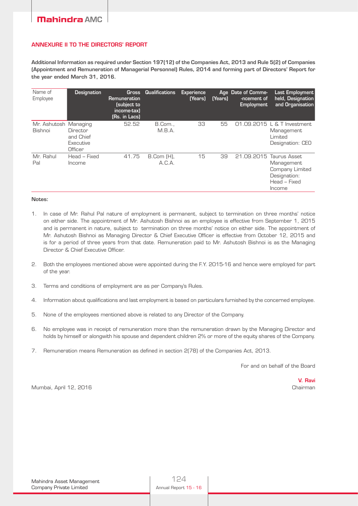### **Mahindra** AMC

#### ANNEXURE II TO THE DIRECTORS' REPORT

Additional Information as required under Section 197(12) of the Companies Act, 2013 and Rule 5(2) of Companies (Appointment and Remuneration of Managerial Personnel) Rules, 2014 and forming part of Directors' Report for the year ended March 31, 2016.

| Name of<br>Employee              | <b>Designation</b>                            | <b>Gross</b><br>Remuneration<br>(subject to<br>income-tax)<br>(Rs. in Lacs) | <b>Qualifications</b> | <b>Experience</b><br>(Years) | (Years) | Age Date of Comme-<br>-ncement of<br><b>Employment</b> | Last Employment<br>held, Designation<br>and Organisation                                           |
|----------------------------------|-----------------------------------------------|-----------------------------------------------------------------------------|-----------------------|------------------------------|---------|--------------------------------------------------------|----------------------------------------------------------------------------------------------------|
| Mr. Ashutosh Managing<br>Bishnoi | Director<br>and Chief<br>Executive<br>Officer | 52.52                                                                       | B.Com.,<br>M.B.A.     | 33                           | 55      | 01.09.2015                                             | L & T Investment<br>Management<br>Limited<br>Designation: CEO                                      |
| Mr. Rahul<br>Pal                 | Head - Fixed<br>Income                        | 41.75                                                                       | B.Com (H),<br>A.C.A.  | 15                           | 39      |                                                        | 21.09.2015 Taurus Asset<br>Management<br>Company Limited<br>Designation:<br>Head - Fixed<br>Income |

#### Notes:

- 1. In case of Mr. Rahul Pal nature of employment is permanent, subject to termination on three months' notice on either side. The appointment of Mr. Ashutosh Bishnoi as an employee is effective from September 1, 2015 and is permanent in nature, subject to termination on three months' notice on either side. The appointment of Mr. Ashutosh Bishnoi as Managing Director & Chief Executive Officer is effective from October 12, 2015 and is for a period of three years from that date. Remuneration paid to Mr. Ashutosh Bishnoi is as the Managing Director & Chief Executive Officer.
- 2. Both the employees mentioned above were appointed during the F.Y. 2015-16 and hence were employed for part of the year.
- 3. Terms and conditions of employment are as per Company's Rules.
- 4. Information about qualifications and last employment is based on particulars furnished by the concerned employee.
- 5. None of the employees mentioned above is related to any Director of the Company.
- 6. No employee was in receipt of remuneration more than the remuneration drawn by the Managing Director and holds by himself or alongwith his spouse and dependent children 2% or more of the equity shares of the Company.
- 7. Remuneration means Remuneration as defined in section 2(78) of the Companies Act, 2013.

For and on behalf of the Board

Mumbai, April 12, 2016 Chairman

V. Ravi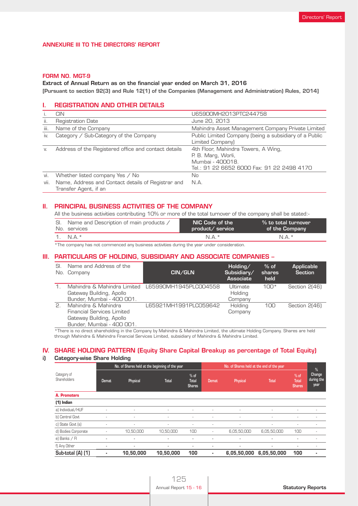#### ANNEXURE III TO THE DIRECTORS' REPORT

#### FORM NO. MGT-9

#### Extract of Annual Return as on the financial year ended on March 31, 2016

[Pursuant to section 92(3) and Rule 12(1) of the Companies (Management and Administration) Rules, 2014]

#### I. REGISTRATION AND OTHER DETAILS

|      | CIN                                                                         | U65900MH2013PTC244758                                                                                                       |
|------|-----------------------------------------------------------------------------|-----------------------------------------------------------------------------------------------------------------------------|
| ii.  | Registration Date                                                           | June 20, 2013                                                                                                               |
| iii. | Name of the Company                                                         | Mahindra Asset Management Company Private Limited                                                                           |
| IV.  | Category / Sub-Category of the Company                                      | Public Limited Company (being a subsidiary of a Public<br>Limited Company)                                                  |
| V.   | Address of the Registered office and contact details                        | 4th Floor, Mahindra Towers, A Wing,<br>P. B. Marg, Worli,<br>Mumbai - 400018.<br>Tel.: 91 22 6652 6000 Fax: 91 22 2498 4170 |
| Vİ.  | Whether listed company Yes / No                                             | No                                                                                                                          |
| VII. | Name, Address and Contact details of Registrar and<br>Transfer Agent, if an | N.A.                                                                                                                        |

#### II. PRINCIPAL BUSINESS ACTIVITIES OF THE COMPANY

All the business activities contributing 10% or more of the total turnover of the company shall be stated:-

| SI. | Name and Description of main products / | NIC Code of the | $%$ to total turnover |
|-----|-----------------------------------------|-----------------|-----------------------|
|     | No. services                            | product/service | of the Company        |
|     | 1 $N.A.*$                               | $N.A.*$         | $N.A.*$               |

\*The company has not commenced any business activities during the year under consideration.

#### III. PARTICULARS OF HOLDING, SUBSIDIARY AND ASSOCIATE COMPANIES –

| SI. | Name and Address of the<br>No. Company                                                                            | CIN/GLN               | Holding/<br>Subsidiary/<br>Associate | $%$ of<br>shares<br>held | <b>Applicable</b><br><b>Section</b> |
|-----|-------------------------------------------------------------------------------------------------------------------|-----------------------|--------------------------------------|--------------------------|-------------------------------------|
|     | Mahindra & Mahindra Limited<br>Gateway Building, Apollo<br>Bunder, Mumbai - 400 001.                              | 165990MH1945PLC004558 | Ultimate<br>Holding<br>Company       | $100*$                   | Section 2(46)                       |
| 2.  | Mahindra & Mahindra<br><b>Financial Services Limited</b><br>Gateway Building, Apollo<br>Bunder, Mumbai - 400 001. | L65921MH1991PLC059642 | Holding<br>Company                   | 100                      | Section 2(46)                       |

 \*There is no direct shareholding in the Company by Mahindra & Mahindra Limited, the ultimate Holding Company. Shares are held through Mahindra & Mahindra Financial Services Limited, subsidiary of Mahindra & Mahindra Limited.

#### IV. SHARE HOLDING PATTERN (Equity Share Capital Breakup as percentage of Total Equity)

#### i) Category-wise Share Holding

|                             | No. of Shares held at the beginning of the year |           |                                                  |     | No. of Shares held at the end of the year |                          |                          |                                  |                                                      |
|-----------------------------|-------------------------------------------------|-----------|--------------------------------------------------|-----|-------------------------------------------|--------------------------|--------------------------|----------------------------------|------------------------------------------------------|
| Category of<br>Shareholders | Physical<br><b>Demat</b>                        |           | $%$ of<br>Total<br><b>Total</b><br><b>Shares</b> |     | <b>Demat</b>                              | Physical                 | <b>Total</b>             | $%$ of<br>Total<br><b>Shares</b> | $\frac{0}{2}$<br><b>Change</b><br>during the<br>year |
| A. Promoters                |                                                 |           |                                                  |     |                                           |                          |                          |                                  |                                                      |
| (1) Indian                  |                                                 |           |                                                  |     |                                           |                          |                          |                                  |                                                      |
| a) Individual/HUF           | $\overline{\phantom{a}}$                        | ٠         | ٠                                                | ٠   | $\overline{\phantom{a}}$                  | $\sim$                   | $\overline{\phantom{a}}$ |                                  | ۰                                                    |
| b) Central Govt             | $\overline{\phantom{a}}$                        | ٠         | ٠                                                | ٠   |                                           | $\overline{\phantom{a}}$ |                          |                                  |                                                      |
| c) State Govt (s)           | $\overline{\phantom{a}}$                        | ٠         | ٠                                                | ٠   | $\overline{\phantom{a}}$                  | $\sim$                   | $\sim$                   | $\overline{\phantom{a}}$         | ۰                                                    |
| d) Bodies Corporate         |                                                 | 10,50,000 | 10,50,000                                        | 100 | ٠                                         | 6,05,50,000              | 6,05,50,000              | 100                              | ٠                                                    |
| e) Banks / Fl               | ٠                                               | ٠         | $\overline{\phantom{a}}$                         | ٠   | $\overline{\phantom{a}}$                  | $\overline{\phantom{a}}$ |                          |                                  | ٠                                                    |
| f) Any Other                | $\overline{\phantom{a}}$                        | ۰         | ۰                                                | ٠   | $\overline{\phantom{a}}$                  |                          |                          |                                  | ٠                                                    |
| Sub-total (A) (1)           | $\blacksquare$                                  | 10,50,000 | 10,50,000                                        | 100 | ٠                                         | 6.05.50.000              | 6.05.50.000              | 100                              |                                                      |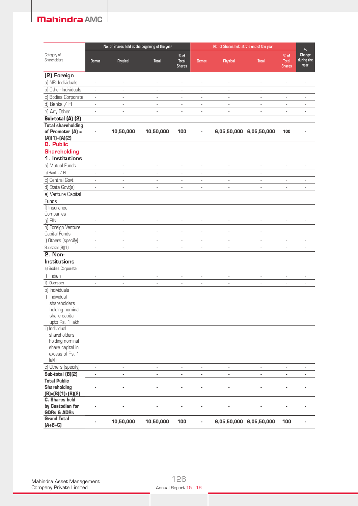### **Mahindra** AMC

 $\overline{\phantom{a}}$ 

|                                                                                                  |                          | No. of Shares held at the beginning of the year |                          |                                         | No. of Shares held at the end of the year |                          |                          |                                       | $\%$                         |
|--------------------------------------------------------------------------------------------------|--------------------------|-------------------------------------------------|--------------------------|-----------------------------------------|-------------------------------------------|--------------------------|--------------------------|---------------------------------------|------------------------------|
| Category of<br>Shareholders                                                                      | Demat                    | Physical                                        | <b>Total</b>             | $%$ of<br><b>Total</b><br><b>Shares</b> | <b>Demat</b>                              | <b>Physical</b>          | <b>Total</b>             | % of<br><b>Total</b><br><b>Shares</b> | Change<br>during the<br>year |
| (2) Foreign                                                                                      |                          |                                                 |                          |                                         |                                           |                          |                          |                                       |                              |
| a) NRI Individuals                                                                               | $\overline{\phantom{a}}$ | $\blacksquare$                                  | ÷,                       | $\blacksquare$                          | ÷,                                        | $\overline{\phantom{a}}$ | ÷,                       | ÷,                                    | ×,                           |
| b) Other Individuals                                                                             | $\overline{\phantom{a}}$ | $\overline{\phantom{a}}$                        | ÷,                       | ÷,                                      | ÷,                                        | $\overline{\phantom{a}}$ | ÷,                       | i,                                    | ×,                           |
| c) Bodies Corporate                                                                              | $\blacksquare$           | $\blacksquare$                                  | $\overline{\phantom{a}}$ | ÷,                                      | ÷,                                        | $\overline{\phantom{a}}$ | $\overline{\phantom{a}}$ | ÷,                                    | ×,                           |
| d) Banks / Fl                                                                                    | $\blacksquare$           | $\overline{\phantom{a}}$                        | $\overline{\phantom{a}}$ | $\overline{\phantom{a}}$                | ÷,                                        | $\overline{\phantom{a}}$ | ÷,                       | $\overline{\phantom{a}}$              | $\overline{\phantom{a}}$     |
| e) Any Other                                                                                     | $\overline{\phantom{a}}$ | $\blacksquare$                                  | $\overline{\phantom{a}}$ | $\overline{\phantom{a}}$                | ÷,                                        | $\overline{\phantom{a}}$ | $\overline{\phantom{a}}$ | $\overline{\phantom{a}}$              | ×,                           |
| Sub-total (A) (2)                                                                                | $\overline{\phantom{a}}$ | ÷,                                              | ÷,                       | ÷,                                      | ÷,                                        | ÷,                       | $\overline{\phantom{a}}$ | ÷,                                    | ÷,                           |
| <b>Total shareholding</b><br>of Promoter $(A)$ =<br>$(A)(1)+(A)(2)$                              | $\blacksquare$           | 10,50,000                                       | 10,50,000                | 100                                     | ×                                         | 6,05,50,000              | 6,05,50,000              | 100                                   |                              |
| <b>B. Public</b>                                                                                 |                          |                                                 |                          |                                         |                                           |                          |                          |                                       |                              |
| <b>Shareholding</b>                                                                              |                          |                                                 |                          |                                         |                                           |                          |                          |                                       |                              |
| 1. Institutions                                                                                  |                          |                                                 |                          |                                         |                                           |                          |                          |                                       |                              |
| a) Mutual Funds                                                                                  | $\blacksquare$           | ÷,                                              | ÷,                       | $\overline{\phantom{a}}$                | ÷,                                        | $\overline{\phantom{a}}$ | ÷,                       | $\overline{a}$                        | ÷,                           |
| b) Banks / Fl                                                                                    | ÷,                       | $\overline{\phantom{a}}$                        | ÷,                       | $\overline{a}$                          | ÷,                                        | $\overline{\phantom{a}}$ | ÷,                       | i,                                    |                              |
| c) Central Govt.                                                                                 | ÷,                       | $\overline{\phantom{a}}$                        | ÷,                       | $\overline{a}$                          | ÷,                                        | $\overline{\phantom{a}}$ | ÷,                       | i,                                    |                              |
| d) State Govt(s)                                                                                 | ÷,                       | J.                                              | ÷,                       | i.                                      | ä,                                        | ä,                       | ÷,                       | L,                                    | ä,                           |
| e) Venture Capital                                                                               | ä,                       | ä                                               | ä,                       | J.                                      | ä,                                        | ä,                       | ä,                       |                                       |                              |
| Funds                                                                                            |                          |                                                 |                          |                                         |                                           |                          |                          |                                       |                              |
| f) Insurance<br>Companies                                                                        | ä,                       | ä,                                              | ä,                       | ä,                                      |                                           | ä,                       | ä,                       |                                       |                              |
| g) Flls                                                                                          | $\overline{\phantom{a}}$ | $\overline{\phantom{a}}$                        | ÷,                       | $\overline{\phantom{a}}$                | ÷,                                        | $\overline{\phantom{a}}$ | $\sim$                   | ÷,                                    | $\overline{\phantom{m}}$     |
| h) Foreign Venture<br>Capital Funds                                                              | ÷,                       | ä,                                              | ä,                       | ä,                                      | ä,                                        | ä,                       | ä,                       |                                       | ×,                           |
| i) Others (specify)                                                                              | $\blacksquare$           | $\overline{\phantom{a}}$                        | $\overline{\phantom{a}}$ | $\overline{\phantom{a}}$                | $\overline{\phantom{a}}$                  | $\overline{\phantom{a}}$ | $\overline{\phantom{a}}$ | $\blacksquare$                        | $\overline{\phantom{m}}$     |
| Sub-total (B)(1)                                                                                 | $\overline{\phantom{a}}$ | $\overline{\phantom{a}}$                        | ÷,                       | $\sim$                                  | $\overline{\phantom{a}}$                  | $\overline{\phantom{a}}$ | $\bar{a}$                | $\overline{\phantom{a}}$              | $\overline{\phantom{a}}$     |
| 2. Non-                                                                                          |                          |                                                 |                          |                                         |                                           |                          |                          |                                       |                              |
| Institutions                                                                                     |                          |                                                 |                          |                                         |                                           |                          |                          |                                       |                              |
| a) Bodies Corporate                                                                              |                          |                                                 |                          |                                         |                                           |                          |                          |                                       |                              |
| i) Indian                                                                                        | ÷,                       | ÷,                                              | ÷,                       | ł,                                      | ÷,                                        | $\overline{\phantom{a}}$ | ÷,                       | $\overline{\phantom{a}}$              | ÷                            |
| ii) Overseas                                                                                     | ÷,                       | J.                                              | $\overline{\phantom{a}}$ | $\overline{\phantom{a}}$                | ÷,                                        | $\overline{\phantom{a}}$ | J.                       | ÷,                                    | ×,                           |
| b) Individuals                                                                                   |                          |                                                 |                          |                                         |                                           |                          |                          |                                       |                              |
| i) Individual                                                                                    |                          |                                                 |                          |                                         |                                           |                          |                          |                                       |                              |
| shareholders<br>holding nominal<br>share capital<br>upto Rs. 1 lakh                              |                          |                                                 |                          |                                         |                                           |                          |                          |                                       |                              |
| ii) Individual<br>shareholders<br>holding nominal<br>share capital in<br>excess of Rs. 1<br>lakh |                          |                                                 |                          |                                         |                                           |                          |                          |                                       |                              |
| c) Others (specify)                                                                              | $\blacksquare$           | $\overline{\phantom{a}}$                        | $\blacksquare$           | $\overline{\phantom{a}}$                | $\overline{\phantom{a}}$                  | $\overline{\phantom{a}}$ | $\overline{\phantom{a}}$ | $\overline{\phantom{a}}$              | $\overline{\phantom{a}}$     |
| Sub-total (B)(2)                                                                                 | $\blacksquare$           | ×,                                              | $\blacksquare$           | $\blacksquare$                          | $\blacksquare$                            | $\blacksquare$           | ×.                       | ×,                                    | $\blacksquare$               |
| <b>Total Public</b><br><b>Shareholding</b><br>$(B)=(B)(1)+(B)(2)$                                |                          |                                                 |                          |                                         |                                           |                          |                          |                                       |                              |
| C. Shares held<br>by Custodian for<br><b>GDRs &amp; ADRs</b><br><b>Grand Total</b>               |                          |                                                 |                          |                                         |                                           |                          |                          |                                       |                              |
| $(A+B+C)$                                                                                        | ٠                        | 10,50,000                                       | 10,50,000                | 100                                     | ×                                         |                          | 6,05,50,000 6,05,50,000  | 100                                   |                              |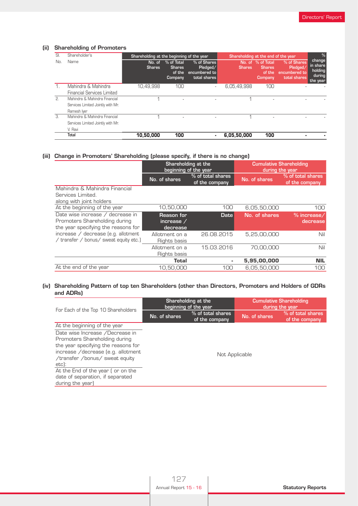#### (ii) Shareholding of Promoters

| SI.           | Shareholder's                                                                     | Shareholding at the beginning of the year |                                                           |                                                          | Shareholding at the end of the year |                                                                |                                                          |                                                     |
|---------------|-----------------------------------------------------------------------------------|-------------------------------------------|-----------------------------------------------------------|----------------------------------------------------------|-------------------------------------|----------------------------------------------------------------|----------------------------------------------------------|-----------------------------------------------------|
| No.           | Name                                                                              | No. of<br><b>Shares</b>                   | $\sqrt{2}$ of Total<br><b>Shares</b><br>of the<br>Company | % of Shares<br>Pledged/<br>encumbered to<br>total shares | <b>Shares</b>                       | No. of % of Total<br><b>Shares</b><br>of the<br><b>Company</b> | % of Shares<br>Pledged/<br>encumbered to<br>total shares | change<br>in share<br>holding<br>during<br>the year |
|               | Mahindra & Mahindra<br><b>Financial Services Limited</b>                          | 10,49,998                                 | 100                                                       | $\overline{\phantom{a}}$                                 | 6,05,49,998                         | 100                                                            |                                                          |                                                     |
| $\mathcal{P}$ | Mahindra & Mahindra Financial<br>Services Limited Jointly with Mr.<br>Ramesh Iver |                                           |                                                           |                                                          |                                     |                                                                |                                                          |                                                     |
| 3.            | Mahindra & Mahindra Financial<br>Services Limited Jointly with Mr.<br>V. Ravi     |                                           |                                                           |                                                          |                                     |                                                                |                                                          |                                                     |
|               | Total                                                                             | 10,50,000                                 | 100                                                       |                                                          | 6,05,50,000                         | 100                                                            |                                                          |                                                     |

#### (iii) Change in Promoters' Shareholding (please specify, if there is no change)

|                                                                                                          | Shareholding at the<br>beginning of the year |                                     | <b>Cumulative Shareholding</b><br>during the year |                                     |  |
|----------------------------------------------------------------------------------------------------------|----------------------------------------------|-------------------------------------|---------------------------------------------------|-------------------------------------|--|
|                                                                                                          | No. of shares                                | % of total shares<br>of the company | No. of shares                                     | % of total shares<br>of the company |  |
| Mahindra & Mahindra Financial                                                                            |                                              |                                     |                                                   |                                     |  |
| Services Limited.                                                                                        |                                              |                                     |                                                   |                                     |  |
| along with joint holders                                                                                 |                                              |                                     |                                                   |                                     |  |
| At the beginning of the year                                                                             | 10,50,000                                    | 100                                 | 6,05,50,000                                       | 100                                 |  |
| Date wise increase / decrease in<br>Promoters Shareholding during<br>the year specifying the reasons for | Reason for<br>increase $\angle$<br>decrease  | <b>Date</b>                         | No. of shares                                     | $%$ increase/<br>decrease           |  |
| increase / decrease (e.g. allotment<br>/ transfer / bonus/ sweat equity etc.)                            | Allotment on a<br>Rights basis               | 26.08.2015                          | 5,25,00,000                                       | Nil                                 |  |
|                                                                                                          | Allotment on a<br>Rights basis               | 15.03.2016                          | 70,00,000                                         | Nil                                 |  |
|                                                                                                          | <b>Total</b>                                 | ٠                                   | 5,95,00,000                                       | <b>NIL</b>                          |  |
| At the end of the year                                                                                   | 10.50.000                                    | 100                                 | 6.05.50.000                                       | 100                                 |  |

#### (iv) Shareholding Pattern of top ten Shareholders (other than Directors, Promoters and Holders of GDRs and ADRs)

| For Each of the Top 10 Shareholders                                                                                                                                                        |               | Shareholding at the<br>beginning of the year | <b>Cumulative Shareholding</b><br>during the year |                                     |
|--------------------------------------------------------------------------------------------------------------------------------------------------------------------------------------------|---------------|----------------------------------------------|---------------------------------------------------|-------------------------------------|
|                                                                                                                                                                                            | No. of shares | $%$ of total shares<br>of the company        | No. of shares                                     | % of total shares<br>of the company |
| At the beginning of the year                                                                                                                                                               |               |                                              |                                                   |                                     |
| Date wise Increase / Decrease in<br>Promoters Shareholding during<br>the year specifying the reasons for<br>increase / decrease (e.g. allotment<br>/transfer /bonus/ sweat equity<br>etc): |               |                                              | Not Applicable                                    |                                     |
| At the End of the year (or on the<br>date of separation, if separated                                                                                                                      |               |                                              |                                                   |                                     |
| during the year)                                                                                                                                                                           |               |                                              |                                                   |                                     |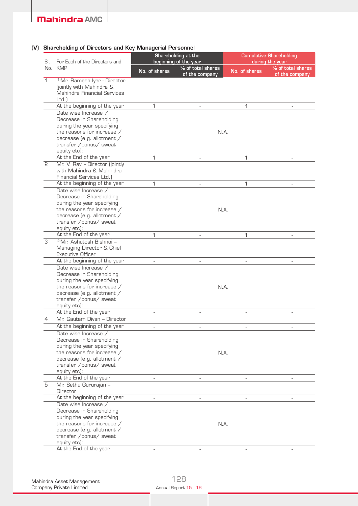$\overline{\phantom{a}}$ 

### (V) Shareholding of Directors and Key Managerial Personnel

|     |                                                             | Shareholding at the      |                                     | <b>Cumulative Shareholding</b> |                                     |  |
|-----|-------------------------------------------------------------|--------------------------|-------------------------------------|--------------------------------|-------------------------------------|--|
| SI. | For Each of the Directors and                               |                          | beginning of the year               |                                | during the year                     |  |
|     | No. KMP                                                     | No. of shares            | % of total shares<br>of the company | No. of shares                  | % of total shares<br>of the company |  |
| 1   | <sup>(1)</sup> Mr. Ramesh lyer - Director                   |                          |                                     |                                |                                     |  |
|     | (jointly with Mahindra &                                    |                          |                                     |                                |                                     |  |
|     | <b>Mahindra Financial Services</b>                          |                          |                                     |                                |                                     |  |
|     | Ltd.                                                        | 1                        |                                     |                                |                                     |  |
|     | At the beginning of the year<br>Date wise Increase /        |                          |                                     | 1                              |                                     |  |
|     | Decrease in Shareholding                                    |                          |                                     |                                |                                     |  |
|     | during the year specifying                                  |                          |                                     |                                |                                     |  |
|     | the reasons for increase /                                  |                          | N.A.                                |                                |                                     |  |
|     | decrease (e.g. allotment /                                  |                          |                                     |                                |                                     |  |
|     | transfer /bonus/ sweat                                      |                          |                                     |                                |                                     |  |
|     | equity etc):                                                |                          |                                     |                                |                                     |  |
|     | At the End of the year                                      | 1                        | $\overline{\phantom{a}}$            | 1                              |                                     |  |
| 2   | Mr. V. Ravi - Director (jointly<br>with Mahindra & Mahindra |                          |                                     |                                |                                     |  |
|     | Financial Services Ltd.)                                    |                          |                                     |                                |                                     |  |
|     | At the beginning of the year                                | 1                        |                                     | 1                              |                                     |  |
|     | Date wise Increase /                                        |                          |                                     |                                |                                     |  |
|     | Decrease in Shareholding                                    |                          |                                     |                                |                                     |  |
|     | during the year specifying                                  |                          |                                     |                                |                                     |  |
|     | the reasons for increase /                                  |                          | N.A.                                |                                |                                     |  |
|     | decrease (e.g. allotment /                                  |                          |                                     |                                |                                     |  |
|     | transfer /bonus/ sweat<br>equity etc):                      |                          |                                     |                                |                                     |  |
|     | At the End of the year                                      | 1                        |                                     | 1                              |                                     |  |
| З   | <sup>(2)</sup> Mr. Ashutosh Bishnoi -                       |                          |                                     |                                |                                     |  |
|     | Managing Director & Chief                                   |                          |                                     |                                |                                     |  |
|     | <b>Executive Officer</b>                                    |                          |                                     |                                |                                     |  |
|     | At the beginning of the year                                |                          |                                     |                                |                                     |  |
|     | Date wise Increase /                                        |                          |                                     |                                |                                     |  |
|     | Decrease in Shareholding                                    |                          |                                     |                                |                                     |  |
|     | during the year specifying<br>the reasons for increase /    |                          | N.A.                                |                                |                                     |  |
|     | decrease (e.g. allotment /                                  |                          |                                     |                                |                                     |  |
|     | transfer /bonus/ sweat                                      |                          |                                     |                                |                                     |  |
|     | equity etc):                                                |                          |                                     |                                |                                     |  |
|     | At the End of the year                                      | $\overline{\phantom{a}}$ | ÷,                                  |                                |                                     |  |
| 4   | Mr. Gautam Divan - Director                                 |                          |                                     |                                |                                     |  |
|     | At the beginning of the year                                |                          |                                     |                                |                                     |  |
|     | Date wise Increase /                                        |                          |                                     |                                |                                     |  |
|     | Decrease in Shareholding                                    |                          |                                     |                                |                                     |  |
|     | during the year specifying<br>the reasons for increase /    |                          |                                     |                                |                                     |  |
|     | decrease (e.g. allotment /                                  |                          | N.A.                                |                                |                                     |  |
|     | transfer /bonus/ sweat                                      |                          |                                     |                                |                                     |  |
|     | equity etc):                                                |                          |                                     |                                |                                     |  |
|     | At the End of the year                                      |                          |                                     |                                |                                     |  |
| 5   | Mr. Sethu Gururajan -                                       |                          |                                     |                                |                                     |  |
|     | Director                                                    |                          |                                     |                                |                                     |  |
|     | At the beginning of the year                                |                          |                                     |                                |                                     |  |
|     | Date wise Increase /                                        |                          |                                     |                                |                                     |  |
|     | Decrease in Shareholding<br>during the year specifying      |                          |                                     |                                |                                     |  |
|     | the reasons for increase $/$                                |                          | N.A.                                |                                |                                     |  |
|     | decrease (e.g. allotment /                                  |                          |                                     |                                |                                     |  |
|     | transfer /bonus/ sweat                                      |                          |                                     |                                |                                     |  |
|     | equity etc):                                                |                          |                                     |                                |                                     |  |
|     | At the End of the year                                      |                          |                                     |                                |                                     |  |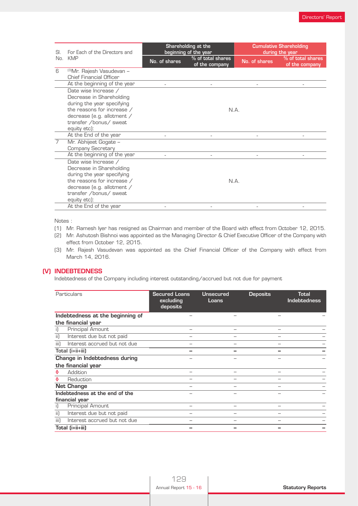| For Each of the Directors and                                                                                                                                                        | Shareholding at the<br>beginning of the year      |                                     |               | <b>Cumulative Shareholding</b><br>during the year |
|--------------------------------------------------------------------------------------------------------------------------------------------------------------------------------------|---------------------------------------------------|-------------------------------------|---------------|---------------------------------------------------|
|                                                                                                                                                                                      | No. of shares                                     | % of total shares<br>of the company | No. of shares | % of total shares<br>of the company               |
| (3)Mr. Rajesh Vasudevan -<br><b>Chief Financial Officer</b>                                                                                                                          |                                                   |                                     |               |                                                   |
| At the beginning of the year                                                                                                                                                         |                                                   |                                     |               |                                                   |
| Date wise Increase /<br>Decrease in Shareholding<br>during the year specifying<br>the reasons for increase /<br>decrease (e.g. allotment /<br>transfer /bonus/ sweat                 |                                                   |                                     |               |                                                   |
| At the End of the year                                                                                                                                                               |                                                   |                                     |               |                                                   |
| Mr. Abhijeet Gogate -<br>Company Secretary<br>At the beginning of the year                                                                                                           |                                                   |                                     |               |                                                   |
| Date wise Increase /<br>Decrease in Shareholding<br>during the year specifying<br>the reasons for increase /<br>decrease (e.g. allotment /<br>transfer /bonus/ sweat<br>equity etc): |                                                   |                                     |               |                                                   |
|                                                                                                                                                                                      | No. KMP<br>equity etc):<br>At the End of the year |                                     |               | N.A.<br>N.A.                                      |

Notes :

- (1) Mr. Ramesh Iyer has resigned as Chairman and member of the Board with effect from October 12, 2015.
- (2) Mr. Ashutosh Bishnoi was appointed as the Managing Director & Chief Executive Officer of the Company with effect from October 12, 2015.
- (3) Mr. Rajesh Vasudevan was appointed as the Chief Financial Officer of the Company with effect from March 14, 2016.

#### (V) INDEBTEDNESS

Indebtedness of the Company including interest outstanding/accrued but not due for payment

|      | Particulars                      | <b>Secured Loans</b><br>excluding<br>deposits | <b>Unsecured</b><br>Loans | <b>Deposits</b> | <b>Total</b><br><b>Indebtedness</b> |
|------|----------------------------------|-----------------------------------------------|---------------------------|-----------------|-------------------------------------|
|      | Indebtedness at the beginning of |                                               |                           |                 |                                     |
|      | the financial year               |                                               |                           |                 |                                     |
| i)   | Principal Amount                 |                                               |                           |                 |                                     |
| ii)  | Interest due but not paid        |                                               |                           |                 |                                     |
| iii) | Interest accrued but not due     |                                               |                           |                 |                                     |
|      | Total (i+ii+iii)                 | --                                            | $\blacksquare$            |                 |                                     |
|      | Change in Indebtedness during    |                                               |                           |                 |                                     |
|      | the financial year               |                                               |                           |                 |                                     |
| ♦    | Addition                         |                                               |                           |                 |                                     |
| ۰    | Reduction                        |                                               |                           |                 |                                     |
|      | <b>Net Change</b>                |                                               |                           |                 |                                     |
|      | Indebtedness at the end of the   |                                               |                           |                 |                                     |
|      | financial year                   |                                               |                           |                 |                                     |
| i)   | Principal Amount                 |                                               |                           |                 |                                     |
| ii)  | Interest due but not paid        |                                               |                           |                 |                                     |
| iii) | Interest accrued but not due     |                                               |                           |                 |                                     |
|      | Total (i+ii+iii)                 |                                               |                           |                 |                                     |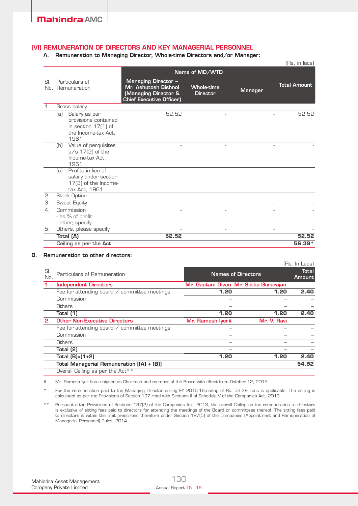#### (VI) REMUNERATION OF DIRECTORS AND KEY MANAGERIAL PERSONNEL

A. Remuneration to Managing Director, Whole-time Directors and/or Manager:

|                             |                                                                                                            |                                                                                                        |                                      |                | (Rs. in lacs)       |
|-----------------------------|------------------------------------------------------------------------------------------------------------|--------------------------------------------------------------------------------------------------------|--------------------------------------|----------------|---------------------|
|                             |                                                                                                            |                                                                                                        | Name of MD/WTD                       |                |                     |
| SI.                         | Particulars of<br>No. Remuneration                                                                         | Managing Director -<br>Mr. Ashutosh Bishnoi<br>(Managing Director &<br><b>Chief Executive Officer)</b> | <b>Whole-time</b><br><b>Director</b> | <b>Manager</b> | <b>Total Amount</b> |
| $\mathbf{1}$ .              | Gross salary                                                                                               |                                                                                                        |                                      |                |                     |
|                             | Salary as per<br>[a]<br>provisions contained<br>in section 17(1) of<br>the Income-tax Act,<br>1961         | 52.52                                                                                                  |                                      |                | 52.52               |
|                             | Value of perquisites<br>(b)<br>$u/s$ 17(2) of the<br>Income-tax Act,<br>1961                               |                                                                                                        |                                      |                |                     |
|                             | Profits in lieu of<br>$\lceil$ c $\rceil$<br>salary under section<br>17(3) of the Income-<br>tax Act, 1961 |                                                                                                        |                                      |                |                     |
| 2.                          | <b>Stock Option</b>                                                                                        | ٠                                                                                                      | $\overline{\phantom{a}}$             |                | ÷                   |
| З.                          | <b>Sweat Equity</b>                                                                                        |                                                                                                        |                                      |                |                     |
| $\mathcal{A}_{\cdot}$<br>5. | Commission<br>- as % of profit<br>- other, specify<br>Others, please specify                               |                                                                                                        |                                      |                |                     |
|                             | Total (A)                                                                                                  | 52.52                                                                                                  |                                      |                | 52.52               |
|                             | Ceiling as per the Act                                                                                     |                                                                                                        |                                      |                | 56.39*              |

#### B. Remuneration to other directors:

|                |                                              |                  |                                      | (Rs. In Lacs)   |
|----------------|----------------------------------------------|------------------|--------------------------------------|-----------------|
| SI.<br>No.     | Particulars of Remuneration                  |                  | <b>Names of Directors</b>            | Total<br>Amount |
| $\mathbf{1}$ . | <b>Independent Directors</b>                 |                  | Mr. Gautam Divan Mr. Sethu Gururajan |                 |
|                | Fee for attending board / committee meetings | 1.20             | 1.20                                 | 2.40            |
|                | Commission                                   |                  |                                      |                 |
|                | Others                                       |                  |                                      |                 |
|                | Total (1)                                    | 1.20             | 1.20                                 | 2.40            |
| 2.             | <b>Other Non-Executive Directors</b>         | Mr. Ramesh Iver# | Mr. V. Ravi                          |                 |
|                | Fee for attending board / committee meetings |                  |                                      |                 |
|                | Commission                                   |                  |                                      |                 |
|                | Others                                       |                  |                                      |                 |
|                | Total (2)                                    |                  |                                      |                 |
|                | Total (B)=(1+2)                              | 1.20             | 1.20                                 | 2.40            |
|                | Total Managerial Remuneration [(A) + (B)]    |                  |                                      | 54.92           |
|                | Overall Ceiling as per the Act <sup>**</sup> |                  |                                      |                 |

# Mr. Ramesh Iyer has resigned as Chairman and member of the Board with effect from October 12, 2015.

For the remuneration paid to the Managing Director during FY 2015-16,ceiling of Rs. 56.39 Lacs is applicable. The ceiling is calculated as per the Provisions of Section 197 read with Sectionn II of Schedule V of the Companies Act, 2013.

 \*\* Pursuant otthe Provisions of Sectionn 197(2) of the Companies Act, 2013, the overall Ceiling on the remuneration to directors is exclusive of sitting fees paid to directors for attending the meetings of the Board or committees thereof. The sitting fees paid to directors is within the limit prescribed therefore under Section 197(5) of the Companies (Appointment and Remuneration of Managerial Personnel) Rules, 2014.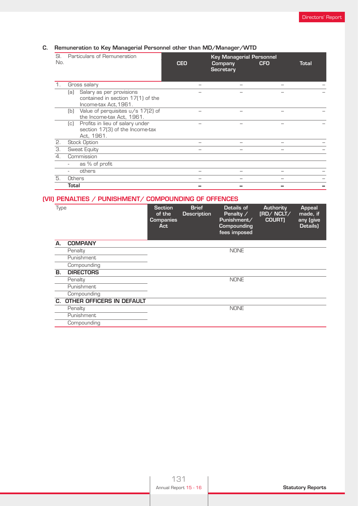### C. Remuneration to Key Managerial Personnel other than MD/Manager/WTD

| SI.<br>No. | Particulars of Remuneration                                                                   | <b>CEO</b> | <b>Key Managerial Personnel</b><br>Company<br><b>Secretary</b> | <b>CFO</b><br><b>Total</b> |
|------------|-----------------------------------------------------------------------------------------------|------------|----------------------------------------------------------------|----------------------------|
|            | Gross salary                                                                                  |            |                                                                |                            |
|            | Salary as per provisions<br>(a)<br>contained in section 17(1) of the<br>Income-tax Act, 1961. |            |                                                                |                            |
|            | Value of perquisites $u/s$ 17(2) of<br>(b)<br>the Income-tax Act, 1961.                       |            |                                                                |                            |
|            | Profits in lieu of salary under<br>[c]<br>section 17(3) of the Income-tax<br>Act, 1961.       |            |                                                                |                            |
| 2.         | <b>Stock Option</b>                                                                           |            |                                                                |                            |
| З.         | Sweat Equity                                                                                  |            |                                                                |                            |
| 4.         | Commission                                                                                    |            |                                                                |                            |
|            | as % of profit                                                                                |            |                                                                |                            |
|            | others                                                                                        |            |                                                                |                            |
| 5.         | Others                                                                                        |            |                                                                |                            |
|            | Total                                                                                         |            |                                                                |                            |

### (VII) PENALTIES / PUNISHMENT/ COMPOUNDING OF OFFENCES

| Type |                              | <b>Section</b><br>of the<br><b>Companies</b><br>Act | <b>Brief</b><br><b>Description</b> | Details of<br>Penalty /<br>Punishment/<br>Compounding<br>fees imposed | Authority<br>[RD/ NCLT/<br><b>COURT]</b> | <b>Appeal</b><br>made, if<br>any (give<br>Details) |
|------|------------------------------|-----------------------------------------------------|------------------------------------|-----------------------------------------------------------------------|------------------------------------------|----------------------------------------------------|
| А.   | <b>COMPANY</b>               |                                                     |                                    |                                                                       |                                          |                                                    |
|      | Penalty                      |                                                     |                                    | <b>NONE</b>                                                           |                                          |                                                    |
|      | Punishment                   |                                                     |                                    |                                                                       |                                          |                                                    |
|      | Compounding                  |                                                     |                                    |                                                                       |                                          |                                                    |
| В.   | <b>DIRECTORS</b>             |                                                     |                                    |                                                                       |                                          |                                                    |
|      | Penalty                      |                                                     |                                    | <b>NONE</b>                                                           |                                          |                                                    |
|      | Punishment                   |                                                     |                                    |                                                                       |                                          |                                                    |
|      | Compounding                  |                                                     |                                    |                                                                       |                                          |                                                    |
|      | C. OTHER OFFICERS IN DEFAULT |                                                     |                                    |                                                                       |                                          |                                                    |
|      | Penalty                      |                                                     |                                    | <b>NONE</b>                                                           |                                          |                                                    |
|      | Punishment                   |                                                     |                                    |                                                                       |                                          |                                                    |
|      | Compounding                  |                                                     |                                    |                                                                       |                                          |                                                    |

|                       | 131 |  |  |  |
|-----------------------|-----|--|--|--|
| Annual Report 15 - 16 |     |  |  |  |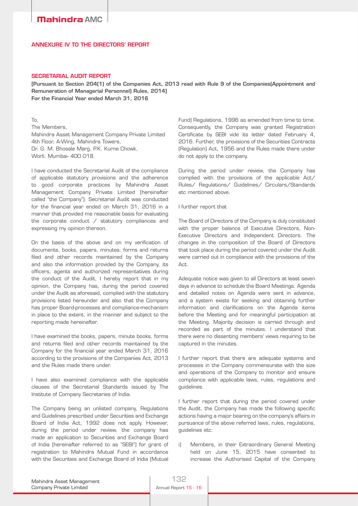### **Mahindra** AMC

#### ANNEXURE IV TO THE DIRECTORS' REPORT

#### SECRETARIAL AUDIT REPORT

[Pursuant to Section 204(1) of the Companies Act, 2013 read with Rule 9 of the Companies(Appointment and Remuneration of Managerial Personnel) Rules, 2014] For the Financial Year ended March 31, 2016

#### To,

The Members, Mahindra Asset Management Company Private Limited 4th Floor, A-Wing, Mahindra Towers, Dr. G. M. Bhosale Marg, P.K. Kurne Chowk, Worli, Mumbai- 400 018.

I have conducted the Secretarial Audit of the compliance of applicable statutory provisions and the adherence to good corporate practices by Mahindra Asset Management Company Private Limited (hereinafter called "the Company"). Secretarial Audit was conducted for the financial year ended on March 31, 2016 in a manner that provided me reasonable basis for evaluating the corporate conduct / statutory compliances and expressing my opinion thereon.

On the basis of the above and on my verification of documents, books, papers, minutes, forms and returns filed and other records maintained by the Company and also the information provided by the Company, its officers, agents and authorized representatives during the conduct of the Audit, I hereby report that in my opinion, the Company has, during the period covered under the Audit as aforesaid, complied with the statutory provisions listed hereunder and also that the Company has proper Board-processes and compliance-mechanism in place to the extent, in the manner and subject to the reporting made hereinafter.

I have examined the books, papers, minute books, forms and returns filed and other records maintained by the Company for the financial year ended March 31, 2016 according to the provisions of the Companies Act, 2013 and the Rules made there under.

I have also examined compliance with the applicable clauses of the Secretarial Standards issued by The Institute of Company Secretaries of India.

The Company being an unlisted company, Regulations and Guidelines prescribed under Securities and Exchange Board of India Act, 1992 does not apply. However, during the period under review, the company has made an application to Securities and Exchange Board of India (hereinafter referred to as "SEBI") for grant of registration to Mahindra Mutual Fund in accordance with the Securities and Exchange Board of India (Mutual Fund) Regulations, 1996 as amended from time to time. Consequently, the Company was granted Registration Certificate by SEBI vide its letter dated February 4, 2016. Further, the provisions of the Securities Contracts (Regulation) Act, 1956 and the Rules made there under do not apply to the company.

During the period under review, the Company has complied with the provisions of the applicable Act/ Rules/ Regulations/ Guidelines/ Circulars/Standards etc mentioned above.

#### I further report that

The Board of Directors of the Company is duly constituted with the proper balance of Executive Directors, Non-Executive Directors and Independent Directors. The changes in the composition of the Board of Directors that took place during the period covered under the Audit were carried out in compliance with the provisions of the Act.

Adequate notice was given to all Directors at least seven days in advance to schedule the Board Meetings. Agenda and detailed notes on Agenda were sent in advance, and a system exists for seeking and obtaining further information and clarifications on the Agenda items before the Meeting and for meaningful participation at the Meeting. Majority decision is carried through and recorded as part of the minutes. I understand that there were no dissenting members' views requiring to be captured in the minutes.

I further report that there are adequate systems and processes in the Company commensurate with the size and operations of the Company to monitor and ensure compliance with applicable laws, rules, regulations and guidelines.

I further report that during the period covered under the Audit, the Company has made the following specific actions having a major bearing on the company's affairs in pursuance of the above referred laws, rules, regulations, guidelines etc:

i) Members, in their Extraordinary General Meeting held on June 15, 2015 have consented to increase the Authorised Capital of the Company

| Mahindra Asset Management | -132-                 |
|---------------------------|-----------------------|
| Company Private Limited   | Annual Report 15 - 16 |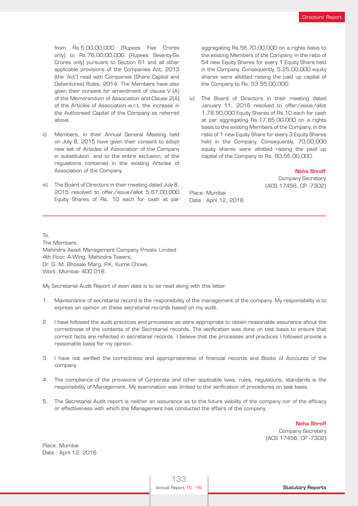from Rs.5,00,00,000 (Rupees Five Crores only) to Rs.76,00,00,000 (Rupees Seventy-Six Crores only) pursuant to Section 61 and all other applicable provisions of the Companies Act, 2013 (the 'Act') read with Companies (Share Capital and Debentures) Rules, 2014. The Members have also given their consent for amendment of clause V (A) of the Memorandum of Association and Clause 2(A) of the Articles of Association w.r.t. the increase in the Authorised Capital of the Company as referred above.

- ii) Members, in their Annual General Meeting held on July 8, 2015 have given their consent to adopt new set of Articles of Association of the Company in substitution, and to the entire exclusion, of the regulations contained in the existing Articles of Association of the Company.
- iii) The Board of Directors in their meeting dated July 8, 2015 resolved to offer/issue/allot 5,67,00,000 Equity Shares of Rs. 10 each for cash at par

aggregating Rs.56,70,00,000 on a rights basis to the existing Members of the Company, in the ratio of 54 new Equity Shares for every 1 Equity Share held in the Company. Consequently, 5,25,00,000 equity shares were allotted raising the paid up capital of the Company to Rs. 53,55,00,000.

iv) The Board of Directors in their meeting dated January 11, 2016 resolved to offer/issue/allot 1,78,50,000 Equity Shares of Rs.10 each for cash at par aggregating Rs.17,85,00,000 on a rights basis to the existing Members of the Company, in the ratio of 1 new Equity Share for every 3 Equity Shares held in the Company. Consequently, 70,00,000 equity shares were allotted raising the paid up capital of the Company to Rs. 60,55,00,000.

#### Neha Shroff

Company Secretary (ACS 17456, CP -7302)

Place: Mumbai Date : April 12, 2016

#### To,

The Members, Mahindra Asset Management Company Private Limited 4th Floor, A-Wing, Mahindra Towers, Dr. G. M. Bhosale Marg, P.K. Kurne Chowk, Worli, Mumbai- 400 018.

My Secretarial Audit Report of even date is to be read along with this letter.

- 1. Maintenance of secretarial record is the responsibility of the management of the company. My responsibility is to express an opinion on these secretarial records based on my audit.
- 2. I have followed the audit practices and processes as were appropriate to obtain reasonable assurance about the correctness of the contents of the Secretarial records. The verification was done on test basis to ensure that correct facts are reflected in secretarial records. I believe that the processes and practices I followed provide a reasonable basis for my opinion.
- 3. I have not verified the correctness and appropriateness of financial records and Books of Accounts of the company.
- 4. The compliance of the provisions of Corporate and other applicable laws, rules, regulations, standards is the responsibility of Management. My examination was limited to the verification of procedures on test basis.
- 5. The Secretarial Audit report is neither an assurance as to the future viability of the company nor of the efficacy or effectiveness with which the Management has conducted the affairs of the company.

Neha Shroff

Company Secretary (ACS 17456, CP -7302)

Place: Mumbai Date : April 12, 2016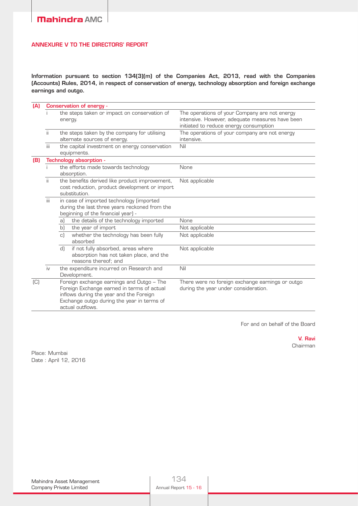#### ANNEXURE V TO THE DIRECTORS' REPORT

Information pursuant to section 134(3)(m) of the Companies Act, 2013, read with the Companies (Accounts) Rules, 2014, in respect of conservation of energy, technology absorption and foreign exchange earnings and outgo.

| (A) | <b>Conservation of energy -</b> |                                                                                                                                                                                                      |                                                                                                                                                                                                           |  |  |
|-----|---------------------------------|------------------------------------------------------------------------------------------------------------------------------------------------------------------------------------------------------|-----------------------------------------------------------------------------------------------------------------------------------------------------------------------------------------------------------|--|--|
|     |                                 | the steps taken or impact on conservation of<br>energy.                                                                                                                                              | The operations of your Company are not energy<br>intensive. However, adequate measures have been<br>initiated to reduce energy consumption<br>The operations of your company are not energy<br>intensive. |  |  |
|     | ii.                             | the steps taken by the company for utilising<br>alternate sources of energy.                                                                                                                         |                                                                                                                                                                                                           |  |  |
|     | iii                             | the capital investment on energy conservation<br>equipments.                                                                                                                                         | Nil                                                                                                                                                                                                       |  |  |
| (B) | Technology absorption -         |                                                                                                                                                                                                      |                                                                                                                                                                                                           |  |  |
|     |                                 | the efforts made towards technology<br>absorption.                                                                                                                                                   | None                                                                                                                                                                                                      |  |  |
|     | ii.                             | the benefits derived like product improvement,<br>cost reduction, product development or import<br>substitution.                                                                                     | Not applicable                                                                                                                                                                                            |  |  |
|     | iii                             | in case of imported technology (imported<br>during the last three years reckoned from the<br>beginning of the financial year) -                                                                      |                                                                                                                                                                                                           |  |  |
|     |                                 | the details of the technology imported<br>a)                                                                                                                                                         | None                                                                                                                                                                                                      |  |  |
|     |                                 | the year of import<br>b                                                                                                                                                                              | Not applicable                                                                                                                                                                                            |  |  |
|     |                                 | whether the technology has been fully<br>c)<br>absorbed                                                                                                                                              | Not applicable                                                                                                                                                                                            |  |  |
|     |                                 | d<br>if not fully absorbed, areas where<br>absorption has not taken place, and the<br>reasons thereof; and                                                                                           | Not applicable                                                                                                                                                                                            |  |  |
|     | iv                              | the expenditure incurred on Research and<br>Development.                                                                                                                                             | Nil                                                                                                                                                                                                       |  |  |
| (C) |                                 | Foreign exchange earnings and Outgo - The<br>Foreign Exchange earned in terms of actual<br>inflows during the year and the Foreign<br>Exchange outgo during the year in terms of<br>actual outflows. | There were no foreign exchange earnings or outgo<br>during the year under consideration.                                                                                                                  |  |  |

For and on behalf of the Board

V. Ravi Chairman

Place: Mumbai Date : April 12, 2016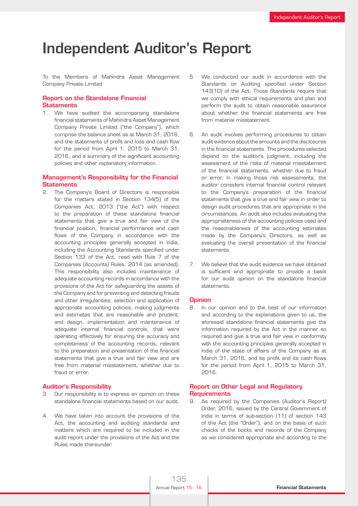### Independent Auditor's Report

To the Members of Mahindra Asset Management Company Private Limited

#### Report on the Standalone Financial **Statements**

1. We have audited the accompanying standalone financial statements of Mahindra Asset Management Company Private Limited ("the Company"), which comprise the balance sheet as at March 31, 2016, and the statements of profit and loss and cash flow for the period from April 1, 2015 to March 31, 2016, and a summary of the significant accounting policies and other explanatory information.

#### Management's Responsibility for the Financial **Statements**

2. The Company's Board of Directors is responsible for the matters stated in Section 134(5) of the Companies Act, 2013 ("the Act") with respect to the preparation of these standalone financial statements that give a true and fair view of the financial position, financial performance and cash flows of the Company in accordance with the accounting principles generally accepted in India, including the Accounting Standards specified under Section 133 of the Act, read with Rule 7 of the Companies (Accounts) Rules, 2014 (as amended). This responsibility also includes maintenance of adequate accounting records in accordance with the provisions of the Act for safeguarding the assets of the Company and for preventing and detecting frauds and other irregularities; selection and application of appropriate accounting policies; making judgments and estimates that are reasonable and prudent; and design, implementation and maintenance of adequate internal financial controls, that were operating effectively for ensuring the accuracy and completeness of the accounting records, relevant to the preparation and presentation of the financial statements that give a true and fair view and are free from material misstatement, whether due to fraud or error.

#### Auditor's Responsibility

- 3. Our responsibility is to express an opinion on these standalone financial statements based on our audit.
- 4. We have taken into account the provisions of the Act, the accounting and auditing standards and matters which are required to be included in the audit report under the provisions of the Act and the Rules made thereunder.
- 5. We conducted our audit in accordance with the Standards on Auditing specified under Section 143(10) of the Act. Those Standards require that we comply with ethical requirements and plan and perform the audit to obtain reasonable assurance about whether the financial statements are free from material misstatement.
- 6. An audit involves performing procedures to obtain audit evidence about the amounts and the disclosures in the financial statements. The procedures selected depend on the auditor's judgment, including the assessment of the risks of material misstatement of the financial statements, whether due to fraud or error. In making those risk assessments, the auditor considers internal financial control relevant to the Company's preparation of the financial statements that give a true and fair view in order to design audit procedures that are appropriate in the circumstances. An audit also includes evaluating the appropriateness of the accounting policies used and the reasonableness of the accounting estimates made by the Company's Directors, as well as evaluating the overall presentation of the financial statements.
- 7. We believe that the audit evidence we have obtained is sufficient and appropriate to provide a basis for our audit opinion on the standalone financial statements.

#### **Opinion**

8. In our opinion and to the best of our information and according to the explanations given to us, the aforesaid standalone financial statements give the information required by the Act in the manner so required and give a true and fair view in conformity with the accounting principles generally accepted in India of the state of affairs of the Company as at March 31, 2016, and its profit and its cash flows for the period from April 1, 2015 to March 31, 2016.

#### Report on Other Legal and Regulatory **Requirements**

9. As required by the Companies (Auditor's Report) Order, 2016, issued by the Central Government of India in terms of sub-section (11) of section 143 of the Act (the "Order"), and on the basis of such checks of the books and records of the Company as we considered appropriate and according to the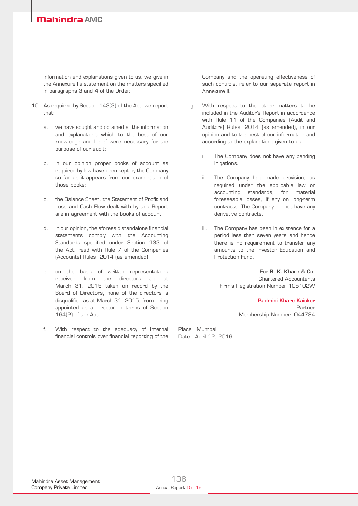information and explanations given to us, we give in the Annexure I a statement on the matters specified in paragraphs 3 and 4 of the Order.

- 10. As required by Section 143(3) of the Act, we report that:
	- a. we have sought and obtained all the information and explanations which to the best of our knowledge and belief were necessary for the purpose of our audit;
	- b. in our opinion proper books of account as required by law have been kept by the Company so far as it appears from our examination of those books;
	- c. the Balance Sheet, the Statement of Profit and Loss and Cash Flow dealt with by this Report are in agreement with the books of account;
	- d. In our opinion, the aforesaid standalone financial statements comply with the Accounting Standards specified under Section 133 of the Act, read with Rule 7 of the Companies (Accounts) Rules, 2014 (as amended);
	- e. on the basis of written representations received from the directors as at March 31, 2015 taken on record by the Board of Directors, none of the directors is disqualified as at March 31, 2015, from being appointed as a director in terms of Section 164(2) of the Act.
	- f. With respect to the adequacy of internal financial controls over financial reporting of the

Company and the operating effectiveness of such controls, refer to our separate report in Annexure II.

- g. With respect to the other matters to be included in the Auditor's Report in accordance with Rule 11 of the Companies (Audit and Auditors) Rules, 2014 (as amended), in our opinion and to the best of our information and according to the explanations given to us:
	- i. The Company does not have any pending litigations.
	- ii. The Company has made provision, as required under the applicable law or accounting standards, for material foreseeable losses, if any on long-term contracts. The Company did not have any derivative contracts.
	- iii. The Company has been in existence for a period less than seven years and hence there is no requirement to transfer any amounts to the Investor Education and Protection Fund.

For B. K. Khare & Co. Chartered Accountants Firm's Registration Number 105102W

> Padmini Khare Kaicker Partner Membership Number: 044784

Place : Mumbai Date : April 12, 2016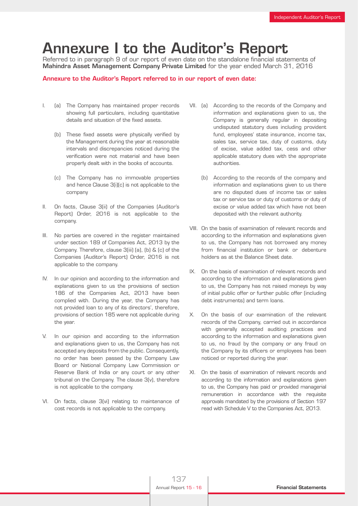## Annexure I to the Auditor's Report

Referred to in paragraph 9 of our report of even date on the standalone financial statements of Mahindra Asset Management Company Private Limited for the year ended March 31, 2016

#### Annexure to the Auditor's Report referred to in our report of even date:

- I. (a) The Company has maintained proper records showing full particulars, including quantitative details and situation of the fixed assets.
	- (b) These fixed assets were physically verified by the Management during the year at reasonable intervals and discrepancies noticed during the verification were not material and have been properly dealt with in the books of accounts.
	- (c) The Company has no immovable properties and hence Clause 3(i)(c) is not applicable to the company
- II. On facts, Clause 3(ii) of the Companies (Auditor's Report) Order, 2016 is not applicable to the company.
- III. No parties are covered in the register maintained under section 189 of Companies Act, 2013 by the Company. Therefore, clause 3(iii) (a), (b) & (c) of the Companies (Auditor's Report) Order, 2016 is not applicable to the company.
- IV. In our opinion and according to the information and explanations given to us the provisions of section 186 of the Companies Act, 2013 have been complied with. During the year, the Company has not provided loan to any of its directors', therefore, provisions of section 185 were not applicable during the year.
- V. In our opinion and according to the information and explanations given to us, the Company has not accepted any deposits from the public. Consequently, no order has been passed by the Company Law Board or National Company Law Commission or Reserve Bank of India or any court or any other tribunal on the Company. The clause 3(v), therefore is not applicable to the company.
- VI. On facts, clause 3(vi) relating to maintenance of cost records is not applicable to the company.
- VII. (a) According to the records of the Company and information and explanations given to us, the Company is generally regular in depositing undisputed statutory dues including provident fund, employees' state insurance, income tax, sales tax, service tax, duty of customs, duty of excise, value added tax, cess and other applicable statutory dues with the appropriate authorities.
	- (b) According to the records of the company and information and explanations given to us there are no disputed dues of income tax or sales tax or service tax or duty of customs or duty of excise or value added tax which have not been deposited with the relevant authority.
- VIII. On the basis of examination of relevant records and according to the information and explanations given to us, the Company has not borrowed any money from financial institution or bank or debenture holders as at the Balance Sheet date.
- IX. On the basis of examination of relevant records and according to the information and explanations given to us, the Company has not raised moneys by way of initial public offer or further public offer (including debt instruments) and term loans.
- X. On the basis of our examination of the relevant records of the Company, carried out in accordance with generally accepted auditing practices and according to the information and explanations given to us, no fraud by the company or any fraud on the Company by its officers or employees has been noticed or reported during the year.
- XI. On the basis of examination of relevant records and according to the information and explanations given to us, the Company has paid or provided managerial remuneration in accordance with the requisite approvals mandated by the provisions of Section 197 read with Schedule V to the Companies Act, 2013.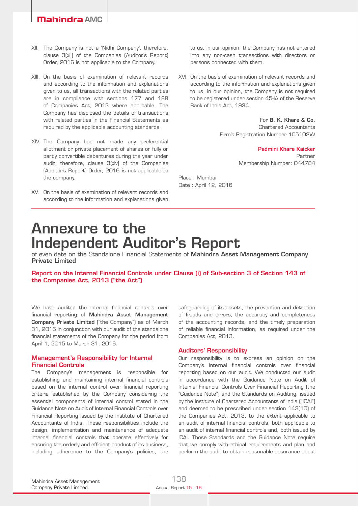- XII. The Company is not a 'Nidhi Company', therefore, clause 3(xii) of the Companies (Auditor's Report) Order, 2016 is not applicable to the Company.
- XIII. On the basis of examination of relevant records and according to the information and explanations given to us, all transactions with the related parties are in compliance with sections 177 and 188 of Companies Act, 2013 where applicable. The Company has disclosed the details of transactions with related parties in the Financial Statements as required by the applicable accounting standards.
- XIV. The Company has not made any preferential allotment or private placement of shares or fully or partly convertible debentures during the year under audit; therefore, clause 3(xiv) of the Companies (Auditor's Report) Order, 2016 is not applicable to the company.
- XV. On the basis of examination of relevant records and according to the information and explanations given

to us, in our opinion, the Company has not entered into any non-cash transactions with directors or persons connected with them.

XVI. On the basis of examination of relevant records and according to the information and explanations given to us, in our opinion, the Company is not required to be registered under section 45-IA of the Reserve Bank of India Act, 1934.

> For B. K. Khare & Co. Chartered Accountants Firm's Registration Number 105102W

> > Padmini Khare Kaicker Partner Membership Number: 044784

Place : Mumbai Date : April 12, 2016

### Annexure to the Independent Auditor's Report

of even date on the Standalone Financial Statements of Mahindra Asset Management Company Private Limited

### Report on the Internal Financial Controls under Clause (i) of Sub-section 3 of Section 143 of the Companies Act, 2013 ("the Act")

We have audited the internal financial controls over financial reporting of Mahindra Asset Management Company Private Limited ("the Company") as of March 31, 2016 in conjunction with our audit of the standalone financial statements of the Company for the period from April 1, 2015 to March 31, 2016.

#### Management's Responsibility for Internal Financial Controls

The Company's management is responsible for establishing and maintaining internal financial controls based on the internal control over financial reporting criteria established by the Company considering the essential components of internal control stated in the Guidance Note on Audit of Internal Financial Controls over Financial Reporting issued by the Institute of Chartered Accountants of India. These responsibilities include the design, implementation and maintenance of adequate internal financial controls that operate effectively for ensuring the orderly and efficient conduct of its business, including adherence to the Company's policies, the

safeguarding of its assets, the prevention and detection of frauds and errors, the accuracy and completeness of the accounting records, and the timely preparation of reliable financial information, as required under the Companies Act, 2013.

#### Auditors' Responsibility

Our responsibility is to express an opinion on the Company's internal financial controls over financial reporting based on our audit. We conducted our audit in accordance with the Guidance Note on Audit of Internal Financial Controls Over Financial Reporting (the "Guidance Note") and the Standards on Auditing, issued by the Institute of Chartered Accountants of India ("ICAI") and deemed to be prescribed under section 143(10) of the Companies Act, 2013, to the extent applicable to an audit of internal financial controls, both applicable to an audit of internal financial controls and, both issued by ICAI. Those Standards and the Guidance Note require that we comply with ethical requirements and plan and perform the audit to obtain reasonable assurance about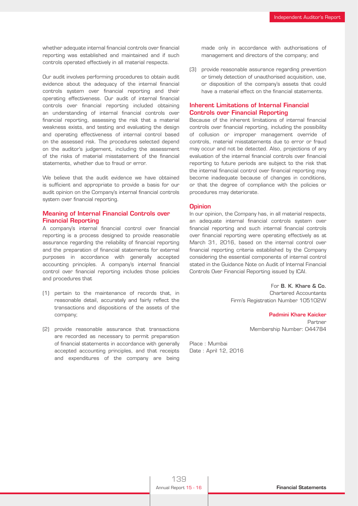whether adequate internal financial controls over financial reporting was established and maintained and if such controls operated effectively in all material respects.

Our audit involves performing procedures to obtain audit evidence about the adequacy of the internal financial controls system over financial reporting and their operating effectiveness. Our audit of internal financial controls over financial reporting included obtaining an understanding of internal financial controls over financial reporting, assessing the risk that a material weakness exists, and testing and evaluating the design and operating effectiveness of internal control based on the assessed risk. The procedures selected depend on the auditor's judgement, including the assessment of the risks of material misstatement of the financial statements, whether due to fraud or error.

We believe that the audit evidence we have obtained is sufficient and appropriate to provide a basis for our audit opinion on the Company's internal financial controls system over financial reporting.

#### Meaning of Internal Financial Controls over Financial Reporting

A company's internal financial control over financial reporting is a process designed to provide reasonable assurance regarding the reliability of financial reporting and the preparation of financial statements for external purposes in accordance with generally accepted accounting principles. A company's internal financial control over financial reporting includes those policies and procedures that

- (1) pertain to the maintenance of records that, in reasonable detail, accurately and fairly reflect the transactions and dispositions of the assets of the company;
- (2) provide reasonable assurance that transactions are recorded as necessary to permit preparation of financial statements in accordance with generally accepted accounting principles, and that receipts and expenditures of the company are being

made only in accordance with authorisations of management and directors of the company; and

(3) provide reasonable assurance regarding prevention or timely detection of unauthorised acquisition, use, or disposition of the company's assets that could have a material effect on the financial statements.

#### Inherent Limitations of Internal Financial Controls over Financial Reporting

Because of the inherent limitations of internal financial controls over financial reporting, including the possibility of collusion or improper management override of controls, material misstatements due to error or fraud may occur and not be detected. Also, projections of any evaluation of the internal financial controls over financial reporting to future periods are subject to the risk that the internal financial control over financial reporting may become inadequate because of changes in conditions, or that the degree of compliance with the policies or procedures may deteriorate.

#### **Opinion**

In our opinion, the Company has, in all material respects, an adequate internal financial controls system over financial reporting and such internal financial controls over financial reporting were operating effectively as at March 31, 2016, based on the internal control over financial reporting criteria established by the Company considering the essential components of internal control stated in the Guidance Note on Audit of Internal Financial Controls Over Financial Reporting issued by ICAI.

> For B. K. Khare & Co. Chartered Accountants Firm's Registration Number 105102W

> > Padmini Khare Kaicker Partner Membership Number: 044784

Place : Mumbai Date : April 12, 2016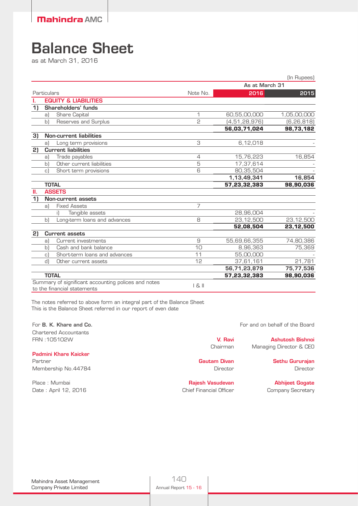## Balance Sheet

as at March 31, 2016

|                                                                                    |                            |                                 |                |                  | (In Rupees)  |
|------------------------------------------------------------------------------------|----------------------------|---------------------------------|----------------|------------------|--------------|
|                                                                                    |                            |                                 |                | As at March 31   |              |
|                                                                                    | Particulars                |                                 | Note No.       | 2016             | 2015         |
| ı.                                                                                 |                            | <b>EQUITY &amp; LIABILITIES</b> |                |                  |              |
| 11                                                                                 |                            | Shareholders' funds             |                |                  |              |
|                                                                                    | a)                         | Share Capital                   | 1              | 60,55,00,000     | 1,05,00,000  |
|                                                                                    | b)                         | Reserves and Surplus            | 2              | (4, 51, 28, 976) | (6, 26, 818) |
|                                                                                    |                            |                                 |                | 56,03,71,024     | 98,73,182    |
| 31                                                                                 |                            | <b>Non-current liabilities</b>  |                |                  |              |
|                                                                                    | a)                         | Long term provisions            | 3              | 6,12,018         |              |
| 2)                                                                                 | <b>Current liabilities</b> |                                 |                |                  |              |
|                                                                                    | a)                         | Trade payables                  | $\overline{4}$ | 15,76,223        | 16,854       |
|                                                                                    | bì                         | Other current liabilities       | 5              | 17,37,614        |              |
|                                                                                    | c)                         | Short term provisions           | 6              | 80,35,504        |              |
|                                                                                    |                            |                                 |                | 1,13,49,341      | 16,854       |
|                                                                                    | <b>TOTAL</b>               |                                 |                | 57,23,32,383     | 98,90,036    |
| Ш.                                                                                 | <b>ASSETS</b>              |                                 |                |                  |              |
| 1                                                                                  |                            | Non-current assets              |                |                  |              |
|                                                                                    | a)                         | <b>Fixed Assets</b>             | 7              |                  |              |
|                                                                                    | i)                         | Tangible assets                 |                | 28,96,004        |              |
|                                                                                    | b)                         | Long-term loans and advances    | 8              | 23,12,500        | 23, 12, 500  |
|                                                                                    |                            |                                 |                | 52,08,504        | 23, 12, 500  |
| 2)                                                                                 | <b>Current assets</b>      |                                 |                |                  |              |
|                                                                                    | a)                         | Current investments             | 9              | 55,69,66,355     | 74,80,386    |
|                                                                                    | b)                         | Cash and bank balance           | 10             | 8,96,363         | 75,369       |
|                                                                                    | c)                         | Short-term loans and advances   | 11             | 55,00,000        |              |
|                                                                                    | d)                         | Other current assets            | 12             | 37,61,161        | 21,781       |
|                                                                                    |                            |                                 |                | 56,71,23,879     | 75,77,536    |
|                                                                                    | <b>TOTAL</b>               |                                 |                | 57,23,32,383     | 98,90,036    |
| Summary of significant accounting polices and notes<br>to the financial statements |                            | S                               |                |                  |              |

The notes referred to above form an integral part of the Balance Sheet This is the Balance Sheet referred in our report of even date

Chartered Accountants FRN :105102W V. Ravi Ashutosh Bishnoi

#### Padmini Khare Kaicker

Partner Gautam Divan Sethu Gururajan Partner Gautam Divan Sethu Gururajan Sethu Gururajan Membership No.44784 Director Director Director Director Director

Place : Mumbai **Rajesh Vasudevan Abhijeet Gogate** Rajesh Vasudevan Abhijeet Gogate Date : April 12, 2016 **Chief Financial Officer** Company Secretary

For **B. K. Khare and Co. For and Co. For and on behalf of the Board** 

Chairman Managing Director & CEO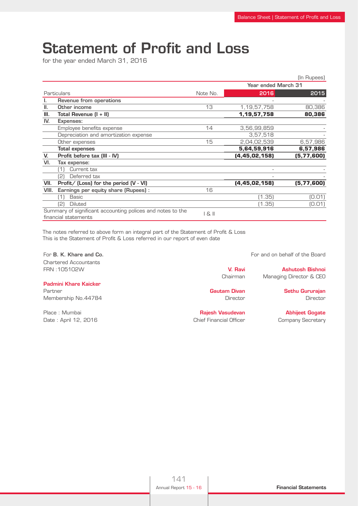### Statement of Profit and Loss

for the year ended March 31, 2016

|                                                                                    |                                        |             |                            | (In Rupees)  |
|------------------------------------------------------------------------------------|----------------------------------------|-------------|----------------------------|--------------|
|                                                                                    |                                        |             | <b>Year ended March 31</b> |              |
| Particulars                                                                        |                                        | Note No.    | 2016                       | 2015         |
| ı.                                                                                 | Revenue from operations                |             |                            |              |
| Ш.                                                                                 | Other income                           | 13          | 1,19,57,758                | 80,386       |
| Ш.                                                                                 | Total Revenue (I + II)                 |             | 1, 19, 57, 758             | 80,386       |
| IV.                                                                                | Expenses:                              |             |                            |              |
|                                                                                    | Employee benefits expense              | 14          | 3,56,99,859                |              |
|                                                                                    | Depreciation and amortization expense  |             | 3,57,518                   |              |
|                                                                                    | Other expenses                         | 15          | 2,04,02,539                | 6,57,986     |
|                                                                                    | <b>Total expenses</b>                  |             | 5,64,59,916                | 6,57,986     |
| V.                                                                                 | Profit before tax (III - IV)           |             | (4, 45, 02, 158)           | (5, 77, 600) |
| VI.                                                                                | Tax expense:                           |             |                            |              |
|                                                                                    | Current tax<br>[1]                     |             |                            |              |
|                                                                                    | Deferred tax<br>(2                     |             |                            |              |
| VII.                                                                               | Profit/ (Loss) for the period (V - VI) |             | (4, 45, 02, 158)           | (5, 77, 600) |
| VIII.                                                                              | Earnings per equity share (Rupees) :   | 16          |                            |              |
|                                                                                    | Basic<br>(1)                           |             | (1.35)                     | [0.01]       |
|                                                                                    | <b>Diluted</b><br>ו2                   |             | (1.35)                     | [0.01]       |
| Summary of significant accounting polices and notes to the<br>financial statements |                                        | $\alpha$ II |                            |              |

The notes referred to above form an integral part of the Statement of Profit & Loss This is the Statement of Profit & Loss referred in our report of even date

Chartered Accountants FRN :105102W **V. Ravi Ashutosh Bishnoi** 

#### Padmini Khare Kaicker

Partner Gautam Divan Sethu Gururajan Sethu Gururajan Sethu Gururajan Sethu Gururajan Sethu Gururajan Sethu Gururajan Membership No.44784 Director Director

Date : April 12, 2016 Chief Financial Officer Company Secretary

For **B. K. Khare and Co.** For and on behalf of the Board on **For and on behalf of the Board** 

Managing Director & CEO

| V. Ravi  |
|----------|
| Chairman |

Place : Mumbai **Rajesh Vasudevan Abhijeet Gogate**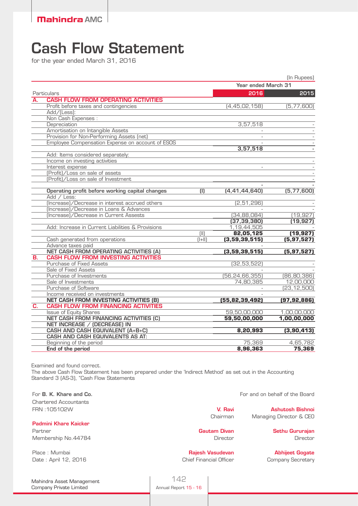### Cash Flow Statement

for the year ended March 31, 2016

|    |                                                   |          | (In Rupees)         |               |
|----|---------------------------------------------------|----------|---------------------|---------------|
|    |                                                   |          | Year ended March 31 |               |
|    | Particulars                                       |          | 2016                | 2015          |
| А. | <b>CASH FLOW FROM OPERATING ACTIVITIES</b>        |          |                     |               |
|    | Profit before taxes and contingencies             |          | (4, 45, 02, 158)    | (5, 77, 600)  |
|    | Add/(Less):                                       |          |                     |               |
|    | Non Cash Expenses :                               |          |                     |               |
|    | Depreciation                                      |          | 3,57,518            |               |
|    | Amortisation on Intangible Assets                 |          |                     |               |
|    | Provision for Non-Performing Assets (net)         |          |                     |               |
|    | Employee Compensation Expense on account of ESOS  |          |                     |               |
|    |                                                   |          | 3,57,518            |               |
|    | Add: Items considered separately:                 |          |                     |               |
|    | Income on investing activities                    |          |                     |               |
|    | Interest expense                                  |          |                     |               |
|    | (Profit)/Loss on sale of assets                   |          |                     |               |
|    | (Profit)/Loss on sale of Investment               |          |                     |               |
|    |                                                   |          |                     |               |
|    | Operating profit before working capital changes   | (1)      | (4, 41, 44, 640)    | (5, 77, 600)  |
|    | Add / Less:                                       |          |                     |               |
|    | (Increase)/Decrease in interest accrued others    |          | (2, 51, 296)        |               |
|    | (Increase)/Decrease in Loans & Advances           |          |                     |               |
|    | (Increase)/Decrease in Current Assests            |          | [34, 88, 084]       | (19, 927)     |
|    |                                                   |          | (37, 39, 380)       | (19, 927)     |
|    | Add: Increase in Current Liabilities & Provisions |          | 1,19,44,505         |               |
|    |                                                   | [  ]     | 82,05,125           | (19, 927)     |
|    | Cash generated from operations                    | $( +  )$ | (3,59,39,515)       | (5, 97, 527)  |
|    | Advance taxes paid                                |          |                     |               |
|    | <b>NET CASH FROM OPERATING ACTIVITIES (A)</b>     |          | (3,59,39,515)       | (5, 97, 527)  |
| B. | <b>CASH FLOW FROM INVESTING ACTIVITIES</b>        |          |                     |               |
|    | Purchase of Fixed Assets                          |          | (32, 53, 522)       |               |
|    | Sale of Fixed Assets                              |          |                     |               |
|    | Purchase of Investments                           |          | (56, 24, 66, 355)   | [86, 80, 386] |
|    | Sale of Investments                               |          | 74,80,385           | 12,00,000     |
|    | Purchase of Software                              |          |                     | [23, 12, 500] |
|    | Income received on investments                    |          |                     |               |
|    | <b>NET CASH FROM INVESTING ACTIVITIES (B)</b>     |          | (55, 82, 39, 492)   | (97, 92, 886) |
| C. | <b>CASH FLOW FROM FINANCING ACTIVITIES</b>        |          |                     |               |
|    | <b>Issue of Equity Shares</b>                     |          | 59,50,00,000        | 1,00,00,000   |
|    | <b>NET CASH FROM FINANCING ACTIVITIES (C)</b>     |          | 59,50,00,000        | 1,00,00,000   |
|    | NET INCREASE / (DECREASE) IN                      |          |                     |               |
|    | <b>CASH AND CASH EQUIVALENT (A+B+C)</b>           |          | 8,20,993            | (3, 90, 413)  |
|    | <b>CASH AND CASH EQUIVALENTS AS AT:</b>           |          |                     |               |
|    | Beginning of the period                           |          | 75,369              | 4,65,782      |
|    | End of the period                                 |          | 8,96,363            | 75,369        |

Examined and found correct.

The above Cash Flow Statement has been prepared under the 'Indirect Method' as set out in the Accounting Standard 3 (AS-3), "Cash Flow Statements

For B. K. Khare and Co. **For and Co.** For and on behalf of the Board Chartered Accountants FRN :105102W V. Ravi Ashutosh Bishnoi

Padmini Khare Kaicker Partner Gautam Divan Sethu Gururajan Divan Sethu Gururajan Sethu Gururajan Sethu Gururajan Sethu Gururajan Sethu Gururajan Sethu Gururajan Sethu Gururajan Sethu Gururajan Sethu Gururajan Sethu Gururajan Sethu Gururajan Set

Membership No.44784 Director Director Director Director Director

Place : Mumbai **Rajesh Vasudevan Abhijeet Gogate** Date : April 12, 2016 **Chief Financial Officer** Company Secretary

Chairman Managing Director & CEO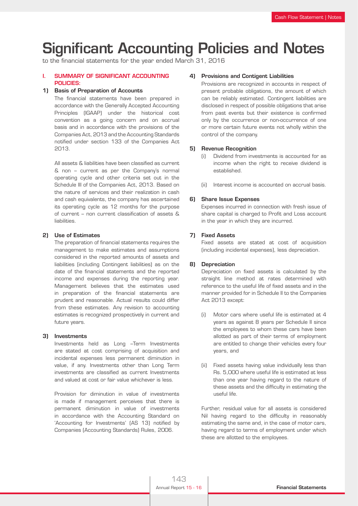to the financial statements for the year ended March 31, 2016

#### I. SUMMARY OF SIGNIFICANT ACCOUNTING POLICIES:

#### 1) Basis of Preparation of Accounts

 The financial statements have been prepared in accordance with the Generally Accepted Accounting Principles (IGAAP) under the historical cost convention as a going concern and on accrual basis and in accordance with the provisions of the Companies Act, 2013 and the Accounting Standards notified under section 133 of the Companies Act 2013.

 All assets & liabilities have been classified as current & non – current as per the Company's normal operating cycle and other criteria set out in the Schedule III of the Companies Act, 2013. Based on the nature of services and their realization in cash and cash equivalents, the company has ascertained its operating cycle as 12 months for the purpose of current – non current classification of assets & liabilities.

#### 2) Use of Estimates

 The preparation of financial statements requires the management to make estimates and assumptions considered in the reported amounts of assets and liabilities (including Contingent liabilities) as on the date of the financial statements and the reported income and expenses during the reporting year. Management believes that the estimates used in preparation of the financial statements are prudent and reasonable. Actual results could differ from these estimates. Any revision to accounting estimates is recognized prospectively in current and future years.

#### 3) Investments

 Investments held as Long –Term Investments are stated at cost comprising of acquisition and incidental expenses less permanent diminution in value, if any. Investments other than Long Term investments are classified as current Investments and valued at cost or fair value whichever is less.

 Provision for diminution in value of investments is made if management perceives that there is permanent diminution in value of investments in accordance with the Accounting Standard on 'Accounting for Investments' (AS 13) notified by Companies (Accounting Standards) Rules, 2006.

#### 4) Provisions and Contigent Liabilities

 Provisions are recognized in accounts in respect of present probable obligations, the amount of which can be reliably estimated. Contingent liabilities are disclosed in respect of possible obligations that arise from past events but their existence is confirmed only by the occurrence or non-occurrence of one or more certain future events not wholly within the control of the company.

#### 5) Revenue Recognition

- (i) Dividend from investments is accounted for as income when the right to receive dividend is established.
- (ii) Interest income is accounted on accrual basis.

#### 6) Share Issue Expenses

 Expenses incurred in connection with fresh issue of share capital is charged to Profit and Loss account in the year in which they are incurred.

#### 7) Fixed Assets

 Fixed assets are stated at cost of acquisition (including incidental expenses), less depreciation.

#### 8) Depreciation

 Depreciation on fixed assets is calculated by the straight line method at rates determined with reference to the useful life of fixed assets and in the manner provided for in Schedule II to the Companies Act 2013 except:

- (i) Motor cars where useful life is estimated at 4 years as against 8 years per Schedule II since the employees to whom these cars have been allotted as part of their terms of employment are entitled to change their vehicles every four years, and
- (ii) Fixed assets having value individually less than Rs. 5,000 where useful life is estimated at less than one year having regard to the nature of these assets and the difficulty in estimating the useful life.

 Further, residual value for all assets is considered Nil having regard to the difficulty in reasonably estimating the same and, in the case of motor cars, having regard to terms of employment under which these are allotted to the employees.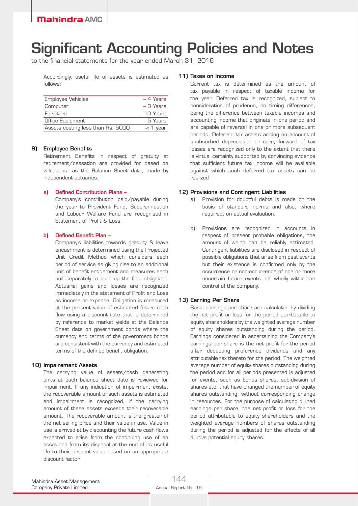to the financial statements for the year ended March 31, 2016

 Accordingly, useful life of assets is estimated as follows:

| Employee Vehicles                 | - 4 Years   |
|-----------------------------------|-------------|
| Computer                          | - 3 Years   |
| Furniture                         | $-10$ Years |
| Office Equipment                  | - 5 Years   |
| Assets costing less than Rs. 5000 | $-<$ 1 year |

## 9) Employee Benefits

 Retirement Benefits in respect of gratuity at retirement/cessation are provided for based on valuations, as the Balance Sheet date, made by independent actuaries.

#### a) Defined Contribution Plans –

 Company's contribution paid/payable during the year to Provident Fund, Superannuation and Labour Welfare Fund are recognised in Statement of Profit & Loss.

#### b) Defined Benefit Plan –

 Company's liabilities towards gratuity & leave encashment is determined using the Projected Unit Credit Method which considers each period of service as giving rise to an additional unit of benefit entitlement and measures each unit separately to build up the final obligation. Actuarial gains and losses are recognized immediately in the statement of Profit and Loss as income or expense. Obligation is measured at the present value of estimated future cash flow using a discount rate that is determined by reference to market yields at the Balance Sheet date on government bonds where the currency and terms of the government bonds are consistent with the currency and estimated terms of the defined benefit obligation.

#### 10) Impairement Assets

 The carrying value of assets/cash generating units at each balance sheet date is reviewed for impairment. If any indication of impairment exists, the recoverable amount of such assets is estimated and impairment is recognized, if the carrying amount of these assets exceeds their recoverable amount. The recoverable amount is the greater of the net selling price and their value in use. Value in use is arrived at by discounting the future cash flows expected to arise from the continuing use of an asset and from its disposal at the end of its useful life to their present value based on an appropriate discount factor

#### 11) Taxes on Income

 Current tax is determined as the amount of tax payable in respect of taxable income for the year. Deferred tax is recognized, subject to consideration of prudence, on timing differences, being the difference between taxable incomes and accounting income that originate in one period and are capable of reversal in one or more subsequent periods. Deferred tax assets arising on account of unabsorbed depreciation or carry forward of tax losses are recognized only to the extent that there is virtual certainty supported by convincing evidence that sufficient future tax income will be available against which such deferred tax assets can be realized

#### 12) Provisions and Contingent Liabilities

- a) Provision for doubtful debts is made on the basis of standard norms and also, where required, on actual evaluation.
- b) Provisions are recognized in accounts in respect of present probable obligations, the amount of which can be reliably estimated. Contingent liabilities are disclosed in respect of possible obligations that arise from past events but their existence is confirmed only by the occurrence or non-occurrence of one or more uncertain future events not wholly within the control of the company.

#### 13) Earning Per Share

 Basic earnings per share are calculated by dividing the net profit or loss for the period attributable to equity shareholders by the weighted average number of equity shares outstanding during the period. Earnings considered in ascertaining the Company's earnings per share is the net profit for the period after deducting preference dividends and any attributable tax thereto for the period. The weighted average number of equity shares outstanding during the period and for all periods presented is adjusted for events, such as bonus shares, sub-division of shares etc. that have changed the number of equity shares outstanding, without corresponding change in resources. For the purpose of calculating diluted earnings per share, the net profit or loss for the period attributable to equity shareholders and the weighted average numbers of shares outstanding during the period is adjusted for the effects of all dilutive potential equity shares.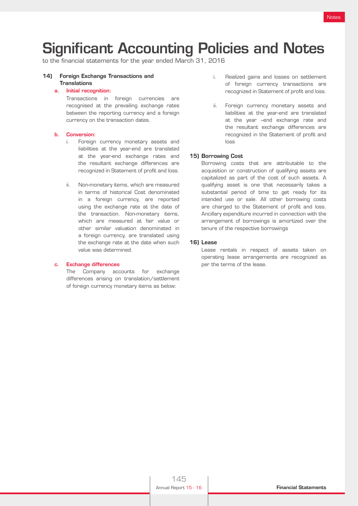to the financial statements for the year ended March 31, 2016

## 14) Foreign Exchange Transactions and

## Translations

## a. Initial recognition:

 Transactions in foreign currencies are recognised at the prevailing exchange rates between the reporting currency and a foreign currency on the transaction dates.

#### b. Conversion:

- i. Foreign currency monetary assets and liabilities at the year-end are translated at the year-end exchange rates and the resultant exchange differences are recognized in Statement of profit and loss.
- ii. Non-monetary items, which are measured in terms of historical Cost denominated in a foreign currency, are reported using the exchange rate at the date of the transaction. Non-monetary items, which are measured at fair value or other similar valuation denominated in a foreign currency, are translated using the exchange rate at the date when such value was determined.

#### c. Exchange differences

 The Company accounts for exchange differences arising on translation/settlement of foreign currency monetary items as below:

- i. Realized gains and losses on settlement of foreign currency transactions are recognized in Statement of profit and loss.
- ii. Foreign currency monetary assets and liabilities at the year-end are translated at the year –end exchange rate and the resultant exchange differences are recognized in the Statement of profit and loss

#### 15) Borrowing Cost

 Borrowing costs that are attributable to the acquisition or construction of qualifying assets are capitalized as part of the cost of such assets. A qualifying asset is one that necessarily takes a substantial period of time to get ready for its intended use or sale. All other borrowing costs are charged to the Statement of profit and loss. Ancillary expenditure incurred in connection with the arrangement of borrowings is amortized over the tenure of the respective borrowings

#### 16) Lease

 Lease rentals in respect of assets taken on operating lease arrangements are recognized as per the terms of the lease.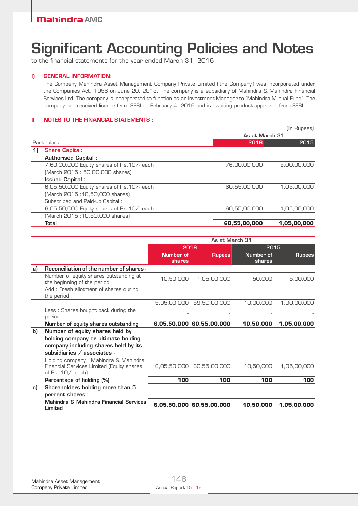to the financial statements for the year ended March 31, 2016

#### I) GENERAL INFORMATION:

 The Company Mahindra Asset Management Company Private Limited ('the Company') was incorporated under the Companies Act, 1956 on June 20, 2013. The company is a subsidiary of Mahindra & Mahindra Financial Services Ltd. The company is incorporated to function as an Investment Manager to "Mahindra Mutual Fund". The company has received license from SEBI on February 4, 2016 and is awaiting product approvals from SEBI.

#### II. NOTES TO THE FINANCIAL STATEMENTS :

|                                           |                | (In Rupees) |
|-------------------------------------------|----------------|-------------|
|                                           | As at March 31 |             |
| Particulars                               | 2016           | 2015        |
| <b>Share Capital:</b>                     |                |             |
| <b>Authorised Capital:</b>                |                |             |
| 7,60,00,000 Equity shares of Rs.10/- each | 76,00,00,000   | 5,00,00,000 |
| (March 2015: 50,00,000 shares)            |                |             |
| <b>Issued Capital:</b>                    |                |             |
| 6,05,50,000 Equity shares of Rs.10/- each | 60,55,00,000   | 1.05.00.000 |
| (March 2015:10,50,000 shares)             |                |             |
| Subscribed and Paid-up Capital:           |                |             |
| 6,05,50,000 Equity shares of Rs.10/- each | 60,55,00,000   | 1,05,00,000 |
| (March 2015:10,50,000 shares)             |                |             |
| Total                                     | 60,55,00,000   | 1,05,00,000 |
|                                           |                |             |

|    |                                                                                                        |                     | As at March 31           |                     |               |
|----|--------------------------------------------------------------------------------------------------------|---------------------|--------------------------|---------------------|---------------|
|    |                                                                                                        | 2016                |                          | 2015                |               |
|    |                                                                                                        | Number of<br>shares | <b>Rupees</b>            | Number of<br>shares | <b>Rupees</b> |
| a) | Reconciliation of the number of shares -                                                               |                     |                          |                     |               |
|    | Number of equity shares outstanding at<br>the beginning of the period                                  | 10,50,000           | 1,05,00,000              | 50,000              | 5,00,000      |
|    | Add: Fresh allotment of shares during<br>the period :                                                  |                     |                          |                     |               |
|    |                                                                                                        | 5,95,00,000         | 59,50,00,000             | 10,00,000           | 1,00,00,000   |
|    | Less: Shares bought back during the<br>period                                                          |                     |                          |                     |               |
|    | Number of equity shares outstanding                                                                    |                     | 6,05,50,000 60,55,00,000 | 10,50,000           | 1,05,00,000   |
| b) | Number of equity shares held by                                                                        |                     |                          |                     |               |
|    | holding company or ultimate holding                                                                    |                     |                          |                     |               |
|    | company including shares held by its                                                                   |                     |                          |                     |               |
|    | subsidiaries / associates -                                                                            |                     |                          |                     |               |
|    | Holding company: Mahindra & Mahindra<br>Financial Services Limited (Equity shares<br>of Rs. 10/- each) | 6,05,50,000         | 60,55,00,000             | 10,50,000           | 1,05,00,000   |
|    | Percentage of holding (%)                                                                              | 100                 | 100                      | 100                 | 100           |
| c) | Shareholders holding more than 5                                                                       |                     |                          |                     |               |
|    | percent shares :                                                                                       |                     |                          |                     |               |
|    | <b>Mahindra &amp; Mahindra Financial Services</b><br>Limited                                           |                     | 6,05,50,000 60,55,00,000 | 10,50,000           | 1,05,00,000   |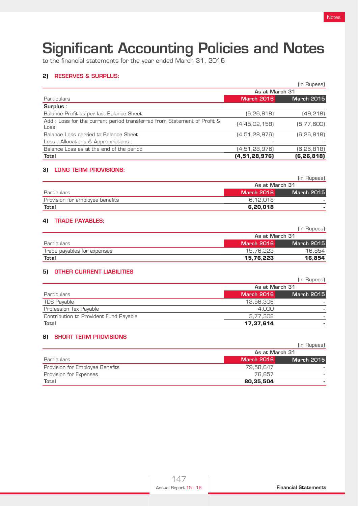to the financial statements for the year ended March 31, 2016

#### 2) RESERVES & SURPLUS:

|                                                                                 |                   | (In Rupees)       |
|---------------------------------------------------------------------------------|-------------------|-------------------|
|                                                                                 | As at March 31    |                   |
| <b>Particulars</b>                                                              | <b>March 2016</b> | <b>March 2015</b> |
| Surplus:                                                                        |                   |                   |
| Balance Profit as per last Balance Sheet                                        | (6, 26, 818)      | (49, 218)         |
| Add: Loss for the current period transferred from Statement of Profit &<br>Loss | (4,45,02,158)     | (5,77,600)        |
| Balance Loss carried to Balance Sheet                                           | (4,51,28,976)     | (6, 26, 818)      |
| Less: Allocations & Appropriations:                                             |                   |                   |
| Balance Loss as at the end of the period                                        | (4,51,28,976)     | (6, 26, 818)      |
| Total                                                                           | (4,51,28,976)     | (6, 26, 818)      |

### 3) LONG TERM PROVISIONS:

|                                 |                | (In Rupees)       |
|---------------------------------|----------------|-------------------|
|                                 | As at March 31 |                   |
| Particulars                     | March 2016     | <b>March 2015</b> |
| Provision for employee benefits | 6.12.018       | -                 |
| <b>Total</b>                    | 6,20,018       |                   |

### 4) TRADE PAYABLES:

|                             |                | (In Rupees)       |
|-----------------------------|----------------|-------------------|
|                             | As at March 31 |                   |
| Particulars                 | March 2016     | <b>March 2015</b> |
| Trade payables for expenses | 15.76.223      | 16.854            |
| Total                       | 15,76,223      | 16.854            |

### 5) OTHER CURRENT LIABILITIES

|                                        |                   | (In Rupees)       |
|----------------------------------------|-------------------|-------------------|
|                                        | As at March 31    |                   |
| Particulars                            | <b>March 2016</b> | <b>March 2015</b> |
| TDS Payable                            | 13,56,306         |                   |
| Profession Tax Payable                 | 4.000             |                   |
| Contribution to Provident Fund Payable | 3.77.308          |                   |
| Total                                  | 17,37,614         |                   |

### 6) SHORT TERM PROVISIONS

|                                 |                   | (In Rupees)              |
|---------------------------------|-------------------|--------------------------|
|                                 | As at March 31    |                          |
| Particulars                     | <b>March 2016</b> | <b>March 2015</b>        |
| Provision for Employee Benefits | 79.58.647         |                          |
| Provision for Expenses          | 76.857            | $\overline{\phantom{a}}$ |
| Total                           | 80,35,504         |                          |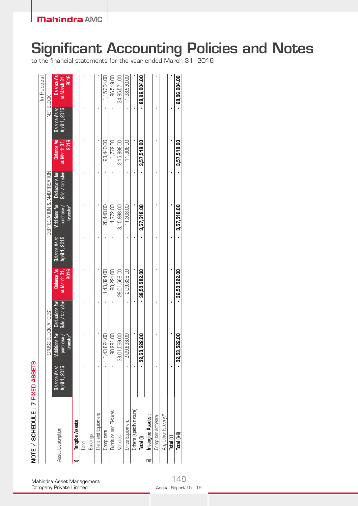to the financial statements for the year ended March 31, 2016

|                          |                                |                                                                   | GROSS BLOCK AT COST               |                                     |                                       | DEPRECIATION & AMORTISATION               |                                   |                                           | NET BLOCK                      | (In Rupees)                               |
|--------------------------|--------------------------------|-------------------------------------------------------------------|-----------------------------------|-------------------------------------|---------------------------------------|-------------------------------------------|-----------------------------------|-------------------------------------------|--------------------------------|-------------------------------------------|
| <b>Asset Description</b> | April 1, 2015<br>Balance As at | ns for<br>lase /<br>nsfer"<br>purchi<br>ត<br>ដ<br><b>Addition</b> | Sale / transfer<br>Deductions for | Balance As<br>at March 31,<br> <br> | April 1, 2015<br><b>Balance As at</b> | "Additions for<br>purchase /<br>transfer" | Deductions for<br>Sale / transfer | <b>Balance As</b><br>at March 31,<br>2016 | Balance As at<br>April 1, 2015 | at March 31,<br>2016<br><b>Balance As</b> |
| <b>Tangibe Assets</b>    |                                |                                                                   |                                   |                                     |                                       |                                           |                                   |                                           |                                |                                           |
| <b>Land</b>              | ï                              |                                                                   |                                   |                                     |                                       |                                           |                                   |                                           |                                |                                           |
| Buildings                |                                |                                                                   |                                   |                                     |                                       |                                           |                                   |                                           |                                |                                           |
| Plant and Equipment      |                                |                                                                   |                                   |                                     |                                       |                                           |                                   |                                           |                                |                                           |
| Computers                |                                | <b>14.00</b><br>1,43,82                                           |                                   | 1,43,824.00                         |                                       | 28,440.00                                 |                                   | 28,440.00                                 |                                | 1, 15, 384.00                             |
| Furniture and Fixtures   |                                | 98,291.00                                                         |                                   | 98,291.00                           |                                       | 1,772.00                                  |                                   | 1,772.00                                  |                                | 96,519.00                                 |
| Vehicles                 |                                | 28,01,569.00                                                      |                                   | 28,01,569.00                        |                                       | 3,15,998.00                               |                                   | 3,15,998.00                               |                                | 24,85,571.00                              |
| Office Equipment         |                                | 88.DO<br>2,09,83                                                  |                                   | 2,09,838.00                         |                                       | 11,308.00                                 |                                   | 11,308.00                                 |                                | 1,98,530.00                               |
| Others (specify nature)  | ı                              |                                                                   |                                   |                                     |                                       |                                           |                                   |                                           |                                |                                           |
| Total (i)                |                                | 53,522.00<br>လ္က                                                  |                                   | 32,53,522.00                        |                                       | 3,57,518.00                               |                                   | 3,57,518.00                               |                                | 28,96,004.00                              |
| Intangibe Assets:<br>≘   |                                |                                                                   |                                   |                                     |                                       |                                           |                                   |                                           |                                |                                           |
| Computer software        |                                |                                                                   |                                   |                                     |                                       |                                           |                                   |                                           |                                |                                           |
| Any Other (specify)*     | ï                              |                                                                   |                                   |                                     |                                       |                                           |                                   |                                           |                                |                                           |
| Total (ii)               |                                |                                                                   |                                   |                                     |                                       |                                           |                                   |                                           |                                |                                           |
| Total (i+ii)             |                                | <u>ទី</u><br>32,53,52                                             |                                   | 32,53,522.00                        |                                       | 3,57,518.00                               |                                   | 3,57,518.00                               |                                | 28,96,004.00                              |

## Mahindra Asset Management<br>Company Private Limited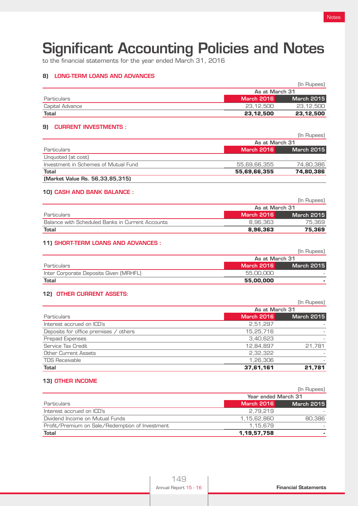to the financial statements for the year ended March 31, 2016

#### 8) LONG-TERM LOANS AND ADVANCES

|                    |                | (In Rupees)       |
|--------------------|----------------|-------------------|
|                    | As at March 31 |                   |
| <b>Particulars</b> | March 2016     | <b>March 2015</b> |
| Capital Advance    | 23,12,500      | 23,12,500         |
| <b>Total</b>       | 23,12,500      | 23,12,500         |

#### 9) CURRENT INVESTMENTS :

|                                      |                | (In Rupees)       |
|--------------------------------------|----------------|-------------------|
|                                      | As at March 31 |                   |
| Particulars                          | March 2016     | <b>March 2015</b> |
| Unquoted (at cost)                   |                |                   |
| Investment in Schemes of Mutual Fund | 55.69.66.355   | 74.80.386         |
| Total                                | 55,69,66,355   | 74,80,386         |
| [Market Value Rs. 56,33,85,315]      |                |                   |

#### 10) CASH AND BANK BALANCE :

|                                                  |                | (In Rupees)       |
|--------------------------------------------------|----------------|-------------------|
|                                                  | As at March 31 |                   |
| <b>Particulars</b>                               | March 2016     | <b>March 2015</b> |
| Balance with Scheduled Banks in Current Accounts | 8.96.363       | 75.369            |
| Total                                            | 8.96.363       | 75.369            |

#### 11) SHORT-TERM LOANS AND ADVANCES :

|                                        |                | (In Rupees)       |
|----------------------------------------|----------------|-------------------|
|                                        | As at March 31 |                   |
| Particulars                            | March 2016     | <b>March 2015</b> |
| Inter Corporate Deposits Given (MRHFL) | 55,00,000      |                   |
| <b>Total</b>                           | 55,00,000      |                   |

#### 12) OTHER CURRENT ASSETS:

|                                       |                   | (In Rupees)       |
|---------------------------------------|-------------------|-------------------|
|                                       | As at March 31    |                   |
| Particulars                           | <b>March 2016</b> | <b>March 2015</b> |
| Interest accrued on ICD's             | 2,51,297          |                   |
| Deposits for office premises / others | 15,25,716         |                   |
| <b>Prepaid Expenses</b>               | 3,40,623          |                   |
| Service Tax Credit                    | 12,84,897         | 21.781            |
| <b>Other Current Assets</b>           | 2,32,322          |                   |
| <b>TDS Receivable</b>                 | 1.26.306          |                   |
| Total                                 | 37,61,161         | 21.781            |

#### 13) OTHER INCOME

|                                                 |                     | (In Rupees)       |
|-------------------------------------------------|---------------------|-------------------|
|                                                 | Year ended March 31 |                   |
| Particulars                                     | <b>March 2016</b>   | <b>March 2015</b> |
| Interest accrued on ICD's                       | 2.79.219            |                   |
| Dividend Income on Mutual Funds                 | 1.15.62.860         | 80.386            |
| Profit/Premium on Sale/Redemption of Investment | 1.15.679            |                   |
| Total                                           | 1,19,57,758         |                   |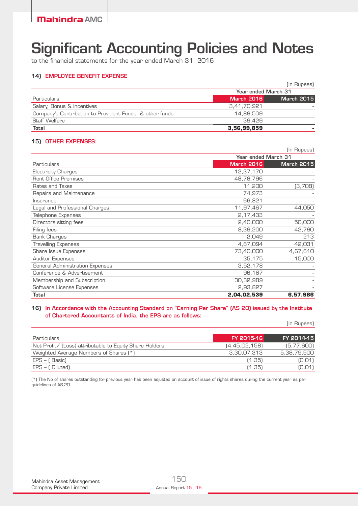to the financial statements for the year ended March 31, 2016

## 14) EMPLOYEE BENEFIT EXPENSE

|                                                          |                     | (In Rupees)       |
|----------------------------------------------------------|---------------------|-------------------|
|                                                          | Year ended March 31 |                   |
| Particulars                                              | March 2016          | <b>March 2015</b> |
| Salary, Bonus & Incentives                               | 3.41.70.921         |                   |
| Company's Contribution to Provident Funds. & other funds | 14.89.509           |                   |
| Staff Welfare                                            | 39.429              |                   |
| <b>Total</b>                                             | 3,56,99,859         |                   |

## 15) OTHER EXPENSES:

|                                        |                            | (In Rupees)       |
|----------------------------------------|----------------------------|-------------------|
|                                        | <b>Year ended March 31</b> |                   |
| Particulars                            | <b>March 2016</b>          | <b>March 2015</b> |
| <b>Electricity Charges</b>             | 12,37,170                  |                   |
| <b>Rent Office Premises</b>            | 48,78,796                  |                   |
| Rates and Taxes                        | 11,200                     | (3,708)           |
| Repairs and Maintenance                | 74,973                     |                   |
| Insurance                              | 66,821                     |                   |
| Legal and Professional Charges         | 11,97,467                  | 44,050            |
| <b>Telephone Expenses</b>              | 2,17,433                   |                   |
| Directors sitting fees                 | 2,40,000                   | 50,000            |
| Filing fees                            | 8,39,200                   | 42,790            |
| <b>Bank Charges</b>                    | 2,049                      | 213               |
| <b>Travelling Expenses</b>             | 4,87,094                   | 42,031            |
| Share Issue Expenses                   | 73,40,000                  | 4,67,610          |
| <b>Auditor Expenses</b>                | 35,175                     | 15,000            |
| <b>General Administration Expenses</b> | 3,52,178                   |                   |
| Conference & Advertisement             | 96,167                     |                   |
| Membership and Subscription            | 30,32,989                  |                   |
| Software License Expenses              | 2,93,827                   |                   |
| Total                                  | 2,04,02,539                | 6,57,986          |

#### 16) In Accordance with the Accounting Standard on "Earning Per Share" (AS 20) issued by the Institute of Chartered Accountants of India, the EPS are as follows:

(In Rupees)

| <b>Particulars</b>                                      | FY 2015-16       | FY 2014-15  |
|---------------------------------------------------------|------------------|-------------|
| Net Profit/ (Loss) attributable to Equity Share Holders | (4, 45, 02, 158) | (5,77,600)  |
| Weighted Average Numbers of Shares (*)                  | 3.30.07.313      | 5.38.79.500 |
| EPS – (Basic)                                           | (1.35)           | [0.01]      |
| EPS – (Diluted)                                         | (1.35)           | [0.01]      |

(\*) The No of shares outstanding for previous year has been adjusted on account of issue of rights shares during the current year as per guidelines of AS-20.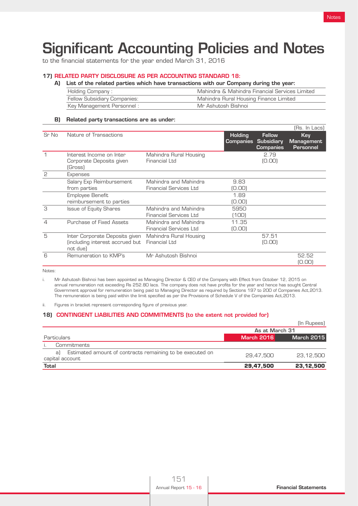to the financial statements for the year ended March 31, 2016

#### 17) RELATED PARTY DISCLOSURE AS PER ACCOUNTING STANDARD 18:

#### A) List of the related parties which have transactions with our Company during the year:

| Holding Company:                    | Mahindra & Mahindra Financial Services Limited |
|-------------------------------------|------------------------------------------------|
| <b>Fellow Subsidiary Companies:</b> | Mahindra Rural Housing Finance Limited         |
| Key Management Personnel:           | Mr Ashutosh Bishnoi                            |

#### B) Related party transactions are as under:

|                |                                                                              |                                                        |                 |                                                                  | (Rs. In Lacs)                                |
|----------------|------------------------------------------------------------------------------|--------------------------------------------------------|-----------------|------------------------------------------------------------------|----------------------------------------------|
| Sr No          | Nature of Transactions                                                       |                                                        | <b>Holding</b>  | <b>Fellow</b><br><b>Companies Subsidiary</b><br><b>Companies</b> | Key<br><b>Management</b><br><b>Personnel</b> |
| $\mathcal{L}$  | Interest Income on Inter<br>Corporate Deposits given<br>(Gross)              | Mahindra Rural Housing<br><b>Financial Ltd</b>         |                 | 2.79<br>[0.00]                                                   |                                              |
| 2              | <b>Expenses</b>                                                              |                                                        |                 |                                                                  |                                              |
|                | Salary Exp Reimbursement<br>from parties                                     | Mahindra and Mahindra<br><b>Financial Services Ltd</b> | 9.83<br>[0.00]  |                                                                  |                                              |
|                | Employee Benefit<br>reimbursement to parties                                 |                                                        | 1.89<br>[0.00]  |                                                                  |                                              |
| 3              | <b>Issue of Equity Shares</b>                                                | Mahindra and Mahindra<br><b>Financial Services Ltd</b> | 5950<br>(100)   |                                                                  |                                              |
| $\overline{4}$ | Purchase of Fixed Assets                                                     | Mahindra and Mahindra<br><b>Financial Services Ltd</b> | 11.35<br>[0.00] |                                                                  |                                              |
| 5              | Inter Corporate Deposits given<br>including interest accrued but<br>not due) | Mahindra Rural Housing<br>Financial Ltd                |                 | 57.51<br>[0.00]                                                  |                                              |
| 6              | Remuneration to KMP's                                                        | Mr Ashutosh Bishnoi                                    |                 |                                                                  | 52.52<br>[0.00]                              |

Notes:

i. Mr Ashutosh Bishnoi has been appointed as Managing Director & CEO of the Company with Effect from October 12, 2015 on annual remuneration not exceeding Rs 252.80 lacs. The company does not have profits for the year and hence has sought Central Government approval for remuneration being paid to Managing Director as required by Sections 197 to 200 of Companies Act,2013. The remuneration is being paid within the limit specified as per the Provisions of Schedule V of the Companies Act,2013.

ii. Figures in bracket represent corresponding figure of previous year.

#### 18) CONTINGENT LIABILITIES AND COMMITMENTS (to the extent not provided for)

|                                                                                    |                   | (In Rupees)       |
|------------------------------------------------------------------------------------|-------------------|-------------------|
|                                                                                    | As at March 31    |                   |
| Particulars                                                                        | <b>March 2016</b> | <b>March 2015</b> |
| Commitments                                                                        |                   |                   |
| Estimated amount of contracts remaining to be executed on<br>al<br>capital account | 29,47,500         | 23,12,500         |
| Total                                                                              | 29,47,500         | 23, 12, 500       |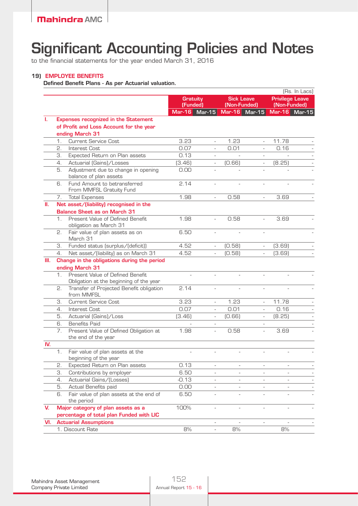to the financial statements for the year ended March 31, 2016

## 19) EMPLOYEE BENEFITS

## Defined Benefit Plans - As per Actuarial valuation.

|      |    |                                                                             |                          |                          |                          |                          |                          | (Rs. In Lacs) |
|------|----|-----------------------------------------------------------------------------|--------------------------|--------------------------|--------------------------|--------------------------|--------------------------|---------------|
|      |    |                                                                             | Gratuity                 |                          | <b>Sick Leave</b>        |                          | <b>Privilege Leave</b>   |               |
|      |    |                                                                             | (Funded)                 |                          | (Non-Funded)             |                          | (Non-Funded)             |               |
|      |    |                                                                             | Mar-16 Mar-15            |                          | Mar-16 Mar-15            |                          | Mar-16 Mar-15            |               |
| L.   |    | <b>Expenses recognized in the Statement</b>                                 |                          |                          |                          |                          |                          |               |
|      |    | of Profit and Loss Account for the year                                     |                          |                          |                          |                          |                          |               |
|      |    | ending March 31                                                             |                          |                          |                          |                          |                          |               |
|      | 1. | <b>Current Service Cost</b>                                                 | 3.23                     | $\overline{a}$           | 1.23                     | $\overline{\phantom{a}}$ | 11.78                    |               |
|      | 2. | Interest Cost                                                               | 0.07                     |                          | 0.01                     |                          | 0.16                     |               |
|      | З. | Expected Return on Plan assets                                              | 0.13                     | $\overline{a}$           |                          |                          |                          |               |
|      | 4. | Actuarial (Gains)/Losses                                                    | (3.46)                   | $\overline{\phantom{0}}$ | [0.66]                   | ÷,                       | (8.25)                   |               |
|      | 5. | Adjustment due to change in opening<br>balance of plan assets               | 0.00                     |                          |                          |                          |                          |               |
|      | 6. | Fund Amount to betransferred<br>From MMFSL Gratuity Fund                    | 2.14                     | $\overline{a}$           |                          |                          |                          |               |
|      | 7. | <b>Total Expenses</b>                                                       | 1.98                     | $\overline{\phantom{a}}$ | 0.58                     | $\bar{a}$                | 3.69                     |               |
| Ш.   |    | Net asset/(liability) recognised in the                                     |                          |                          |                          |                          |                          |               |
|      |    | <b>Balance Sheet as on March 31</b>                                         |                          |                          |                          |                          |                          |               |
|      | 1. | Present Value of Defined Benefit.<br>obligation as March 31                 | 1.98                     | $\frac{1}{2}$            | 0.58                     | $\overline{\phantom{a}}$ | 3.69                     |               |
|      | 2. | Fair value of plan assets as on<br>March 31                                 | 6.50                     | $\overline{\phantom{0}}$ | $\overline{\phantom{a}}$ | ÷,                       |                          |               |
|      | З. | Funded status (surplus/(deficit))                                           | 4.52                     | $\bar{\phantom{a}}$      | (0.58)                   | $\overline{\phantom{a}}$ | (3.69)                   |               |
|      | 4. | Net asset/(liability) as on March 31                                        | 4.52                     |                          | [0.58]                   |                          | (3.69)                   |               |
| III. |    | Change in the obligations during the period                                 |                          |                          |                          |                          |                          |               |
|      |    | ending March 31                                                             |                          |                          |                          |                          |                          |               |
|      | 1. | Present Value of Defined Benefit<br>Obligation at the beginning of the year |                          |                          |                          |                          |                          |               |
|      | 2. | Transfer of Projected Benefit obligation<br>from MMFSL                      | 2.14                     |                          |                          |                          |                          |               |
|      | З. | <b>Current Service Cost</b>                                                 | 3.23                     |                          | 1.23                     |                          | 11.78                    |               |
|      | 4. | Interest Cost                                                               | 0.07                     | $\bar{a}$                | 0.01                     | $\overline{\phantom{a}}$ | 0.16                     |               |
|      | 5. | Actuarial (Gains)/Loss                                                      | (3.46)                   | $\frac{1}{2}$            | [0.66]                   | $\overline{\phantom{a}}$ | (8.25)                   |               |
|      | 6. | <b>Benefits Paid</b>                                                        | $\sim$                   |                          |                          |                          |                          |               |
|      | 7. | Present Value of Defined Obligation at<br>the end of the year               | 1.98                     | $\frac{1}{2}$            | 0.58                     | $\overline{\phantom{a}}$ | 3.69                     |               |
| IV.  |    |                                                                             |                          |                          |                          |                          |                          |               |
|      | 1. | Fair value of plan assets at the<br>beginning of the year                   | $\overline{\phantom{a}}$ | $\overline{a}$           | $\overline{a}$           | $\overline{\phantom{a}}$ | $\overline{\phantom{a}}$ |               |
|      | 2. | Expected Return on Plan assets                                              | 0.13                     | $\qquad \qquad -$        | $\overline{\phantom{0}}$ | $\overline{\phantom{a}}$ | $\overline{\phantom{0}}$ |               |
|      | З. | Contributions by employer                                                   | 6.50                     | $\overline{\phantom{a}}$ | $\overline{\phantom{0}}$ | $\overline{\phantom{a}}$ | $\frac{1}{2}$            |               |
|      | 4. | Actuarial Gains/(Losses)                                                    | $-0.13$                  | $\overline{\phantom{m}}$ | $\overline{\phantom{0}}$ | $\overline{\phantom{a}}$ | $\overline{\phantom{0}}$ |               |
|      | 5. | Actual Benefits paid                                                        | 0.00                     | $\overline{\phantom{m}}$ | $\overline{\phantom{0}}$ | $\overline{\phantom{a}}$ | $\overline{\phantom{a}}$ |               |
|      | 6. | Fair value of plan assets at the end of<br>the period                       | 6.50                     | ÷,                       | $\overline{a}$           | $\overline{\phantom{a}}$ | $\overline{\phantom{a}}$ |               |
| V.   |    | Major category of plan assets as a                                          | 100%                     |                          |                          |                          |                          |               |
|      |    | percentage of total plan Funded with LIC                                    |                          |                          |                          |                          |                          |               |
| VI.  |    | <b>Actuarial Assumptions</b>                                                |                          | $\bar{\phantom{a}}$      |                          |                          |                          |               |
|      |    | 1. Discount Rate                                                            | 8%                       | $\overline{\phantom{a}}$ | 8%                       |                          | 8%                       |               |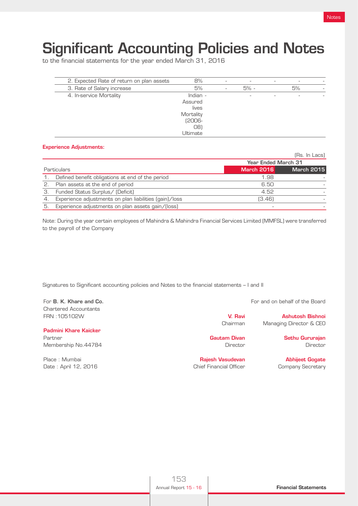to the financial statements for the year ended March 31, 2016

| 2. Expected Rate of return on plan assets | 8%              | -                        | ۰    |    |                          |
|-------------------------------------------|-----------------|--------------------------|------|----|--------------------------|
| 3. Rate of Salary increase                | 5%              | $\overline{\phantom{0}}$ | 5% - | 5% | $\overline{\phantom{0}}$ |
| 4. In-service Mortality                   | Indian -        |                          |      |    |                          |
|                                           | Assured         |                          |      |    |                          |
|                                           | lives           |                          |      |    |                          |
|                                           | Mortality       |                          |      |    |                          |
|                                           | $[2006-$        |                          |      |    |                          |
|                                           | 081             |                          |      |    |                          |
|                                           | <b>JItimate</b> |                          |      |    |                          |

#### Experience Adjustments:

|                       |                                                        |                            | (Rs. In Lacs) |
|-----------------------|--------------------------------------------------------|----------------------------|---------------|
|                       |                                                        | <b>Year Ended March 31</b> |               |
|                       | Particulars                                            | <b>March 2016</b>          | March 2015    |
|                       | Defined benefit obligations at end of the period       | 1.98                       |               |
| 2.                    | Plan assets at the end of period                       | 6.50                       |               |
| З.                    | Funded Status Surplus/ (Deficit)                       | 4.52                       |               |
| $\mathcal{A}_{\cdot}$ | Experience adjustments on plan liabilities (gain)/loss | (3.46)                     |               |
| 5.                    | Experience adjustments on plan assets gain/(loss)      |                            |               |

Note: During the year certain employees of Mahindra & Mahindra Financial Services Limited (MMFSL) were transferred to the payroll of the Company

Signatures to Significant accounting policies and Notes to the financial statements – I and II

Chartered Accountants

#### Padmini Khare Kaicker

Partner Gautam Divan Sethu Gururajan Divan Sethu Gururajan Sethu Gururajan Sethu Gururajan Sethu Gururajan Sethu Gururajan Sethu Gururajan Sethu Gururajan Sethu Gururajan Sethu Gururajan Sethu Gururajan Sethu Gururajan Set Membership No.44784 Director Director Director Director

Place : Mumbai **Abhijeet Gogate** Rajesh Vasudevan Abhijeet Gogate Date : April 12, 2016 **Chief Financial Officer** Company Secretary

For **B. K. Khare and Co. For and on behalf of the Board For and on behalf of the Board** 

FRN :105102W V. Ravi Ashutosh Bishnoi

Chairman Managing Director & CEO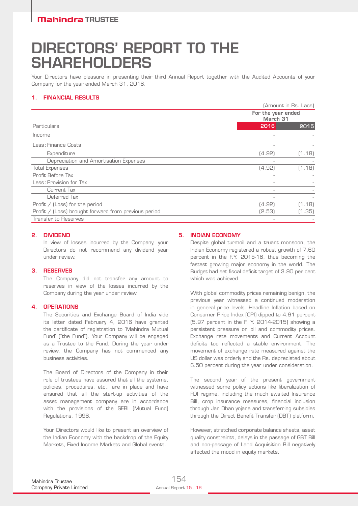## DIRECTORS' REPORT TO THE **SHAREHOLDERS**

Your Directors have pleasure in presenting their third Annual Report together with the Audited Accounts of your Company for the year ended March 31, 2016.

### 1. FINANCIAL RESULTS

|                                                      |                                | (Amount in Rs. Lacs) |
|------------------------------------------------------|--------------------------------|----------------------|
|                                                      | For the year ended<br>March 31 |                      |
| Particulars                                          | 2016                           | 2015                 |
| Income                                               |                                |                      |
| Less: Finance Costs                                  |                                |                      |
| Expenditure                                          | (4.92)                         | (1.18)               |
| Depreciation and Amortisation Expenses               |                                |                      |
| <b>Total Expenses</b>                                | (4.92)                         | (1.18)               |
| Profit Before Tax                                    |                                |                      |
| Less: Provision for Tax                              |                                |                      |
| Current Tax                                          |                                |                      |
| Deferred Tax                                         |                                |                      |
| Profit $/$ (Loss) for the period                     | (4.92)                         | (1.18)               |
| Profit / (Loss) brought forward from previous period | [2.53]                         | (1.35)               |
| <b>Transfer to Reserves</b>                          |                                |                      |

### 2. DIVIDEND

In view of losses incurred by the Company, your Directors do not recommend any dividend year under review.

#### 3. RESERVES

The Company did not transfer any amount to reserves in view of the losses incurred by the Company during the year under review.

### 4. OPERATIONS

The Securities and Exchange Board of India vide its letter dated February 4, 2016 have granted the certificate of registration to 'Mahindra Mutual Fund' ("the Fund"). Your Company will be engaged as a Trustee to the Fund. During the year under review, the Company has not commenced any business activities.

The Board of Directors of the Company in their role of trustees have assured that all the systems, policies, procedures, etc., are in place and have ensured that all the start-up activities of the asset management company are in accordance with the provisions of the SEBI (Mutual Fund) Regulations, 1996.

Your Directors would like to present an overview of the Indian Economy with the backdrop of the Equity Markets, Fixed Income Markets and Global events.

#### 5. INDIAN ECONOMY

Despite global turmoil and a truant monsoon, the Indian Economy registered a robust growth of 7.60 percent in the F.Y. 2015-16, thus becoming the fastest growing major economy in the world. The Budget had set fiscal deficit target of 3.90 per cent which was achieved.

With global commodity prices remaining benign, the previous year witnessed a continued moderation in general price levels. Headline Inflation based on Consumer Price Index (CPI) dipped to 4.91 percent (5.97 percent in the F. Y. 2014-2015) showing a persistent pressure on oil and commodity prices. Exchange rate movements and Current Account deficits too reflected a stable environment. The movement of exchange rate measured against the US dollar was orderly and the Rs. depreciated about 6.50 percent during the year under consideration.

The second year of the present government witnessed some policy actions like liberalization of FDI regime, including the much awaited Insurance Bill, crop insurance measures, financial inclusion through Jan Dhan yojana and transferring subsidies through the Direct Benefit Transfer (DBT) platform.

However, stretched corporate balance sheets, asset quality constraints, delays in the passage of GST Bill and non-passage of Land Acquisition Bill negatively affected the mood in equity markets.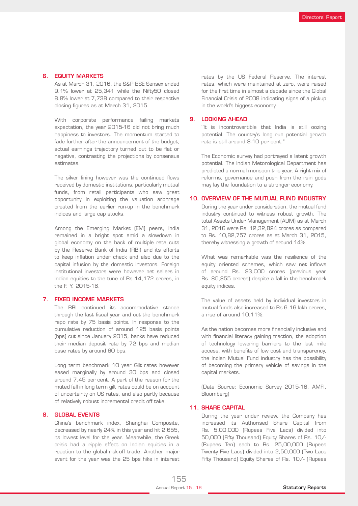### 6. EQUITY MARKETS

As at March 31, 2016, the S&P BSE Sensex ended 9.1% lower at 25,341 while the Nifty50 closed 8.8% lower at 7,738 compared to their respective closing figures as at March 31, 2015.

With corporate performance failing markets expectation, the year 2015-16 did not bring much happiness to investors. The momentum started to fade further after the announcement of the budget; actual earnings trajectory turned out to be flat or negative, contrasting the projections by consensus estimates.

The silver lining however was the continued flows received by domestic institutions, particularly mutual funds, from retail participants who saw great opportunity in exploiting the valuation arbitrage created from the earlier run-up in the benchmark indices and large cap stocks.

Among the Emerging Market (EM) peers, India remained in a bright spot amid a slowdown in global economy on the back of multiple rate cuts by the Reserve Bank of India (RBI) and its efforts to keep inflation under check and also due to the capital infusion by the domestic investors. Foreign institutional investors were however net sellers in Indian equities to the tune of Rs 14,172 crores, in the F. Y. 2015-16.

#### 7. FIXED INCOME MARKETS

The RBI continued its accommodative stance through the last fiscal year and cut the benchmark repo rate by 75 basis points. In response to the cumulative reduction of around 125 basis points (bps) cut since January 2015, banks have reduced their median deposit rate by 72 bps and median base rates by around 60 bps.

Long term benchmark 10 year Gilt rates however eased marginally by around 30 bps and closed around 7.45 per cent. A part of the reason for the muted fall in long term gilt rates could be on account of uncertainty on US rates, and also partly because of relatively robust incremental credit off take.

#### 8. GLOBAL EVENTS

China's benchmark index, Shanghai Composite, decreased by nearly 24% in this year and hit 2,655, its lowest level for the year. Meanwhile, the Greek crisis had a ripple effect on Indian equities in a reaction to the global risk-off trade. Another major event for the year was the 25 bps hike in interest rates by the US Federal Reserve. The interest rates, which were maintained at zero, were raised for the first time in almost a decade since the Global Financial Crisis of 2008 indicating signs of a pickup in the world's biggest economy.

#### 9. LOOKING AHEAD

''It is incontrovertible that India is still oozing potential. The country's long run potential growth rate is still around 8-10 per cent.''

The Economic survey had portrayed a latent growth potential. The Indian Metorological Department has predicted a normal monsoon this year. A right mix of reforms, governance and push from the rain gods may lay the foundation to a stronger economy.

#### 10. OVERVIEW OF THE MUTUAL FUND INDUSTRY

During the year under consideration, the mutual fund industry continued to witness robust growth. The total Assets Under Management (AUM) as at March 31, 2016 were Rs. 12,32,824 crores as compared to Rs. 10,82,757 crores as at March 31, 2015, thereby witnessing a growth of around 14%.

What was remarkable was the resilience of the equity oriented schemes, which saw net inflows of around Rs. 93,000 crores (previous year Rs. 80,855 crores) despite a fall in the benchmark equity indices.

The value of assets held by individual investors in mutual funds also increased to Rs 6.16 lakh crores, a rise of around 10.11%.

As the nation becomes more financially inclusive and with financial literacy gaining traction, the adoption of technology lowering barriers to the last mile access, with benefits of low cost and transparency, the Indian Mutual Fund industry has the possibility of becoming the primary vehicle of savings in the capital markets.

(Data Source: Economic Survey 2015-16, AMFI, Bloomberg)

#### 11. SHARE CAPITAL

During the year under review, the Company has increased its Authorised Share Capital from Rs. 5,00,000 (Rupees Five Lacs) divided into 50,000 (Fifty Thousand) Equity Shares of Rs. 10/- (Rupees Ten) each to Rs. 25,00,000 (Rupees Twenty Five Lacs) divided into 2,50,000 (Two Lacs Fifty Thousand) Equity Shares of Rs. 10/- (Rupees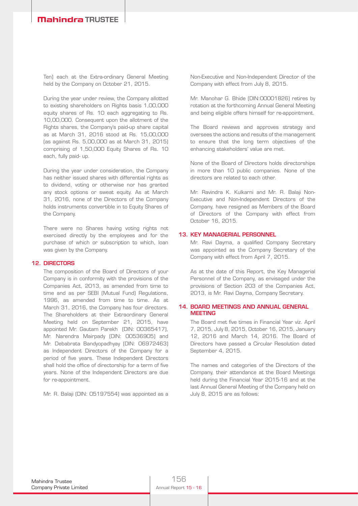Ten) each at the Extra-ordinary General Meeting held by the Company on October 21, 2015.

During the year under review, the Company allotted to existing shareholders on Rights basis 1,00,000 equity shares of Rs. 10 each aggregating to Rs. 10,00,000. Consequent upon the allotment of the Rights shares, the Company's paid-up share capital as at March 31, 2016 stood at Rs. 15,00,000 (as against Rs. 5,00,000 as at March 31, 2015) comprising of 1,50,000 Equity Shares of Rs. 10 each, fully paid- up.

During the year under consideration, the Company has neither issued shares with differential rights as to dividend, voting or otherwise nor has granted any stock options or sweat equity. As at March 31, 2016, none of the Directors of the Company holds instruments convertible in to Equity Shares of the Company.

There were no Shares having voting rights not exercised directly by the employees and for the purchase of which or subscription to which, loan was given by the Company.

#### 12. DIRECTORS

The composition of the Board of Directors of your Company is in conformity with the provisions of the Companies Act, 2013, as amended from time to time and as per SEBI (Mutual Fund) Regulations, 1996, as amended from time to time. As at March 31, 2016, the Company has four directors. The Shareholders at their Extraordinary General Meeting held on September 21, 2015, have appointed Mr. Gautam Parekh (DIN: 00365417), Mr. Narendra Mairpady (DIN: 00536905) and Mr. Debabrata Bandyopadhyay (DIN: 06972463) as Independent Directors of the Company for a period of five years. These Independent Directors shall hold the office of directorship for a term of five years. None of the Independent Directors are due for re-appointment.

Mr. R. Balaji (DIN: 05197554) was appointed as a

Non-Executive and Non-Independent Director of the Company with effect from July 8, 2015.

Mr. Manohar G. Bhide (DIN:00001826) retires by rotation at the forthcoming Annual General Meeting and being eligible offers himself for re-appointment.

The Board reviews and approves strategy and oversees the actions and results of the management to ensure that the long term objectives of the enhancing stakeholders' value are met.

None of the Board of Directors holds directorships in more than 10 public companies. None of the directors are related to each other.

Mr. Ravindra K. Kulkarni and Mr. R. Balaji Non-Executive and Non-Independent Directors of the Company, have resigned as Members of the Board of Directors of the Company with effect from October 16, 2015.

#### 13. KEY MANAGERIAL PERSONNEL

Mr. Ravi Dayma, a qualified Company Secretary was appointed as the Company Secretary of the Company with effect from April 7, 2015.

As at the date of this Report, the Key Managerial Personnel of the Company, as envisaged under the provisions of Section 203 of the Companies Act, 2013, is Mr. Ravi Dayma, Company Secretary.

### 14. BOARD MEETINGS AND ANNUAL GENERAL MEETING

The Board met five times in Financial Year viz. April 7, 2015, July 8, 2015, October 16, 2015, January 12, 2016 and March 14, 2016. The Board of Directors have passed a Circular Resolution dated September 4, 2015.

The names and categories of the Directors of the Company, their attendance at the Board Meetings held during the Financial Year 2015-16 and at the last Annual General Meeting of the Company held on July 8, 2015 are as follows: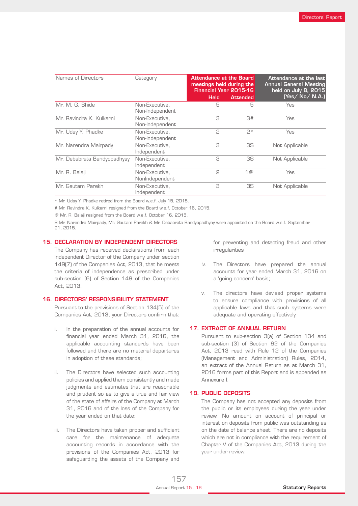| Names of Directors          | Category                          | Attendance at the Board<br>meetings held during the<br>Financial Year 2015-16 |                 | Attendance at the last<br><b>Annual General Meeting</b><br>held on July 8, 2015 |
|-----------------------------|-----------------------------------|-------------------------------------------------------------------------------|-----------------|---------------------------------------------------------------------------------|
|                             |                                   | <b>Held</b>                                                                   | <b>Attended</b> | (Yes/ No/ N.A.)                                                                 |
| Mr. M. G. Bhide             | Non-Executive.<br>Non-Independent | 5                                                                             | 5               | Yes                                                                             |
| Mr. Ravindra K. Kulkarni    | Non-Executive.<br>Non-Independent | 3                                                                             | 3#              | Yes                                                                             |
| Mr. Uday Y. Phadke          | Non-Executive.<br>Non-Independent | 2                                                                             | 2*              | Yes                                                                             |
| Mr. Narendra Mairpady       | Non-Executive.<br>Independent     | 3                                                                             | 3\$             | Not Applicable                                                                  |
| Mr. Debabrata Bandyopadhyay | Non-Executive.<br>Independent     | 3                                                                             | 3\$             | Not Applicable                                                                  |
| Mr. R. Balaji               | Non-Executive,<br>NonIndependent  | 2                                                                             | 1@              | Yes                                                                             |
| Mr. Gautam Parekh           | Non-Executive.<br>Independent     | 3                                                                             | 3\$             | Not Applicable                                                                  |

\* Mr. Uday Y. Phadke retired from the Board w.e.f. July 15, 2015.

# Mr. Ravindra K. Kulkarni resigned from the Board w.e.f. October 16, 2015.

@ Mr. R. Balaji resigned from the Board w.e.f. October 16, 2015.

\$ Mr. Narendra Mairpady, Mr. Gautam Parekh & Mr. Debabrata Bandyopadhyay were appointed on the Board w.e.f. September 21, 2015.

### 15. DECLARATION BY INDEPENDENT DIRECTORS

The Company has received declarations from each Independent Director of the Company under section 149(7) of the Companies Act, 2013, that he meets the criteria of independence as prescribed under sub-section (6) of Section 149 of the Companies Act, 2013.

### 16. DIRECTORS' RESPONSIBILITY STATEMENT

Pursuant to the provisions of Section 134(5) of the Companies Act, 2013, your Directors confirm that:

- i. In the preparation of the annual accounts for financial year ended March 31, 2016, the applicable accounting standards have been followed and there are no material departures in adoption of these standards;
- ii. The Directors have selected such accounting policies and applied them consistently and made judgments and estimates that are reasonable and prudent so as to give a true and fair view of the state of affairs of the Company at March 31, 2016 and of the loss of the Company for the year ended on that date;
- iii. The Directors have taken proper and sufficient care for the maintenance of adequate accounting records in accordance with the provisions of the Companies Act, 2013 for safeguarding the assets of the Company and

for preventing and detecting fraud and other irregularities

- iv. The Directors have prepared the annual accounts for year ended March 31, 2016 on a 'going concern' basis;
- v. The directors have devised proper systems to ensure compliance with provisions of all applicable laws and that such systems were adequate and operating effectively.

#### 17. EXTRACT OF ANNUAL RETURN

Pursuant to sub-section 3(a) of Section 134 and sub-section (3) of Section 92 of the Companies Act, 2013 read with Rule 12 of the Companies (Management and Administration) Rules, 2014, an extract of the Annual Return as at March 31, 2016 forms part of this Report and is appended as Annexure I.

#### 18. PUBLIC DEPOSITS

The Company has not accepted any deposits from the public or its employees during the year under review. No amount on account of principal or interest on deposits from public was outstanding as on the date of balance sheet. There are no deposits which are not in compliance with the requirement of Chapter V of the Companies Act, 2013 during the year under review.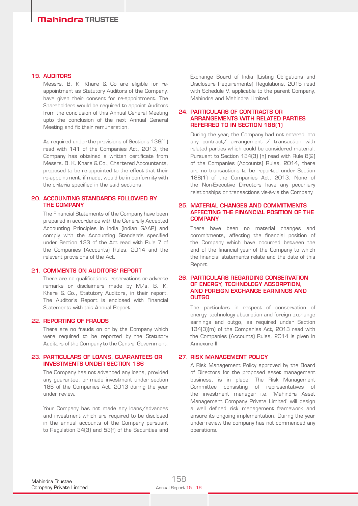#### 19. AUDITORS

Messrs. B. K. Khare & Co are eligible for reappointment as Statutory Auditors of the Company, have given their consent for re-appointment. The Shareholders would be required to appoint Auditors from the conclusion of this Annual General Meeting upto the conclusion of the next Annual General Meeting and fix their remuneration.

As required under the provisions of Sections 139(1) read with 141 of the Companies Act, 2013, the Company has obtained a written certificate from Messrs. B. K. Khare & Co., Chartered Accountants, proposed to be re-appointed to the effect that their re-appointment, if made, would be in conformity with the criteria specified in the said sections.

#### 20. ACCOUNTING STANDARDS FOLLOWED BY THE COMPANY

The Financial Statements of the Company have been prepared in accordance with the Generally Accepted Accounting Principles in India (Indian GAAP) and comply with the Accounting Standards specified under Section 133 of the Act read with Rule 7 of the Companies (Accounts) Rules, 2014 and the relevant provisions of the Act.

#### 21. COMMENTS ON AUDITORS' REPORT

There are no qualifications, reservations or adverse remarks or disclaimers made by M/s. B. K. Khare & Co., Statutory Auditors, in their report. The Auditor's Report is enclosed with Financial Statements with this Annual Report.

#### 22. REPORTING OF FRAUDS

There are no frauds on or by the Company which were required to be reported by the Statutory Auditors of the Company to the Central Government.

#### 23. PARTICULARS OF LOANS, GUARANTEES OR INVESTMENTS UNDER SECTION 186

The Company has not advanced any loans, provided any guarantee, or made investment under section 186 of the Companies Act, 2013 during the year under review.

Your Company has not made any loans/advances and investment which are required to be disclosed in the annual accounts of the Company pursuant to Regulation 34(3) and 53(f) of the Securities and Exchange Board of India (Listing Obligations and Disclosure Requirements) Regulations, 2015 read with Schedule V, applicable to the parent Company, Mahindra and Mahindra Limited.

#### 24. PARTICULARS OF CONTRACTS OR ARRANGEMENTS WITH RELATED PARTIES REFERRED TO IN SECTION 188(1)

During the year, the Company had not entered into any contract/ arrangement / transaction with related parties which could be considered material. Pursuant to Section 134(3) (h) read with Rule 8(2) of the Companies (Accounts) Rules, 2014, there are no transactions to be reported under Section 188(1) of the Companies Act, 2013. None of the Non-Executive Directors have any pecuniary relationships or transactions vis-à-vis the Company.

#### 25. MATERIAL CHANGES AND COMMITMENTS AFFECTING THE FINANCIAL POSITION OF THE **COMPANY**

There have been no material changes and commitments, affecting the financial position of the Company which have occurred between the end of the financial year of the Company to which the financial statements relate and the date of this Report.

#### 26. PARTICULARS REGARDING CONSERVATION OF ENERGY, TECHNOLOGY ABSORPTION, AND FOREIGN EXCHANGE EARNINGS AND **OUTGO**

The particulars in respect of conservation of energy, technology absorption and foreign exchange earnings and outgo, as required under Section 134(3)(m) of the Companies Act, 2013 read with the Companies (Accounts) Rules, 2014 is given in Annexure II.

#### 27. RISK MANAGEMENT POLICY

A Risk Management Policy approved by the Board of Directors for the proposed asset management business, is in place. The Risk Management Committee consisting of representatives of the investment manager i.e. 'Mahindra Asset Management Company Private Limited' will design a well defined risk management framework and ensure its ongoing implementation. During the year under review the company has not commenced any operations.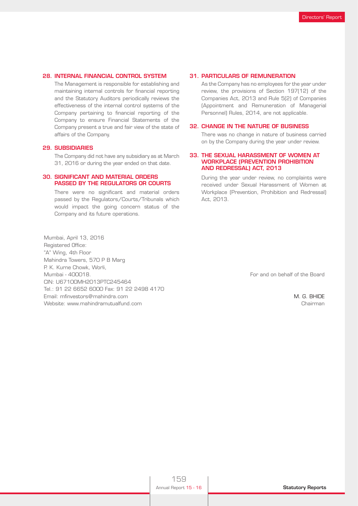#### 28. INTERNAL FINANCIAL CONTROL SYSTEM

The Management is responsible for establishing and maintaining internal controls for financial reporting and the Statutory Auditors periodically reviews the effectiveness of the internal control systems of the Company pertaining to financial reporting of the Company to ensure Financial Statements of the Company present a true and fair view of the state of affairs of the Company.

#### 29. SUBSIDIARIES

The Company did not have any subsidiary as at March 31, 2016 or during the year ended on that date.

#### 30. SIGNIFICANT AND MATERIAL ORDERS PASSED BY THE REGULATORS OR COURTS

There were no significant and material orders passed by the Regulators/Courts/Tribunals which would impact the going concern status of the Company and its future operations.

Mumbai, April 13, 2016 Registered Office: "A" Wing, 4th Floor Mahindra Towers, 570 P B Marg P. K. Kurne Chowk, Worli, Mumbai - 400018. For and on behalf of the Board CIN: U67100MH2013PTC245464 Tel.: 91 22 6652 6000 Fax: 91 22 2498 4170 Email: mfinvestors@mahindra.com M. G. BHIDE Website: www.mahindramutualfund.com Chairman

#### 31. PARTICULARS OF REMUNERATION

As the Company has no employees for the year under review, the provisions of Section 197(12) of the Companies Act, 2013 and Rule 5(2) of Companies (Appointment and Remuneration of Managerial Personnel) Rules, 2014, are not applicable.

#### 32. CHANGE IN THE NATURE OF BUSINESS

There was no change in nature of business carried on by the Company during the year under review.

#### 33. THE SEXUAL HARASSMENT OF WOMEN AT WORKPLACE (PREVENTION PROHIBITION AND REDRESSAL) ACT, 2013

During the year under review, no complaints were received under Sexual Harassment of Women at Workplace (Prevention, Prohibition and Redressal) Act, 2013.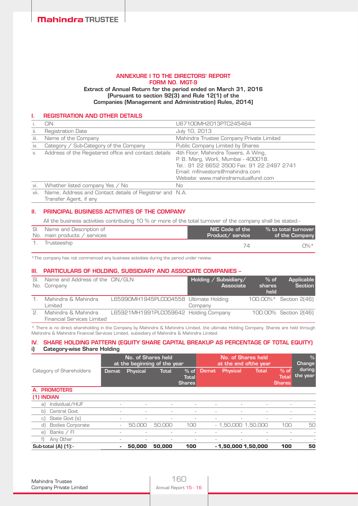## ANNEXURE I TO THE DIRECTORS' REPORT FORM NO. MGT-9

Extract of Annual Return for the period ended on March 31, 2016 [Pursuant to section 92(3) and Rule 12(1) of the Companies (Management and Administration) Rules, 2014]

## I. REGISTRATION AND OTHER DETAILS

|      | CIN                                                                               | U67100MH2013PTC245464                                                                                                                                                                              |
|------|-----------------------------------------------------------------------------------|----------------------------------------------------------------------------------------------------------------------------------------------------------------------------------------------------|
| ii.  | Registration Date                                                                 | July 10, 2013                                                                                                                                                                                      |
| iii. | Name of the Company                                                               | Mahindra Trustee Company Private Limited                                                                                                                                                           |
| IV.  | Category / Sub-Category of the Company                                            | Public Company Limited by Shares                                                                                                                                                                   |
| V.   | Address of the Registered office and contact details                              | 4th Floor, Mahindra Towers, A Wing,<br>P. B. Marg, Worli, Mumbai - 400018.<br>Tel.: 91 22 6652 3500 Fax: 91 22 2497 2741<br>Email: mfinvestors@mahindra.com<br>Website: www.mahindramutualfund.com |
| Vİ.  | Whether listed company Yes / No                                                   | No                                                                                                                                                                                                 |
| vii. | Name, Address and Contact details of Registrar and N.A.<br>Transfer Agent, if any |                                                                                                                                                                                                    |

#### II. PRINCIPAL BUSINESS ACTIVITIES OF THE COMPANY

All the business activities contributing 10 % or more of the total turnover of the company shall be stated:-

| SI. Name and Description of                         | NIC Code of the  | % to total turnover |
|-----------------------------------------------------|------------------|---------------------|
| No. main products $\overline{\phantom{a}}$ services | Product/ service | of the Company      |
| Trusteeship                                         |                  |                     |

\*The company has not commenced any business activities during the period under review.

#### III. PARTICULARS OF HOLDING, SUBSIDIARY AND ASSOCIATE COMPANIES –

|   | SI. Name and Address of the CIN/GLN<br>No. Company       |                                        | Holding / Subsidiary/<br>Associate | $%$ of<br>shares<br>held | <b>Applicable</b><br><b>Section</b> |
|---|----------------------------------------------------------|----------------------------------------|------------------------------------|--------------------------|-------------------------------------|
|   | Mahindra & Mahindra<br>Limited                           | L65990MH1945PLC004558 Ultimate Holding | Company                            |                          | 100.00%* Section 2(46)              |
| 2 | Mahindra & Mahindra<br><b>Financial Services Limited</b> | L65921MH1991PLCO59642 Holding Company  |                                    |                          | 100.00% Section 2(46)               |

\* There is no direct shareholding in the Company by Mahindra & Mahindra Limited, the ultimate Holding Company. Shares are held through Mahindra & Mahindra Financial Services Limited, subsidiary of Mahindra & Mahindra Limited.

#### IV. SHARE HOLDING PATTERN (EQUITY SHARE CAPITAL BREAKUP AS PERCENTAGE OF TOTAL EQUITY) i) Category-wise Share Holding

|                               |              | No. of Shares held<br>at the beginning of the year |              |                                         | No. of Shares held<br>at the end of the year |                        |              |                                  | $\frac{0}{2}$<br><b>Change</b> |  |
|-------------------------------|--------------|----------------------------------------------------|--------------|-----------------------------------------|----------------------------------------------|------------------------|--------------|----------------------------------|--------------------------------|--|
| Category of Shareholders      | <b>Demat</b> | <b>Physical</b>                                    | <b>Total</b> | $%$ of<br><b>Total</b><br><b>Shares</b> | <b>Demat</b>                                 | <b>Physical</b>        | <b>Total</b> | $%$ of<br><b>Total</b><br>Shares | during<br>the year             |  |
| <b>PROMOTERS</b><br>А.        |              |                                                    |              |                                         |                                              |                        |              |                                  |                                |  |
| $(1)$ INDIAN                  |              |                                                    |              |                                         |                                              |                        |              |                                  |                                |  |
| Individual/HUF<br>al          | ۰            |                                                    |              |                                         |                                              |                        |              |                                  |                                |  |
| Central Govt<br>bì            | ۰            |                                                    |              |                                         | $\overline{\phantom{a}}$                     |                        |              |                                  |                                |  |
| State Govt (s)<br>C)          | ۰            | $\sim$                                             |              | $\overline{\phantom{a}}$                | $\overline{\phantom{a}}$                     | $\sim$                 |              |                                  |                                |  |
| <b>Bodies Corporate</b><br>d) | ٠.           | 50,000                                             | 50,000       | 100                                     |                                              | $-1.50.000$ $1.50.000$ |              | 100                              | 50                             |  |
| Banks / Fl<br>e)              | ۰            |                                                    |              |                                         |                                              | ۰                      |              |                                  |                                |  |
| Any Other                     | ۰            |                                                    |              |                                         | $\overline{\phantom{a}}$                     |                        |              |                                  |                                |  |
| Sub-total $(A)$ $(1)$ :-      | ٠            | 50,000                                             | 50,000       | 100                                     |                                              | $-1,50,0001,50,000$    |              | 100                              | 50                             |  |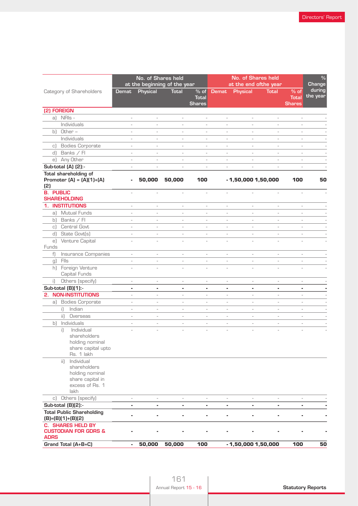|                                                                                                     |                                                      | No. of Shares held<br>at the beginning of the year   |                                                      |                                            | No. of Shares held<br>at the end ofthe year          |                                                      |                                    |                                                      | $\%$<br>Change     |
|-----------------------------------------------------------------------------------------------------|------------------------------------------------------|------------------------------------------------------|------------------------------------------------------|--------------------------------------------|------------------------------------------------------|------------------------------------------------------|------------------------------------|------------------------------------------------------|--------------------|
| Category of Shareholders                                                                            | <b>Demat</b>                                         | Physical                                             | <b>Total</b>                                         | $%$ of<br><b>Total</b><br><b>Shares</b>    | <b>Demat</b>                                         | Physical                                             | <b>Total</b>                       | $%$ of<br><b>Total</b><br><b>Shares</b>              | during<br>the year |
| (2) FOREIGN                                                                                         |                                                      |                                                      |                                                      |                                            |                                                      |                                                      |                                    |                                                      |                    |
| a) NRIs -                                                                                           | $\overline{\phantom{a}}$                             | $\overline{\phantom{a}}$                             | $\overline{\phantom{a}}$                             | $\qquad \qquad -$                          | $\overline{\phantom{a}}$                             | $\overline{\phantom{a}}$                             | $\frac{1}{2}$                      | $\overline{\phantom{a}}$                             |                    |
| Individuals                                                                                         | $\overline{\phantom{a}}$                             | $\frac{1}{2}$                                        | $\overline{\phantom{a}}$                             | $\overline{\phantom{a}}$                   | $\overline{\phantom{a}}$                             | $\overline{\phantom{a}}$                             | $\frac{1}{2}$                      | $\overline{\phantom{a}}$                             |                    |
| b) Other-                                                                                           | $\bar{a}$                                            | $\bar{ }$                                            | $\overline{\phantom{a}}$                             | $\overline{\phantom{a}}$                   | $\overline{\phantom{a}}$                             | $\overline{\phantom{a}}$                             | ÷,                                 | $\bar{ }$                                            |                    |
| Individuals                                                                                         | $\overline{\phantom{a}}$                             | $\sim$                                               | $\bar{ }$                                            | $\overline{\phantom{a}}$                   | $\overline{\phantom{m}}$                             | $\overline{\phantom{a}}$                             | $\frac{1}{2}$                      | $\sim$                                               |                    |
| <b>Bodies Corporate</b><br>C)                                                                       | $\sim$                                               | $\bar{a}$                                            | $\overline{a}$                                       | $\sim$                                     | $\overline{a}$                                       | $\sim$                                               | ÷,                                 | $\overline{\phantom{a}}$                             |                    |
| Banks / Fl<br>d)                                                                                    | $\frac{1}{2}$                                        | $\bar{ }$                                            | $\overline{\phantom{a}}$                             | ÷,                                         | $\bar{\phantom{a}}$                                  | $\overline{\phantom{a}}$                             | J.                                 | $\sim$                                               |                    |
| Any Other<br>e)                                                                                     | $\bar{ }$                                            | $\bar{ }$                                            | $\bar{ }$                                            | ÷,                                         | $\bar{\phantom{a}}$                                  | $\overline{\phantom{0}}$                             | ÷,                                 | $\bar{ }$                                            |                    |
| Sub-total (A) (2):-                                                                                 | $\frac{1}{2}$                                        | $\sim$                                               | $\overline{\phantom{a}}$                             | ÷,                                         | $\bar{\phantom{a}}$                                  | L.                                                   | ÷,                                 | $\bar{ }$                                            |                    |
| Total shareholding of<br>Promoter $(A) = (A)(1)+(A)$<br>(2)                                         | $\blacksquare$                                       | 50,000                                               | 50,000                                               | 100                                        |                                                      | $-1,50,000$ 1,50,000                                 |                                    | 100                                                  | 50                 |
| <b>B. PUBLIC</b>                                                                                    | $\overline{\phantom{a}}$                             | $\overline{\phantom{a}}$                             | $\overline{\phantom{a}}$                             | $\overline{\phantom{a}}$                   | $\overline{\phantom{a}}$                             | $\overline{\phantom{a}}$                             | $\overline{\phantom{a}}$           | $\bar{ }$                                            |                    |
| <b>SHAREHOLDING</b>                                                                                 |                                                      |                                                      |                                                      |                                            |                                                      |                                                      |                                    |                                                      |                    |
| 1. INSTITUTIONS                                                                                     | L,                                                   | $\overline{\phantom{a}}$                             | $\overline{\phantom{a}}$                             | ÷,                                         | $\bar{ }$                                            | $\bar{ }$                                            | ÷,                                 | $\bar{ }$                                            |                    |
| a) Mutual Funds                                                                                     | L,                                                   | $\overline{a}$                                       |                                                      | $\overline{a}$                             | $\qquad \qquad -$                                    |                                                      | L,                                 |                                                      |                    |
| Banks / Fl<br>b)                                                                                    | $\frac{1}{2}$                                        | $\overline{\phantom{a}}$                             | $\overline{\phantom{a}}$                             | $\overline{\phantom{m}}$                   | $\qquad \qquad -$                                    | $\overline{\phantom{0}}$                             | $\overline{\phantom{a}}$           | $\overline{\phantom{a}}$                             |                    |
| c) Central Govt                                                                                     | $\overline{\phantom{a}}$<br>$\overline{\phantom{a}}$ | $\sim$<br>$\sim$                                     | $\overline{\phantom{a}}$<br>$\overline{a}$           | $\overline{a}$<br>$\overline{a}$           | $\overline{a}$<br>$\overline{a}$                     | $\overline{a}$<br>$\overline{a}$                     | $\bar{a}$<br>÷,                    | $\sim$<br>$\overline{a}$                             |                    |
| State Govt(s)<br>d)<br>Venture Capital<br>e)                                                        | $\sim$                                               | $\overline{\phantom{a}}$                             | $\sim$                                               | $\overline{a}$                             | $\bar{ }$                                            | $\overline{a}$                                       | ÷,                                 | $\overline{\phantom{a}}$                             |                    |
| Funds                                                                                               |                                                      |                                                      |                                                      |                                            |                                                      |                                                      |                                    |                                                      |                    |
| f)<br>Insurance Companies                                                                           | $\overline{\phantom{a}}$                             | $\overline{\phantom{a}}$                             | $\frac{1}{2}$                                        | $\overline{\phantom{0}}$                   | $\bar{a}$                                            | $\overline{\phantom{m}}$                             | i,                                 | $\overline{\phantom{a}}$                             |                    |
| Flls<br>g)                                                                                          | $\frac{1}{2}$                                        | ÷,                                                   | $\bar{\phantom{a}}$                                  | $\frac{1}{2}$                              | $\frac{1}{2}$                                        | $\overline{a}$                                       | Ĭ.                                 | Ĭ.                                                   |                    |
| h) Foreign Venture<br>Capital Funds                                                                 | L,                                                   | L,                                                   |                                                      | L,                                         | $\bar{ }$                                            | L,                                                   |                                    |                                                      |                    |
| i<br>Others (specify)                                                                               | $\bar{a}$                                            | $\overline{\phantom{a}}$                             | $\overline{a}$                                       | $\overline{a}$                             | $\overline{\phantom{a}}$                             | $\overline{a}$                                       | ÷,                                 | $\sim$                                               |                    |
| Sub-total (B)(1):-                                                                                  | ä,                                                   | $\blacksquare$                                       | ٠                                                    | ä,                                         | ٠                                                    | ٠                                                    | $\blacksquare$                     | ٠                                                    |                    |
| <b>NON-INSTITUTIONS</b><br>2.                                                                       | $\overline{a}$                                       | $\overline{\phantom{a}}$                             | $\sim$                                               | L,                                         | $\frac{1}{2}$                                        | $\overline{a}$                                       | L,                                 | ÷,                                                   |                    |
| <b>Bodies Corporate</b><br>a)                                                                       | L,                                                   | $\overline{\phantom{a}}$                             | $\overline{\phantom{a}}$                             | ÷,                                         | $\overline{\phantom{a}}$                             | $\overline{\phantom{0}}$                             | $\bar{ }$                          | $\overline{\phantom{a}}$                             |                    |
| Indian<br>i)                                                                                        | ÷,                                                   | $\overline{\phantom{a}}$                             | $\overline{\phantom{a}}$                             | $\overline{\phantom{a}}$                   | $\overline{\phantom{a}}$                             | $\overline{\phantom{a}}$                             | $\sim$                             | $\sim$                                               |                    |
| Overseas<br>ii)<br>Individuals                                                                      | $\overline{a}$<br>$\bar{ }$                          | $\overline{\phantom{a}}$<br>$\overline{\phantom{a}}$ | $\overline{\phantom{a}}$<br>$\overline{\phantom{a}}$ | $\overline{a}$<br>$\overline{\phantom{a}}$ | $\overline{\phantom{a}}$<br>$\overline{\phantom{a}}$ | $\overline{\phantom{a}}$<br>$\overline{\phantom{a}}$ | $\sim$<br>$\overline{\phantom{a}}$ | $\overline{\phantom{a}}$<br>$\overline{\phantom{a}}$ |                    |
| b)<br>Individual<br>i)<br>shareholders<br>holding nominal<br>share capital upto<br>Rs. 1 lakh       |                                                      |                                                      |                                                      | L,                                         | ٠                                                    |                                                      | ä,                                 |                                                      |                    |
| Individual<br>ii)<br>shareholders<br>holding nominal<br>share capital in<br>excess of Rs. 1<br>lakh |                                                      |                                                      |                                                      |                                            |                                                      |                                                      |                                    |                                                      |                    |
| c) Others (specify)                                                                                 | $\bar{a}$                                            | $\overline{\phantom{a}}$                             | $\bar{a}$                                            | i,                                         | $\qquad \qquad -$                                    | $\overline{\phantom{m}}$                             | $\overline{\phantom{a}}$           | $\overline{\phantom{a}}$                             |                    |
| Sub-total (B)(2):-                                                                                  | $\blacksquare$                                       | ×,                                                   |                                                      | ä,                                         | ٠                                                    | ä,                                                   | ä,                                 | ä,                                                   |                    |
| <b>Total Public Shareholding</b><br>$(B)=(B)(1)+(B)(2)$                                             | ä,                                                   | ۰                                                    | ä,                                                   | ۰                                          | ä,                                                   | ä,                                                   | ۰                                  | ٠                                                    |                    |
| <b>C. SHARES HELD BY</b><br><b>CUSTODIAN FOR GDRS &amp;</b><br><b>ADRS</b>                          |                                                      |                                                      |                                                      |                                            |                                                      |                                                      |                                    |                                                      |                    |
| Grand Total (A+B+C)                                                                                 | $\blacksquare$                                       | 50,000                                               | 50,000                                               | 100                                        |                                                      | $-1,50,000$ 1,50,000                                 |                                    | 100                                                  | 50                 |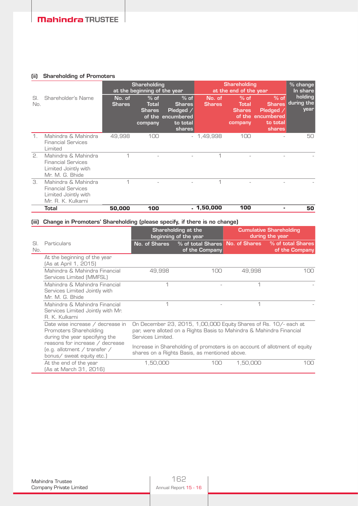I

## (ii) Shareholding of Promoters

|            |                                                                                                |                         | <b>Shareholding</b><br>at the beginning of the year |                                                                                               |                         | <b>Shareholding</b><br>at the end of the year      |                                                                                        |                               |  |  |  |  |
|------------|------------------------------------------------------------------------------------------------|-------------------------|-----------------------------------------------------|-----------------------------------------------------------------------------------------------|-------------------------|----------------------------------------------------|----------------------------------------------------------------------------------------|-------------------------------|--|--|--|--|
| SI.<br>No. | Shareholder's Name                                                                             | No. of<br><b>Shares</b> | $%$ of<br><b>Total</b><br><b>Shares</b><br>company  | $%$ of<br><b>Shares</b><br>Pledged $\prime$<br>of the encumbered<br>to total<br><b>shares</b> | No. of<br><b>Shares</b> | $%$ of<br><b>Total</b><br><b>Shares</b><br>company | $%$ of<br><b>Shares</b><br>Pledged $\angle$<br>of the encumbered<br>to total<br>shares | holding<br>during the<br>year |  |  |  |  |
|            | Mahindra & Mahindra<br><b>Financial Services</b><br>Limited                                    | 49.998                  | 100                                                 |                                                                                               | $-1,49,998$             | 100                                                |                                                                                        | 50                            |  |  |  |  |
| 2.         | Mahindra & Mahindra<br><b>Financial Services</b><br>Limited Jointly with<br>Mr. M. G. Bhide    | 1                       |                                                     |                                                                                               | 1                       |                                                    |                                                                                        |                               |  |  |  |  |
| 3.         | Mahindra & Mahindra<br><b>Financial Services</b><br>Limited Jointly with<br>Mr. R. K. Kulkarni |                         |                                                     |                                                                                               | 1                       |                                                    |                                                                                        |                               |  |  |  |  |
|            | Total                                                                                          | 50,000                  | 100                                                 |                                                                                               | $-1,50,000$             | 100                                                | ۰                                                                                      | 50                            |  |  |  |  |

## (iii) Change in Promoters' Shareholding (please specify, if there is no change)

|            |                                                                                              |                                                                                                                                                               | Shareholding at the<br>beginning of the year |          | <b>Cumulative Shareholding</b><br>during the year                   |  |  |
|------------|----------------------------------------------------------------------------------------------|---------------------------------------------------------------------------------------------------------------------------------------------------------------|----------------------------------------------|----------|---------------------------------------------------------------------|--|--|
| SI.<br>No. | Particulars                                                                                  | No. of Shares                                                                                                                                                 | of the Company                               |          | % of total Shares No. of Shares % of total Shares<br>of the Company |  |  |
|            | At the beginning of the year<br>(As at April 1, 2015)                                        |                                                                                                                                                               |                                              |          |                                                                     |  |  |
|            | Mahindra & Mahindra Financial<br>Services Limited (MMFSL)                                    | 49.998                                                                                                                                                        | 100                                          | 49.998   | 100                                                                 |  |  |
|            | Mahindra & Mahindra Financial<br>Services Limited Jointly with<br>Mr. M. G. Bhide            |                                                                                                                                                               |                                              |          |                                                                     |  |  |
|            | Mahindra & Mahindra Financial<br>Services Limited Jointly with Mr.<br>R. K. Kulkarni         | 1                                                                                                                                                             |                                              | 1        |                                                                     |  |  |
|            | Date wise increase / decrease in<br>Promoters Shareholding<br>during the year specifying the | On December 23, 2015, 1,00,000 Equity Shares of Rs. 10/- each at<br>par, were alloted on a Rights Basis to Mahindra & Mahindra Financial<br>Services Limited. |                                              |          |                                                                     |  |  |
|            | reasons for increase / decrease<br>(e.g. allotment / transfer /<br>bonus/ sweat equity etc.) | Increase in Shareholding of promoters is on account of allotment of equity<br>shares on a Rights Basis, as mentioned above.                                   |                                              |          |                                                                     |  |  |
|            | At the end of the year<br>(As at March 31, 2016)                                             | 1,50,000                                                                                                                                                      | 100                                          | 1,50,000 | 100                                                                 |  |  |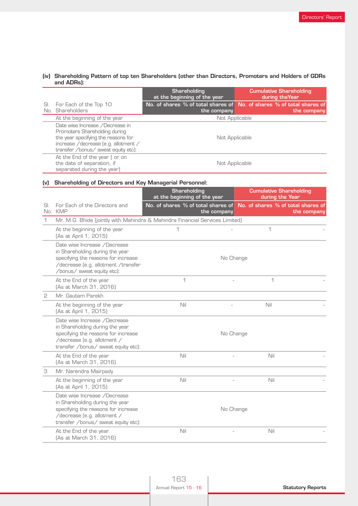## (iv) Shareholding Pattern of top ten Shareholders (other than Directors, Promoters and Holders of GDRs and ADRs):

|                                                                                                                                                                                        | <b>Shareholding</b><br>at the beginning of the year | <b>Cumulative Shareholding</b><br>during the Year                                    |
|----------------------------------------------------------------------------------------------------------------------------------------------------------------------------------------|-----------------------------------------------------|--------------------------------------------------------------------------------------|
| SI. For Each of the Top 10<br>No. Shareholders                                                                                                                                         | the company                                         | No. of shares % of total shares of No. of shares % of total shares of<br>the company |
| At the beginning of the year                                                                                                                                                           | Not Applicable                                      |                                                                                      |
| Date wise Increase /Decrease in<br>Promoters Shareholding during<br>the year specifying the reasons for<br>increase /decrease (e.g. allotment /<br>transfer /bonus/ sweat equity etc): | Not Applicable                                      |                                                                                      |
| At the End of the year (or on<br>the date of separation, if<br>separated during the year)                                                                                              | Not Applicable                                      |                                                                                      |

## (v) Shareholding of Directors and Key Managerial Personnel:

|     |                                                                                                                                                                              | <b>Shareholding</b><br>at the beginning of the year |           | <b>Cumulative Shareholding</b><br>during the Year |  |  |
|-----|------------------------------------------------------------------------------------------------------------------------------------------------------------------------------|-----------------------------------------------------|-----------|---------------------------------------------------|--|--|
| SI. | For Each of the Directors and<br>No. KMP                                                                                                                                     | No. of shares % of total shares of<br>the company   |           | No. of shares % of total shares of<br>the company |  |  |
| 1   | Mr. M.G. Bhide (jointly with Mahindra & Mahindra Financial Services Limited)                                                                                                 |                                                     |           |                                                   |  |  |
|     | At the beginning of the year<br>(As at April 1, 2015)                                                                                                                        | 1                                                   |           | 1                                                 |  |  |
|     | Date wise Increase /Decrease<br>in Shareholding during the year<br>specifying the reasons for increase<br>/decrease (e.g. allotment /transfer<br>/bonus/ sweat equity etc):  |                                                     | No Change |                                                   |  |  |
|     | At the End of the year<br>(As at March 31, 2016)                                                                                                                             | 1                                                   |           | 1                                                 |  |  |
| 2   | Mr. Gautam Parekh                                                                                                                                                            |                                                     |           |                                                   |  |  |
|     | At the beginning of the year<br>(As at April 1, 2015)                                                                                                                        | Nil                                                 |           | Nil                                               |  |  |
|     | Date wise Increase /Decrease<br>in Shareholding during the year<br>specifying the reasons for increase<br>/decrease (e.g. allotment /<br>transfer /bonus/ sweat equity etc): |                                                     | No Change |                                                   |  |  |
|     | At the End of the year<br>(As at March 31, 2016)                                                                                                                             | Nil                                                 |           | Nil                                               |  |  |
| 3   | Mr. Narendra Mairpady                                                                                                                                                        |                                                     |           |                                                   |  |  |
|     | At the beginning of the year<br>(As at April 1, 2015)                                                                                                                        | Nil                                                 |           | Nil                                               |  |  |
|     | Date wise Increase /Decrease<br>in Shareholding during the year<br>specifying the reasons for increase<br>/decrease (e.g. allotment /<br>transfer /bonus/ sweat equity etc): |                                                     | No Change |                                                   |  |  |
|     | At the End of the year<br>(As at March 31, 2016)                                                                                                                             | Nil                                                 |           | Nil                                               |  |  |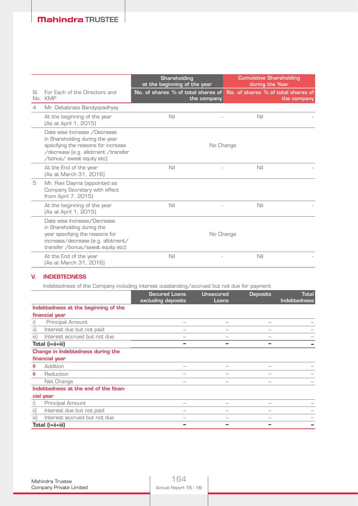## **Mahindra** TRUSTEE

 $\overline{1}$ 

|     |                                                                                                                                                                             | <b>Shareholding</b><br>at the beginning of the year |           |     | <b>Cumulative Shareholding</b><br>during the Year |
|-----|-----------------------------------------------------------------------------------------------------------------------------------------------------------------------------|-----------------------------------------------------|-----------|-----|---------------------------------------------------|
| SI. | For Each of the Directors and<br>No. KMP                                                                                                                                    | No. of shares % of total shares of<br>the company   |           |     | No. of shares % of total shares of<br>the company |
| 4   | Mr. Debabrata Bandyopadhyay                                                                                                                                                 |                                                     |           |     |                                                   |
|     | At the beginning of the year<br>(As at April 1, 2015)                                                                                                                       | Nil                                                 |           | Nil |                                                   |
|     | Date wise Increase /Decrease<br>in Shareholding during the year<br>specifying the reasons for increase<br>/decrease (e.g. allotment /transfer<br>/bonus/ sweat equity etc): |                                                     | No Change |     |                                                   |
|     | At the End of the year<br>(As at March 31, 2016)                                                                                                                            | Nil                                                 |           | Nil |                                                   |
| 5   | Mr. Ravi Dayma (appointed as<br>Company Secretary with effect<br>from April 7, 2015)                                                                                        |                                                     |           |     |                                                   |
|     | At the beginning of the year<br>(As at April 1, 2015)                                                                                                                       | Nil                                                 |           | Nil |                                                   |
|     | Date wise Increase/Decrease<br>in Shareholding during the<br>year specifying the reasons for<br>increase/decrease (e.g. allotment/<br>transfer /bonus/sweat equity etc):    |                                                     | No Change |     |                                                   |
|     | At the End of the year<br>(As at March 31, 2016)                                                                                                                            | Nil                                                 |           | Nil |                                                   |

## V. INDEBTEDNESS

Indebtedness of the Company including interest outstanding/accrued but not due for payment

|      |                                       | <b>Secured Loans</b><br>excluding deposits | <b>Unsecured</b><br><b>Loans</b> | <b>Deposits</b> | <b>Total</b><br><b>Indebtedness</b> |
|------|---------------------------------------|--------------------------------------------|----------------------------------|-----------------|-------------------------------------|
|      | Indebtedness at the beginning of the  |                                            |                                  |                 |                                     |
|      | financial year                        |                                            |                                  |                 |                                     |
| i)   | Principal Amount                      |                                            |                                  |                 |                                     |
| ii)  | Interest due but not paid             |                                            |                                  |                 |                                     |
| iii) | Interest accrued but not due          |                                            |                                  |                 |                                     |
|      | Total (i+ii+iii)                      |                                            | -                                | --              |                                     |
|      | Change in Indebtedness during the     |                                            |                                  |                 |                                     |
|      | financial year                        |                                            |                                  |                 |                                     |
| ◈    | Addition                              |                                            |                                  |                 |                                     |
| ◈    | Reduction                             |                                            |                                  |                 |                                     |
|      | Net Change                            |                                            |                                  |                 |                                     |
|      | Indebtedness at the end of the finan- |                                            |                                  |                 |                                     |
|      | cial year                             |                                            |                                  |                 |                                     |
| i)   | Principal Amount                      |                                            |                                  |                 |                                     |
| ii)  | Interest due but not paid             |                                            |                                  |                 |                                     |
| iii) | Interest accrued but not due          |                                            |                                  |                 |                                     |
|      | Total (i+ii+iii)                      |                                            |                                  |                 |                                     |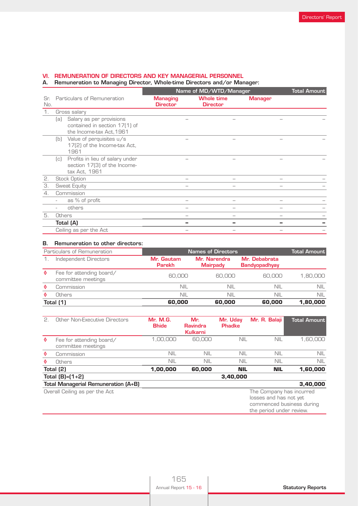## VI. REMUNERATION OF DIRECTORS AND KEY MANAGERIAL PERSONNEL

A. Remuneration to Managing Director, Whole-time Directors and/or Manager:

|                 |                                                                                                               | Name of MD/WTD/Manager             | <b>Total Amount</b>           |                |  |
|-----------------|---------------------------------------------------------------------------------------------------------------|------------------------------------|-------------------------------|----------------|--|
| .Sr.<br>No.     | Particulars of Remuneration                                                                                   | <b>Managing</b><br><b>Director</b> | Whole time<br><b>Director</b> | <b>Manager</b> |  |
| $\mathcal{L}$ . | Gross salary                                                                                                  |                                    |                               |                |  |
|                 | Salary as per provisions<br>(a)<br>contained in section 17(1) of<br>the Income-tax Act, 1961                  |                                    |                               |                |  |
|                 | Value of perquisites u/s<br>(b)<br>17(2) of the Income-tax Act,<br>1961                                       |                                    |                               |                |  |
|                 | Profits in lieu of salary under<br>$\left[\mathrm{c}\right]$<br>section 17(3) of the Income-<br>tax Act, 1961 |                                    |                               |                |  |
| 2.              | <b>Stock Option</b>                                                                                           |                                    |                               |                |  |
| З.              | <b>Sweat Equity</b>                                                                                           |                                    | $\overline{\phantom{a}}$      |                |  |
| $\mathcal{A}$ . | Commission                                                                                                    |                                    |                               |                |  |
|                 | as % of profit                                                                                                |                                    |                               |                |  |
|                 | others<br>$\overline{\phantom{0}}$                                                                            |                                    |                               |                |  |
| 5.              | Others                                                                                                        |                                    |                               |                |  |
|                 | Total (A)                                                                                                     |                                    |                               |                |  |
|                 | Ceiling as per the Act                                                                                        |                                    |                               |                |  |

## B. Remuneration to other directors:

| Particulars of Remuneration |                                                | <b>Names of Directors</b>   |                                 |                                       | <b>Total Amount</b> |
|-----------------------------|------------------------------------------------|-----------------------------|---------------------------------|---------------------------------------|---------------------|
|                             | Independent Directors                          | Mr. Gautam<br><b>Parekh</b> | Mr. Narendra<br><b>Mairpady</b> | Mr. Debabrata<br><b>Bandyopadhyay</b> |                     |
| ◈                           | Fee for attending board/<br>committee meetings | 60,000                      | 60,000                          | 60,000                                | 1.80.000            |
| ◈                           | Commission                                     | NIL                         | NIL                             | <b>NIL</b>                            | NIL                 |
| ◈                           | Others                                         | NIL                         | NIL                             | <b>NIL</b>                            | NIL                 |
|                             | Total (1)                                      | 60,000                      | 60,000                          | 60,000                                | 1,80,000            |

|   | Other Non-Executive Directors                  | <b>Mr. M.G.</b><br><b>Bhide</b> | Mr.<br><b>Ravindra</b><br><b>Kulkarni</b> | Mr. Uday<br><b>Phadke</b> | Mr. R. Balaji                                      | <b>Total Amount</b> |
|---|------------------------------------------------|---------------------------------|-------------------------------------------|---------------------------|----------------------------------------------------|---------------------|
| ◈ | Fee for attending board/<br>committee meetings | 1,00,000                        | 60,000                                    | NIL                       | <b>NIL</b>                                         | 1,60,000            |
| ♦ | Commission                                     | NIL                             | <b>NIL</b>                                | NIL                       | <b>NIL</b>                                         | NIL                 |
| ◈ | Others                                         | NIL                             | NIL                                       | NIL                       | NIL                                                | <b>NIL</b>          |
|   | Total (2)                                      | 1,00,000                        | 60,000                                    | <b>NIL</b>                | <b>NIL</b>                                         | 1,60,000            |
|   | Total $(B)=(1+2)$                              |                                 |                                           | 3,40,000                  |                                                    |                     |
|   | Total Managerial Remuneration (A+B)            |                                 |                                           |                           |                                                    | 3,40,000            |
|   | Overall Ceiling as per the Act                 |                                 |                                           |                           | The Company has incurred<br>losses and has not yet |                     |

losses and has not yet commenced business during the period under review.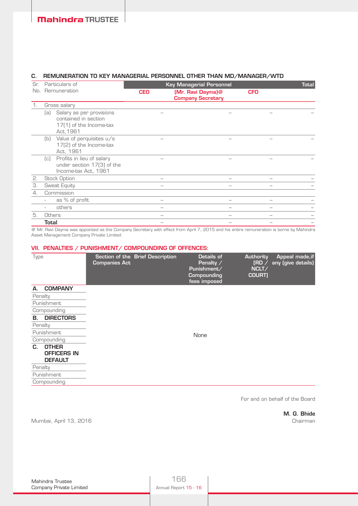### C. REMUNERATION TO KEY MANAGERIAL PERSONNEL OTHER THAN MD/MANAGER/WTD

| Sr. | Particulars of                                                                                       | <b>Key Managerial Personnel</b>                                           | Total |
|-----|------------------------------------------------------------------------------------------------------|---------------------------------------------------------------------------|-------|
|     | No. Remuneration                                                                                     | (Mr. Ravi Dayma)@<br><b>CEO</b><br><b>CFO</b><br><b>Company Secretary</b> |       |
| 1.  | Gross salary                                                                                         |                                                                           |       |
|     | Salary as per provisions<br>(a)<br>contained in section<br>17(1) of the Income-tax<br>Act, 1961      |                                                                           |       |
|     | Value of perquisites u/s<br>(b)<br>17(2) of the Income-tax<br>Act, 1961                              |                                                                           |       |
|     | Profits in lieu of salary<br>$\lceil c \rceil$<br>under section 17(3) of the<br>Income-tax Act, 1961 |                                                                           |       |
| 2.  | <b>Stock Option</b>                                                                                  |                                                                           |       |
| З.  | <b>Sweat Equity</b>                                                                                  |                                                                           |       |
| 4.  | Commission                                                                                           |                                                                           |       |
|     | as % of profit                                                                                       | -<br>$\overline{\phantom{0}}$                                             |       |
|     | others<br>$\sim$                                                                                     | $\overline{\phantom{0}}$                                                  |       |
| 5.  | Others                                                                                               |                                                                           |       |
|     | Total                                                                                                |                                                                           |       |

@ Mr. Ravi Dayma was appointed as the Company Secretary with effect from April 7, 2015 and his entire remuneration is borne by Mahindra Asset Management Company Private Limited.

#### VII. PENALTIES / PUNISHMENT/ COMPOUNDING OF OFFENCES:

| Type       |                                                      | Section of the Brief Description<br><b>Companies Act</b> | Details of<br>Penalty /<br>Punishment/<br>Compounding<br>fees imposed | Appeal made, if<br><b>Authority</b><br>any (give details)<br>[RD /<br>NCLT/<br><b>COURT]</b> |  |  |  |  |
|------------|------------------------------------------------------|----------------------------------------------------------|-----------------------------------------------------------------------|----------------------------------------------------------------------------------------------|--|--|--|--|
| А.         | <b>COMPANY</b>                                       |                                                          |                                                                       |                                                                                              |  |  |  |  |
|            | Penalty                                              |                                                          |                                                                       |                                                                                              |  |  |  |  |
|            | Punishment                                           |                                                          |                                                                       |                                                                                              |  |  |  |  |
|            | Compounding                                          |                                                          |                                                                       |                                                                                              |  |  |  |  |
| В.         | <b>DIRECTORS</b>                                     |                                                          |                                                                       |                                                                                              |  |  |  |  |
|            | Penalty                                              |                                                          |                                                                       |                                                                                              |  |  |  |  |
|            | Punishment                                           | None                                                     |                                                                       |                                                                                              |  |  |  |  |
|            | Compounding                                          |                                                          |                                                                       |                                                                                              |  |  |  |  |
| C.         | <b>OTHER</b><br><b>OFFICERS IN</b><br><b>DEFAULT</b> |                                                          |                                                                       |                                                                                              |  |  |  |  |
| Penalty    |                                                      |                                                          |                                                                       |                                                                                              |  |  |  |  |
| Punishment |                                                      |                                                          |                                                                       |                                                                                              |  |  |  |  |
|            | Compounding                                          |                                                          |                                                                       |                                                                                              |  |  |  |  |

For and on behalf of the Board

Mumbai, April 13, 2016 **Chairman** 

| Mahindra Trustee        | 16F                   |
|-------------------------|-----------------------|
| Company Private Limited | Annual Report 15 - 16 |

M. G. Bhide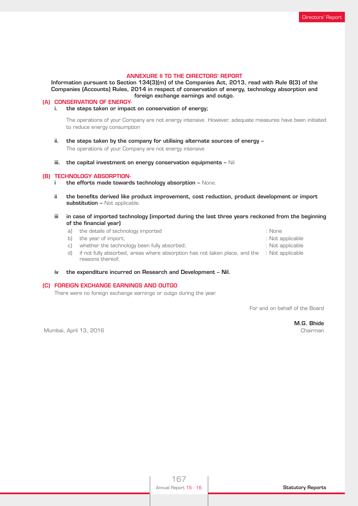#### ANNEXURE II TO THE DIRECTORS' REPORT

Information pursuant to Section 134(3)(m) of the Companies Act, 2013, read with Rule 8(3) of the Companies (Accounts) Rules, 2014 in respect of conservation of energy, technology absorption and foreign exchange earnings and outgo.

### (A) CONSERVATION OF ENERGY-

i. the steps taken or impact on conservation of energy;

The operations of your Company are not energy intensive. However, adequate measures have been initiated to reduce energy consumption

- ii. the steps taken by the company for utilising alternate sources of energy The operations of your Company are not energy intensive
- iii. the capital investment on energy conservation equipments Nil

#### (B) TECHNOLOGY ABSORPTION-

- i the efforts made towards technology absorption None.
- ii the benefits derived like product improvement, cost reduction, product development or import substitution - Not applicable.
- iii in case of imported technology (imported during the last three years reckoned from the beginning of the financial year)
	- a) the details of technology imported : None : None : None : None : None : None : None : None : None : None : None : None : None : None : None : None : None : None : None : None : None : None : None : None : None : None : b) the year of import;  $\blacksquare$ c) whether the technology been fully absorbed;  $\blacksquare$  : Not applicable d) if not fully absorbed, areas where absorption has not taken place, and the : Not applicable reasons thereof;

#### iv the expenditure incurred on Research and Development – Nil.

#### (C) FOREIGN EXCHANGE EARNINGS AND OUTGO

There were no foreign exchange earnings or outgo during the year.

For and on behalf of the Board

M.G. Bhide

Mumbai, April 13, 2016 Chairman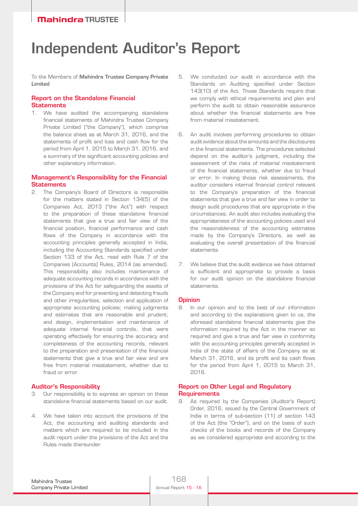## Independent Auditor's Report

To the Members of Mahindra Trustee Company Private Limited

### Report on the Standalone Financial **Statements**

1. We have audited the accompanying standalone financial statements of Mahindra Trustee Company Private Limited ("the Company"), which comprise the balance sheet as at March 31, 2016, and the statements of profit and loss and cash flow for the period from April 1, 2015 to March 31, 2016, and a summary of the significant accounting policies and other explanatory information.

### Management's Responsibility for the Financial **Statements**

2. The Company's Board of Directors is responsible for the matters stated in Section 134(5) of the Companies Act, 2013 ("the Act") with respect to the preparation of these standalone financial statements that give a true and fair view of the financial position, financial performance and cash flows of the Company in accordance with the accounting principles generally accepted in India, including the Accounting Standards specified under Section 133 of the Act, read with Rule 7 of the Companies (Accounts) Rules, 2014 (as amended). This responsibility also includes maintenance of adequate accounting records in accordance with the provisions of the Act for safeguarding the assets of the Company and for preventing and detecting frauds and other irregularities; selection and application of appropriate accounting policies; making judgments and estimates that are reasonable and prudent; and design, implementation and maintenance of adequate internal financial controls, that were operating effectively for ensuring the accuracy and completeness of the accounting records, relevant to the preparation and presentation of the financial statements that give a true and fair view and are free from material misstatement, whether due to fraud or error.

### Auditor's Responsibility

- 3. Our responsibility is to express an opinion on these standalone financial statements based on our audit.
- 4. We have taken into account the provisions of the Act, the accounting and auditing standards and matters which are required to be included in the audit report under the provisions of the Act and the Rules made thereunder.
- 5. We conducted our audit in accordance with the Standards on Auditing specified under Section 143(10) of the Act. Those Standards require that we comply with ethical requirements and plan and perform the audit to obtain reasonable assurance about whether the financial statements are free from material misstatement.
- 6. An audit involves performing procedures to obtain audit evidence about the amounts and the disclosures in the financial statements. The procedures selected depend on the auditor's judgment, including the assessment of the risks of material misstatement of the financial statements, whether due to fraud or error. In making those risk assessments, the auditor considers internal financial control relevant to the Company's preparation of the financial statements that give a true and fair view in order to design audit procedures that are appropriate in the circumstances. An audit also includes evaluating the appropriateness of the accounting policies used and the reasonableness of the accounting estimates made by the Company's Directors, as well as evaluating the overall presentation of the financial statements.
- 7. We believe that the audit evidence we have obtained is sufficient and appropriate to provide a basis for our audit opinion on the standalone financial statements.

#### **Opinion**

8. In our opinion and to the best of our information and according to the explanations given to us, the aforesaid standalone financial statements give the information required by the Act in the manner so required and give a true and fair view in conformity with the accounting principles generally accepted in India of the state of affairs of the Company as at March 31, 2016, and its profit and its cash flows for the period from April 1, 2015 to March 31, 2016.

## Report on Other Legal and Regulatory **Requirements**

9. As required by the Companies (Auditor's Report) Order, 2016, issued by the Central Government of India in terms of sub-section (11) of section 143 of the Act (the "Order"), and on the basis of such checks of the books and records of the Company as we considered appropriate and according to the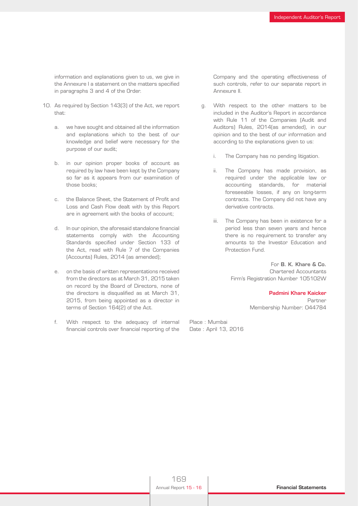information and explanations given to us, we give in the Annexure I a statement on the matters specified in paragraphs 3 and 4 of the Order.

- 10. As required by Section 143(3) of the Act, we report that:
	- a. we have sought and obtained all the information and explanations which to the best of our knowledge and belief were necessary for the purpose of our audit;
	- b. in our opinion proper books of account as required by law have been kept by the Company so far as it appears from our examination of those books;
	- c. the Balance Sheet, the Statement of Profit and Loss and Cash Flow dealt with by this Report are in agreement with the books of account;
	- d. In our opinion, the aforesaid standalone financial statements comply with the Accounting Standards specified under Section 133 of the Act, read with Rule 7 of the Companies (Accounts) Rules, 2014 (as amended);
	- e. on the basis of written representations received from the directors as at March 31, 2015 taken on record by the Board of Directors, none of the directors is disqualified as at March 31, 2015, from being appointed as a director in terms of Section 164(2) of the Act.
	- f. With respect to the adequacy of internal financial controls over financial reporting of the

Company and the operating effectiveness of such controls, refer to our separate report in Annexure II.

- g. With respect to the other matters to be included in the Auditor's Report in accordance with Rule 11 of the Companies (Audit and Auditors) Rules, 2014(as amended), in our opinion and to the best of our information and according to the explanations given to us:
	- i. The Company has no pending litigation.
	- ii. The Company has made provision, as required under the applicable law or accounting standards, for material foreseeable losses, if any on long-term contracts. The Company did not have any derivative contracts.
	- iii. The Company has been in existence for a period less than seven years and hence there is no requirement to transfer any amounts to the Investor Education and Protection Fund.

For B. K. Khare & Co. Chartered Accountants Firm's Registration Number 105102W

> Padmini Khare Kaicker Partner Membership Number: 044784

Place : Mumbai Date : April 13, 2016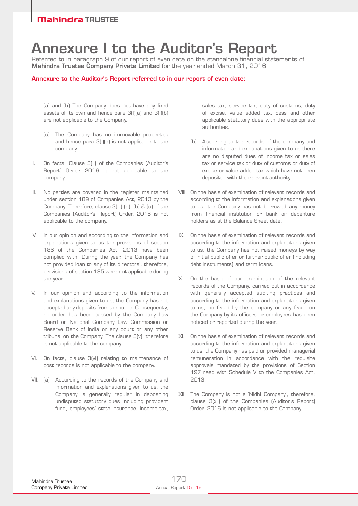## Annexure I to the Auditor's Report

Referred to in paragraph 9 of our report of even date on the standalone financial statements of Mahindra Trustee Company Private Limited for the year ended March 31, 2016

### Annexure to the Auditor's Report referred to in our report of even date:

- I. (a) and (b) The Company does not have any fixed assets of its own and hence para 3(I)(a) and 3(I)(b) are not applicable to the Company.
	- (c) The Company has no immovable properties and hence para 3(i)(c) is not applicable to the company
- II. On facts, Clause 3(ii) of the Companies (Auditor's Report) Order, 2016 is not applicable to the company.
- III. No parties are covered in the register maintained under section 189 of Companies Act, 2013 by the Company. Therefore, clause 3(iii) (a), (b) & (c) of the Companies (Auditor's Report) Order, 2016 is not applicable to the company.
- IV. In our opinion and according to the information and explanations given to us the provisions of section 186 of the Companies Act, 2013 have been complied with. During the year, the Company has not provided loan to any of its directors', therefore, provisions of section 185 were not applicable during the year.
- V. In our opinion and according to the information and explanations given to us, the Company has not accepted any deposits from the public. Consequently, no order has been passed by the Company Law Board or National Company Law Commission or Reserve Bank of India or any court or any other tribunal on the Company. The clause 3(v), therefore is not applicable to the company.
- VI. On facts, clause 3(vi) relating to maintenance of cost records is not applicable to the company.
- VII. (a) According to the records of the Company and information and explanations given to us, the Company is generally regular in depositing undisputed statutory dues including provident fund, employees' state insurance, income tax,

sales tax, service tax, duty of customs, duty of excise, value added tax, cess and other applicable statutory dues with the appropriate authorities.

- (b) According to the records of the company and information and explanations given to us there are no disputed dues of income tax or sales tax or service tax or duty of customs or duty of excise or value added tax which have not been deposited with the relevant authority.
- VIII. On the basis of examination of relevant records and according to the information and explanations given to us, the Company has not borrowed any money from financial institution or bank or debenture holders as at the Balance Sheet date.
- IX. On the basis of examination of relevant records and according to the information and explanations given to us, the Company has not raised moneys by way of initial public offer or further public offer (including debt instruments) and term loans.
- X. On the basis of our examination of the relevant records of the Company, carried out in accordance with generally accepted auditing practices and according to the information and explanations given to us, no fraud by the company or any fraud on the Company by its officers or employees has been noticed or reported during the year.
- XI. On the basis of examination of relevant records and according to the information and explanations given to us, the Company has paid or provided managerial remuneration in accordance with the requisite approvals mandated by the provisions of Section 197 read with Schedule V to the Companies Act, 2013.
- XII. The Company is not a 'Nidhi Company', therefore, clause 3(xii) of the Companies (Auditor's Report) Order, 2016 is not applicable to the Company.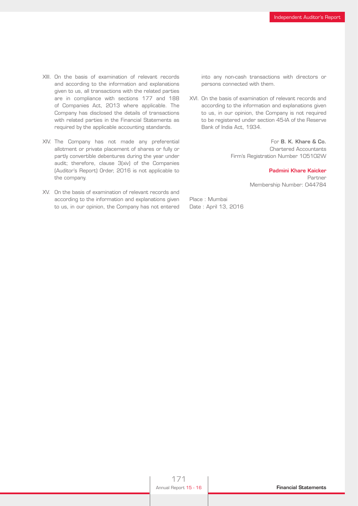- XIII. On the basis of examination of relevant records and according to the information and explanations given to us, all transactions with the related parties are in compliance with sections 177 and 188 of Companies Act, 2013 where applicable. The Company has disclosed the details of transactions with related parties in the Financial Statements as required by the applicable accounting standards.
- XIV. The Company has not made any preferential allotment or private placement of shares or fully or partly convertible debentures during the year under audit; therefore, clause 3(xiv) of the Companies (Auditor's Report) Order, 2016 is not applicable to the company.
- XV. On the basis of examination of relevant records and according to the information and explanations given to us, in our opinion, the Company has not entered

into any non-cash transactions with directors or persons connected with them.

XVI. On the basis of examination of relevant records and according to the information and explanations given to us, in our opinion, the Company is not required to be registered under section 45-IA of the Reserve Bank of India Act, 1934.

> For B. K. Khare & Co. Chartered Accountants Firm's Registration Number 105102W

## Padmini Khare Kaicker

Partner Membership Number: 044784

Place : Mumbai Date : April 13, 2016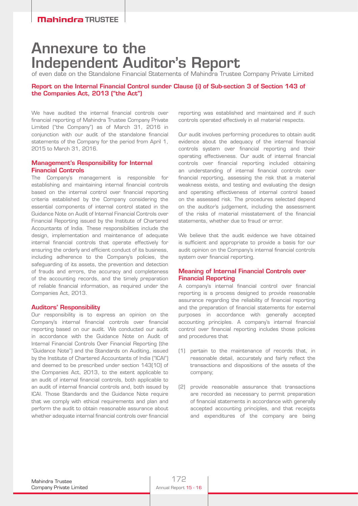## Annexure to the Independent Auditor's Report

of even date on the Standalone Financial Statements of Mahindra Trustee Company Private Limited

## Report on the Internal Financial Control sunder Clause (i) of Sub-section 3 of Section 143 of the Companies Act, 2013 ("the Act")

We have audited the internal financial controls over financial reporting of Mahindra Trustee Company Private Limited ("the Company") as of March 31, 2016 in conjunction with our audit of the standalone financial statements of the Company for the period from April 1, 2015 to March 31, 2016.

### Management's Responsibility for Internal Financial Controls

The Company's management is responsible for establishing and maintaining internal financial controls based on the internal control over financial reporting criteria established by the Company considering the essential components of internal control stated in the Guidance Note on Audit of Internal Financial Controls over Financial Reporting issued by the Institute of Chartered Accountants of India. These responsibilities include the design, implementation and maintenance of adequate internal financial controls that operate effectively for ensuring the orderly and efficient conduct of its business, including adherence to the Company's policies, the safeguarding of its assets, the prevention and detection of frauds and errors, the accuracy and completeness of the accounting records, and the timely preparation of reliable financial information, as required under the Companies Act, 2013.

#### Auditors' Responsibility

Our responsibility is to express an opinion on the Company's internal financial controls over financial reporting based on our audit. We conducted our audit in accordance with the Guidance Note on Audit of Internal Financial Controls Over Financial Reporting (the "Guidance Note") and the Standards on Auditing, issued by the Institute of Chartered Accountants of India ("ICAI") and deemed to be prescribed under section 143(10) of the Companies Act, 2013, to the extent applicable to an audit of internal financial controls, both applicable to an audit of internal financial controls and, both issued by ICAI. Those Standards and the Guidance Note require that we comply with ethical requirements and plan and perform the audit to obtain reasonable assurance about whether adequate internal financial controls over financial

reporting was established and maintained and if such controls operated effectively in all material respects.

Our audit involves performing procedures to obtain audit evidence about the adequacy of the internal financial controls system over financial reporting and their operating effectiveness. Our audit of internal financial controls over financial reporting included obtaining an understanding of internal financial controls over financial reporting, assessing the risk that a material weakness exists, and testing and evaluating the design and operating effectiveness of internal control based on the assessed risk. The procedures selected depend on the auditor's judgement, including the assessment of the risks of material misstatement of the financial statements, whether due to fraud or error.

We believe that the audit evidence we have obtained is sufficient and appropriate to provide a basis for our audit opinion on the Company's internal financial controls system over financial reporting.

#### Meaning of Internal Financial Controls over Financial Reporting

A company's internal financial control over financial reporting is a process designed to provide reasonable assurance regarding the reliability of financial reporting and the preparation of financial statements for external purposes in accordance with generally accepted accounting principles. A company's internal financial control over financial reporting includes those policies and procedures that

- (1) pertain to the maintenance of records that, in reasonable detail, accurately and fairly reflect the transactions and dispositions of the assets of the company;
- (2) provide reasonable assurance that transactions are recorded as necessary to permit preparation of financial statements in accordance with generally accepted accounting principles, and that receipts and expenditures of the company are being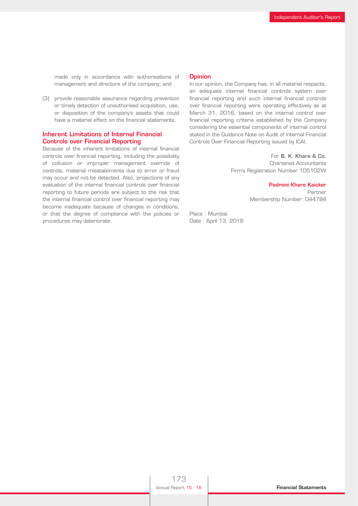made only in accordance with authorisations of management and directors of the company; and

(3) provide reasonable assurance regarding prevention or timely detection of unauthorised acquisition, use, or disposition of the company's assets that could have a material effect on the financial statements.

### Inherent Limitations of Internal Financial Controls over Financial Reporting

Because of the inherent limitations of internal financial controls over financial reporting, including the possibility of collusion or improper management override of controls, material misstatements due to error or fraud may occur and not be detected. Also, projections of any evaluation of the internal financial controls over financial reporting to future periods are subject to the risk that the internal financial control over financial reporting may become inadequate because of changes in conditions, or that the degree of compliance with the policies or procedures may deteriorate.

#### **Opinion**

In our opinion, the Company has, in all material respects, an adequate internal financial controls system over financial reporting and such internal financial controls over financial reporting were operating effectively as at March 31, 2016, based on the internal control over financial reporting criteria established by the Company considering the essential components of internal control stated in the Guidance Note on Audit of Internal Financial Controls Over Financial Reporting issued by ICAI.

> For B. K. Khare & Co. Chartered Accountants Firm's Registration Number 105102W

#### Padmini Khare Kaicker

Partner Membership Number: 044784

Place : Mumbai Date : April 13, 2016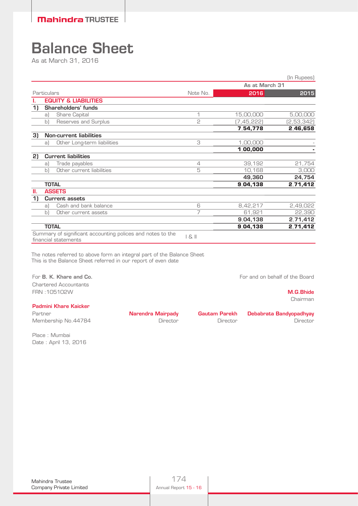# Balance Sheet

As at March 31, 2016

|    |             |                                                            |          |                | (In Rupees) |
|----|-------------|------------------------------------------------------------|----------|----------------|-------------|
|    |             |                                                            |          | As at March 31 |             |
|    | Particulars |                                                            | Note No. | 2016           | 2015        |
|    |             | <b>EQUITY &amp; LIABILITIES</b>                            |          |                |             |
| 1) |             | <b>Shareholders' funds</b>                                 |          |                |             |
|    | a)          | Share Capital                                              | 1        | 15,00,000      | 5,00,000    |
|    | b)          | Reserves and Surplus                                       | 2        | (7, 45, 222)   | (2,53,342)  |
|    |             |                                                            |          | 7,54,778       | 2,46,658    |
| 3) |             | <b>Non-current liabilities</b>                             |          |                |             |
|    | a)          | Other Long-term liabilities                                | 3        | 1,00,000       |             |
|    |             |                                                            |          | 1,00,000       |             |
| 2) |             | <b>Current liabilities</b>                                 |          |                |             |
|    | al          | Trade payables                                             | 4        | 39,192         | 21,754      |
|    | bì          | Other current liabilities                                  | 5        | 10,168         | 3,000       |
|    |             |                                                            |          | 49,360         | 24,754      |
|    |             | <b>TOTAL</b>                                               |          | 9,04,138       | 2,71,412    |
| Ш. |             | <b>ASSETS</b>                                              |          |                |             |
| 1) |             | <b>Current assets</b>                                      |          |                |             |
|    | al          | Cash and bank balance                                      | 6        | 8,42,217       | 2,49,022    |
|    | b           | Other current assets                                       | 7        | 61,921         | 22,390      |
|    |             |                                                            |          | 9.04,138       | 2,71,412    |
|    |             | <b>TOTAL</b>                                               |          | 9,04,138       | 2,71,412    |
|    |             | Summary of significant accounting polices and notes to the | S        |                |             |
|    |             | financial statements                                       |          |                |             |

The notes referred to above form an integral part of the Balance Sheet This is the Balance Sheet referred in our report of even date

|  | For <b>B. K. Khare and Co.</b> |  |
|--|--------------------------------|--|
|  |                                |  |

Chartered Accountants FRN :105102W M.G.Bhide

## Padmini Khare Kaicker

Membership No.44784 Director Director Director

Place : Mumbai Date : April 13, 2016

Partner **Narendra Mairpady Gautam Parekh Debabrata Bandyopadhyay** 

Chairman

For and on behalf of the Board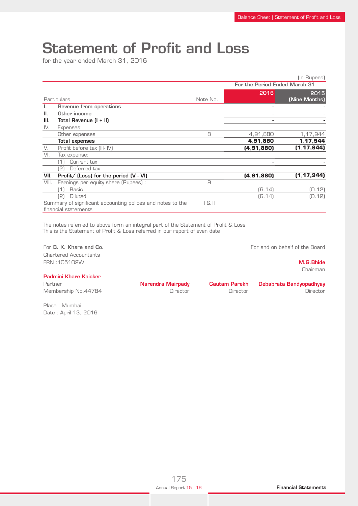## Statement of Profit and Loss

for the year ended March 31, 2016

|       |                                                                                    |          |                               | (In Rupees)   |
|-------|------------------------------------------------------------------------------------|----------|-------------------------------|---------------|
|       |                                                                                    |          | For the Period Ended March 31 |               |
|       |                                                                                    |          | 2016                          | 2015          |
|       | Particulars                                                                        | Note No. |                               | (Nine Months) |
|       | Revenue from operations                                                            |          |                               |               |
| Ш.    | Other income                                                                       |          |                               |               |
| Ш.    | Total Revenue (I + II)                                                             |          | ٠                             |               |
| IV.   | Expenses:                                                                          |          |                               |               |
|       | Other expenses                                                                     | 8        | 4,91,880                      | 1,17,944      |
|       | <b>Total expenses</b>                                                              |          | 4.91,880                      | 1.17,944      |
| V.    | Profit before tax (III- IV)                                                        |          | (4.91, 880)                   | (1, 17, 944)  |
| VI.   | Tax expense:                                                                       |          |                               |               |
|       | Current tax                                                                        |          |                               |               |
|       | Deferred tax<br>(2                                                                 |          |                               |               |
| VII.  | Profit/ (Loss) for the period (V - VI)                                             |          | (4.91, 880)                   | (1, 17, 944)  |
| VIII. | Earnings per equity share (Rupees) :                                               | 9        |                               |               |
|       | Basic<br>(1)                                                                       |          | (6.14)                        | [0.12]        |
|       | (2<br><b>Diluted</b>                                                               |          | (6.14)                        | [0.12]        |
|       | Summary of significant accounting polices and notes to the<br>financial statements | S        |                               |               |

The notes referred to above form an integral part of the Statement of Profit & Loss This is the Statement of Profit & Loss referred in our report of even date

For **B. K. Khare and Co. For and on behalf of the Board For and on behalf of the Board** Chartered Accountants FRN :105102W M.G.Bhide

Padmini Khare Kaicker

Place : Mumbai Date : April 13, 2016

Partner **Narendra Mairpady Cautam Parekh Debabrata Bandyopadhyay** Membership No.44784 Director Director Director

Chairman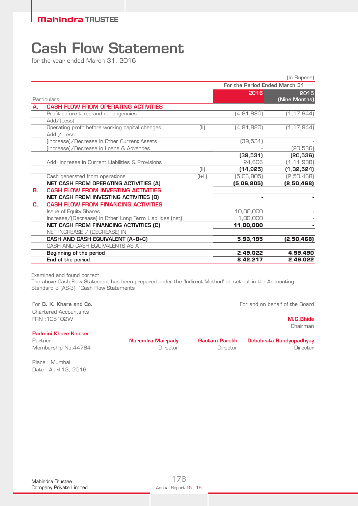## Cash Flow Statement

for the year ended March 31, 2016

|           |                                                          |           |                               | (In Rupees)   |
|-----------|----------------------------------------------------------|-----------|-------------------------------|---------------|
|           |                                                          |           | For the Period Ended March 31 |               |
|           |                                                          |           | 2016                          | 2015          |
|           | Particulars                                              |           |                               | (Nine Months) |
| А.        | <b>CASH FLOW FROM OPERATING ACTIVITIES</b>               |           |                               |               |
|           | Profit before taxes and contingencies                    |           | (4, 91, 880)                  | (1, 17, 944)  |
|           | Add/(Less):                                              |           |                               |               |
|           | Operating profit before working capital changes          | [  ]      | (4, 91, 880)                  | (1, 17, 944)  |
|           | Add / Less:                                              |           |                               |               |
|           | (Increase)/Decrease in Other Current Assets              |           | (39,531)                      |               |
|           | (Increase)/Decrease in Loans & Advances                  |           |                               | [20, 536]     |
|           |                                                          |           | (39,531)                      | (20, 536)     |
|           | Add: Increase in Current Liabilities & Provisions        |           | 24.606                        | (1, 11, 988)  |
|           |                                                          | [  ]      | (14, 925)                     | (1, 32, 524)  |
|           | Cash generated from operations                           | $($  +  ] | (5,06,805)                    | (2,50,468)    |
|           | <b>NET CASH FROM OPERATING ACTIVITIES (A)</b>            |           | (5,06,805)                    | (2, 50, 468)  |
| <b>B.</b> | <b>CASH FLOW FROM INVESTING ACTIVITIES</b>               |           |                               |               |
|           | <b>NET CASH FROM INVESTING ACTIVITIES (B)</b>            |           | ۰                             |               |
| C.        | <b>CASH FLOW FROM FINANCING ACTIVITIES</b>               |           |                               |               |
|           | Issue of Equity Shares                                   |           | 10,00,000                     |               |
|           | Increase/(Decrease) in Other Long Term Liabilities (net) |           | 1,00,000                      |               |
|           | NET CASH FROM FINANCING ACTIVITIES (C)                   |           | 11,00,000                     |               |
|           | NET INCREASE / (DECREASE) IN                             |           |                               |               |
|           | CASH AND CASH EQUIVALENT (A+B+C)                         |           | 5,93,195                      | (2, 50, 468)  |
|           | CASH AND CASH EQUIVALENTS AS AT:                         |           |                               |               |
|           | Beginning of the period                                  |           | 2.49.022                      | 4,99,490      |
|           | End of the period                                        |           | 8,42,217                      | 2,49,022      |

Examined and found correct.

The above Cash Flow Statement has been prepared under the 'Indirect Method' as set out in the Accounting Standard 3 (AS-3), "Cash Flow Statements

For B. K. Khare and Co. **For and Co.** For and on behalf of the Board of the Board of the Board of the Board of the Board of the Board of the Board of the Board of the Board of the Board of the Board of the Board of the Boa

Chartered Accountants FRN :105102W M.G.Bhide

### Padmini Khare Kaicker

Partner **Narendra Mairpady Gautam Parekh Debabrata Bandyopadhyay** Membership No.44784 Director Director Director

Place : Mumbai Date : April 13, 2016

Chairman

Annual Report 15 - 16 Mahindra Trustee 176 Company Private Limited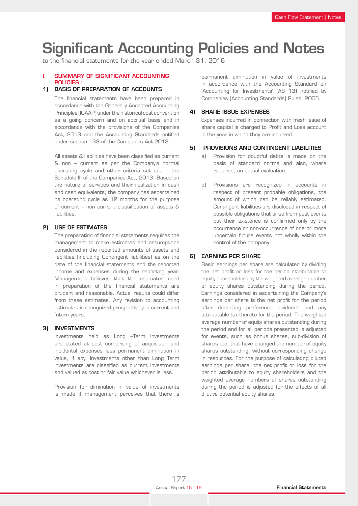to the financial statements for the year ended March 31, 2016

### I. SUMMARY OF SIGNIFICANT ACCOUNTING POLICIES :

## 1) BASIS OF PREPARATION OF ACCOUNTS

 The financial statements have been prepared in accordance with the Generally Accepted Accounting Principles (IGAAP) under the historical cost convention as a going concern and on accrual basis and in accordance with the provisions of the Companies Act, 2013 and the Accounting Standards notified under section 133 of the Companies Act 2013.

 All assets & liabilities have been classified as current & non – current as per the Company's normal operating cycle and other criteria set out in the Schedule III of the Companies Act, 2013. Based on the nature of services and their realization in cash and cash equivalents, the company has ascertained its operating cycle as 12 months for the purpose of current – non current classification of assets & liabilities.

#### 2) USE OF ESTIMATES

 The preparation of financial statements requires the management to make estimates and assumptions considered in the reported amounts of assets and liabilities (including Contingent liabilities) as on the date of the financial statements and the reported income and expenses during the reporting year. Management believes that the estimates used in preparation of the financial statements are prudent and reasonable. Actual results could differ from these estimates. Any revision to accounting estimates is recognized prospectively in current and future years.

#### 3) INVESTMENTS

 Investments held as Long –Term Investments are stated at cost comprising of acquisition and incidental expenses less permanent diminution in value, if any. Investments other than Long Term investments are classified as current Investments and valued at cost or fair value whichever is less.

 Provision for diminution in value of investments is made if management perceives that there is permanent diminution in value of investments in accordance with the Accounting Standard on 'Accounting for Investments' (AS 13) notified by Companies (Accounting Standards) Rules, 2006.

#### 4) SHARE ISSUE EXPENSES

 Expenses incurred in connection with fresh issue of share capital is charged to Profit and Loss account in the year in which they are incurred.

#### 5) PROVISIONS AND CONTINGENT LIABILITIES

- a) Provision for doubtful debts is made on the basis of standard norms and also, where required, on actual evaluation.
- b) Provisions are recognized in accounts in respect of present probable obligations, the amount of which can be reliably estimated. Contingent liabilities are disclosed in respect of possible obligations that arise from past events but their existence is confirmed only by the occurrence or non-occurrence of one or more uncertain future events not wholly within the control of the company.

### 6) EARNING PER SHARE

 Basic earnings per share are calculated by dividing the net profit or loss for the period attributable to equity shareholders by the weighted average number of equity shares outstanding during the period. Earnings considered in ascertaining the Company's earnings per share is the net profit for the period after deducting preference dividends and any attributable tax thereto for the period. The weighted average number of equity shares outstanding during the period and for all periods presented is adjusted for events, such as bonus shares, sub-division of shares etc. that have changed the number of equity shares outstanding, without corresponding change in resources. For the purpose of calculating diluted earnings per share, the net profit or loss for the period attributable to equity shareholders and the weighted average numbers of shares outstanding during the period is adjusted for the effects of all dilutive potential equity shares.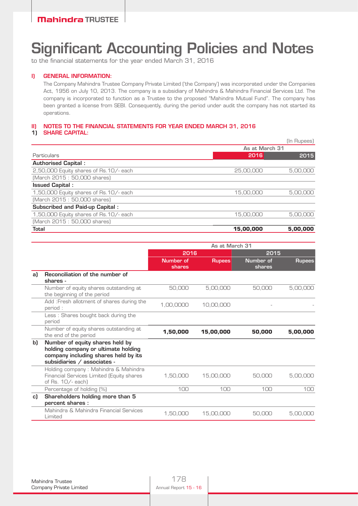to the financial statements for the year ended March 31, 2016

#### I) GENERAL INFORMATION:

 The Company Mahindra Trustee Company Private Limited ('the Company') was incorporated under the Companies Act, 1956 on July 10, 2013. The company is a subsidiary of Mahindra & Mahindra Financial Services Ltd. The company is incorporated to function as a Trustee to the proposed "Mahindra Mutual Fund". The company has been granted a license from SEBI. Consequently, during the period under audit the company has not started its operations.

#### II) NOTES TO THE FINANCIAL STATEMENTS FOR YEAR ENDED MARCH 31, 2016

#### 1) SHARE CAPITAL:

|                                        |                | (In Rupees) |
|----------------------------------------|----------------|-------------|
|                                        | As at March 31 |             |
| Particulars                            | 2016           | 2015        |
| <b>Authorised Capital:</b>             |                |             |
| 2,50,000 Equity shares of Rs.10/- each | 25,00,000      | 5,00,000    |
| (March 2015: 50,000 shares)            |                |             |
| <b>Issued Capital:</b>                 |                |             |
| 1,50,000 Equity shares of Rs.10/- each | 15,00,000      | 5,00,000    |
| (March 2015: 50,000 shares)            |                |             |
| <b>Subscribed and Paid-up Capital:</b> |                |             |
| 1,50,000 Equity shares of Rs.10/- each | 15,00,000      | 5,00,000    |
| (March 2015: 50,000 shares)            |                |             |
| <b>Total</b>                           | 15,00,000      | 5,00,000    |

|    |                                                                                                                                               | As at March 31      |               |                     |               |
|----|-----------------------------------------------------------------------------------------------------------------------------------------------|---------------------|---------------|---------------------|---------------|
|    |                                                                                                                                               | 2016                |               | 2015                |               |
|    |                                                                                                                                               | Number of<br>shares | <b>Rupees</b> | Number of<br>shares | <b>Rupees</b> |
| al | Reconciliation of the number of<br>shares -                                                                                                   |                     |               |                     |               |
|    | Number of equity shares outstanding at<br>the beginning of the period                                                                         | 50,000              | 5,00,000      | 50,000              | 5,00,000      |
|    | Add: Fresh allotment of shares during the<br>period:                                                                                          | 1,00,0000           | 10,00,000     |                     |               |
|    | Less: Shares bought back during the<br>period                                                                                                 |                     |               |                     |               |
|    | Number of equity shares outstanding at<br>the end of the period                                                                               | 1,50,000            | 15,00,000     | 50,000              | 5,00,000      |
| b) | Number of equity shares held by<br>holding company or ultimate holding<br>company including shares held by its<br>subsidiaries / associates - |                     |               |                     |               |
|    | Holding company: Mahindra & Mahindra<br>Financial Services Limited (Equity shares<br>of Rs. 10/- each)                                        | 1,50,000            | 15,00,000     | 50,000              | 5,00,000      |
|    | Percentage of holding (%)                                                                                                                     | 100                 | 100           | 100                 | 100           |
| c) | Shareholders holding more than 5<br>percent shares :                                                                                          |                     |               |                     |               |
|    | Mahindra & Mahindra Financial Services<br>Limited                                                                                             | 1,50,000            | 15,00,000     | 50,000              | 5,00,000      |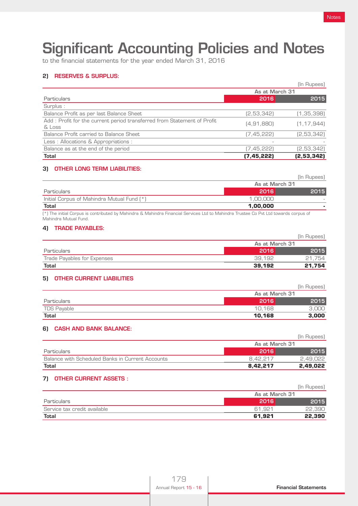# Significant Accounting Policies and Notes

to the financial statements for the year ended March 31, 2016

### 2) RESERVES & SURPLUS:

|                                                                                   |                | (In Rupees)  |
|-----------------------------------------------------------------------------------|----------------|--------------|
|                                                                                   | As at March 31 |              |
| Particulars                                                                       | 2016           | 2015         |
| Surplus:                                                                          |                |              |
| Balance Profit as per last Balance Sheet                                          | [2,53,342]     | (1, 35, 398) |
| Add: Profit for the current period transferred from Statement of Profit<br>& Loss | (4, 91, 880)   | (1, 17, 944) |
| Balance Profit carried to Balance Sheet                                           | (7, 45, 222)   | [2,53,342]   |
| Less: Allocations & Appropriations:                                               |                |              |
| Balance as at the end of the period                                               | (7, 45, 222)   | [2,53,342]   |
| <b>Total</b>                                                                      | (7, 45, 222)   | (2,53,342)   |

### 3) OTHER LONG TERM LIABILITIES:

|                                                                                                                                      |                | (In Rupees) |
|--------------------------------------------------------------------------------------------------------------------------------------|----------------|-------------|
|                                                                                                                                      | As at March 31 |             |
| Particulars                                                                                                                          | 2016           | 2015        |
| Initial Corpus of Mahindra Mutual Fund (*)                                                                                           | 1.00.000       |             |
| Total                                                                                                                                | 1.00.000       |             |
| (*) The initial Coppus is contributed by Mabindra & Mabindra Einapoial Sepvices Ltd to Mabindra Trustee Co Dut Ltd towards seppus of |                |             |

) The initial Corpus is contributed by Mahindra & Mahindra Financial Services Ltd to Mahindra Trustee Co Pvt Ltd towards corp Mahindra Mutual Fund.

# 4) TRADE PAYABLES:

|                             |                | (In Rupees) |
|-----------------------------|----------------|-------------|
|                             | As at March 31 |             |
| Particulars                 | 2016           | 2015        |
| Trade Payables for Expenses | 39.192         | 21.754      |
| <b>Total</b>                | 39,192         | 21,754      |

### 5) OTHER CURRENT LIABILITIES

|              |                | (In Rupees) |
|--------------|----------------|-------------|
|              | As at March 31 |             |
| Particulars  | 2016           | 2015        |
| TDS Payable  | 10.168         | 3,000       |
| <b>Total</b> | 10.168         | 3.000       |

#### 6) CASH AND BANK BALANCE:

|                                                  |          | (In Rupees)    |  |
|--------------------------------------------------|----------|----------------|--|
|                                                  |          | As at March 31 |  |
| Particulars                                      | 2016     | 2015           |  |
| Balance with Scheduled Banks in Current Accounts | 8.42.217 | 2.49.022       |  |
| <b>Total</b>                                     | 8,42,217 | 2,49,022       |  |

# 7) OTHER CURRENT ASSETS :

|                              |                | (In Rupees) |
|------------------------------|----------------|-------------|
|                              | As at March 31 |             |
| Particulars                  | 2016           | 2015        |
| Service tax credit available | 61.921         | 22,390      |
| <b>Total</b>                 | 61,921         | 22,390      |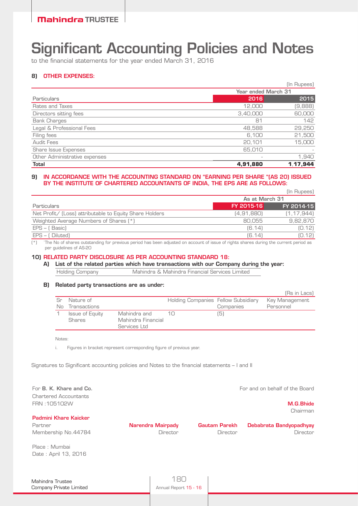# Significant Accounting Policies and Notes

to the financial statements for the year ended March 31, 2016

# 8) OTHER EXPENSES:

|                               |          | (In Rupees)                |  |  |
|-------------------------------|----------|----------------------------|--|--|
|                               |          | <b>Year ended March 31</b> |  |  |
| <b>Particulars</b>            | 2016     | 2015                       |  |  |
| Rates and Taxes               | 12,000   | (9,888)                    |  |  |
| Directors sitting fees        | 3,40,000 | 60,000                     |  |  |
| <b>Bank Charges</b>           | 81       | 142                        |  |  |
| Legal & Professional Fees     | 48,588   | 29,250                     |  |  |
| Filing fees                   | 6,100    | 21,500                     |  |  |
| Audit Fees                    | 20,101   | 15,000                     |  |  |
| Share Issue Expenses          | 65,010   |                            |  |  |
| Other Administrative expenses |          | 1,940                      |  |  |
| Total                         | 4,91,880 | 1.17.944                   |  |  |

## 9) IN ACCORDANCE WITH THE ACCOUNTING STANDARD ON "EARNING PER SHARE "(AS 20) ISSUED BY THE INSTITUTE OF CHARTERED ACCOUNTANTS OF INDIA, THE EPS ARE AS FOLLOWS:

|                                                                                                                                                                                                                               |              | (In Rupees)    |  |
|-------------------------------------------------------------------------------------------------------------------------------------------------------------------------------------------------------------------------------|--------------|----------------|--|
|                                                                                                                                                                                                                               |              | As at March 31 |  |
| Particulars                                                                                                                                                                                                                   | FY 2015-16   | FY 2014-15     |  |
| Net Profit/ (Loss) attributable to Equity Share Holders                                                                                                                                                                       | (4, 91, 880) | (1, 17, 944)   |  |
| Weighted Average Numbers of Shares (*)                                                                                                                                                                                        | 80.055       | 9.82.870       |  |
| EPS – (Basic)                                                                                                                                                                                                                 | (6.14)       | [0.12]         |  |
| $EPS - (Diluted)$                                                                                                                                                                                                             | (6.14)       | [0.12]         |  |
| (*) The Me of choose change that for accident position been estimated by experiment to the official choose shows a second problem of the second second problem in the second second second second second second second second |              |                |  |

(\*) `The No of shares outstanding for previous period has been adjusted on account of issue of rights shares during the current period as per guidelines of AS-20

### 10) RELATED PARTY DISCLOSURE AS PER ACCOUNTING STANDARD 18:

A) List of the related parties which have transactions with our Company during the year:

Holding Company Mahindra & Mahindra Financial Services Limited

#### B) Related party transactions are as under:

|     |                                  |                                    |                                            |           | (Rs in Lacs)   |
|-----|----------------------------------|------------------------------------|--------------------------------------------|-----------|----------------|
| Sr. | Nature of                        |                                    | <b>Holding Companies Fellow Subsidiary</b> |           | Key Management |
| No  | Transactions                     |                                    |                                            | Companies | Personnel      |
|     | Issue of Equity<br><b>Shares</b> | Mahindra and<br>Mahindra Financial |                                            | ו כ       |                |
|     |                                  | Services Ltd                       |                                            |           |                |

Notes:

i. Figures in bracket represent corresponding figure of previous year.

Signatures to Significant accounting policies and Notes to the financial statements – I and II

| For <b>B. K. Khare and Co.</b><br><b>Chartered Accountants</b> |                          | For and on behalf of the Board |                         |  |
|----------------------------------------------------------------|--------------------------|--------------------------------|-------------------------|--|
| FRN: 105102W                                                   |                          |                                | M.G.Bhide<br>Chairman   |  |
| <b>Padmini Khare Kaicker</b>                                   |                          |                                |                         |  |
| Partner                                                        | <b>Narendra Mairpady</b> | <b>Gautam Parekh</b>           | Debabrata Bandyopadhyay |  |
| Membership No.44784                                            | Director                 | Director                       | <b>Director</b>         |  |
| Place: Mumbai                                                  |                          |                                |                         |  |
| Date: April 13, 2016                                           |                          |                                |                         |  |

| Mahindra Trustee        |                       |  |
|-------------------------|-----------------------|--|
| Company Private Limited | Annual Report 15 - 16 |  |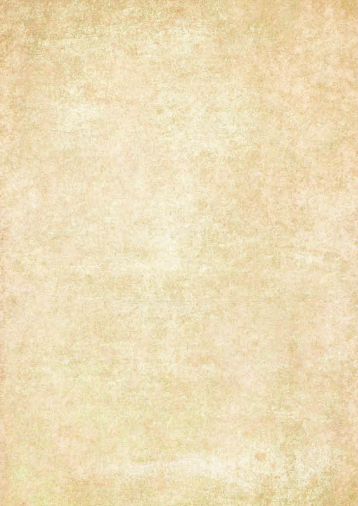